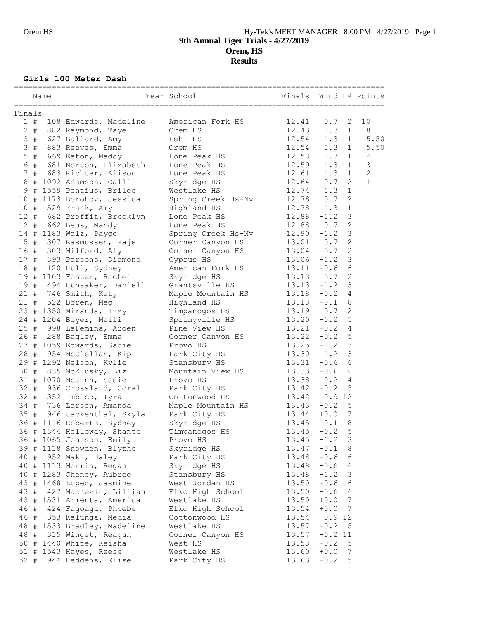**Girls 100 Meter Dash**

|        |    | Name |                             | Year School        | Finals Wind H# Points |           |                  |                |
|--------|----|------|-----------------------------|--------------------|-----------------------|-----------|------------------|----------------|
| Finals |    |      |                             |                    |                       |           |                  |                |
|        | 1# |      | 108 Edwards, Madeline       | American Fork HS   | 12.41                 | 0.7       | 2                | 10             |
|        |    |      | 2 # 882 Raymond, Taye       | Orem HS            | 12.43                 | 1.3       | $\mathbf{1}$     | 8              |
|        | 3# |      | 627 Ballard, Amy            | Lehi HS            | 12.54                 | 1.3       | $\mathbf{1}$     | 5.50           |
|        | 3# |      | 883 Reeves, Emma            | Orem HS            | 12.54                 | 1.3       | $\mathbf{1}$     | 5.50           |
|        |    |      | 5 # 669 Eaton, Maddy        | Lone Peak HS       | 12.58                 | 1.3       | $\mathbf{1}$     | 4              |
|        |    |      | 6 # 681 Norton, Elizabeth   | Lone Peak HS       | 12.59                 | 1.3       | $\mathbf{1}$     | $\mathsf 3$    |
|        |    |      | 7 # 683 Richter, Alison     | Lone Peak HS       | 12.61                 | 1.3       | $\mathbf{1}$     | $\overline{c}$ |
|        |    |      | 8 # 1092 Adamson, Calli     | Skyridge HS        | 12.64                 | 0.7       | 2                | $\mathbf{1}$   |
|        |    |      | 9 # 1559 Pontius, Brilee    | Westlake HS        | 12.74                 | 1.3       | $\mathbf{1}$     |                |
|        |    |      | 10 # 1173 Dorohov, Jessica  | Spring Creek Hs-Nv | 12.78 0.7             |           | $\mathbf{2}$     |                |
|        |    |      | 10 # 529 Frank, Amy         | Highland HS        | 12.78                 | 1.3       | 1                |                |
|        |    |      | 12 # 682 Proffit, Brooklyn  | Lone Peak HS       | 12.88                 | $-1.2$    | 3                |                |
|        |    |      | 12 # 662 Beus, Mandy        | Lone Peak HS       | 12.88                 | 0.7       | $\overline{c}$   |                |
|        |    |      | 14 # 1183 Walz, Payge       | Spring Creek Hs-Nv | 12.90                 | $-1.2$    | $\mathsf 3$      |                |
|        |    |      | 15 # 307 Rasmussen, Paje    | Corner Canyon HS   | 13.01                 | 0.7       | $\mathbf{2}$     |                |
|        |    |      | 16 # 303 Milford, Aly       | Corner Canyon HS   | 13.04                 | 0.7       | $\mathbf{2}$     |                |
|        |    |      | 17 # 393 Parsons, Diamond   | Cyprus HS          | 13.06                 | $-1.2$    | 3                |                |
|        |    |      | 18 # 120 Hull, Sydney       | American Fork HS   | 13.11                 | $-0.6$    | 6                |                |
|        |    |      | 19 # 1103 Foster, Rachel    | Skyridge HS        | 13.13                 | 0.7       | $\overline{c}$   |                |
|        |    |      | 19 # 494 Hunsaker, Daniell  | Grantsville HS     | 13.13                 | $-1.2$    | $\mathsf 3$      |                |
|        |    |      | 21 # 746 Smith, Katy        | Maple Mountain HS  | 13.18                 | $-0.2$    | 4                |                |
|        |    |      | 21 # 522 Boren, Meg         | Highland HS        | 13.18                 | $-0.1$    | 8                |                |
|        |    |      | 23 # 1350 Miranda, Izzy     | Timpanogos HS      | 13.19                 | 0.7       | 2                |                |
|        |    |      | 24 # 1204 Boyer, Maili      | Springville HS     | 13.20                 | $-0.2$    | 5                |                |
|        |    |      | 25 # 998 LaFemina, Arden    | Pine View HS       | 13.21                 | $-0.2$    | 4                |                |
|        |    |      | 26 # 288 Bagley, Emma       | Corner Canyon HS   | 13.22                 | $-0.2$    | 5                |                |
|        |    |      | 27 # 1059 Edwards, Sadie    | Provo HS           | 13.25                 | $-1.2$    | 3                |                |
|        |    |      | 28 # 954 McClellan, Kip     | Park City HS       | 13.30                 | $-1.2$    | 3                |                |
|        |    |      | 29 # 1292 Nelson, Kylie     | Stansbury HS       | 13.31                 | $-0.6$    | 6                |                |
| 30#    |    |      | 835 McKlusky, Liz           | Mountain View HS   | 13.33                 | $-0.6$    | 6                |                |
|        |    |      | 31 # 1070 McGinn, Sadie     | Provo HS           | 13.38                 | $-0.2$    | 4                |                |
|        |    |      | 32 # 936 Crossland, Coral   | Park City HS       | 13.42                 | $-0.2$    | 5                |                |
|        |    |      | 32 # 352 Imbico, Tyra       | Cottonwood HS      | 13.42 0.9 12          |           |                  |                |
|        |    |      | 34 # 736 Larsen, Amanda     | Maple Mountain HS  | 13.43                 | $-0.2$    | 5                |                |
|        |    |      | 35 # 946 Jackenthal, Skyla  | Park City HS       | 13.44                 | $+0.0$    | 7                |                |
|        |    |      | 36 # 1116 Roberts, Sydney   | Skyridge HS        | 13.45                 | $-0.1$    | 8                |                |
|        |    |      | 36 # 1344 Holloway, Shante  | Timpanogos HS      | 13.45                 | $-0.2$    | 5                |                |
|        |    |      | 36 # 1065 Johnson, Emily    | Provo HS           | 13.45                 | $-1.2$    | $\mathfrak{Z}$   |                |
|        |    |      | 39 # 1118 Snowden, Blythe   | Skyridge HS        | 13.47                 | $-0.1$    | 8                |                |
| 40 #   |    |      | 952 Maki, Haley             | Park City HS       | 13.48                 | $-0.6$    | 6                |                |
|        |    |      | 40 # 1113 Morris, Regan     | Skyridge HS        | 13.48                 | $-0.6$    | 6                |                |
|        |    |      | 40 # 1283 Cheney, Aubree    | Stansbury HS       | 13.48                 | $-1.2$    | 3                |                |
|        |    |      | 43 # 1468 Lopez, Jasmine    | West Jordan HS     | 13.50                 | $-0.6$    | 6                |                |
|        |    |      | 43 # 427 Macnevin, Lillian  | Elko High School   | 13.50                 | $-0.6$    | 6                |                |
|        |    |      | 43 # 1531 Armenta, America  | Westlake HS        | 13.50                 | $+0.0$    | $\boldsymbol{7}$ |                |
|        |    |      | 46 # 424 Fagoaga, Phoebe    | Elko High School   | 13.54                 | $+0.0$    | 7                |                |
| 46 #   |    |      | 353 Kalunga, Media          | Cottonwood HS      | 13.54                 | 0.912     |                  |                |
|        |    |      | 48 # 1533 Bradley, Madeline | Westlake HS        | 13.57                 | $-0.2$    | 5                |                |
| 48 #   |    |      | 315 Winget, Reagan          | Corner Canyon HS   | 13.57                 | $-0.2$ 11 |                  |                |
|        |    |      | 50 # 1440 White, Keisha     | West HS            | 13.58                 | $-0.2$    | 5                |                |
|        |    |      | 51 # 1543 Hayes, Reese      | Westlake HS        | 13.60                 | $+0.0$    | 7                |                |
| 52 #   |    |      | 944 Heddens, Elise          | Park City HS       | 13.63                 | $-0.2$    | 5                |                |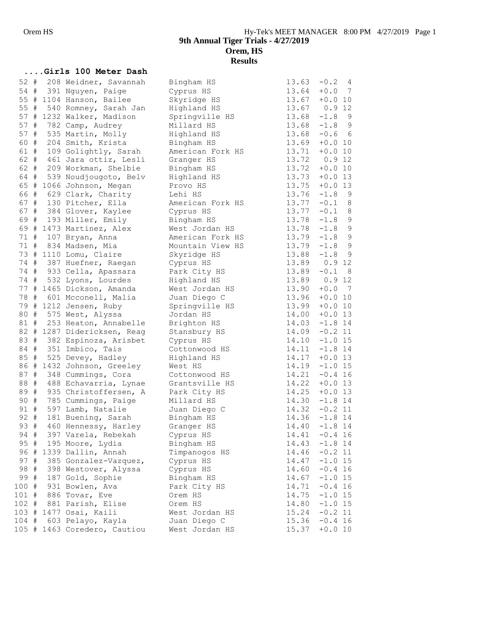**....Girls 100 Meter Dash**

| 52 # |  | 208 Weidner, Savannah                         | Bingham HS                     | 13.63          | $-0.2$<br>4                        |
|------|--|-----------------------------------------------|--------------------------------|----------------|------------------------------------|
|      |  | 54 # 391 Nguyen, Paige                        | Cyprus HS                      | 13.64          | $\bf+0$ . $\bf0$<br>$\overline{7}$ |
|      |  | 55 # 1104 Hanson, Bailee                      | Skyridge HS                    | 13.67          | $+0.0 10$                          |
| 55 # |  | 540 Romney, Sarah Jan                         | Highland HS                    | 13.67          | 0.9 12                             |
|      |  | 57 # 1232 Walker, Madison                     | Springville HS                 | 13.68          | $-1.8$ 9                           |
|      |  | 57 # 782 Camp, Audrey                         | Millard HS                     | 13.68          | $-1.8$<br>9                        |
|      |  | 57 # 535 Martin, Molly                        | Highland HS                    | 13.68          | $-0.6$ 6                           |
|      |  | 60 # 204 Smith, Krista                        | Bingham HS                     | 13.69          | $+0.0 10$                          |
|      |  | 61 # 109 Golightly, Sarah                     | American Fork HS               | 13.71          | $+0.0 10$                          |
|      |  | 62 # 461 Jara ottiz, Lesli                    | Granger HS                     | 13.72          | 0.9 12                             |
|      |  | 62 # 209 Workman, Shelbie                     | Bingham HS                     | 13.72          | $+0.0 10$                          |
|      |  | 64 # 539 Noudjougoto, Belv                    | Highland HS                    | 13.73          | $+0.0$<br>13                       |
|      |  | 65 # 1066 Johnson, Megan                      | Provo HS                       | 13.75          | $+0.0$ 13                          |
|      |  | 66 # 629 Clark, Charity                       | Lehi HS                        | 13.76          | $-1.8$<br>9                        |
|      |  | 67 # 130 Pitcher, Ella                        | American Fork HS               | 13.77          | $-0.1$<br>8                        |
|      |  | 67 # 384 Glover, Kaylee                       | Cyprus HS                      | 13.77          | $-0.1$<br>8                        |
|      |  | 69 # 193 Miller, Emily                        | Bingham HS                     | 13.78          | $-1.8$ 9                           |
|      |  | 69 # 1473 Martinez, Alex                      | West Jordan HS                 | 13.78          | $-1.8$ 9                           |
|      |  | 71 # 107 Bryan, Anna                          | American Fork HS               | 13.79          | $-1.8$ 9                           |
|      |  | 71 # 834 Madsen, Mia                          | Mountain View HS               | 13.79          | $\overline{9}$<br>$-1.8$           |
|      |  | 73 # 1110 Lomu, Claire                        | Skyridge HS                    | 13.88          | $-1.8$ 9                           |
|      |  | 74 # 387 Huefner, Raegan                      | Cyprus HS                      | 13.89          | 0.9 12                             |
|      |  | 74 # 933 Cella, Apassara                      | Park City HS                   | 13.89          | $-0.1$<br>8                        |
|      |  | 74 # 532 Lyons, Lourdes                       | Highland HS                    | 13.89          | 0.9 12                             |
|      |  | 77 # 1465 Dickson, Amanda                     | West Jordan HS                 | 13.90          | $+0.0$<br>7                        |
|      |  | 78 # 601 Mcconell, Malia                      | Juan Diego C                   | 13.96          | $+0.0 10$                          |
|      |  | 79 # 1212 Jensen, Ruby                        | Springville HS                 | 13.99          | $+0.0 10$                          |
|      |  | 80 # 575 West, Alyssa                         | Jordan HS                      | 14.00          | $+0.0$ 13                          |
|      |  | 81 # 253 Heaton, Annabelle                    | Brighton HS                    | 14.03          | $-1.8$ 14                          |
|      |  | 82 # 1287 Didericksen, Reag                   | Stansbury HS                   | 14.09          | $-0.2$ 11                          |
|      |  | 83 # 382 Espinoza, Arisbet                    | Cyprus HS                      | 14.10          | $-1.0$ 15                          |
|      |  | 84 # 351 Imbico, Tais                         | Cottonwood HS                  | 14.11          | $-1.8$ 14                          |
|      |  | 85 # 525 Devey, Hadley                        | Highland HS                    | 14.17          | $+0.0$ 13                          |
|      |  | 86 # 1432 Johnson, Greeley                    | West HS                        | 14.19          | $-1.0$ 15                          |
|      |  | 87 # 348 Cummings, Cora                       | Cottonwood HS                  | 14.21          | $-0.4$ 16                          |
|      |  | 88 # 488 Echavarria, Lynae                    | Grantsville HS                 | 14.22          | $+0.0$ 13                          |
|      |  | 89 # 935 Christoffersen, A                    | Park City HS                   | 14.25          | $+0.0$ 13                          |
|      |  | 90 # 785 Cummings, Paige                      | Millard HS                     | 14.30          | $-1.8$ 14                          |
|      |  | 91 # 597 Lamb, Natalie                        | Juan Diego C                   | 14.32          | $-0.2$ 11                          |
|      |  | 92 # 181 Buening, Sarah                       | Bingham HS                     | 14.36          | $-1.8$ 14                          |
| 93 # |  | 460 Hennessy, Harley                          | Granger HS                     |                | $14.40 - 1.814$                    |
|      |  | 94 # 397 Varela, Rebekah                      | Cyprus HS                      | 14.41          | $-0.4 16$                          |
|      |  | 95 # 195 Moore, Lydia                         | Bingham HS                     | 14.43          | $-1.8$ 14                          |
|      |  | 96 # 1339 Dallin, Annah                       | Timpanogos HS                  | 14.46          | $-0.2$ 11                          |
|      |  | 97 # 385 Gonzalez-Vazquez,                    | Cyprus HS                      | 14.47          | $-1.0$ 15                          |
|      |  | 98 # 398 Westover, Alyssa                     | Cyprus HS                      | 14.60          | $-0.4$ 16                          |
|      |  | 99 # 187 Gold, Sophie                         | Bingham HS                     | 14.67          | $-1.0$ 15                          |
|      |  |                                               |                                |                |                                    |
|      |  | 100 # 931 Bowlen, Ava<br>101 # 886 Tovar, Eve | Park City HS                   | 14.71          | $-0.4$ 16                          |
|      |  | 102 # 881 Parish, Elise                       | Orem HS                        | 14.75<br>14.80 | $-1.0$ 15<br>$-1.0$ 15             |
|      |  | 103 # 1477 Osai, Kaili                        | Orem HS                        | 15.24          | $-0.2$ 11                          |
|      |  | 104 # 603 Pelayo, Kayla                       | West Jordan HS<br>Juan Diego C | 15.36          |                                    |
|      |  |                                               |                                |                | $-0.4$ 16                          |
|      |  | 105 # 1463 Coredero, Cautiou                  | West Jordan HS                 | 15.37          | $+0.0$ 10                          |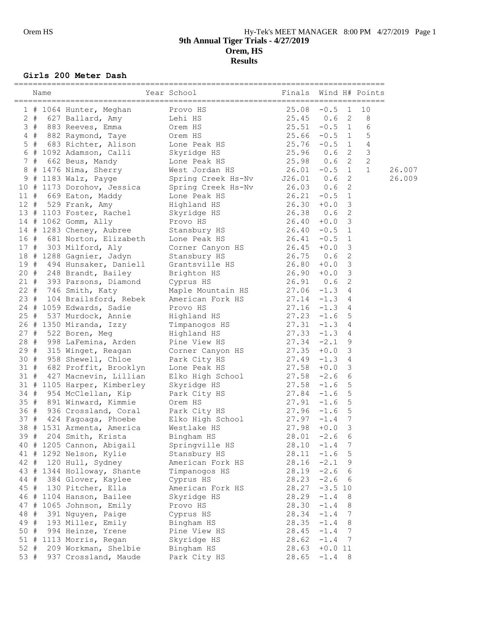## **Girls 200 Meter Dash**

|      | Name |                            | Year School <a> Finals Wind H# Points</a>                                                                                                                                                                                                          |       |           |   |                |        |
|------|------|----------------------------|----------------------------------------------------------------------------------------------------------------------------------------------------------------------------------------------------------------------------------------------------|-------|-----------|---|----------------|--------|
|      |      |                            | 1 # 1064 Hunter, Meghan<br>2 # 627 Ballard, Amy Lehi HS<br>3 # 883 Reeves, Emma Orem HS<br>4 # 882 Raymond, Taye Orem HS<br>5 # 683 Richter, Alison Lone Peak HS<br>5 # 683 Richter, Alison Lone Peak HS<br>25.76 -0.5 1<br>25.76 -0.5 1<br>25     |       |           |   | 10             |        |
|      |      |                            |                                                                                                                                                                                                                                                    |       |           |   | $\,8\,$        |        |
|      |      |                            |                                                                                                                                                                                                                                                    |       |           |   | 6              |        |
|      |      |                            |                                                                                                                                                                                                                                                    |       |           |   | 5              |        |
|      |      |                            |                                                                                                                                                                                                                                                    |       |           |   | $\overline{4}$ |        |
|      |      |                            | 6 # 1092 Adamson, Calli Skyridge HS 25.96 0.6 2                                                                                                                                                                                                    |       |           |   | $\mathsf 3$    |        |
|      |      |                            | 7 # 662 Beus, Mandy<br>7 # 662 Beus, Mandy<br>8 # 1476 Nima, Sherry<br>9 # 1183 Walz, Payge<br>9 # 1183 Walz, Payge<br>10 # 1173 Dorohov, Jessica<br>9 # 1173 Dorohov, Jessica<br>529 Erank, Amy<br>12 # 529 Frank, Amy<br>12 # 529 Frank, Amy<br> |       |           |   | $\sqrt{2}$     |        |
|      |      |                            |                                                                                                                                                                                                                                                    |       |           |   | $\mathbf{1}$   | 26.007 |
|      |      |                            |                                                                                                                                                                                                                                                    |       |           |   |                | 26.009 |
|      |      |                            |                                                                                                                                                                                                                                                    |       |           |   |                |        |
|      |      |                            |                                                                                                                                                                                                                                                    |       |           |   |                |        |
|      |      |                            |                                                                                                                                                                                                                                                    |       |           |   |                |        |
|      |      |                            | 13 # 1103 Foster, Rachel Skyridge HS 26.30 +0.0 3<br>14 # 1062 Gomm, Ally Provo HS 26.40 +0.0 3<br>14 # 1283 Cheney, Aubree Stansbury HS 26.40 -0.5 1<br>16 # 681 Norton, Elizabeth Lone Peak HS 26.41 -0.5 1<br>17 # 303 Milford, Aly             |       |           |   |                |        |
|      |      |                            |                                                                                                                                                                                                                                                    |       |           |   |                |        |
|      |      |                            |                                                                                                                                                                                                                                                    |       |           |   |                |        |
|      |      |                            |                                                                                                                                                                                                                                                    |       |           |   |                |        |
|      |      |                            |                                                                                                                                                                                                                                                    |       |           |   |                |        |
|      |      | 18 # 1288 Gagnier, Jadyn   |                                                                                                                                                                                                                                                    |       |           |   |                |        |
|      |      |                            |                                                                                                                                                                                                                                                    |       |           |   |                |        |
|      |      |                            |                                                                                                                                                                                                                                                    |       |           |   |                |        |
|      |      |                            |                                                                                                                                                                                                                                                    |       |           |   |                |        |
|      |      |                            |                                                                                                                                                                                                                                                    |       |           |   |                |        |
|      |      |                            |                                                                                                                                                                                                                                                    |       |           |   |                |        |
|      |      |                            |                                                                                                                                                                                                                                                    |       |           |   |                |        |
|      |      |                            |                                                                                                                                                                                                                                                    |       |           |   |                |        |
|      |      |                            | 18 # 1288 Gagnier, Jadyn<br>19 # 494 Hunsaker, Daniell Grantsville HS<br>20 # 248 Brandt, Bailey<br>21 # 393 Parsons, Diamond Cyprus HS<br>22 # 746 Smith, Katy<br>23 # 104 Brailsford, Rebek American Fork HS<br>23 # 104 Brailsford, Reb         |       |           |   |                |        |
|      |      |                            |                                                                                                                                                                                                                                                    |       |           |   |                |        |
|      |      |                            |                                                                                                                                                                                                                                                    |       |           |   |                |        |
|      |      |                            |                                                                                                                                                                                                                                                    |       |           |   |                |        |
|      |      |                            | 30 # 958 Shewell, Chloe Park City HS 27.49 -1.3 4                                                                                                                                                                                                  |       |           |   |                |        |
|      |      |                            |                                                                                                                                                                                                                                                    |       |           |   |                |        |
|      |      |                            | 31 # 682 Proffit, Brooklyn<br>31 # 682 Proffit, Brooklyn<br>31 # 427 Macnevin, Lillian<br>31 # 1105 Harper, Kimberley<br>34 # 954 McClellan, Kip<br>35 # 891 Winward, Kimmie 10 Orem HS<br>35 # 891 Winward, Kimmie 10 Orem HS<br>35 # 891 W       |       |           |   |                |        |
|      |      |                            |                                                                                                                                                                                                                                                    |       |           |   |                |        |
|      |      |                            |                                                                                                                                                                                                                                                    |       |           |   |                |        |
|      |      |                            |                                                                                                                                                                                                                                                    |       |           |   |                |        |
|      |      |                            | 36 # 936 Crossland, Coral Park City HS 27.96 -1.6 5                                                                                                                                                                                                |       |           |   |                |        |
|      |      |                            | 37 # 424 Fagoaga, Phoebe Blko High School 27.97<br>38 # 1531 Armenta, America Westlake HS 27.98                                                                                                                                                    |       | $-1.4$    | 7 |                |        |
|      |      | 38 # 1531 Armenta, America |                                                                                                                                                                                                                                                    | 27.98 | $+0.0$    | 3 |                |        |
|      |      | 39 # 204 Smith, Krista     | Bingham HS                                                                                                                                                                                                                                         | 28.01 | $-2.6$    | 6 |                |        |
|      |      | 40 # 1205 Cannon, Abigail  | Springville HS                                                                                                                                                                                                                                     | 28.10 | $-1.4$    | 7 |                |        |
|      |      | 41 # 1292 Nelson, Kylie    | Stansbury HS                                                                                                                                                                                                                                       | 28.11 | $-1.6$    | 5 |                |        |
| 42 # |      | 120 Hull, Sydney           | American Fork HS                                                                                                                                                                                                                                   | 28.16 | $-2.1$    | 9 |                |        |
|      |      | 43 # 1344 Holloway, Shante | Timpanogos HS                                                                                                                                                                                                                                      | 28.19 | $-2.6$    | 6 |                |        |
| 44 # |      | 384 Glover, Kaylee         | Cyprus HS                                                                                                                                                                                                                                          | 28.23 | $-2.6$    | 6 |                |        |
| 45 # |      | 130 Pitcher, Ella          | American Fork HS                                                                                                                                                                                                                                   | 28.27 | $-3.5$ 10 |   |                |        |
|      |      | 46 # 1104 Hanson, Bailee   | Skyridge HS                                                                                                                                                                                                                                        | 28.29 | $-1.4$    | 8 |                |        |
|      |      | 47 # 1065 Johnson, Emily   | Provo HS                                                                                                                                                                                                                                           | 28.30 | $-1.4$    | 8 |                |        |
| 48 # |      | 391 Nguyen, Paige          | Cyprus HS                                                                                                                                                                                                                                          | 28.34 | $-1.4$    | 7 |                |        |
| 49 # |      | 193 Miller, Emily          | Bingham HS                                                                                                                                                                                                                                         | 28.35 | $-1.4$    | 8 |                |        |
| 50 # |      | 994 Heinze, Yrene          | Pine View HS                                                                                                                                                                                                                                       | 28.45 | $-1.4$    | 7 |                |        |
|      |      | 51 # 1113 Morris, Regan    | Skyridge HS                                                                                                                                                                                                                                        | 28.62 | $-1.4$    | 7 |                |        |
| 52 # |      | 209 Workman, Shelbie       | Bingham HS                                                                                                                                                                                                                                         | 28.63 | $+0.011$  |   |                |        |
| 53 # |      | 937 Crossland, Maude       | Park City HS                                                                                                                                                                                                                                       | 28.65 | $-1.4$ 8  |   |                |        |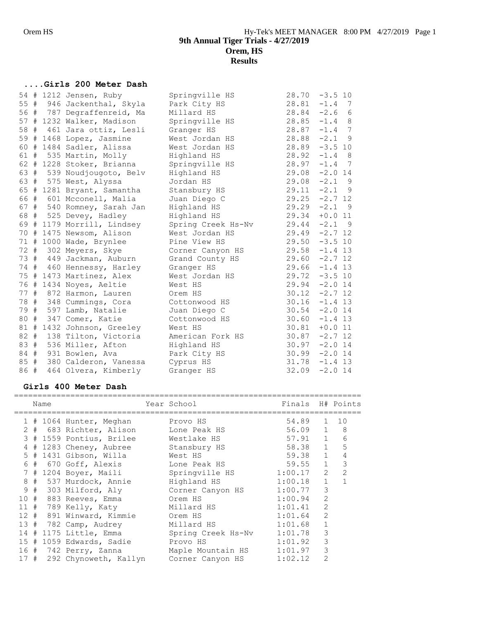|      |  | Girls 200 Meter Dash       |                    |              |                    |
|------|--|----------------------------|--------------------|--------------|--------------------|
|      |  | 54 # 1212 Jensen, Ruby     | Springville HS     |              | $28.70 - 3.5 10$   |
|      |  | 55 # 946 Jackenthal, Skyla | Park City HS       | 28.81        | $-1.4$<br>- 7      |
|      |  | 56 # 787 Degraffenreid, Ma | Millard HS         |              | $28.84 - 2.6$ 6    |
|      |  | 57 # 1232 Walker, Madison  | Springville HS     |              | $28.85 -1.4$ 8     |
|      |  | 58 # 461 Jara ottiz, Lesli | Granger HS         | 28.87        | $-1.4$ 7           |
|      |  | 59 # 1468 Lopez, Jasmine   | West Jordan HS     |              | $28.88 - 2.1$<br>9 |
|      |  | 60 # 1484 Sadler, Alissa   | West Jordan HS     |              | $28.89 - 3.510$    |
|      |  | 61 # 535 Martin, Molly     | Highland HS        | $28.92 -1.4$ | 8                  |
|      |  | 62 # 1228 Stoker, Brianna  | Springville HS     |              | $28.97 -1.4$ 7     |
|      |  | 63 # 539 Noudjougoto, Belv | Highland HS        |              | $29.08 - 2.014$    |
|      |  | 63 # 575 West, Alyssa      | Jordan HS          |              | $29.08 - 2.1$ 9    |
|      |  | 65 # 1281 Bryant, Samantha | Stansbury HS       |              | $29.11 -2.1$ 9     |
|      |  | 66 # 601 Mcconell, Malia   | Juan Diego C       |              | $29.25 -2.7 12$    |
|      |  | 67 # 540 Romney, Sarah Jan | Highland HS        |              | $29.29 - 2.1$ 9    |
|      |  | 68 # 525 Devey, Hadley     | Highland HS        | 29.34        | $+0.0$ 11          |
|      |  | 69 # 1179 Morrill, Lindsey | Spring Creek Hs-Nv |              | $29.44 - 2.1$ 9    |
|      |  | 70 # 1475 Newsom, Alison   | West Jordan HS     |              | $29.49 - 2.712$    |
|      |  | 71 # 1000 Wade, Brynlee    | Pine View HS       |              | $29.50 - 3.5 10$   |
|      |  | 72 # 302 Meyers, Skye      | Corner Canyon HS   |              | $29.58 - 1.4$ 13   |
|      |  | 73 # 449 Jackman, Auburn   | Grand County HS    |              | $29.60 -2.7 12$    |
|      |  | 74 # 460 Hennessy, Harley  | Granger HS         |              | $29.66 - 1.4$ 13   |
|      |  | 75 # 1473 Martinez, Alex   | West Jordan HS     |              | $29.72 - 3.5 10$   |
|      |  | 76 # 1434 Noyes, Aeltie    | West HS            |              | $29.94 - 2.014$    |
|      |  | 77 # 872 Harmon, Lauren    | Orem HS            |              | $30.12 -2.7 12$    |
|      |  | 78 # 348 Cummings, Cora    | Cottonwood HS      | 30.16        | $-1.4$ 13          |
|      |  | 79 # 597 Lamb, Natalie     | Juan Diego C       | 30.54        | $-2.0$ 14          |
|      |  | 80 # 347 Comer, Katie      | Cottonwood HS      |              | $30.60 - 1.4$ 13   |
|      |  | 81 # 1432 Johnson, Greeley | West HS            | 30.81        | $+0.0$ 11          |
| 82 # |  | 138 Tilton, Victoria       | American Fork HS   |              | $30.87 -2.7$ 12    |
| 83#  |  | 536 Miller, Afton          | Highland HS        |              | $30.97 - 2.0$ 14   |
| 84 # |  | 931 Bowlen, Ava            | Park City HS       |              | $30.99 - 2.014$    |
| 85 # |  | 380 Calderon, Vanessa      | Cyprus HS          |              | $31.78 - 1.4$ 13   |
| 86 # |  | 464 Olvera, Kimberly       | Granger HS         | 32.09        | $-2.0$ 14          |

### **Girls 400 Meter Dash**

|     | Name |                                      | Year School                             | Finals H# Points |                |   |
|-----|------|--------------------------------------|-----------------------------------------|------------------|----------------|---|
|     |      | 1 # 1064 Hunter, Meghan Provo HS     |                                         | 54.89 1 10       |                |   |
|     |      | 2 # 683 Richter, Alison Lone Peak HS |                                         | 56.09 1          |                | 8 |
|     |      | 3 # 1559 Pontius, Brilee             | Westlake HS                             | 57.91 1          |                | 6 |
| 4   |      | # 1283 Cheney, Aubree                | Stansbury HS                            | 58.38 1          |                | 5 |
|     |      | 5 # 1431 Gibson, Willa               | West HS                                 | 59.38 1          |                | 4 |
| 6   |      | # 670 Goff, Alexis                   | Lone Peak HS                            | 59.55 1          |                | 3 |
| 7   |      | # 1204 Boyer, Maili                  | Springville HS                          | 1:00.17          | 2              | 2 |
|     |      | 8 # 537 Murdock, Annie               | Highland HS                             | $1:00.18$ 1      |                |   |
|     |      |                                      | 9 # 303 Milford, Aly Corner Canyon HS   | 1:00.77          | 3              |   |
|     |      | 10 # 883 Reeves, Emma Orem HS        |                                         | 1:00.94          | $\overline{2}$ |   |
|     |      | 11 $#$ 789 Kelly, Katy               | Millard HS                              | 1:01.41          | $\overline{2}$ |   |
|     |      | 12 # 891 Winward, Kimmie             | Orem HS                                 | 1:01.64          | $\overline{2}$ |   |
|     |      | 13 # 782 Camp, Audrey                | Millard HS                              | 1:01.68          | $\mathbf{1}$   |   |
| 14# |      | 1175 Little, Emma                    | Spring Creek Hs-Nv                      | 1:01.78          | 3              |   |
|     |      | 15 # 1059 Edwards, Sadie             | Provo HS                                | 1:01.92          | 3              |   |
|     |      |                                      | 16 # 742 Perry, Zanna Maple Mountain HS | 1:01.97          | 3              |   |
|     |      | 17 # 292 Chynoweth, Kallyn           | Corner Canyon HS                        | 1:02.12          | $\mathcal{L}$  |   |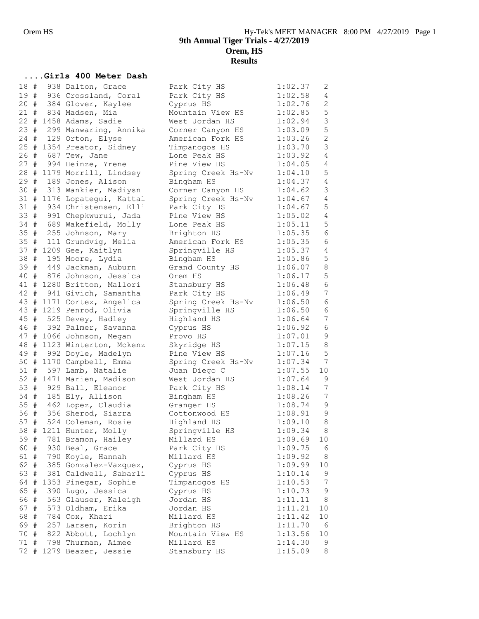### **....Girls 400 Meter Dash**

|  | 18 # 938 Dalton, Grace      | Park City HS       | 1:02.37 | 2               |
|--|-----------------------------|--------------------|---------|-----------------|
|  | 19 # 936 Crossland, Coral   | Park City HS       | 1:02.58 | 4               |
|  |                             |                    |         | $\mathbf{2}$    |
|  | 20 # 384 Glover, Kaylee     | Cyprus HS          | 1:02.76 |                 |
|  | 21 # 834 Madsen, Mia        | Mountain View HS   | 1:02.85 | $\mathsf S$     |
|  | 22 # 1458 Adams, Sadie      | West Jordan HS     | 1:02.94 | $\mathfrak{Z}$  |
|  | 23 # 299 Manwaring, Annika  | Corner Canyon HS   | 1:03.09 | $\mathsf S$     |
|  | 24 # 129 Orton, Elyse       | American Fork HS   | 1:03.26 | $\mathbf{2}$    |
|  | 25 # 1354 Preator, Sidney   | Timpanogos HS      | 1:03.70 | $\mathfrak{Z}$  |
|  | 26 # 687 Tew, Jane          | Lone Peak HS       | 1:03.92 | 4               |
|  | 27 # 994 Heinze, Yrene      | Pine View HS       | 1:04.05 | $\overline{4}$  |
|  | 28 # 1179 Morrill, Lindsey  | Spring Creek Hs-Nv | 1:04.10 | $\mathsf S$     |
|  | 29 # 189 Jones, Alison      | Bingham HS         | 1:04.37 | $\overline{4}$  |
|  | 30 # 313 Wankier, Madiysn   | Corner Canyon HS   | 1:04.62 | 3               |
|  | 31 # 1176 Lopategui, Kattal | Spring Creek Hs-Nv | 1:04.67 | 4               |
|  | 31 # 934 Christensen, Elli  | Park City HS       | 1:04.67 | $\mathsf S$     |
|  | 33 # 991 Chepkwurui, Jada   | Pine View HS       | 1:05.02 | $\overline{4}$  |
|  | 34 # 689 Wakefield, Molly   | Lone Peak HS       | 1:05.11 | $\mathsf S$     |
|  | 35 # 255 Johnson, Mary      |                    |         | $\sqrt{6}$      |
|  |                             | Brighton HS        | 1:05.35 |                 |
|  | 35 # 111 Grundvig, Melia    | American Fork HS   | 1:05.35 | 6               |
|  | 37 # 1209 Gee, Kaitlyn      | Springville HS     | 1:05.37 | 4               |
|  | 38 # 195 Moore, Lydia       | Bingham HS         | 1:05.86 | $\mathsf S$     |
|  | 39 # 449 Jackman, Auburn    | Grand County HS    | 1:06.07 | $\,8\,$         |
|  | 40 # 876 Johnson, Jessica   | Orem HS            | 1:06.17 | $\mathsf S$     |
|  | 41 # 1280 Britton, Mallori  | Stansbury HS       | 1:06.48 | $\sqrt{6}$      |
|  | 42 # 941 Givich, Samantha   | Park City HS       | 1:06.49 | 7               |
|  | 43 # 1171 Cortez, Angelica  | Spring Creek Hs-Nv | 1:06.50 | $\sqrt{6}$      |
|  | 43 # 1219 Penrod, Olivia    | Springville HS     | 1:06.50 | $\sqrt{6}$      |
|  | 45 # 525 Devey, Hadley      | Highland HS        | 1:06.64 | 7               |
|  | 46 # 392 Palmer, Savanna    | Cyprus HS          | 1:06.92 | $\sqrt{6}$      |
|  | 47 # 1066 Johnson, Megan    | Provo HS           | 1:07.01 | 9               |
|  | 48 # 1123 Winterton, Mckenz | Skyridge HS        | 1:07.15 | $\,8\,$         |
|  | 49 # 992 Doyle, Madelyn     | Pine View HS       | 1:07.16 | $\mathsf S$     |
|  | 50 # 1170 Campbell, Emma    | Spring Creek Hs-Nv | 1:07.34 | $7\phantom{.0}$ |
|  | 51 # 597 Lamb, Natalie      | Juan Diego C       | 1:07.55 | 10              |
|  | 52 # 1471 Marien, Madison   | West Jordan HS     |         | $\mathsf 9$     |
|  | 53 # 929 Ball, Eleanor      |                    | 1:07.64 | $\overline{7}$  |
|  |                             | Park City HS       | 1:08.14 |                 |
|  | 54 # 185 Ely, Allison       | Bingham HS         | 1:08.26 | $\overline{7}$  |
|  | 55 # 462 Lopez, Claudia     | Granger HS         | 1:08.74 | $\,9$           |
|  | 56 # 356 Sherod, Siarra     | Cottonwood HS      | 1:08.91 | $\,9$           |
|  | 57 # 524 Coleman, Rosie     | Highland HS        | 1:09.10 | $\,8\,$         |
|  | 58 # 1211 Hunter, Molly     | Springville HS     | 1:09.34 | 8               |
|  | 59 # 781 Bramon, Hailey     | Millard HS         | 1:09.69 | 10              |
|  | 60 # 930 Beal, Grace        | Park City HS       | 1:09.75 | 6               |
|  | 61 # 790 Koyle, Hannah      | Millard HS         | 1:09.92 | 8               |
|  | 62 # 385 Gonzalez-Vazquez,  | Cyprus HS          | 1:09.99 | 10              |
|  | 63 # 381 Caldwell, Sabarli  | Cyprus HS          | 1:10.14 | $\,9$           |
|  | 64 # 1353 Pinegar, Sophie   | Timpanogos HS      | 1:10.53 | 7               |
|  | 65 # 390 Lugo, Jessica      | Cyprus HS          | 1:10.73 | 9               |
|  | 66 # 563 Glauser, Kaleigh   | Jordan HS          | 1:11.11 | 8               |
|  | 67 # 573 Oldham, Erika      | Jordan HS          | 1:11.21 | 10              |
|  | 68 # 784 Cox, Khari         | Millard HS         | 1:11.42 | 10              |
|  | 69 # 257 Larsen, Korin      | Brighton HS        | 1:11.70 | - 6             |
|  | 70 # 822 Abbott, Lochlyn    | Mountain View HS   | 1:13.56 | 10              |
|  | 71 # 798 Thurman, Aimee     | Millard HS         | 1:14.30 | 9               |
|  | 72 # 1279 Beazer, Jessie    | Stansbury HS       | 1:15.09 | 8               |
|  |                             |                    |         |                 |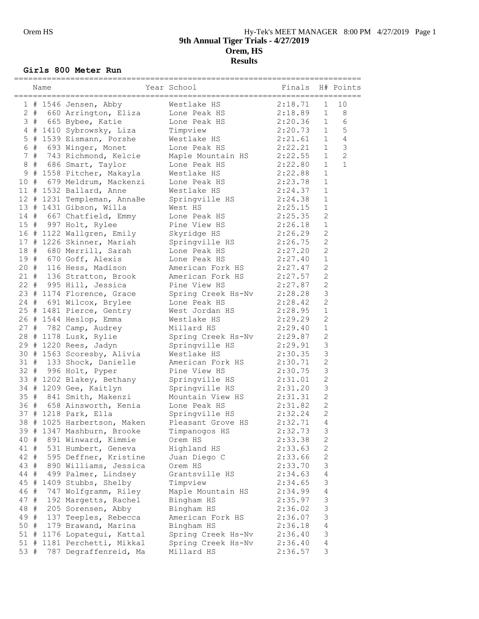## **Girls 800 Meter Run**

|        |    | Name |                             | Year School        | Finals  |                | H# Points      |
|--------|----|------|-----------------------------|--------------------|---------|----------------|----------------|
|        |    |      | $1$ # 1546 Jensen, Abby     | Westlake HS        | 2:18.71 | 1              | 10             |
|        |    |      | 2 # 660 Arrington, Eliza    | Lone Peak HS       | 2:18.89 | $\mathbf 1$    | 8              |
|        |    |      | 3 # 665 Bybee, Katie        | Lone Peak HS       | 2:20.36 | $\mathbf{1}$   | $\sqrt{6}$     |
|        |    |      | 4 # 1410 Sybrowsky, Liza    | Timpview           | 2:20.73 | $\mathbf{1}$   | $\mathsf S$    |
| 5      |    |      | # 1539 Eismann, Porshe      | Westlake HS        | 2:21.61 | $\mathbf{1}$   | $\sqrt{4}$     |
|        | 6# |      | 693 Winger, Monet           | Lone Peak HS       | 2:22.21 | $\mathbf{1}$   | $\mathfrak{Z}$ |
| 7      | #  |      |                             |                    |         | $\mathbf{1}$   | $\overline{2}$ |
|        |    |      | 743 Richmond, Kelcie        | Maple Mountain HS  | 2:22.55 | $\mathbf{1}$   | $\mathbf{1}$   |
| 8      | #  |      | 686 Smart, Taylor           | Lone Peak HS       | 2:22.80 | $\mathbf{1}$   |                |
| 9      |    |      | # 1558 Pitcher, Makayla     | Westlake HS        | 2:22.88 |                |                |
| 10#    |    |      | 679 Meldrum, Mackenzi       | Lone Peak HS       | 2:23.78 | $\mathbf{1}$   |                |
|        |    |      | 11 # 1532 Ballard, Anne     | Westlake HS        | 2:24.37 | $\mathbf{1}$   |                |
|        |    |      | 12 # 1231 Templeman, AnnaBe | Springville HS     | 2:24.38 | $\mathbf{1}$   |                |
|        |    |      | 13 # 1431 Gibson, Willa     | West HS            | 2:25.15 | $\mathbf{1}$   |                |
| 14#    |    |      | 667 Chatfield, Emmy         | Lone Peak HS       | 2:25.35 | $\overline{2}$ |                |
| 15#    |    |      | 997 Holt, Rylee             | Pine View HS       | 2:26.18 | $\mathbf 1$    |                |
|        |    |      | 16 # 1122 Wallgren, Emily   | Skyridge HS        | 2:26.29 | $\overline{2}$ |                |
|        |    |      | 17 # 1226 Skinner, Mariah   | Springville HS     | 2:26.75 | $\overline{c}$ |                |
|        |    |      | 18 # 680 Merrill, Sarah     | Lone Peak HS       | 2:27.20 | $\mathbf{2}$   |                |
| 19#    |    |      | 670 Goff, Alexis            | Lone Peak HS       | 2:27.40 | $\mathbf{1}$   |                |
| 20 #   |    |      | 116 Hess, Madison           | American Fork HS   | 2:27.47 | $\overline{2}$ |                |
| 21#    |    |      | 136 Stratton, Brook         | American Fork HS   | 2:27.57 | $\overline{c}$ |                |
| $22 +$ |    |      | 995 Hill, Jessica           | Pine View HS       | 2:27.87 | $\overline{c}$ |                |
|        |    |      | 23 # 1174 Florence, Grace   | Spring Creek Hs-Nv | 2:28.28 | 3              |                |
|        |    |      | 24 # 691 Wilcox, Brylee     | Lone Peak HS       | 2:28.42 | $\overline{c}$ |                |
|        |    |      | 25 # 1481 Pierce, Gentry    | West Jordan HS     | 2:28.95 | $\mathbf{1}$   |                |
|        |    |      | 26 # 1544 Heslop, Emma      | Westlake HS        | 2:29.29 | $\overline{2}$ |                |
|        |    |      | 27 # 782 Camp, Audrey       | Millard HS         | 2:29.40 | $\mathbf{1}$   |                |
|        |    |      | 28 # 1178 Lusk, Rylie       | Spring Creek Hs-Nv | 2:29.87 | $\overline{c}$ |                |
|        |    |      | 29 # 1220 Rees, Jadyn       | Springville HS     | 2:29.91 | $\mathsf 3$    |                |
|        |    |      | 30 # 1563 Scoresby, Alivia  | Westlake HS        | 2:30.35 | 3              |                |
| 31#    |    |      | 133 Shock, Danielle         | American Fork HS   | 2:30.71 | $\overline{c}$ |                |
| $32 *$ |    |      |                             | Pine View HS       |         | 3              |                |
|        |    |      | 996 Holt, Pyper             |                    | 2:30.75 | $\overline{c}$ |                |
|        |    |      | 33 # 1202 Blakey, Bethany   | Springville HS     | 2:31.01 | $\mathcal{S}$  |                |
|        |    |      | 34 # 1209 Gee, Kaitlyn      | Springville HS     | 2:31.20 |                |                |
|        |    |      | 35 # 841 Smith, Makenzi     | Mountain View HS   | 2:31.31 | $\mathbf{2}$   |                |
|        |    |      | 36 # 658 Ainsworth, Kenia   | Lone Peak HS       | 2:31.82 | $\overline{c}$ |                |
|        |    |      | 37 # 1218 Park, Ella        | Springville HS     | 2:32.24 | $\mathbf{2}$   |                |
| 38     | #  |      | 1025 Harbertson, Maken      | Pleasant Grove HS  | 2:32.71 | 4              |                |
|        |    |      | 39 # 1347 Mashburn, Brooke  | Timpanogos HS      | 2:32.73 | 3              |                |
| 40 #   |    |      | 891 Winward, Kimmie         | Orem HS            | 2:33.38 | $\mathbf{2}$   |                |
| 41 #   |    |      | 531 Humbert, Geneva         | Highland HS        | 2:33.63 | $\mathbf{2}$   |                |
| 42 #   |    |      | 595 Deffner, Kristine       | Juan Diego C       | 2:33.66 | $\mathbf{2}$   |                |
| 43 #   |    |      | 890 Williams, Jessica       | Orem HS            | 2:33.70 | 3              |                |
| 44 #   |    |      | 499 Palmer, Lindsey         | Grantsville HS     | 2:34.63 | $\overline{4}$ |                |
|        |    |      | 45 # 1409 Stubbs, Shelby    | Timpview           | 2:34.65 | $\mathsf 3$    |                |
| 46 #   |    |      | 747 Wolfgramm, Riley        | Maple Mountain HS  | 2:34.99 | $\sqrt{4}$     |                |
| 47 #   |    |      | 192 Margetts, Rachel        | Bingham HS         | 2:35.97 | 3              |                |
| 48     | #  |      | 205 Sorensen, Abby          | Bingham HS         | 2:36.02 | $\mathsf 3$    |                |
| 49     | #  |      | 137 Teeples, Rebecca        | American Fork HS   | 2:36.07 | 3              |                |
| 50 #   |    |      | 179 Brawand, Marina         | Bingham HS         | 2:36.18 | $\overline{4}$ |                |
|        |    |      | 51 # 1176 Lopategui, Kattal | Spring Creek Hs-Nv | 2:36.40 | $\mathsf 3$    |                |
| $51$ # |    |      | 1181 Perchetti, Mikkal      | Spring Creek Hs-Nv | 2:36.40 | $\overline{4}$ |                |
| 53 #   |    |      | 787 Degraffenreid, Ma       | Millard HS         | 2:36.57 | 3              |                |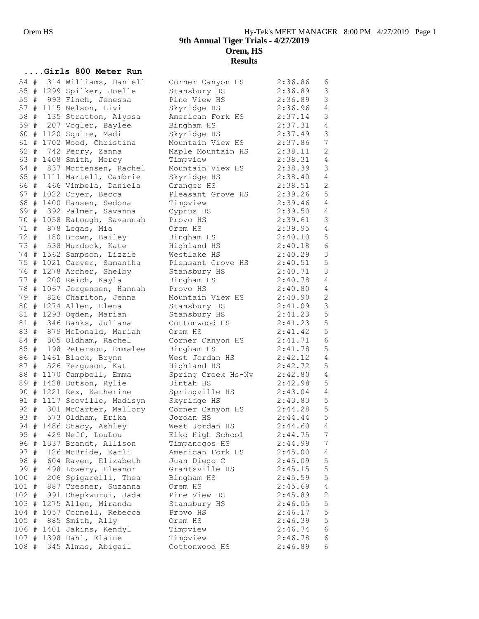**....Girls 800 Meter Run**

|       |  | 54 # 314 Williams, Daniell  | Corner Canyon HS   | 2:36.86 | 6                |
|-------|--|-----------------------------|--------------------|---------|------------------|
|       |  | 55 # 1299 Spilker, Joelle   | Stansbury HS       | 2:36.89 | $\mathsf 3$      |
|       |  | 55 # 993 Finch, Jenessa     | Pine View HS       | 2:36.89 | $\mathsf 3$      |
|       |  | 57 # 1115 Nelson, Livi      | Skyridge HS        | 2:36.96 | $\sqrt{4}$       |
|       |  | 58 # 135 Stratton, Alyssa   | American Fork HS   | 2:37.14 | $\mathsf 3$      |
|       |  |                             |                    |         |                  |
|       |  | 59 # 207 Vogler, Baylee     | Bingham HS         | 2:37.31 | $\sqrt{4}$       |
|       |  | 60 # 1120 Squire, Madi      | Skyridge HS        | 2:37.49 | $\mathfrak{Z}$   |
|       |  | 61 # 1702 Wood, Christina   | Mountain View HS   | 2:37.86 | $\boldsymbol{7}$ |
|       |  | 62 # 742 Perry, Zanna       | Maple Mountain HS  | 2:38.11 | $\mathbf{2}$     |
|       |  | 63 # 1408 Smith, Mercy      | Timpview           | 2:38.31 | $\overline{4}$   |
|       |  | 64 # 837 Mortensen, Rachel  | Mountain View HS   | 2:38.39 | $\mathsf 3$      |
|       |  | 65 # 1111 Martell, Cambrie  | Skyridge HS        | 2:38.40 | $\sqrt{4}$       |
|       |  | 66 # 466 Vimbela, Daniela   | Granger HS         | 2:38.51 | $\mathbf{2}$     |
|       |  | 67 # 1022 Cryer, Becca      | Pleasant Grove HS  | 2:39.26 | 5                |
|       |  | 68 # 1400 Hansen, Sedona    | Timpview           | 2:39.46 | $\sqrt{4}$       |
|       |  | 69 # 392 Palmer, Savanna    | Cyprus HS          | 2:39.50 | $\sqrt{4}$       |
|       |  | 70 # 1058 Eatough, Savannah | Provo HS           | 2:39.61 | $\mathsf 3$      |
|       |  | 71 # 878 Legas, Mia         | Orem HS            | 2:39.95 | $\sqrt{4}$       |
|       |  | 72 # 180 Brown, Bailey      | Bingham HS         | 2:40.10 | $\mathsf S$      |
|       |  | 73 # 538 Murdock, Kate      | Highland HS        | 2:40.18 | $\epsilon$       |
|       |  | 74 # 1562 Sampson, Lizzie   | Westlake HS        | 2:40.29 | $\mathfrak{Z}$   |
|       |  | 75 # 1021 Carver, Samantha  | Pleasant Grove HS  | 2:40.51 | $\mathsf S$      |
|       |  | 76 # 1278 Archer, Shelby    | Stansbury HS       | 2:40.71 | $\mathfrak{Z}$   |
|       |  | 77 # 200 Reich, Kayla       | Bingham HS         | 2:40.78 | $\sqrt{4}$       |
|       |  | 78 # 1067 Jorgensen, Hannah | Provo HS           | 2:40.80 | $\sqrt{4}$       |
|       |  | 79 # 826 Chariton, Jenna    | Mountain View HS   | 2:40.90 | $\sqrt{2}$       |
|       |  | 80 # 1274 Allen, Elena      | Stansbury HS       | 2:41.09 | $\mathfrak{Z}$   |
|       |  | 81 # 1293 Ogden, Marian     | Stansbury HS       | 2:41.23 | $\mathsf S$      |
|       |  | 81 # 346 Banks, Juliana     | Cottonwood HS      | 2:41.23 | $\mathsf S$      |
|       |  | 83 # 879 McDonald, Mariah   | Orem HS            | 2:41.42 | 5                |
|       |  | 84 # 305 Oldham, Rachel     | Corner Canyon HS   | 2:41.71 | $\epsilon$       |
|       |  | 85 # 198 Peterson, Emmalee  | Bingham HS         | 2:41.78 | $\mathsf S$      |
|       |  | 86 # 1461 Black, Brynn      | West Jordan HS     | 2:42.12 | $\sqrt{4}$       |
|       |  | 87 # 526 Ferguson, Kat      | Highland HS        | 2:42.72 | $\mathsf S$      |
|       |  | 88 # 1170 Campbell, Emma    | Spring Creek Hs-Nv | 2:42.80 | $\sqrt{4}$       |
|       |  | 89 # 1428 Dutson, Rylie     | Uintah HS          | 2:42.98 | 5                |
|       |  | 90 # 1221 Rex, Katherine    | Springville HS     | 2:43.04 | $\sqrt{4}$       |
|       |  | 91 # 1117 Scoville, Madisyn | Skyridge HS        | 2:43.83 | $\mathsf S$      |
|       |  | 92 # 301 McCarter, Mallory  | Corner Canyon HS   | 2:44.28 | $\mathsf S$      |
|       |  | 93 # 573 Oldham, Erika      | Jordan HS          | 2:44.44 | $\mathsf S$      |
|       |  | 94 # 1486 Stacy, Ashley     | West Jordan HS     | 2:44.60 | $\overline{4}$   |
|       |  | 95 # 429 Neff, LouLou       | Elko High School   | 2:44.75 | 7                |
|       |  | 96 # 1337 Brandt, Allison   | Timpanogos HS      | 2:44.99 | 7                |
|       |  | 97 # 126 McBride, Karli     | American Fork HS   | 2:45.00 | 4                |
|       |  | 98 # 604 Raven, Elizabeth   | Juan Diego C       | 2:45.09 | 5                |
|       |  | 99 # 498 Lowery, Eleanor    | Grantsville HS     | 2:45.15 | 5                |
| 100 # |  | 206 Spigarelli, Thea        | Bingham HS         | 2:45.59 | 5                |
|       |  | 101 # 887 Tresner, Suzanna  | Orem HS            | 2:45.69 | 4                |
|       |  | 102 # 991 Chepkwurui, Jada  | Pine View HS       | 2:45.89 | $\mathbf{2}$     |
|       |  | 103 # 1275 Allen, Miranda   | Stansbury HS       | 2:46.05 | $\mathsf S$      |
|       |  | 104 # 1057 Cornell, Rebecca | Provo HS           | 2:46.17 | $\mathsf S$      |
|       |  | 105 # 885 Smith, Ally       | Orem HS            | 2:46.39 | $\mathsf S$      |
|       |  | 106 # 1401 Jakins, Kendyl   | Timpview           | 2:46.74 | 6                |
|       |  | 107 # 1398 Dahl, Elaine     | Timpview           | 2:46.78 | 6                |
|       |  | 108 # 345 Almas, Abigail    | Cottonwood HS      | 2:46.89 | 6                |
|       |  |                             |                    |         |                  |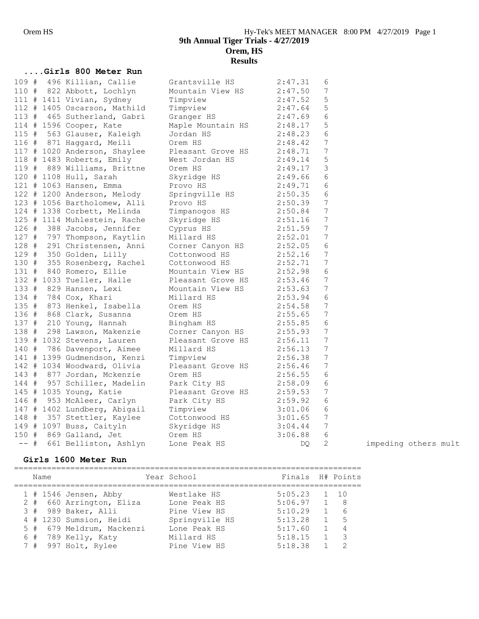**....Girls 800 Meter Run**

## Orem HS Hy-Tek's MEET MANAGER 8:00 PM 4/27/2019 Page 1 **9th Annual Tiger Trials - 4/27/2019 Orem, HS Results**

| 109 # |  | 496 Killian, Callie          | Grantsville HS    | 2:47.31 | 6              |                      |  |
|-------|--|------------------------------|-------------------|---------|----------------|----------------------|--|
|       |  | 110 # 822 Abbott, Lochlyn    | Mountain View HS  | 2:47.50 | 7              |                      |  |
|       |  | 111 # 1411 Vivian, Sydney    | Timpview          | 2:47.52 | 5              |                      |  |
|       |  | 112 # 1405 Oscarson, Mathild | Timpview          | 2:47.64 | 5              |                      |  |
|       |  | 113 # 465 Sutherland, Gabri  | Granger HS        | 2:47.69 | 6              |                      |  |
|       |  | 114 # 1596 Cooper, Kate      | Maple Mountain HS | 2:48.17 | 5              |                      |  |
|       |  | 115 # 563 Glauser, Kaleigh   | Jordan HS         | 2:48.23 | 6              |                      |  |
|       |  | 116 # 871 Haggard, Meili     | Orem HS           | 2:48.42 | 7              |                      |  |
|       |  | 117 # 1020 Anderson, Shaylee | Pleasant Grove HS | 2:48.71 | 7              |                      |  |
|       |  | 118 # 1483 Roberts, Emily    | West Jordan HS    | 2:49.14 | 5              |                      |  |
|       |  | 119 # 889 Williams, Brittne  | Orem HS           | 2:49.17 | 3              |                      |  |
|       |  | 120 # 1108 Hull, Sarah       | Skyridge HS       | 2:49.66 | 6              |                      |  |
|       |  | 121 # 1063 Hansen, Emma      | Provo HS          | 2:49.71 | 6              |                      |  |
|       |  | 122 # 1200 Anderson, Melody  | Springville HS    | 2:50.35 | 6              |                      |  |
|       |  | 123 # 1056 Bartholomew, Alli | Provo HS          | 2:50.39 | 7              |                      |  |
|       |  | 124 # 1338 Corbett, Melinda  | Timpanogos HS     | 2:50.84 | 7              |                      |  |
|       |  | 125 # 1114 Muhlestein, Rache | Skyridge HS       | 2:51.16 | 7              |                      |  |
|       |  | 126 # 388 Jacobs, Jennifer   | Cyprus HS         | 2:51.59 | 7              |                      |  |
|       |  | 127 # 797 Thompson, Kaytlin  | Millard HS        | 2:52.01 | 7              |                      |  |
|       |  | 128 # 291 Christensen, Anni  | Corner Canyon HS  | 2:52.05 | 6              |                      |  |
| 129#  |  | 350 Golden, Lilly            | Cottonwood HS     | 2:52.16 | 7              |                      |  |
|       |  | 130 # 355 Rosenberg, Rachel  | Cottonwood HS     | 2:52.71 | 7              |                      |  |
| 131#  |  | 840 Romero, Ellie            | Mountain View HS  | 2:52.98 | 6              |                      |  |
|       |  | 132 # 1033 Tueller, Halle    | Pleasant Grove HS | 2:53.46 | 7              |                      |  |
|       |  | 133 # 829 Hansen, Lexi       | Mountain View HS  | 2:53.63 | 7              |                      |  |
|       |  | 134 # 784 Cox, Khari         | Millard HS        | 2:53.94 | 6              |                      |  |
|       |  | 135 # 873 Henkel, Isabella   | Orem HS           | 2:54.58 | 7              |                      |  |
|       |  | 136 # 868 Clark, Susanna     | Orem HS           | 2:55.65 | 7              |                      |  |
| 137 # |  | 210 Young, Hannah            | Bingham HS        | 2:55.85 | 6              |                      |  |
| 138 # |  | 298 Lawson, Makenzie         | Corner Canyon HS  | 2:55.93 | 7              |                      |  |
|       |  | 139 # 1032 Stevens, Lauren   | Pleasant Grove HS | 2:56.11 | 7              |                      |  |
| 140 # |  | 786 Davenport, Aimee         | Millard HS        | 2:56.13 | 7              |                      |  |
|       |  | 141 # 1399 Gudmendson, Kenzi | Timpview          | 2:56.38 | 7              |                      |  |
|       |  | 142 # 1034 Woodward, Olivia  | Pleasant Grove HS | 2:56.46 | 7              |                      |  |
|       |  | 143 # 877 Jordan, Mckenzie   | Orem HS           | 2:56.55 | 6              |                      |  |
|       |  | 144 # 957 Schiller, Madelin  | Park City HS      | 2:58.09 | 6              |                      |  |
|       |  | 145 # 1035 Young, Katie      | Pleasant Grove HS | 2:59.53 | 7              |                      |  |
| 146 # |  | 953 McAleer, Carlyn          | Park City HS      | 2:59.92 | 6              |                      |  |
|       |  | 147 # 1402 Lundberg, Abigail | Timpview          | 3:01.06 | 6              |                      |  |
|       |  | 148 # 357 Stettler, Kaylee   | Cottonwood HS     | 3:01.65 | 7              |                      |  |
|       |  | 149 # 1097 Buss, Caityln     | Skyridge HS       | 3:04.44 | 7              |                      |  |
| 150 # |  | 869 Galland, Jet             | Orem HS           | 3:06.88 | 6              |                      |  |
| -- #  |  | 661 Belliston, Ashlyn        | Lone Peak HS      | DO.     | $\overline{2}$ | impeding others mult |  |
|       |  |                              |                   |         |                |                      |  |

#### **Girls 1600 Meter Run**

|  | Name |                           | Year School    | Finals H# Points |          |                |
|--|------|---------------------------|----------------|------------------|----------|----------------|
|  |      | $1$ # 1546 Jensen, Abby   | Westlake HS    | $5:05.23$ 1 10   |          |                |
|  |      | 2 # 660 Arrington, Eliza  | Lone Peak HS   | $5:06.97$ 1 8    |          |                |
|  |      | 3 # 989 Baker, Alli       | Pine View HS   | 5:10.29          | $\sim$ 1 | 6              |
|  |      | 4 # 1230 Sumsion, Heidi   | Springville HS | 5:13.28          |          | $1 \quad 5$    |
|  |      | 5 # 679 Meldrum, Mackenzi | Lone Peak HS   | 5:17.60          |          | $1 \quad 4$    |
|  |      | $6$ # 789 Kelly, Katy     | Millard HS     | 5:18.15          | $\sim$ 1 | $\mathcal{S}$  |
|  |      | 7 # 997 Holt, Rylee       | Pine View HS   | 5:18.38          |          | $\overline{2}$ |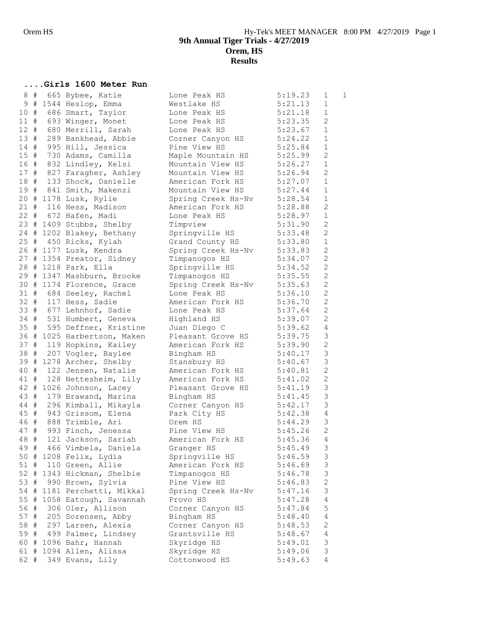|      |    | Girls 1600 Meter Run        |                    |         |                |   |
|------|----|-----------------------------|--------------------|---------|----------------|---|
|      | 8# | 665 Bybee, Katie            | Lone Peak HS       | 5:19.23 | $\mathbf{1}$   | 1 |
|      |    | 9 # 1544 Heslop, Emma       | Westlake HS        | 5:21.13 | $\mathbf 1$    |   |
|      |    | 10 # 686 Smart, Taylor      | Lone Peak HS       | 5:21.18 | $\mathbf{1}$   |   |
|      |    | 11 # 693 Winger, Monet      | Lone Peak HS       | 5:23.35 | $\overline{c}$ |   |
|      |    | 12 # 680 Merrill, Sarah     | Lone Peak HS       | 5:23.67 | $\mathbf{1}$   |   |
|      |    | 13 # 289 Bankhead, Abbie    | Corner Canyon HS   | 5:24.22 | $\mathbf{1}$   |   |
|      |    | 14 # 995 Hill, Jessica      | Pine View HS       | 5:25.84 | $\mathbf{1}$   |   |
|      |    | 15 # 730 Adams, Camilla     | Maple Mountain HS  | 5:25.99 | $\overline{2}$ |   |
|      |    | 16 # 832 Lindley, Kelsi     | Mountain View HS   | 5:26.27 | $\mathbf{1}$   |   |
|      |    | 17 # 827 Faragher, Ashley   | Mountain View HS   | 5:26.94 | $\overline{c}$ |   |
|      |    | 18 # 133 Shock, Danielle    | American Fork HS   | 5:27.07 | $\mathbf{1}$   |   |
|      |    | 19 # 841 Smith, Makenzi     | Mountain View HS   | 5:27.44 | $\mathbf{1}$   |   |
|      |    | 20 # 1178 Lusk, Rylie       | Spring Creek Hs-Nv | 5:28.54 | $\mathbf 1$    |   |
|      |    | 21 # 116 Hess, Madison      | American Fork HS   | 5:28.88 | $\mathbf{2}$   |   |
|      |    | 22 # 672 Hafen, Madi        | Lone Peak HS       | 5:28.97 | $\mathbf{1}$   |   |
|      |    | 23 # 1409 Stubbs, Shelby    | Timpview           | 5:31.90 | $\overline{c}$ |   |
|      |    | 24 # 1202 Blakey, Bethany   | Springville HS     | 5:33.48 | $\overline{c}$ |   |
|      |    | 25 # 450 Ricks, Kylah       | Grand County HS    | 5:33.80 | $\mathbf{1}$   |   |
|      |    | 26 # 1177 Lusk, Kendra      | Spring Creek Hs-Nv | 5:33.83 | $\overline{c}$ |   |
|      |    | 27 # 1354 Preator, Sidney   | Timpanogos HS      | 5:34.07 | $\overline{c}$ |   |
|      |    | 28 # 1218 Park, Ella        | Springville HS     | 5:34.52 | $\overline{c}$ |   |
|      |    | 29 # 1347 Mashburn, Brooke  | Timpanogos HS      | 5:35.55 | $\overline{c}$ |   |
|      |    | 30 # 1174 Florence, Grace   | Spring Creek Hs-Nv | 5:35.63 | $\overline{c}$ |   |
|      |    | 31 # 684 Seeley, Rachel     | Lone Peak HS       | 5:36.10 | $\overline{2}$ |   |
|      |    | 32 # 117 Hess, Sadie        | American Fork HS   | 5:36.70 | $\overline{c}$ |   |
|      |    | 33 # 677 Lehnhof, Sadie     | Lone Peak HS       | 5:37.64 | $\mathbf{2}$   |   |
|      |    | 34 # 531 Humbert, Geneva    | Highland HS        | 5:39.07 | $\overline{2}$ |   |
|      |    | 35 # 595 Deffner, Kristine  | Juan Diego C       | 5:39.62 | $\overline{4}$ |   |
|      |    | 36 # 1025 Harbertson, Maken | Pleasant Grove HS  | 5:39.75 | 3              |   |
|      |    | 37 # 119 Hopkins, Kailey    | American Fork HS   | 5:39.90 | $\overline{c}$ |   |
|      |    | 38 # 207 Vogler, Baylee     | Bingham HS         | 5:40.17 | 3              |   |
|      |    | 39 # 1278 Archer, Shelby    | Stansbury HS       | 5:40.67 | 3              |   |
|      |    | 40 # 122 Jensen, Natalie    | American Fork HS   | 5:40.81 | $\overline{c}$ |   |
|      |    | 41 # 128 Nettesheim, Lily   | American Fork HS   | 5:41.02 | $\overline{c}$ |   |
|      |    | 42 # 1026 Johnson, Lacey    | Pleasant Grove HS  | 5:41.19 | 3              |   |
|      |    | 43 # 179 Brawand, Marina    | Bingham HS         | 5:41.45 | $\mathsf 3$    |   |
|      |    | 44 # 296 Kimball, Mikayla   | Corner Canyon HS   | 5:42.17 | 3              |   |
|      |    | 45 # 943 Grissom, Elena     | Park City HS       | 5:42.38 | 4              |   |
| 46 # |    | 888 Trimble, Ari            | Orem HS            | 5:44.29 | 3              |   |
|      |    | 47 # 993 Finch, Jenessa     | Pine View HS       | 5:45.26 | $\overline{c}$ |   |
|      |    | 48 # 121 Jackson, Sariah    | American Fork HS   | 5:45.36 | $\overline{4}$ |   |
|      |    | 49 # 466 Vimbela, Daniela   | Granger HS         | 5:45.49 | $\mathsf 3$    |   |
|      |    | 50 # 1208 Felix, Lydia      | Springville HS     | 5:46.59 | $\mathsf 3$    |   |
| 51 # |    | 110 Green, Allie            | American Fork HS   | 5:46.69 | $\mathsf 3$    |   |
|      |    | 52 # 1343 Hickman, Shelbie  | Timpanogos HS      | 5:46.78 | $\mathsf 3$    |   |
|      |    | 53 # 990 Brown, Sylvia      | Pine View HS       | 5:46.83 | $\overline{c}$ |   |
|      |    | 54 # 1181 Perchetti, Mikkal | Spring Creek Hs-Nv | 5:47.16 | $\mathsf 3$    |   |
|      |    | 55 # 1058 Eatough, Savannah | Provo HS           | 5:47.28 | $\sqrt{4}$     |   |
|      |    | 56 # 306 Oler, Allison      | Corner Canyon HS   | 5:47.84 | $\mathsf S$    |   |
| 57 # |    | 205 Sorensen, Abby          | Bingham HS         | 5:48.40 | 4              |   |
|      |    | 58 # 297 Larsen, Alexia     | Corner Canyon HS   | 5:48.53 | $\overline{c}$ |   |
|      |    | 59 # 499 Palmer, Lindsey    | Grantsville HS     | 5:48.67 | $\sqrt{4}$     |   |
|      |    | 60 # 1096 Bahr, Hannah      | Skyridge HS        | 5:49.01 | $\mathfrak{Z}$ |   |
|      |    | 61 # 1094 Allen, Alissa     | Skyridge HS        | 5:49.06 | $\mathsf 3$    |   |
| 62 # |    | 349 Evans, Lily             | Cottonwood HS      | 5:49.63 | 4              |   |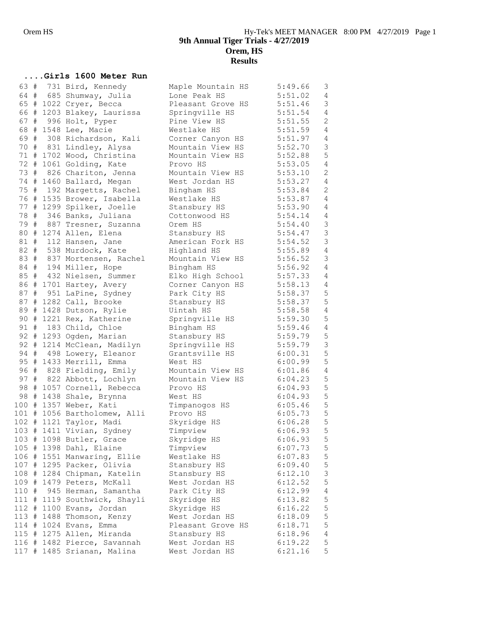### **....Girls 1600 Meter Run**

|  | 63 # 731 Bird, Kennedy                                 | Maple Mountain HS                | 5:49.66            | 3                          |
|--|--------------------------------------------------------|----------------------------------|--------------------|----------------------------|
|  | 64 # 685 Shumway, Julia                                | Lone Peak HS                     | 5:51.02            | $\overline{4}$             |
|  | 65 # 1022 Cryer, Becca                                 | Pleasant Grove HS                | 5:51.46            | $\mathfrak{Z}$             |
|  | 66 # 1203 Blakey, Laurissa                             | Springville HS                   | 5:51.54            | $\overline{4}$             |
|  | 67 # 996 Holt, Pyper                                   | Pine View HS                     | 5:51.55            | $\mathbf{2}$               |
|  | 68 # 1548 Lee, Macie                                   | Westlake HS                      | 5:51.59            | $\sqrt{4}$                 |
|  | 69 # 308 Richardson, Kali                              | Corner Canyon HS                 | 5:51.97            | $\sqrt{4}$                 |
|  | 70 # 831 Lindley, Alysa                                | Mountain View HS                 | 5:52.70            | $\ensuremath{\mathsf{3}}$  |
|  | 71 # 1702 Wood, Christina                              | Mountain View HS                 | 5:52.88            | $\mathsf S$                |
|  | 72 # 1061 Golding, Kate                                | Provo HS                         | 5:53.05            | $\overline{4}$             |
|  | 73 # 826 Chariton, Jenna                               | Mountain View HS                 | 5:53.10            | $\mathbf{2}$               |
|  | 74 # 1460 Ballard, Megan                               | West Jordan HS                   | 5:53.27            | $\overline{4}$             |
|  | 75 # 192 Margetts, Rachel                              | Bingham HS                       | 5:53.84            | $\mathbf{2}$               |
|  | 76 # 1535 Brower, Isabella                             | Westlake HS                      | 5:53.87            | $\sqrt{4}$                 |
|  | 77 # 1299 Spilker, Joelle                              | Stansbury HS                     | 5:53.90            | $\overline{4}$             |
|  | 78 # 346 Banks, Juliana                                | Cottonwood HS                    | 5:54.14            | $\overline{4}$             |
|  | 79 # 887 Tresner, Suzanna                              | Orem HS                          | 5:54.40            | $\mathsf 3$                |
|  | 80 # 1274 Allen, Elena                                 | Stansbury HS                     | 5:54.47            | $\mathfrak{Z}$             |
|  | 81 # 112 Hansen, Jane                                  | American Fork HS                 | 5:54.52            | $\mathfrak{Z}$             |
|  | 82 # 538 Murdock, Kate                                 | Highland HS                      | 5:55.89            | $\sqrt{4}$                 |
|  | 83 # 837 Mortensen, Rachel                             | Mountain View HS                 | 5:56.52            | $\mathsf 3$                |
|  | 84 # 194 Miller, Hope                                  |                                  | 5:56.92            | $\overline{4}$             |
|  | 85 # 432 Nielsen, Summer                               | Bingham HS<br>Elko High School   | 5:57.33            | $\overline{4}$             |
|  | 86 # 1701 Hartey, Avery                                |                                  | 5:58.13            | $\overline{4}$             |
|  | 87 # 951 LaPine, Sydney                                | Corner Canyon HS<br>Park City HS | 5:58.37            | $\mathsf S$                |
|  | 87 # 1282 Call, Brooke                                 | Stansbury HS                     | 5:58.37            | $\mathsf S$                |
|  | 89 # 1428 Dutson, Rylie                                | Uintah HS                        | 5:58.58            | $\overline{4}$             |
|  |                                                        |                                  |                    | $\mathsf S$                |
|  | 90 # 1221 Rex, Katherine                               | Springville HS                   | 5:59.30            | $\sqrt{4}$                 |
|  | 91 # 183 Child, Chloe                                  | Bingham HS                       | 5:59.46<br>5:59.79 | $\mathsf S$                |
|  | 92 # 1293 Ogden, Marian                                | Stansbury HS                     |                    | $\mathfrak{Z}$             |
|  | 92 # 1214 McClean, Madilyn                             | Springville HS                   | 5:59.79            | $\mathsf S$                |
|  | 94 # 498 Lowery, Eleanor                               | Grantsville HS                   | 6:00.31            | $\mathsf S$                |
|  | 95 # 1433 Merrill, Emma                                | West HS                          | 6:00.99            |                            |
|  | 96 # 828 Fielding, Emily                               | Mountain View HS                 | 6:01.86            | $\overline{4}$             |
|  | 97 # 822 Abbott, Lochlyn                               | Mountain View HS                 | 6:04.23            | $\mathsf S$<br>$\mathsf S$ |
|  | 98 # 1057 Cornell, Rebecca                             | Provo HS                         | 6:04.93            | $\mathsf S$                |
|  | 98 # 1438 Shale, Brynna                                | West HS                          | 6:04.93            |                            |
|  | 100 # 1357 Weber, Kati<br>101 # 1056 Bartholomew, Alli | Timpanogos HS                    | 6:05.46            | $\mathsf S$<br>$\mathsf S$ |
|  |                                                        | Provo HS                         | 6:05.73            | $\mathsf S$                |
|  | 102 # 1121 Taylor, Madi                                | Skyridge HS                      | 6:06.28            | $\mathsf S$                |
|  | 103 # 1411 Vivian, Sydney                              | Timpview                         | 6:06.93            |                            |
|  | 103 # 1098 Butler, Grace                               | Skyridge HS                      | 6:06.93            | 5                          |
|  | 105 # 1398 Dahl, Elaine                                | Timpview                         | 6:07.73            | $\mathsf S$                |
|  | 106 # 1551 Manwaring, Ellie                            | Westlake HS                      | 6:07.83            | $\mathsf S$                |
|  | 107 # 1295 Packer, Olivia                              | Stansbury HS                     | 6:09.40            | $\mathsf S$                |
|  | 108 # 1284 Chipman, Katelin                            | Stansbury HS                     | 6:12.10            | $\mathsf 3$                |
|  | 109 # 1479 Peters, McKall                              | West Jordan HS                   | 6:12.52            | $\mathsf S$                |
|  | 110 # 945 Herman, Samantha                             | Park City HS                     | 6:12.99            | $\overline{4}$             |
|  | 111 # 1119 Southwick, Shayli                           | Skyridge HS                      | 6:13.82            | $\mathsf S$                |
|  | 112 # 1100 Evans, Jordan                               | Skyridge HS                      | 6:16.22            | $\mathsf S$                |
|  | 113 # 1488 Thomson, Kenzy                              | West Jordan HS                   | 6:18.09            | $\mathsf S$                |
|  | 114 # 1024 Evans, Emma                                 | Pleasant Grove HS                | 6:18.71            | $\mathsf S$                |
|  | 115 # 1275 Allen, Miranda                              | Stansbury HS                     | 6:18.96            | 4                          |
|  | 116 # 1482 Pierce, Savannah                            | West Jordan HS                   | 6:19.22            | 5                          |
|  | 117 # 1485 Srianan, Malina                             | West Jordan HS                   | 6:21.16            | 5                          |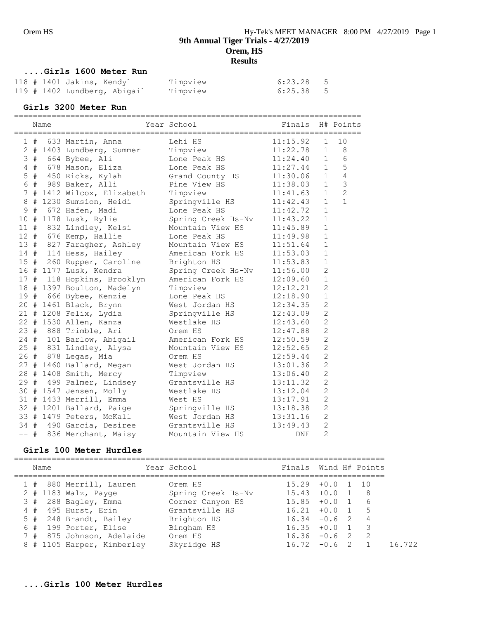#### **....Girls 1600 Meter Run**

|  | 118 # 1401 Jakins, Kendyl    | Timpview | 6:23.28 | 5 |
|--|------------------------------|----------|---------|---|
|  | 119 # 1402 Lundberg, Abigail | Timpview | 6:25.38 | 5 |

#### **Girls 3200 Meter Run**

|        | Name |                                   | Year School        | Finals H# Points |                |                                   |
|--------|------|-----------------------------------|--------------------|------------------|----------------|-----------------------------------|
|        |      | 1 # 633 Martin, Anna              | Lehi HS            | 11:15.92         | $\mathbf{1}$   | 10                                |
|        |      | 2 # 1403 Lundberg, Summer         | Timpview           | 11:22.78         |                | $1 \quad \blacksquare$<br>$\,8\,$ |
|        |      | 3 # 664 Bybee, Ali                | Lone Peak HS       | 11:24.40         | $\mathbf{1}$   | 6                                 |
|        |      | 4 # 678 Mason, Eliza Lone Peak HS |                    | 11:27.44         | 1              | 5                                 |
|        |      | 5 # 450 Ricks, Kylah              | Grand County HS    | 11:30.06         | $1 -$          | $\sqrt{4}$                        |
|        |      | 6 # 989 Baker, Alli               | Pine View HS       | 11:38.03         | $\mathbf{1}$   | 3                                 |
|        |      | 7 # 1412 Wilcox, Elizabeth        | Timpview           | 11:41.63         | 1              | $\overline{2}$                    |
|        |      | 8 # 1230 Sumsion, Heidi           | Springville HS     | 11:42.43         | $\mathbf{1}$   | $\mathbf{1}$                      |
| 9      | #    | 672 Hafen, Madi                   | Lone Peak HS       | 11:42.72         | $\mathbf{1}$   |                                   |
|        |      | 10 # 1178 Lusk, Rylie             | Spring Creek Hs-Nv | 11:43.22         | $\mathbf{1}$   |                                   |
|        |      | 11 # 832 Lindley, Kelsi           | Mountain View HS   | 11:45.89         | $\mathbf{1}$   |                                   |
|        |      | 12 # 676 Kemp, Hallie             | Lone Peak HS       | 11:49.98         | $\mathbf{1}$   |                                   |
|        |      | 13 # 827 Faragher, Ashley         | Mountain View HS   | 11:51.64         | $\mathbf 1$    |                                   |
|        |      | 14 # 114 Hess, Hailey             | American Fork HS   | 11:53.03         | $\mathbf 1$    |                                   |
|        |      | 15 # 260 Rupper, Caroline         | Brighton HS        | 11:53.83         | $\mathbf{1}$   |                                   |
|        |      | 16 # 1177 Lusk, Kendra            | Spring Creek Hs-Nv | 11:56.00         | $\overline{c}$ |                                   |
|        |      | 17 # 118 Hopkins, Brooklyn        | American Fork HS   | 12:09.60         | $\mathbf{1}$   |                                   |
|        |      | 18 # 1397 Boulton, Madelyn        | Timpview           | 12:12.21         | $\overline{c}$ |                                   |
|        |      | 19 # 666 Bybee, Kenzie            | Lone Peak HS       | 12:18.90         | $1\,$          |                                   |
|        |      | 20 # 1461 Black, Brynn            | West Jordan HS     | 12:34.35         | $\overline{c}$ |                                   |
|        |      | 21 # 1208 Felix, Lydia            | Springville HS     | 12:43.09         | $\overline{c}$ |                                   |
|        |      | 22 # 1530 Allen, Kanza            | Westlake HS        | 12:43.60         | $\overline{c}$ |                                   |
|        |      | 23 # 888 Trimble, Ari             | Orem HS            | 12:47.88         | $\overline{c}$ |                                   |
|        |      | 24 # 101 Barlow, Abigail          | American Fork HS   | 12:50.59         | $\overline{2}$ |                                   |
|        |      | 25 # 831 Lindley, Alysa           | Mountain View HS   | 12:52.65         | $\overline{c}$ |                                   |
|        |      | 26 # 878 Legas, Mia               | Orem HS            | 12:59.44         | $\overline{2}$ |                                   |
|        |      | 27 # 1460 Ballard, Megan          | West Jordan HS     | 13:01.36         | $\overline{c}$ |                                   |
|        |      | 28 # 1408 Smith, Mercy            | Timpview           | 13:06.40         | $\overline{c}$ |                                   |
|        |      | 29 # 499 Palmer, Lindsey          | Grantsville HS     | 13:11.32         | $\overline{2}$ |                                   |
|        |      | 30 # 1547 Jensen, Molly           | Westlake HS        | 13:12.04         | $\overline{c}$ |                                   |
|        |      | 31 # 1433 Merrill, Emma           | West HS            | 13:17.91         | $\overline{c}$ |                                   |
|        |      | 32 # 1201 Ballard, Paige          | Springville HS     | 13:18.38         | $\overline{c}$ |                                   |
|        |      | 33 # 1479 Peters, McKall          | West Jordan HS     | 13:31.16         | $\overline{c}$ |                                   |
|        |      | 34 # 490 Garcia, Desiree          | Grantsville HS     | 13:49.43         | $\overline{2}$ |                                   |
| $--$ # |      | 836 Merchant, Maisy               | Mountain View HS   | DNF              | $\overline{2}$ |                                   |

#### **Girls 100 Meter Hurdles**

=============================================================================== Name Year School Finals Wind H# Points =============================================================================== 1 # 880 Merrill, Lauren Orem HS 15.29 +0.0 1 10 2 # 1183 Walz, Payge Spring Creek Hs-Nv 15.43 +0.0 1 8 3 # 288 Bagley, Emma Corner Canyon HS 15.85 +0.0 1 6 4 # 495 Hurst, Erin Grantsville HS 16.21 +0.0 1 5 5 # 248 Brandt, Bailey Brighton HS 16.34 -0.6 2 4 6 # 199 Porter, Elise Bingham HS 16.35 +0.0 1 3 7 # 875 Johnson, Adelaide Orem HS 16.36 -0.6 2 2 8 # 1105 Harper, Kimberley Skyridge HS 16.72 -0.6 2 1 16.722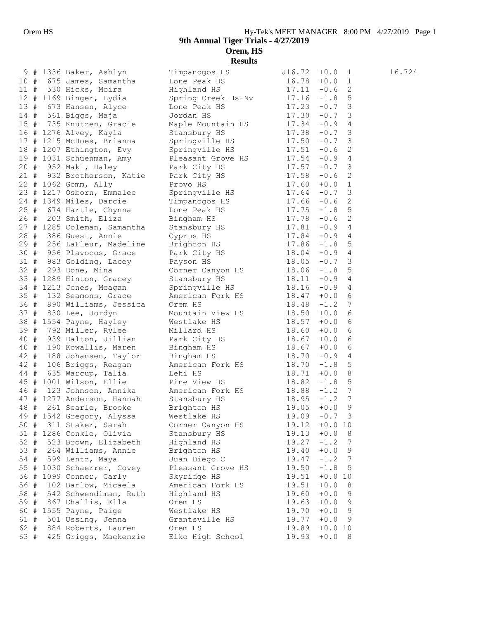| Orem HS |                                     | Hy-Tek's MEET MANAGER $8:00 \text{ PM}$ 4/27/2019 Page 1 |  |  |
|---------|-------------------------------------|----------------------------------------------------------|--|--|
|         | 9th Annual Tiger Trials - 4/27/2019 |                                                          |  |  |
|         | Orem. HS                            |                                                          |  |  |
|         | <b>Results</b>                      |                                                          |  |  |

|      |  | 9 # 1336 Baker, Ashlyn Timpanogos HS J16.72 +0.0 1                                                                                                                                                                                         |                   |       |                  |   | 16.724 |
|------|--|--------------------------------------------------------------------------------------------------------------------------------------------------------------------------------------------------------------------------------------------|-------------------|-------|------------------|---|--------|
|      |  | $10$ # 675 James, Samantha Lone Peak HS $16.78$ +0.0 1                                                                                                                                                                                     |                   |       |                  |   |        |
|      |  |                                                                                                                                                                                                                                            |                   |       |                  |   |        |
|      |  | 11 # 530 Hicks, Moira<br>12 # 1169 Binger, Lydia<br>13 # 673 Hansen, Alyce Lone Peak HS 17.16 -1.8 5<br>14 # 561 Biggs, Maja Jordan HS 17.30 -0.7 3<br>15 # 735 Knutzen, Gracie Maple Mountain HS 17.34 -0.9 4                             |                   |       |                  |   |        |
|      |  |                                                                                                                                                                                                                                            |                   |       |                  |   |        |
|      |  |                                                                                                                                                                                                                                            |                   |       |                  |   |        |
|      |  |                                                                                                                                                                                                                                            |                   |       |                  |   |        |
|      |  |                                                                                                                                                                                                                                            |                   |       |                  |   |        |
|      |  |                                                                                                                                                                                                                                            |                   |       |                  |   |        |
|      |  |                                                                                                                                                                                                                                            |                   |       |                  |   |        |
|      |  |                                                                                                                                                                                                                                            |                   |       |                  |   |        |
|      |  |                                                                                                                                                                                                                                            |                   |       |                  |   |        |
|      |  |                                                                                                                                                                                                                                            |                   |       |                  |   |        |
|      |  |                                                                                                                                                                                                                                            |                   |       |                  |   |        |
|      |  |                                                                                                                                                                                                                                            |                   |       |                  |   |        |
|      |  |                                                                                                                                                                                                                                            |                   |       |                  |   |        |
|      |  |                                                                                                                                                                                                                                            |                   |       |                  |   |        |
|      |  |                                                                                                                                                                                                                                            |                   |       |                  |   |        |
|      |  |                                                                                                                                                                                                                                            |                   |       |                  |   |        |
|      |  |                                                                                                                                                                                                                                            |                   |       |                  |   |        |
|      |  |                                                                                                                                                                                                                                            |                   |       |                  |   |        |
|      |  |                                                                                                                                                                                                                                            |                   |       |                  |   |        |
|      |  |                                                                                                                                                                                                                                            |                   |       |                  |   |        |
|      |  |                                                                                                                                                                                                                                            |                   |       |                  |   |        |
|      |  |                                                                                                                                                                                                                                            |                   |       |                  |   |        |
|      |  |                                                                                                                                                                                                                                            |                   |       |                  |   |        |
|      |  |                                                                                                                                                                                                                                            |                   |       |                  |   |        |
|      |  |                                                                                                                                                                                                                                            |                   |       |                  |   |        |
|      |  | 14 # 761 Eiggs, Waja and Homain HS 17.34 -0.9 4<br>15 # 735 Knutzen, Gracie Maple Mountain HS 17.34 -0.9 4<br>15 # 1276 Alvey, Kayla Stansbury HS 17.34 -0.9 4<br>17 # 1215 MeHoes, Brianna Springville HS 17.53 -0.7 3<br>18 # 1207 Ethin |                   |       |                  |   |        |
|      |  |                                                                                                                                                                                                                                            |                   |       |                  |   |        |
|      |  |                                                                                                                                                                                                                                            |                   |       |                  |   |        |
|      |  |                                                                                                                                                                                                                                            |                   |       |                  |   |        |
| 40 # |  | 939 Dalton, Jillian Park City HS 18.67                                                                                                                                                                                                     |                   |       | $+0.0$           | 6 |        |
|      |  |                                                                                                                                                                                                                                            |                   |       |                  |   |        |
|      |  |                                                                                                                                                                                                                                            |                   |       |                  |   |        |
|      |  |                                                                                                                                                                                                                                            |                   |       |                  |   |        |
|      |  | 40 # 190 Kowallis, Maren Bingham HS 18.67 + 0.0 6<br>42 # 188 Johansen, Taylor Bingham HS 18.70 - 0.9 4<br>42 # 106 Briggs, Reagan American Fork HS 18.70 - 1.8 5<br>44 # 635 Warcup, Talia Lehi HS 18.71 + 0.0 8<br>45 # 1001 Wilson,     |                   |       |                  |   |        |
|      |  |                                                                                                                                                                                                                                            |                   |       |                  |   |        |
|      |  |                                                                                                                                                                                                                                            |                   |       |                  |   |        |
|      |  | 46 # 123 Johnson, Annika Merican Fork HS 18.88 -1.2 7                                                                                                                                                                                      |                   |       |                  |   |        |
|      |  | 47 # 1277 Anderson, Hannah Stansbury HS 18.95 -1.2 7<br>48 # 261 Searle, Brooke Brighton HS 19.05 +0.0 9                                                                                                                                   |                   |       |                  |   |        |
|      |  |                                                                                                                                                                                                                                            |                   |       |                  |   |        |
|      |  | 49 # 1542 Gregory, Alyssa Westlake HS $19.09 -0.7$ 3                                                                                                                                                                                       |                   |       |                  |   |        |
|      |  | 50 # 311 Staker, Sarah                                                                                                                                                                                                                     | Corner Canyon HS  | 19.12 | $+0.0$ 10        |   |        |
|      |  | 51 # 1286 Conkle, Olivia                                                                                                                                                                                                                   | Stansbury HS      | 19.13 | $+0.0$           | 8 |        |
| 52 # |  | 523 Brown, Elizabeth                                                                                                                                                                                                                       | Highland HS       | 19.27 | $-1.2$           | 7 |        |
|      |  | 53 # 264 Williams, Annie                                                                                                                                                                                                                   | Brighton HS       | 19.40 | $+0.0$           | 9 |        |
|      |  | 54 # 599 Lentz, Maya                                                                                                                                                                                                                       | Juan Diego C      | 19.47 | $-1.2$           | 7 |        |
|      |  | 55 # 1030 Schaerrer, Covey                                                                                                                                                                                                                 | Pleasant Grove HS | 19.50 | $-1.8$           | 5 |        |
|      |  | 56 # 1099 Conner, Carly                                                                                                                                                                                                                    | Skyridge HS       | 19.51 | $+0.0 10$        |   |        |
| 56 # |  | 102 Barlow, Micaela                                                                                                                                                                                                                        | American Fork HS  | 19.51 | $\bf+0$ . $\bf0$ | 8 |        |
| 58 # |  | 542 Schwendiman, Ruth                                                                                                                                                                                                                      | Highland HS       | 19.60 | $+0.0$           | 9 |        |
|      |  | 59 # 867 Challis, Ella                                                                                                                                                                                                                     | Orem HS           | 19.63 | $+0.0$           | 9 |        |
|      |  | 60 # 1555 Payne, Paige                                                                                                                                                                                                                     | Westlake HS       | 19.70 | $+0.0$           | 9 |        |
| 61 # |  | 501 Ussing, Jenna                                                                                                                                                                                                                          | Grantsville HS    | 19.77 | $+0.0$           | 9 |        |
|      |  | 62 # 884 Roberts, Lauren                                                                                                                                                                                                                   | Orem HS           | 19.89 | $+0.0 10$        |   |        |

|      |  | $\frac{1}{2}$ $\frac{1}{2}$ $\frac{1}{2}$ $\frac{1}{2}$ $\frac{1}{2}$ $\frac{1}{2}$ $\frac{1}{2}$ $\frac{1}{2}$ $\frac{1}{2}$ $\frac{1}{2}$ | e empanogo o no           |                  |           |                          |
|------|--|---------------------------------------------------------------------------------------------------------------------------------------------|---------------------------|------------------|-----------|--------------------------|
|      |  | 10 # 675 James, Samantha                                                                                                                    | Lone Peak HS              | 16.78            | $+0.0$    | $\mathbf{1}$             |
|      |  | 11 # 530 Hicks, Moira                                                                                                                       | Highland HS               | $17.11 - 0.6$ 2  |           |                          |
|      |  | 12 # 1169 Binger, Lydia                                                                                                                     | Spring Creek Hs-Nv        | 17.16            | $-1.8$    | $5\phantom{.0}$          |
|      |  | 13 # 673 Hansen, Alyce                                                                                                                      | Lone Peak HS              | 17.23            | $-0.7$    | $\mathcal{S}$            |
|      |  | 14 # 561 Biggs, Maja                                                                                                                        | Jordan HS                 | 17.30            | $-0.7$    | $\mathfrak{Z}$           |
|      |  | 15 # 735 Knutzen, Gracie                                                                                                                    | Maple Mountain HS         | 17.34            | $-0.9$    | $\overline{4}$           |
|      |  | 16 # 1276 Alvey, Kayla                                                                                                                      | Stansbury HS              | 17.38            | $-0.7$    | $\mathcal{E}$            |
|      |  | 17 # 1215 McHoes, Brianna                                                                                                                   | Springville HS            | 17.50            | $-0.7$    | $\mathsf 3$              |
|      |  | 18 # 1207 Ethington, Evy                                                                                                                    | Springville HS            | 17.51            | $-0.6$    | $\mathbf{2}$             |
|      |  | 19 # 1031 Schuenman, Amy                                                                                                                    | Pleasant Grove HS         | 17.54            | $-0.9$    | $\overline{4}$           |
|      |  | 20 # 952 Maki, Haley                                                                                                                        | Park City HS              | 17.57            | $-0.7$    | $\mathcal{S}$            |
|      |  | 21 # 932 Brotherson, Katie                                                                                                                  | Park City HS              | $17.58 - 0.6$    |           | $\mathbf{2}$             |
|      |  | 22 # 1062 Gomm, Ally                                                                                                                        | Provo HS                  | 17.60            | $+0.0$    | $\mathbf{1}$             |
|      |  | 23 # 1217 Osborn, Emmalee                                                                                                                   | Springville HS            | 17.64            | $-0.7$    | $\mathfrak{Z}$           |
|      |  | 24 # 1349 Miles, Darcie                                                                                                                     |                           | 17.66            | $-0.6$    | $\overline{\phantom{a}}$ |
|      |  | 25 # 674 Hartle, Chynna                                                                                                                     | Timpanogos HS             |                  |           | $5\phantom{.0}$          |
|      |  |                                                                                                                                             | Lone Peak HS              | 17.75            | $-1.8$    |                          |
|      |  | 26 # 203 Smith, Eliza                                                                                                                       | Bingham HS                | 17.78            | $-0.6$    | $\mathbf{2}$             |
|      |  | 27 # 1285 Coleman, Samantha                                                                                                                 | Stansbury HS              | 17.81            | $-0.9$    | $\overline{4}$           |
|      |  | 28 # 386 Guest, Annie                                                                                                                       | Cyprus HS                 | 17.84            | $-0.9$    | $\overline{4}$           |
|      |  | 29 # 256 LaFleur, Madeline                                                                                                                  | Brighton HS               | 17.86            | $-1.8$    | $\mathsf S$              |
|      |  | 30 # 956 Plavocos, Grace                                                                                                                    | Park City HS              | 18.04            | $-0.9$    | $\overline{4}$           |
|      |  | 31 # 983 Golding, Lacey                                                                                                                     | Payson HS                 | 18.05            | $-0.7$    | $\mathcal{S}$            |
|      |  | 32 # 293 Done, Mina                                                                                                                         | Corner Canyon HS          | 18.06            | $-1.8$    | $5\phantom{.0}$          |
|      |  | 33 # 1289 Hinton, Gracey                                                                                                                    | Stansbury HS              | 18.11            | $-0.9$    | $\overline{4}$           |
|      |  | 34 # 1213 Jones, Meagan                                                                                                                     | Springville HS            | 18.16            | $-0.9$    | 4                        |
|      |  | 35 # 132 Seamons, Grace                                                                                                                     | American Fork HS          | 18.47            | $+0.0$    | 6                        |
|      |  | 36 # 890 Williams, Jessica                                                                                                                  | Orem HS                   | 18.48            | $-1.2$    | 7                        |
|      |  | 37 # 830 Lee, Jordyn                                                                                                                        | Mountain View HS          | 18.50            | $+0.0$    | 6                        |
|      |  | 38 # 1554 Payne, Hayley                                                                                                                     | Westlake HS               | 18.57            | $+0.0$    | $6\,$                    |
|      |  | 39 # 792 Miller, Rylee                                                                                                                      | Millard HS                | 18.60            | $+0.0$    | $6\,$                    |
| 40 # |  | 939 Dalton, Jillian                                                                                                                         | Park City HS              | 18.67            | $+0.0$    | 6                        |
| 40 # |  | 190 Kowallis, Maren                                                                                                                         | Bingham HS                | 18.67            | $+0.0$    | $6\,$                    |
| 42 # |  | 188 Johansen, Taylor                                                                                                                        | Bingham HS                | 18.70            | $-0.9$    | $\overline{4}$           |
| 42 # |  | 106 Briggs, Reagan                                                                                                                          | American Fork HS          | 18.70            | $-1.8$    | $\mathbf 5$              |
|      |  | 44 # 635 Warcup, Talia                                                                                                                      | Lehi HS                   | 18.71            | $+0.0$    | 8                        |
|      |  | 45 # 1001 Wilson, Ellie                                                                                                                     | Pine View HS              | $18.82 - 1.8$    |           | 5                        |
|      |  | 46 # 123 Johnson, Annika                                                                                                                    | American Fork HS          | $18.88 - 1.2$ 7  |           |                          |
|      |  | 47 # 1277 Anderson, Hannah                                                                                                                  | Stansbury HS              | 18.95            | $-1.2$ 7  |                          |
|      |  | 48 # 261 Searle, Brooke                                                                                                                     | Brighton HS               | 19.05            | $+0.0$ 9  |                          |
|      |  | 49 # 1542 Gregory, Alyssa                                                                                                                   | Westlake HS               | 19.09            | $-0.7$    | 3                        |
|      |  | 50 # 311 Staker, Sarah                                                                                                                      | Corner Canyon HS          | $19.12 + 0.0 10$ |           |                          |
|      |  | 51 # 1286 Conkle, Olivia                                                                                                                    | Stansbury HS              | 19.13            | $+0.0$ 8  |                          |
| 52 # |  | 523 Brown, Elizabeth                                                                                                                        | Highland HS               | 19.27            | $-1.2$    | 7                        |
|      |  | 53 # 264 Williams, Annie                                                                                                                    | Brighton HS               | 19.40            | $+0.0$    | 9                        |
|      |  | 54 # 599 Lentz, Maya                                                                                                                        | Juan Diego C              | 19.47            | $-1.2$    | 7                        |
|      |  | 55 # 1030 Schaerrer, Covey                                                                                                                  | Pleasant Grove HS         | 19.50            | $-1.8$    | $\mathsf S$              |
|      |  | 56 # 1099 Conner, Carly                                                                                                                     | Skyridge HS               | 19.51            | $+0.0$ 10 |                          |
|      |  | 56 # 102 Barlow, Micaela                                                                                                                    | American Fork HS          | 19.51            | $+0.0$    | - 8                      |
|      |  | 58 # 542 Schwendiman, Ruth                                                                                                                  | Highland HS               | 19.60            | $+0.0$    | 9                        |
|      |  | 59 # 867 Challis, Ella                                                                                                                      | Orem HS                   | 19.63            | $+0.0$    | 9                        |
|      |  | 60 # 1555 Payne, Paige                                                                                                                      | Westlake HS               | 19.70            | $+0.0$    | 9                        |
| 61 # |  |                                                                                                                                             |                           |                  | $+0.0$    | 9                        |
| 62 # |  | 501 Ussing, Jenna                                                                                                                           | Grantsville HS<br>Orem HS | 19.77<br>19.89   | $+0.0$ 10 |                          |
|      |  | 884 Roberts, Lauren                                                                                                                         |                           |                  |           |                          |
| 63 # |  | 425 Griggs, Mackenzie                                                                                                                       | Elko High School          | 19.93            | $+0.0$    | 8                        |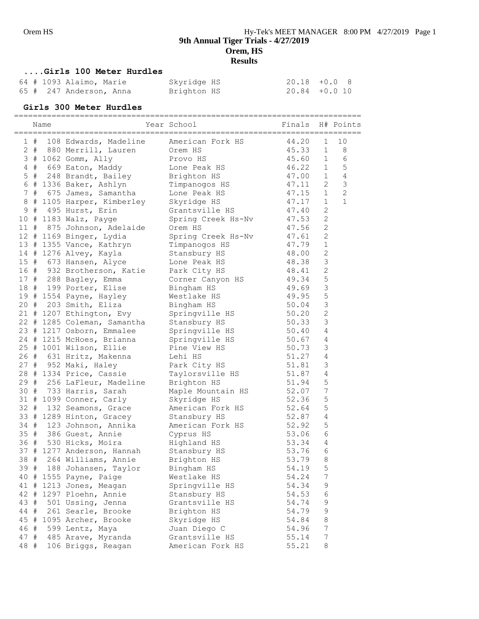**....Girls 100 Meter Hurdles**

|  | 64 # 1093 Alaimo, Marie | Skyridge HS | $20.18 + 0.08$  |  |
|--|-------------------------|-------------|-----------------|--|
|  | 65 # 247 Anderson, Anna | Brighton HS | $20.84 + 0.010$ |  |

#### **Girls 300 Meter Hurdles**

|                |       | Name |                             | Year School        | Finals |                  | H# Points      |
|----------------|-------|------|-----------------------------|--------------------|--------|------------------|----------------|
| 1.             | #     |      | 108 Edwards, Madeline       | American Fork HS   | 44.20  | $\mathbf 1$      | 10             |
|                |       |      | 2 # 880 Merrill, Lauren     | Orem HS            | 45.33  | $\mathbf{1}$     | $\,8\,$        |
|                |       |      | 3 # 1062 Gomm, Ally         | Provo HS           | 45.60  | $\mathbf{1}$     | 6              |
|                |       |      | 4 # 669 Eaton, Maddy        | Lone Peak HS       | 46.22  | $\mathbf{1}$     | 5              |
|                | $5$ # |      | 248 Brandt, Bailey          | Brighton HS        | 47.00  | $\mathbf{1}$     | $\sqrt{4}$     |
| 6              |       |      | # 1336 Baker, Ashlyn        | Timpanogos HS      | 47.11  | $\mathbf{2}$     | 3              |
| $7\phantom{.}$ | $\#$  |      | 675 James, Samantha         | Lone Peak HS       | 47.15  | $\mathbf{1}$     | $\overline{2}$ |
| 8              |       |      | # 1105 Harper, Kimberley    | Skyridge HS        | 47.17  | $\mathbf{1}$     | $\mathbf{1}$   |
| 9              | #     |      | 495 Hurst, Erin             | Grantsville HS     | 47.40  | $\overline{2}$   |                |
|                |       |      | 10 # 1183 Walz, Payge       | Spring Creek Hs-Nv | 47.53  | $\mathbf{2}$     |                |
| 11#            |       |      | 875 Johnson, Adelaide       | Orem HS            | 47.56  | $\mathbf{2}$     |                |
|                |       |      | 12 # 1169 Binger, Lydia     | Spring Creek Hs-Nv | 47.61  | $\mathbf{2}$     |                |
|                |       |      | 13 # 1355 Vance, Kathryn    | Timpanogos HS      | 47.79  | $\mathbf{1}$     |                |
|                |       |      | 14 # 1276 Alvey, Kayla      | Stansbury HS       | 48.00  | $\mathbf{2}$     |                |
| 15#            |       |      | 673 Hansen, Alyce           | Lone Peak HS       | 48.38  | $\mathcal{S}$    |                |
| 16 #           |       |      | 932 Brotherson, Katie       | Park City HS       | 48.41  | $\sqrt{2}$       |                |
|                |       |      | 17 # 288 Bagley, Emma       | Corner Canyon HS   | 49.34  | $\mathsf S$      |                |
|                |       |      | 18 # 199 Porter, Elise      | Bingham HS         | 49.69  | $\mathfrak{Z}$   |                |
|                |       |      | 19 # 1554 Payne, Hayley     | Westlake HS        | 49.95  | 5                |                |
|                |       |      | 20 # 203 Smith, Eliza       | Bingham HS         | 50.04  | $\mathfrak{Z}$   |                |
|                |       |      | 21 # 1207 Ethington, Evy    | Springville HS     | 50.20  | $\mathbf{2}$     |                |
|                |       |      | 22 # 1285 Coleman, Samantha | Stansbury HS       | 50.33  | $\mathfrak{Z}$   |                |
|                |       |      | 23 # 1217 Osborn, Emmalee   | Springville HS     | 50.40  | $\sqrt{4}$       |                |
|                |       |      | 24 # 1215 McHoes, Brianna   | Springville HS     | 50.67  | $\sqrt{4}$       |                |
|                |       |      | 25 # 1001 Wilson, Ellie     | Pine View HS       | 50.73  | 3                |                |
|                |       |      | 26 # 631 Hritz, Makenna     | Lehi HS            | 51.27  | $\overline{4}$   |                |
|                |       |      | 27 # 952 Maki, Haley        | Park City HS       | 51.81  | $\mathsf 3$      |                |
|                |       |      | 28 # 1334 Price, Cassie     | Taylorsville HS    | 51.87  | $\overline{4}$   |                |
| 29 #           |       |      | 256 LaFleur, Madeline       | Brighton HS        | 51.94  | 5                |                |
| 30 #           |       |      | 733 Harris, Sarah           | Maple Mountain HS  | 52.07  | $\boldsymbol{7}$ |                |
|                |       |      | 31 # 1099 Conner, Carly     | Skyridge HS        | 52.36  | 5                |                |
| $32 +$         |       |      | 132 Seamons, Grace          | American Fork HS   | 52.64  | 5                |                |
|                |       |      | 33 # 1289 Hinton, Gracey    | Stansbury HS       | 52.87  | $\sqrt{4}$       |                |
|                |       |      | 34 # 123 Johnson, Annika    | American Fork HS   | 52.92  | 5                |                |
|                |       |      | 35 # 386 Guest, Annie       | Cyprus HS          | 53.06  | 6                |                |
| 36 #           |       |      | 530 Hicks, Moira            | Highland HS        | 53.34  | $\overline{4}$   |                |
|                |       |      | 37 # 1277 Anderson, Hannah  | Stansbury HS       | 53.76  | 6                |                |
| 38             | #     |      | 264 Williams, Annie         | Brighton HS        | 53.79  | 8                |                |
| 39 #           |       |      | 188 Johansen, Taylor        | Bingham HS         | 54.19  | 5                |                |
|                |       |      | 40 # 1555 Payne, Paige      | Westlake HS        | 54.24  | $\boldsymbol{7}$ |                |
|                |       |      | 41 # 1213 Jones, Meagan     | Springville HS     | 54.34  | $\mathsf 9$      |                |
|                |       |      | 42 # 1297 Ploehn, Annie     | Stansbury HS       | 54.53  | 6                |                |
| 43 #           |       |      | 501 Ussing, Jenna           | Grantsville HS     | 54.74  | $\mathsf 9$      |                |
| 44 #           |       |      | 261 Searle, Brooke          | Brighton HS        | 54.79  | $\mathsf 9$      |                |
|                |       |      | 45 # 1095 Archer, Brooke    | Skyridge HS        | 54.84  | $\,8\,$          |                |
| 46 #           |       |      | 599 Lentz, Maya             | Juan Diego C       | 54.96  | $\boldsymbol{7}$ |                |
| 47 #           |       |      | 485 Arave, Myranda          | Grantsville HS     | 55.14  | 7                |                |
| 48 #           |       |      | 106 Briggs, Reagan          | American Fork HS   | 55.21  | 8                |                |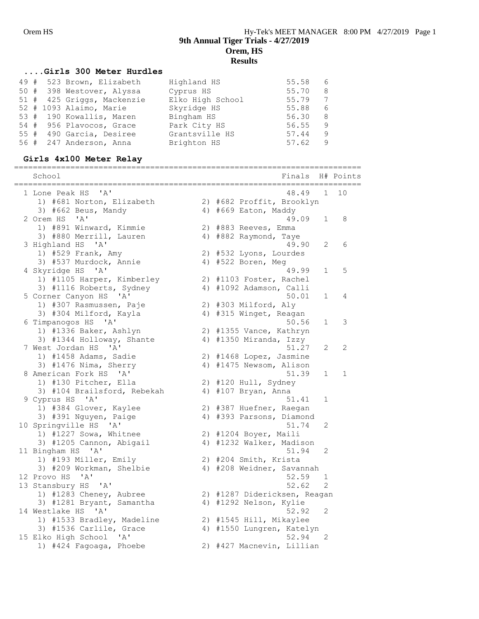#### **....Girls 300 Meter Hurdles**

|  | Highland HS                                                                                                                                                                                                                    | 55.58 | - 6 |
|--|--------------------------------------------------------------------------------------------------------------------------------------------------------------------------------------------------------------------------------|-------|-----|
|  | Cyprus HS                                                                                                                                                                                                                      | 55.70 | -8  |
|  | Elko High School                                                                                                                                                                                                               | 55.79 | 7   |
|  | Skyridge HS                                                                                                                                                                                                                    | 55.88 | -6  |
|  | Bingham HS                                                                                                                                                                                                                     | 56.30 | - 8 |
|  | Park City HS                                                                                                                                                                                                                   | 56.55 | 9   |
|  | Grantsville HS                                                                                                                                                                                                                 | 57.44 | 9   |
|  | Brighton HS                                                                                                                                                                                                                    | 57.62 | 9   |
|  | 49 # 523 Brown, Elizabeth<br>50 # 398 Westover, Alyssa<br>51 # 425 Griggs, Mackenzie<br>52 # 1093 Alaimo, Marie<br>53 # 190 Kowallis, Maren<br>54 # 956 Plavocos, Grace<br>55 # 490 Garcia, Desiree<br>56 # 247 Anderson, Anna |       |     |

### **Girls 4x100 Meter Relay**

| School                                  | Finals                         |                            | H# Points |
|-----------------------------------------|--------------------------------|----------------------------|-----------|
| 1 Lone Peak HS<br>$\mathsf{A}$          | 48.49                          | $\mathbf{1}$               | 10        |
| 1) #681 Norton, Elizabeth               | 2) #682 Proffit, Brooklyn      |                            |           |
| 3) #662 Beus, Mandy                     | 4) #669 Eaton, Maddy           |                            |           |
| 2 Orem HS 'A'                           | 49.09                          | $\mathbf{1}$               | 8         |
| 1) #891 Winward, Kimmie                 | 2) #883 Reeves, Emma           |                            |           |
| 3) #880 Merrill, Lauren                 | 4) #882 Raymond, Taye<br>49.90 |                            |           |
| 3 Highland HS 'A'<br>1) #529 Frank, Amy | 2) #532 Lyons, Lourdes         | $\mathbf{2}$               | 6         |
| 3) #537 Murdock, Annie                  | 4) #522 Boren, Meg             |                            |           |
| 4 Skyridge HS 'A'                       | 49.99                          | 1                          | 5         |
| 1) #1105 Harper, Kimberley              | 2) #1103 Foster, Rachel        |                            |           |
| 3) #1116 Roberts, Sydney                | 4) #1092 Adamson, Calli        |                            |           |
| 5 Corner Canyon HS 'A'                  | 50.01                          | $\mathbf 1$                | 4         |
| 1) #307 Rasmussen, Paje                 | 2) #303 Milford, Aly           |                            |           |
| 3) #304 Milford, Kayla                  | 4) #315 Winget, Reagan         |                            |           |
| 6 Timpanogos HS 'A'                     | 50.56                          | 1                          | 3         |
| 1) #1336 Baker, Ashlyn                  | 2) #1355 Vance, Kathryn        |                            |           |
| 3) #1344 Holloway, Shante               | 4) #1350 Miranda, Izzy         |                            |           |
| 7 West Jordan HS 'A'                    | 51.27                          | $\mathbf{2}^{\prime}$      | 2         |
| 1) #1458 Adams, Sadie                   | 2) #1468 Lopez, Jasmine        |                            |           |
| 3) #1476 Nima, Sherry                   | 4) #1475 Newsom, Alison        |                            |           |
| 8 American Fork HS 'A'                  | 51.39                          | $\mathbf{1}$               | 1         |
| 1) #130 Pitcher, Ella                   | 2) #120 Hull, Sydney           |                            |           |
| 3) #104 Brailsford, Rebekah             | 4) #107 Bryan, Anna            |                            |           |
| 9 Cyprus HS 'A'                         | 51.41                          | 1                          |           |
| 1) #384 Glover, Kaylee                  | 2) #387 Huefner, Raegan        |                            |           |
| 3) #391 Nguyen, Paige                   | 4) #393 Parsons, Diamond       |                            |           |
| 10 Springville HS 'A'                   | 51.74                          | 2                          |           |
| 1) #1227 Sowa, Whitnee                  | 2) #1204 Boyer, Maili          |                            |           |
| 3) #1205 Cannon, Abigail                | 4) #1232 Walker, Madison       |                            |           |
| 11 Bingham HS 'A'                       | 51.94                          | 2                          |           |
| 1) #193 Miller, Emily                   | 2) #204 Smith, Krista          |                            |           |
| 3) #209 Workman, Shelbie                | 4) #208 Weidner, Savannah      |                            |           |
| 12 Provo HS 'A'                         | 52.59                          | 1                          |           |
| 13 Stansbury HS 'A'                     | 52.62                          | $\overline{2}$             |           |
| 1) #1283 Cheney, Aubree                 | 2) #1287 Didericksen, Reagan   |                            |           |
| 3) #1281 Bryant, Samantha               | 4) #1292 Nelson, Kylie         |                            |           |
| 14 Westlake HS 'A'                      | 52.92                          | 2                          |           |
| 1) #1533 Bradley, Madeline              | 2) #1545 Hill, Mikaylee        |                            |           |
| 3) #1536 Carlile, Grace                 | 4) #1550 Lungren, Katelyn      |                            |           |
| 15 Elko High School 'A'                 | 52.94                          | $\overline{\phantom{0}}^2$ |           |
| 1) #424 Fagoaga, Phoebe                 | 2) #427 Macnevin, Lillian      |                            |           |
|                                         |                                |                            |           |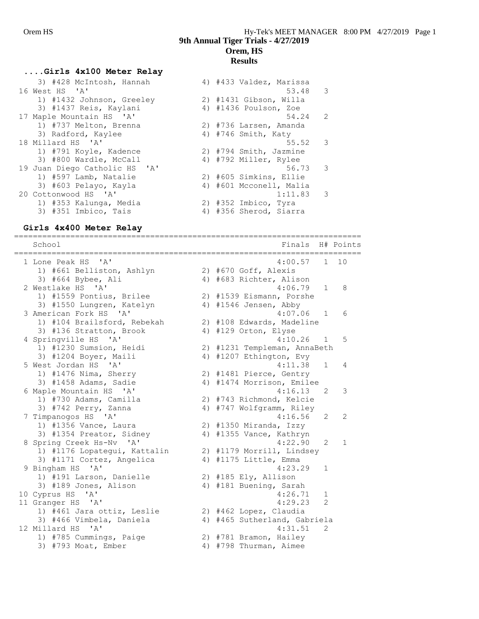#### **....Girls 4x100 Meter Relay**

| 3) #428 McIntosh, Hannah      | 4) #433 Valdez, Marissa |  |
|-------------------------------|-------------------------|--|
| 16 West HS 'A'                | 53.48 3                 |  |
| 1) #1432 Johnson, Greeley     | 2) #1431 Gibson, Willa  |  |
| 3) #1437 Reis, Kaylani        | 4) #1436 Poulson, Zoe   |  |
| 17 Maple Mountain HS 'A'      | 54.24 2                 |  |
| 1) #737 Melton, Brenna        | 2) #736 Larsen, Amanda  |  |
| 3) Radford, Kaylee            | 4) #746 Smith, Katy     |  |
| 18 Millard HS 'A'             | 55.52 3                 |  |
| 1) #791 Koyle, Kadence        | 2) #794 Smith, Jazmine  |  |
| 3) #800 Wardle, McCall        | 4) #792 Miller, Rylee   |  |
| 19 Juan Diego Catholic HS 'A' | 56.73 3                 |  |
| 1) #597 Lamb, Natalie         | 2) #605 Simkins, Ellie  |  |
| 3) #603 Pelayo, Kayla         | 4) #601 Mcconell, Malia |  |
| 20 Cottonwood HS 'A'          | 1:11.83 3               |  |
| 1) #353 Kalunga, Media        | 2) #352 Imbico, Tyra    |  |
| 3) #351 Imbico, Tais          | 4) #356 Sherod, Siarra  |  |
|                               |                         |  |

#### **Girls 4x400 Meter Relay**

========================================================================== School Finals H# Points ========================================================================== 1 Lone Peak HS 'A' 4:00.57 1 10 1) #661 Belliston, Ashlyn 2) #670 Goff, Alexis 3) #664 Bybee, Ali 4) #683 Richter, Alison 2 Westlake HS 'A' 4:06.79 1 8 1) #1559 Pontius, Brilee 2) #1539 Eismann, Porshe 3) #1550 Lungren, Katelyn 4) #1546 Jensen, Abby 3 American Fork HS 'A' 4:07.06 1 6 1) #104 Brailsford, Rebekah 2) #108 Edwards, Madeline 3) #136 Stratton, Brook 4) #129 Orton, Elyse 4 Springville HS 'A' 4:10.26 1 5 1) #1230 Sumsion, Heidi 2) #1231 Templeman, AnnaBeth 3) #1204 Boyer, Maili 4) #1207 Ethington, Evy 5 West Jordan HS 'A' 4:11.38 1 4 1) #1476 Nima, Sherry 2) #1481 Pierce, Gentry 3) #1458 Adams, Sadie 4) #1474 Morrison, Emilee 6 Maple Mountain HS 'A' 4:16.13 2 3 1) #730 Adams, Camilla 2) #743 Richmond, Kelcie 3) #742 Perry, Zanna 4) #747 Wolfgramm, Riley 7 Timpanogos HS 'A' 4:16.56 2 2 1) #1356 Vance, Laura 2) #1350 Miranda, Izzy 3) #1354 Preator, Sidney 4) #1355 Vance, Kathryn 8 Spring Creek Hs-Nv 'A' 4:22.90 2 1 1) #1176 Lopategui, Kattalin 2) #1179 Morrill, Lindsey 3) #1171 Cortez, Angelica 4) #1175 Little, Emma 9 Bingham HS 'A' 4:23.29 1 1) #191 Larson, Danielle 2) #185 Ely, Allison 3) #189 Jones, Alison (4) #181 Buening, Sarah 10 Cyprus HS 'A' 4:26.71 1 11 Granger HS 'A' 4:29.23 2 1) #461 Jara ottiz, Leslie 2) #462 Lopez, Claudia 3) #466 Vimbela, Daniela 4) #465 Sutherland, Gabriela 12 Millard HS 'A' 4:31.51 2 1) #785 Cummings, Paige 2) #781 Bramon, Hailey 3) #793 Moat, Ember 4) #798 Thurman, Aimee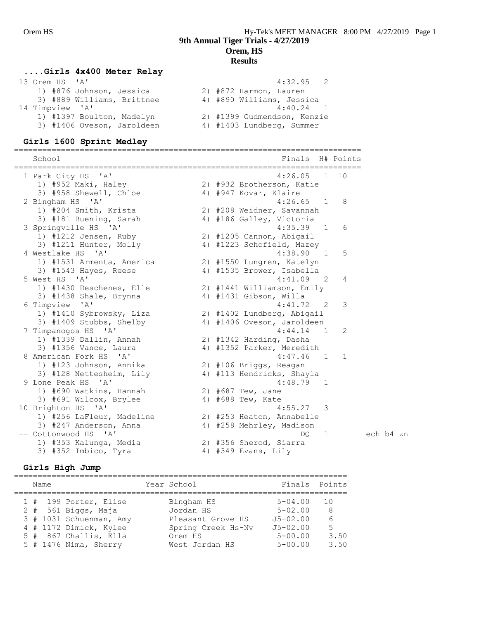### **....Girls 4x400 Meter Relay**

| 13 Orem HS 'A'  |                            | $4:32.95$ 2                 |
|-----------------|----------------------------|-----------------------------|
|                 | 1) #876 Johnson, Jessica   | 2) #872 Harmon, Lauren      |
|                 | 3) #889 Williams, Brittnee | 4) #890 Williams, Jessica   |
| 14 Timpview 'A' |                            | $4:40.24$ 1                 |
|                 | 1) #1397 Boulton, Madelyn  | 2) #1399 Gudmendson, Kenzie |
|                 | 3) #1406 Oveson, Jaroldeen | 4) #1403 Lundberg, Summer   |

## **Girls 1600 Sprint Medley**

| School                                            | Finals H# Points                                    |
|---------------------------------------------------|-----------------------------------------------------|
| 1 Park City HS 'A'                                | $4:26.05$ 1 10                                      |
| 1) #952 Maki, Haley                               | 2) #932 Brotherson, Katie                           |
| 3) #958 Shewell, Chloe                            | 4) #947 Kovar, Klaire                               |
| 2 Bingham HS 'A'                                  | $4:26.65$ 1<br>- 8                                  |
| 1) #204 Smith, Krista                             | 2) #208 Weidner, Savannah                           |
| 3) #181 Buening, Sarah                            | 4) #186 Galley, Victoria                            |
| 3 Springville HS 'A'                              | $4:35.39$ 1<br>6                                    |
| 1) #1212 Jensen, Ruby                             | 2) #1205 Cannon, Abigail                            |
| 3) #1211 Hunter, Molly                            | 4) #1223 Schofield, Mazey                           |
| 4 Westlake HS 'A'                                 | 4:38.90 1<br>5                                      |
| 1) #1531 Armenta, America                         | 2) #1550 Lungren, Katelyn                           |
| 3) #1543 Hayes, Reese                             | 4) #1535 Brower, Isabella                           |
| 5 West HS 'A'                                     | $4:41.09$ 2<br>4                                    |
| 1) #1430 Deschenes, Elle                          | 2) #1441 Williamson, Emily                          |
| 3) #1438 Shale, Brynna                            | 4) #1431 Gibson, Willa                              |
| 6 Timpview 'A'                                    | 3<br>$4:41.72$ 2                                    |
| 1) #1410 Sybrowsky, Liza                          | 2) #1402 Lundberg, Abigail                          |
| 3) #1409 Stubbs, Shelby                           | 4) #1406 Oveson, Jaroldeen                          |
| 7 Timpanogos HS 'A'                               | $4:44.14$ 1<br>2                                    |
| 1) #1339 Dallin, Annah                            | 2) #1342 Harding, Dasha                             |
| 3) #1356 Vance, Laura                             | 4) #1352 Parker, Meredith                           |
| 8 American Fork HS 'A'<br>1) #123 Johnson, Annika | $4:47.46$ 1<br>$\overline{1}$                       |
| 3) #128 Nettesheim, Lily                          | 2) #106 Briggs, Reagan<br>4) #113 Hendricks, Shayla |
| 9 Lone Peak HS 'A'                                | $4:48.79$ 1                                         |
| 1) #690 Watkins, Hannah                           | 2) #687 Tew, Jane                                   |
| 3) #691 Wilcox, Brylee                            | 4) #688 Tew, Kate                                   |
| 10 Brighton HS 'A'                                | $4:55.27$ 3                                         |
| 1) #256 LaFleur, Madeline                         | 2) #253 Heaton, Annabelle                           |
| 3) #247 Anderson, Anna                            | 4) #258 Mehrley, Madison                            |
| -- Cottonwood HS<br>$^{\prime}$ A $^{\prime}$     | $\mathbf{1}$<br>DO<br>ech b4 zn                     |
| 1) #353 Kalunga, Media                            | 2) #356 Sherod, Siarra                              |
| 3) #352 Imbico, Tyra                              | 4) #349 Evans, $Lily$                               |

#### **Girls High Jump**

|  | Name |                         | Year School        | Finals Points |      |
|--|------|-------------------------|--------------------|---------------|------|
|  |      | 1 # 199 Porter, Elise   | Bingham HS         | $5 - 04.00$   | 1 O  |
|  |      | $2$ # 561 Biggs, Maja   | Jordan HS          | $5 - 02.00$   | - 8  |
|  |      | 3 # 1031 Schuenman, Amy | Pleasant Grove HS  | $J5 - 02.00$  | 6    |
|  |      | 4 # 1172 Dimick, Kylee  | Spring Creek Hs-Nv | $J5 - 02.00$  | 5    |
|  |      | 5 # 867 Challis, Ella   | Orem HS            | $5 - 00.00$   | 3.50 |
|  |      | $5$ # 1476 Nima, Sherry | West Jordan HS     | $5 - 00.00$   | 3.50 |
|  |      |                         |                    |               |      |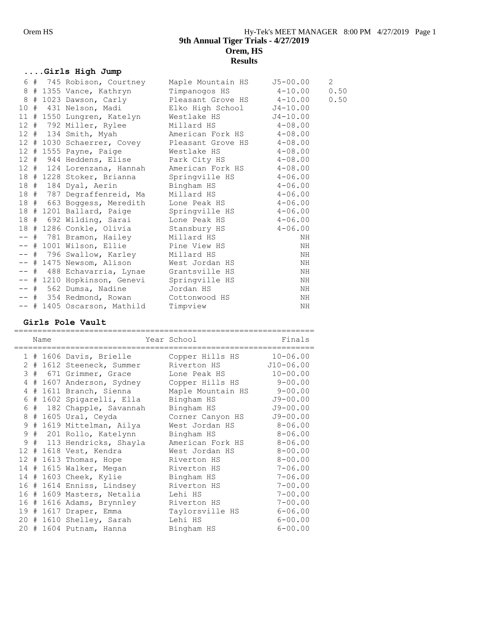|  | Girls High Jump                                      |                          |             |      |
|--|------------------------------------------------------|--------------------------|-------------|------|
|  | 6 # 745 Robison, Courtney Maple Mountain HS 55-00.00 |                          |             | 2    |
|  | 8 # 1355 Vance, Kathryn Timpanogos HS                |                          | $4 - 10.00$ | 0.50 |
|  | 8 # 1023 Dawson, Carly Pleasant Grove HS 4-10.00     |                          |             | 0.50 |
|  | 10 # 431 Nelson, Madi Blko High School J4-10.00      |                          |             |      |
|  | 11 # 1550 Lungren, Katelyn Westlake HS 54-10.00      |                          |             |      |
|  | 12 # 792 Miller, Rylee Millard HS 4-08.00            |                          |             |      |
|  | 12 # 134 Smith, Myah Merican Fork HS 4-08.00         |                          |             |      |
|  | 12 # 1030 Schaerrer, Covey Pleasant Grove HS 4-08.00 |                          |             |      |
|  | 12 # 1555 Payne, Paige                               | Westlake HS  4-08.00     |             |      |
|  | 12 # 944 Heddens, Elise Park City HS 4-08.00         |                          |             |      |
|  | 12 # 124 Lorenzana, Hannah                           | American Fork HS 4-08.00 |             |      |
|  | 18 # 1228 Stoker, Brianna Springville HS 4-06.00     |                          |             |      |
|  | 18 # 184 Dyal, Aerin                                 |                          |             |      |
|  | 18 # 787 Degraffenreid, Ma                           | Millard HS 4-06.00       |             |      |
|  | 18 # 663 Boggess, Meredith Lone Peak HS 4-06.00      |                          |             |      |
|  | 18 # 1201 Ballard, Paige Springville HS 4-06.00      |                          |             |      |
|  | 18 # 692 Wilding, Sarai Lone Peak HS 4-06.00         |                          |             |      |
|  | 18 # 1286 Conkle, Olivia 5tansbury HS 4-06.00        |                          |             |      |
|  | -- # 781 Bramon, Hailey Millard HS                   |                          | ΝH          |      |
|  | -- # 1001 Wilson, Ellie Pine View HS                 |                          | ΝH          |      |
|  | -- # 796 Swallow, Karley Millard HS                  |                          | ΝH          |      |
|  | -- # 1475 Newsom, Alison West Jordan HS              |                          | ΝH          |      |
|  | -- # 488 Echavarria, Lynae Grantsville HS            |                          | ΝH          |      |
|  | -- # 1210 Hopkinson, Genevi Springville HS           |                          | ΝH          |      |
|  | -- # 562 Dumsa, Nadine Jordan HS                     |                          | NH          |      |
|  | -- # 354 Redmond, Rowan Cottonwood HS                |                          | ΝH          |      |
|  | -- # 1405 Oscarson, Mathild Timpview                 |                          | ΝH          |      |

### **Girls Pole Vault**

|   |   |      | ---------------------------------- |                               |               |
|---|---|------|------------------------------------|-------------------------------|---------------|
|   |   | Name |                                    | Year School<br>-------------- | Finals        |
|   |   |      | 1 # 1606 Davis, Brielle            | Copper Hills HS               | $10 - 06.00$  |
|   |   |      | 2 # 1612 Steeneck, Summer          | Riverton HS                   | $J10 - 06.00$ |
| 3 |   |      | # 671 Grimmer, Grace               | Lone Peak HS                  | $10 - 00.00$  |
| 4 |   |      | # 1607 Anderson, Sydney            | Copper Hills HS               | $9 - 00.00$   |
|   |   |      | 4 # 1611 Branch, Sienna            | Maple Mountain HS             | $9 - 00.00$   |
|   |   |      | 6 # 1602 Spigarelli, Ella          | Bingham HS                    | $J9 - 00.00$  |
| 6 |   |      | # 182 Chapple, Savannah            | Bingham HS                    | $J9 - 00.00$  |
| 8 |   |      | # 1605 Ural, Ceyda                 | Corner Canyon HS              | $J9 - 00.00$  |
| 9 | # |      | 1619 Mittelman, Ailya              | West Jordan HS                | $8 - 06.00$   |
| 9 |   |      | # 201 Rollo, Katelynn              | Bingham HS                    | $8 - 06.00$   |
| 9 |   |      | # 113 Hendricks, Shayla            | American Fork HS              | $8 - 06.00$   |
|   |   |      | 12 # 1618 Vest, Kendra             | West Jordan HS                | $8 - 00.00$   |
|   |   |      | 12 # 1613 Thomas, Hope             | Riverton HS                   | $8 - 00.00$   |
|   |   |      | 14 # 1615 Walker, Megan            | Riverton HS                   | $7 - 06.00$   |
|   |   |      | 14 # 1603 Cheek, Kylie             | Bingham HS                    | $7 - 06.00$   |
|   |   |      | 16 # 1614 Enniss, Lindsey          | Riverton HS                   | $7 - 00.00$   |
|   |   |      | 16 # 1609 Masters, Netalia         | Lehi HS                       | $7 - 00.00$   |
|   |   |      | 16 # 1616 Adams, Brynnley          | Riverton HS                   | $7 - 00.00$   |
|   |   |      | 19 # 1617 Draper, Emma             | Taylorsville HS               | $6 - 06.00$   |
|   |   |      | 20 # 1610 Shelley, Sarah           | Lehi HS                       | $6 - 00.00$   |
|   |   |      | 20 # 1604 Putnam, Hanna            | Bingham HS                    | $6 - 00.00$   |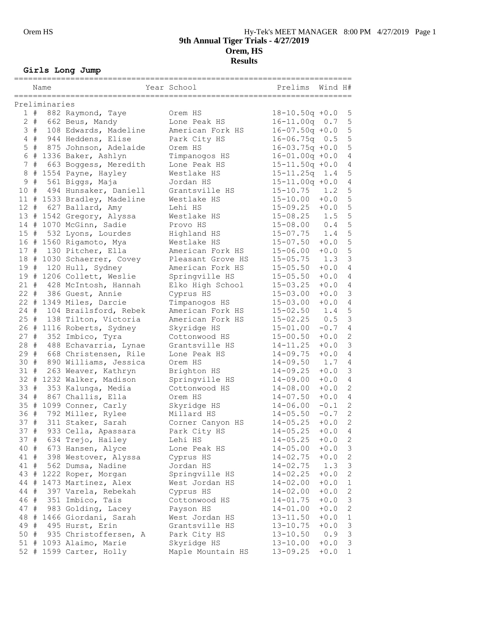# **Girls Long Jump**

| Year School<br>Prelims<br>Wind H#<br>Name<br>Preliminaries<br>1#<br>$18 - 10.50q + 0.0$<br>882 Raymond, Taye<br>5<br>Orem HS<br>$\mathsf S$<br>$2 +$<br>$16 - 11.00q$ 0.7<br>662 Beus, Mandy<br>Lone Peak HS<br>$\mathsf S$<br>3#<br>$16 - 07.50q + 0.0$<br>108 Edwards, Madeline<br>American Fork HS<br>$\mathsf S$<br>#<br>$4\overline{ }$<br>944 Heddens, Elise<br>$16 - 06.75q$ 0.5<br>Park City HS<br>$\mathsf S$<br>5<br>#<br>875 Johnson, Adelaide<br>$16 - 03.75q + 0.0$<br>Orem HS<br>4<br>6 # 1336 Baker, Ashlyn<br>Timpanogos HS<br>$16 - 01.00q + 0.0$<br>7#<br>$\overline{4}$<br>Lone Peak HS<br>$15 - 11.50q + 0.0$<br>663 Boggess, Meredith<br>$\mathsf S$<br>8<br># 1554 Payne, Hayley<br>$15 - 11.25q$ 1.4<br>Westlake HS<br>#<br>$\sqrt{4}$<br>9<br>561 Biggs, Maja<br>$15 - 11.00q + 0.0$<br>Jordan HS<br>$\mathsf S$<br>10#<br>$15 - 10.75$<br>494 Hunsaker, Daniell<br>Grantsville HS<br>1.2<br>5<br>11 # 1533 Bradley, Madeline<br>$15 - 10.00$<br>Westlake HS<br>$+0.0$<br>$\mathsf S$<br>12#<br>627 Ballard, Amy<br>$15 - 09.25$<br>Lehi HS<br>$+0.0$<br>5<br>1.5<br>13 # 1542 Gregory, Alyssa<br>$15 - 08.25$<br>Westlake HS<br>$\overline{5}$<br>14 # 1070 McGinn, Sadie<br>$15 - 08.00$<br>0.4<br>Provo HS<br>$\mathsf S$<br>15 # 532 Lyons, Lourdes<br>Highland HS<br>$15 - 07.75$<br>1.4<br>5<br>16 # 1560 Rigamoto, Mya<br>$+0.0$<br>Westlake HS<br>$15 - 07.50$<br>5<br>17#<br>130 Pitcher, Ella<br>$+0.0$<br>American Fork HS<br>$15 - 06.00$<br>$\mathfrak{Z}$<br>18 # 1030 Schaerrer, Covey<br>$15 - 05.75$<br>1.3<br>Pleasant Grove HS<br>$\overline{4}$<br>19 #<br>120 Hull, Sydney<br>$15 - 05.50$<br>$+0.0$<br>American Fork HS<br>$\overline{4}$<br>19 # 1206 Collett, Weslie<br>$15 - 05.50$<br>$+0.0$<br>Springville HS<br>21 # 428 McIntosh, Hannah<br>$\overline{4}$<br>Elko High School<br>$15 - 03.25$<br>$+0.0$<br>22#<br>3<br>386 Guest, Annie<br>Cyprus HS<br>$15 - 03.00$<br>$+0.0$<br>$\overline{4}$<br>22 # 1349 Miles, Darcie<br>Timpanogos HS<br>$15 - 03.00$<br>$+0.0$<br>5<br>$24 +$<br>104 Brailsford, Rebek<br>American Fork HS<br>1.4<br>$15 - 02.50$<br>$\mathfrak{Z}$<br>25#<br>0.5<br>138 Tilton, Victoria<br>American Fork HS<br>$15 - 02.25$<br>$\overline{4}$<br>26 # 1116 Roberts, Sydney<br>$-0.7$<br>Skyridge HS<br>$15 - 01.00$<br>$\mathbf{2}$<br>27#<br>$15 - 00.50$<br>$+0.0$<br>352 Imbico, Tyra<br>Cottonwood HS<br>$\mathcal{E}$<br>28 #<br>488 Echavarria, Lynae<br>Grantsville HS<br>$14 - 11.25$<br>$+0.0$<br>$\overline{4}$<br>29#<br>668 Christensen, Rile<br>$14 - 09.75$<br>Lone Peak HS<br>$+0.0$<br>30#<br>890 Williams, Jessica<br>1.7<br>4<br>Orem HS<br>$14 - 09.50$<br>$\mathfrak{Z}$<br>31#<br>Brighton HS<br>$+0.0$<br>263 Weaver, Kathryn<br>$14 - 09.25$<br>$\overline{4}$<br>32 # 1232 Walker, Madison<br>Springville HS<br>$14 - 09.00$<br>$+0.0$<br>2<br>33 # 353 Kalunga, Media<br>$14 - 08.00$<br>$+0.0$<br>Cottonwood HS<br>$\overline{4}$<br>34#<br>867 Challis, Ella<br>$14 - 07.50$<br>$+0.0$<br>Orem HS<br>$\overline{\phantom{0}}^2$<br>35 # 1099 Conner, Carly<br>Skyridge HS<br>$14 - 06.00$<br>$-0.1$<br>2<br>36#<br>792 Miller, Rylee<br>$-0.7$<br>Millard HS<br>$14 - 05.50$<br>$\overline{2}$<br>$\#$<br>37<br>$14 - 05.25$<br>$+0.0$<br>311 Staker, Sarah<br>Corner Canyon HS<br>37 #<br>$14 - 05.25$<br>Park City HS<br>$+0.0$<br>933 Cella, Apassara<br>4<br>37 #<br>Lehi HS<br>$14 - 05.25$<br>634 Trejo, Hailey<br>$+0.0$<br>2<br>40<br>#<br>3<br>673 Hansen, Alyce<br>Lone Peak HS<br>$14 - 05.00$<br>$+0.0$<br>41 #<br>$\mathbf{2}$<br>398 Westover, Alyssa<br>Cyprus HS<br>$14 - 02.75$<br>$+0.0$<br>$\mathsf 3$<br>41#<br>562 Dumsa, Nadine<br>Jordan HS<br>$14 - 02.75$<br>1.3<br>$\mathbf{2}$<br>43<br># 1222 Roper, Morgan<br>Springville HS<br>$14 - 02.25$<br>$+0.0$<br>44 # 1473 Martinez, Alex<br>West Jordan HS<br>$14 - 02.00$<br>$+0.0$<br>$\mathbf{1}$<br>44 #<br>2<br>397 Varela, Rebekah<br>Cyprus HS<br>$14 - 02.00$<br>$+0.0$<br>$\mathsf 3$<br>46 #<br>351 Imbico, Tais<br>$14 - 01.75$<br>Cottonwood HS<br>$+0.0$<br>$\mathbf{2}$<br>47 #<br>983 Golding, Lacey<br>$14 - 01.00$<br>$+0.0$<br>Payson HS<br>48 # 1466 Giordani, Sarah<br>West Jordan HS<br>$13 - 11.50$<br>$+0.0$<br>1<br>#<br>$\mathcal{S}$<br>49<br>495 Hurst, Erin<br>Grantsville HS<br>$13 - 10.75$<br>$+0.0$<br>$\mathsf 3$<br>50 #<br>$13 - 10.50$<br>0.9<br>935 Christoffersen, A<br>Park City HS<br>$\mathfrak{Z}$<br>51 # 1093 Alaimo, Marie<br>Skyridge HS<br>$13 - 10.00$<br>$+0.0$<br>52 # 1599 Carter, Holly<br>$\mathbf{1}$<br>Maple Mountain HS<br>$13 - 09.25$<br>$+0.0$ |  |  |  |  |  |  |  |  |  |
|----------------------------------------------------------------------------------------------------------------------------------------------------------------------------------------------------------------------------------------------------------------------------------------------------------------------------------------------------------------------------------------------------------------------------------------------------------------------------------------------------------------------------------------------------------------------------------------------------------------------------------------------------------------------------------------------------------------------------------------------------------------------------------------------------------------------------------------------------------------------------------------------------------------------------------------------------------------------------------------------------------------------------------------------------------------------------------------------------------------------------------------------------------------------------------------------------------------------------------------------------------------------------------------------------------------------------------------------------------------------------------------------------------------------------------------------------------------------------------------------------------------------------------------------------------------------------------------------------------------------------------------------------------------------------------------------------------------------------------------------------------------------------------------------------------------------------------------------------------------------------------------------------------------------------------------------------------------------------------------------------------------------------------------------------------------------------------------------------------------------------------------------------------------------------------------------------------------------------------------------------------------------------------------------------------------------------------------------------------------------------------------------------------------------------------------------------------------------------------------------------------------------------------------------------------------------------------------------------------------------------------------------------------------------------------------------------------------------------------------------------------------------------------------------------------------------------------------------------------------------------------------------------------------------------------------------------------------------------------------------------------------------------------------------------------------------------------------------------------------------------------------------------------------------------------------------------------------------------------------------------------------------------------------------------------------------------------------------------------------------------------------------------------------------------------------------------------------------------------------------------------------------------------------------------------------------------------------------------------------------------------------------------------------------------------------------------------------------------------------------------------------------------------------------------------------------------------------------------------------------------------------------------------------------------------------------------------------------------------------------------------------------------------------------------------------------------------------------------------------------------------------------------------------------------------------------------------------------------------------------------------------------------------------------------------------------------------------------------------------------------------------------------------------------------------------------------------------------------------------------------------------------------------------------------------------------------------------------|--|--|--|--|--|--|--|--|--|
|                                                                                                                                                                                                                                                                                                                                                                                                                                                                                                                                                                                                                                                                                                                                                                                                                                                                                                                                                                                                                                                                                                                                                                                                                                                                                                                                                                                                                                                                                                                                                                                                                                                                                                                                                                                                                                                                                                                                                                                                                                                                                                                                                                                                                                                                                                                                                                                                                                                                                                                                                                                                                                                                                                                                                                                                                                                                                                                                                                                                                                                                                                                                                                                                                                                                                                                                                                                                                                                                                                                                                                                                                                                                                                                                                                                                                                                                                                                                                                                                                                                                                                                                                                                                                                                                                                                                                                                                                                                                                                                                                                                              |  |  |  |  |  |  |  |  |  |
|                                                                                                                                                                                                                                                                                                                                                                                                                                                                                                                                                                                                                                                                                                                                                                                                                                                                                                                                                                                                                                                                                                                                                                                                                                                                                                                                                                                                                                                                                                                                                                                                                                                                                                                                                                                                                                                                                                                                                                                                                                                                                                                                                                                                                                                                                                                                                                                                                                                                                                                                                                                                                                                                                                                                                                                                                                                                                                                                                                                                                                                                                                                                                                                                                                                                                                                                                                                                                                                                                                                                                                                                                                                                                                                                                                                                                                                                                                                                                                                                                                                                                                                                                                                                                                                                                                                                                                                                                                                                                                                                                                                              |  |  |  |  |  |  |  |  |  |
|                                                                                                                                                                                                                                                                                                                                                                                                                                                                                                                                                                                                                                                                                                                                                                                                                                                                                                                                                                                                                                                                                                                                                                                                                                                                                                                                                                                                                                                                                                                                                                                                                                                                                                                                                                                                                                                                                                                                                                                                                                                                                                                                                                                                                                                                                                                                                                                                                                                                                                                                                                                                                                                                                                                                                                                                                                                                                                                                                                                                                                                                                                                                                                                                                                                                                                                                                                                                                                                                                                                                                                                                                                                                                                                                                                                                                                                                                                                                                                                                                                                                                                                                                                                                                                                                                                                                                                                                                                                                                                                                                                                              |  |  |  |  |  |  |  |  |  |
|                                                                                                                                                                                                                                                                                                                                                                                                                                                                                                                                                                                                                                                                                                                                                                                                                                                                                                                                                                                                                                                                                                                                                                                                                                                                                                                                                                                                                                                                                                                                                                                                                                                                                                                                                                                                                                                                                                                                                                                                                                                                                                                                                                                                                                                                                                                                                                                                                                                                                                                                                                                                                                                                                                                                                                                                                                                                                                                                                                                                                                                                                                                                                                                                                                                                                                                                                                                                                                                                                                                                                                                                                                                                                                                                                                                                                                                                                                                                                                                                                                                                                                                                                                                                                                                                                                                                                                                                                                                                                                                                                                                              |  |  |  |  |  |  |  |  |  |
|                                                                                                                                                                                                                                                                                                                                                                                                                                                                                                                                                                                                                                                                                                                                                                                                                                                                                                                                                                                                                                                                                                                                                                                                                                                                                                                                                                                                                                                                                                                                                                                                                                                                                                                                                                                                                                                                                                                                                                                                                                                                                                                                                                                                                                                                                                                                                                                                                                                                                                                                                                                                                                                                                                                                                                                                                                                                                                                                                                                                                                                                                                                                                                                                                                                                                                                                                                                                                                                                                                                                                                                                                                                                                                                                                                                                                                                                                                                                                                                                                                                                                                                                                                                                                                                                                                                                                                                                                                                                                                                                                                                              |  |  |  |  |  |  |  |  |  |
|                                                                                                                                                                                                                                                                                                                                                                                                                                                                                                                                                                                                                                                                                                                                                                                                                                                                                                                                                                                                                                                                                                                                                                                                                                                                                                                                                                                                                                                                                                                                                                                                                                                                                                                                                                                                                                                                                                                                                                                                                                                                                                                                                                                                                                                                                                                                                                                                                                                                                                                                                                                                                                                                                                                                                                                                                                                                                                                                                                                                                                                                                                                                                                                                                                                                                                                                                                                                                                                                                                                                                                                                                                                                                                                                                                                                                                                                                                                                                                                                                                                                                                                                                                                                                                                                                                                                                                                                                                                                                                                                                                                              |  |  |  |  |  |  |  |  |  |
|                                                                                                                                                                                                                                                                                                                                                                                                                                                                                                                                                                                                                                                                                                                                                                                                                                                                                                                                                                                                                                                                                                                                                                                                                                                                                                                                                                                                                                                                                                                                                                                                                                                                                                                                                                                                                                                                                                                                                                                                                                                                                                                                                                                                                                                                                                                                                                                                                                                                                                                                                                                                                                                                                                                                                                                                                                                                                                                                                                                                                                                                                                                                                                                                                                                                                                                                                                                                                                                                                                                                                                                                                                                                                                                                                                                                                                                                                                                                                                                                                                                                                                                                                                                                                                                                                                                                                                                                                                                                                                                                                                                              |  |  |  |  |  |  |  |  |  |
|                                                                                                                                                                                                                                                                                                                                                                                                                                                                                                                                                                                                                                                                                                                                                                                                                                                                                                                                                                                                                                                                                                                                                                                                                                                                                                                                                                                                                                                                                                                                                                                                                                                                                                                                                                                                                                                                                                                                                                                                                                                                                                                                                                                                                                                                                                                                                                                                                                                                                                                                                                                                                                                                                                                                                                                                                                                                                                                                                                                                                                                                                                                                                                                                                                                                                                                                                                                                                                                                                                                                                                                                                                                                                                                                                                                                                                                                                                                                                                                                                                                                                                                                                                                                                                                                                                                                                                                                                                                                                                                                                                                              |  |  |  |  |  |  |  |  |  |
|                                                                                                                                                                                                                                                                                                                                                                                                                                                                                                                                                                                                                                                                                                                                                                                                                                                                                                                                                                                                                                                                                                                                                                                                                                                                                                                                                                                                                                                                                                                                                                                                                                                                                                                                                                                                                                                                                                                                                                                                                                                                                                                                                                                                                                                                                                                                                                                                                                                                                                                                                                                                                                                                                                                                                                                                                                                                                                                                                                                                                                                                                                                                                                                                                                                                                                                                                                                                                                                                                                                                                                                                                                                                                                                                                                                                                                                                                                                                                                                                                                                                                                                                                                                                                                                                                                                                                                                                                                                                                                                                                                                              |  |  |  |  |  |  |  |  |  |
|                                                                                                                                                                                                                                                                                                                                                                                                                                                                                                                                                                                                                                                                                                                                                                                                                                                                                                                                                                                                                                                                                                                                                                                                                                                                                                                                                                                                                                                                                                                                                                                                                                                                                                                                                                                                                                                                                                                                                                                                                                                                                                                                                                                                                                                                                                                                                                                                                                                                                                                                                                                                                                                                                                                                                                                                                                                                                                                                                                                                                                                                                                                                                                                                                                                                                                                                                                                                                                                                                                                                                                                                                                                                                                                                                                                                                                                                                                                                                                                                                                                                                                                                                                                                                                                                                                                                                                                                                                                                                                                                                                                              |  |  |  |  |  |  |  |  |  |
|                                                                                                                                                                                                                                                                                                                                                                                                                                                                                                                                                                                                                                                                                                                                                                                                                                                                                                                                                                                                                                                                                                                                                                                                                                                                                                                                                                                                                                                                                                                                                                                                                                                                                                                                                                                                                                                                                                                                                                                                                                                                                                                                                                                                                                                                                                                                                                                                                                                                                                                                                                                                                                                                                                                                                                                                                                                                                                                                                                                                                                                                                                                                                                                                                                                                                                                                                                                                                                                                                                                                                                                                                                                                                                                                                                                                                                                                                                                                                                                                                                                                                                                                                                                                                                                                                                                                                                                                                                                                                                                                                                                              |  |  |  |  |  |  |  |  |  |
|                                                                                                                                                                                                                                                                                                                                                                                                                                                                                                                                                                                                                                                                                                                                                                                                                                                                                                                                                                                                                                                                                                                                                                                                                                                                                                                                                                                                                                                                                                                                                                                                                                                                                                                                                                                                                                                                                                                                                                                                                                                                                                                                                                                                                                                                                                                                                                                                                                                                                                                                                                                                                                                                                                                                                                                                                                                                                                                                                                                                                                                                                                                                                                                                                                                                                                                                                                                                                                                                                                                                                                                                                                                                                                                                                                                                                                                                                                                                                                                                                                                                                                                                                                                                                                                                                                                                                                                                                                                                                                                                                                                              |  |  |  |  |  |  |  |  |  |
|                                                                                                                                                                                                                                                                                                                                                                                                                                                                                                                                                                                                                                                                                                                                                                                                                                                                                                                                                                                                                                                                                                                                                                                                                                                                                                                                                                                                                                                                                                                                                                                                                                                                                                                                                                                                                                                                                                                                                                                                                                                                                                                                                                                                                                                                                                                                                                                                                                                                                                                                                                                                                                                                                                                                                                                                                                                                                                                                                                                                                                                                                                                                                                                                                                                                                                                                                                                                                                                                                                                                                                                                                                                                                                                                                                                                                                                                                                                                                                                                                                                                                                                                                                                                                                                                                                                                                                                                                                                                                                                                                                                              |  |  |  |  |  |  |  |  |  |
|                                                                                                                                                                                                                                                                                                                                                                                                                                                                                                                                                                                                                                                                                                                                                                                                                                                                                                                                                                                                                                                                                                                                                                                                                                                                                                                                                                                                                                                                                                                                                                                                                                                                                                                                                                                                                                                                                                                                                                                                                                                                                                                                                                                                                                                                                                                                                                                                                                                                                                                                                                                                                                                                                                                                                                                                                                                                                                                                                                                                                                                                                                                                                                                                                                                                                                                                                                                                                                                                                                                                                                                                                                                                                                                                                                                                                                                                                                                                                                                                                                                                                                                                                                                                                                                                                                                                                                                                                                                                                                                                                                                              |  |  |  |  |  |  |  |  |  |
|                                                                                                                                                                                                                                                                                                                                                                                                                                                                                                                                                                                                                                                                                                                                                                                                                                                                                                                                                                                                                                                                                                                                                                                                                                                                                                                                                                                                                                                                                                                                                                                                                                                                                                                                                                                                                                                                                                                                                                                                                                                                                                                                                                                                                                                                                                                                                                                                                                                                                                                                                                                                                                                                                                                                                                                                                                                                                                                                                                                                                                                                                                                                                                                                                                                                                                                                                                                                                                                                                                                                                                                                                                                                                                                                                                                                                                                                                                                                                                                                                                                                                                                                                                                                                                                                                                                                                                                                                                                                                                                                                                                              |  |  |  |  |  |  |  |  |  |
|                                                                                                                                                                                                                                                                                                                                                                                                                                                                                                                                                                                                                                                                                                                                                                                                                                                                                                                                                                                                                                                                                                                                                                                                                                                                                                                                                                                                                                                                                                                                                                                                                                                                                                                                                                                                                                                                                                                                                                                                                                                                                                                                                                                                                                                                                                                                                                                                                                                                                                                                                                                                                                                                                                                                                                                                                                                                                                                                                                                                                                                                                                                                                                                                                                                                                                                                                                                                                                                                                                                                                                                                                                                                                                                                                                                                                                                                                                                                                                                                                                                                                                                                                                                                                                                                                                                                                                                                                                                                                                                                                                                              |  |  |  |  |  |  |  |  |  |
|                                                                                                                                                                                                                                                                                                                                                                                                                                                                                                                                                                                                                                                                                                                                                                                                                                                                                                                                                                                                                                                                                                                                                                                                                                                                                                                                                                                                                                                                                                                                                                                                                                                                                                                                                                                                                                                                                                                                                                                                                                                                                                                                                                                                                                                                                                                                                                                                                                                                                                                                                                                                                                                                                                                                                                                                                                                                                                                                                                                                                                                                                                                                                                                                                                                                                                                                                                                                                                                                                                                                                                                                                                                                                                                                                                                                                                                                                                                                                                                                                                                                                                                                                                                                                                                                                                                                                                                                                                                                                                                                                                                              |  |  |  |  |  |  |  |  |  |
|                                                                                                                                                                                                                                                                                                                                                                                                                                                                                                                                                                                                                                                                                                                                                                                                                                                                                                                                                                                                                                                                                                                                                                                                                                                                                                                                                                                                                                                                                                                                                                                                                                                                                                                                                                                                                                                                                                                                                                                                                                                                                                                                                                                                                                                                                                                                                                                                                                                                                                                                                                                                                                                                                                                                                                                                                                                                                                                                                                                                                                                                                                                                                                                                                                                                                                                                                                                                                                                                                                                                                                                                                                                                                                                                                                                                                                                                                                                                                                                                                                                                                                                                                                                                                                                                                                                                                                                                                                                                                                                                                                                              |  |  |  |  |  |  |  |  |  |
|                                                                                                                                                                                                                                                                                                                                                                                                                                                                                                                                                                                                                                                                                                                                                                                                                                                                                                                                                                                                                                                                                                                                                                                                                                                                                                                                                                                                                                                                                                                                                                                                                                                                                                                                                                                                                                                                                                                                                                                                                                                                                                                                                                                                                                                                                                                                                                                                                                                                                                                                                                                                                                                                                                                                                                                                                                                                                                                                                                                                                                                                                                                                                                                                                                                                                                                                                                                                                                                                                                                                                                                                                                                                                                                                                                                                                                                                                                                                                                                                                                                                                                                                                                                                                                                                                                                                                                                                                                                                                                                                                                                              |  |  |  |  |  |  |  |  |  |
|                                                                                                                                                                                                                                                                                                                                                                                                                                                                                                                                                                                                                                                                                                                                                                                                                                                                                                                                                                                                                                                                                                                                                                                                                                                                                                                                                                                                                                                                                                                                                                                                                                                                                                                                                                                                                                                                                                                                                                                                                                                                                                                                                                                                                                                                                                                                                                                                                                                                                                                                                                                                                                                                                                                                                                                                                                                                                                                                                                                                                                                                                                                                                                                                                                                                                                                                                                                                                                                                                                                                                                                                                                                                                                                                                                                                                                                                                                                                                                                                                                                                                                                                                                                                                                                                                                                                                                                                                                                                                                                                                                                              |  |  |  |  |  |  |  |  |  |
|                                                                                                                                                                                                                                                                                                                                                                                                                                                                                                                                                                                                                                                                                                                                                                                                                                                                                                                                                                                                                                                                                                                                                                                                                                                                                                                                                                                                                                                                                                                                                                                                                                                                                                                                                                                                                                                                                                                                                                                                                                                                                                                                                                                                                                                                                                                                                                                                                                                                                                                                                                                                                                                                                                                                                                                                                                                                                                                                                                                                                                                                                                                                                                                                                                                                                                                                                                                                                                                                                                                                                                                                                                                                                                                                                                                                                                                                                                                                                                                                                                                                                                                                                                                                                                                                                                                                                                                                                                                                                                                                                                                              |  |  |  |  |  |  |  |  |  |
|                                                                                                                                                                                                                                                                                                                                                                                                                                                                                                                                                                                                                                                                                                                                                                                                                                                                                                                                                                                                                                                                                                                                                                                                                                                                                                                                                                                                                                                                                                                                                                                                                                                                                                                                                                                                                                                                                                                                                                                                                                                                                                                                                                                                                                                                                                                                                                                                                                                                                                                                                                                                                                                                                                                                                                                                                                                                                                                                                                                                                                                                                                                                                                                                                                                                                                                                                                                                                                                                                                                                                                                                                                                                                                                                                                                                                                                                                                                                                                                                                                                                                                                                                                                                                                                                                                                                                                                                                                                                                                                                                                                              |  |  |  |  |  |  |  |  |  |
|                                                                                                                                                                                                                                                                                                                                                                                                                                                                                                                                                                                                                                                                                                                                                                                                                                                                                                                                                                                                                                                                                                                                                                                                                                                                                                                                                                                                                                                                                                                                                                                                                                                                                                                                                                                                                                                                                                                                                                                                                                                                                                                                                                                                                                                                                                                                                                                                                                                                                                                                                                                                                                                                                                                                                                                                                                                                                                                                                                                                                                                                                                                                                                                                                                                                                                                                                                                                                                                                                                                                                                                                                                                                                                                                                                                                                                                                                                                                                                                                                                                                                                                                                                                                                                                                                                                                                                                                                                                                                                                                                                                              |  |  |  |  |  |  |  |  |  |
|                                                                                                                                                                                                                                                                                                                                                                                                                                                                                                                                                                                                                                                                                                                                                                                                                                                                                                                                                                                                                                                                                                                                                                                                                                                                                                                                                                                                                                                                                                                                                                                                                                                                                                                                                                                                                                                                                                                                                                                                                                                                                                                                                                                                                                                                                                                                                                                                                                                                                                                                                                                                                                                                                                                                                                                                                                                                                                                                                                                                                                                                                                                                                                                                                                                                                                                                                                                                                                                                                                                                                                                                                                                                                                                                                                                                                                                                                                                                                                                                                                                                                                                                                                                                                                                                                                                                                                                                                                                                                                                                                                                              |  |  |  |  |  |  |  |  |  |
|                                                                                                                                                                                                                                                                                                                                                                                                                                                                                                                                                                                                                                                                                                                                                                                                                                                                                                                                                                                                                                                                                                                                                                                                                                                                                                                                                                                                                                                                                                                                                                                                                                                                                                                                                                                                                                                                                                                                                                                                                                                                                                                                                                                                                                                                                                                                                                                                                                                                                                                                                                                                                                                                                                                                                                                                                                                                                                                                                                                                                                                                                                                                                                                                                                                                                                                                                                                                                                                                                                                                                                                                                                                                                                                                                                                                                                                                                                                                                                                                                                                                                                                                                                                                                                                                                                                                                                                                                                                                                                                                                                                              |  |  |  |  |  |  |  |  |  |
|                                                                                                                                                                                                                                                                                                                                                                                                                                                                                                                                                                                                                                                                                                                                                                                                                                                                                                                                                                                                                                                                                                                                                                                                                                                                                                                                                                                                                                                                                                                                                                                                                                                                                                                                                                                                                                                                                                                                                                                                                                                                                                                                                                                                                                                                                                                                                                                                                                                                                                                                                                                                                                                                                                                                                                                                                                                                                                                                                                                                                                                                                                                                                                                                                                                                                                                                                                                                                                                                                                                                                                                                                                                                                                                                                                                                                                                                                                                                                                                                                                                                                                                                                                                                                                                                                                                                                                                                                                                                                                                                                                                              |  |  |  |  |  |  |  |  |  |
|                                                                                                                                                                                                                                                                                                                                                                                                                                                                                                                                                                                                                                                                                                                                                                                                                                                                                                                                                                                                                                                                                                                                                                                                                                                                                                                                                                                                                                                                                                                                                                                                                                                                                                                                                                                                                                                                                                                                                                                                                                                                                                                                                                                                                                                                                                                                                                                                                                                                                                                                                                                                                                                                                                                                                                                                                                                                                                                                                                                                                                                                                                                                                                                                                                                                                                                                                                                                                                                                                                                                                                                                                                                                                                                                                                                                                                                                                                                                                                                                                                                                                                                                                                                                                                                                                                                                                                                                                                                                                                                                                                                              |  |  |  |  |  |  |  |  |  |
|                                                                                                                                                                                                                                                                                                                                                                                                                                                                                                                                                                                                                                                                                                                                                                                                                                                                                                                                                                                                                                                                                                                                                                                                                                                                                                                                                                                                                                                                                                                                                                                                                                                                                                                                                                                                                                                                                                                                                                                                                                                                                                                                                                                                                                                                                                                                                                                                                                                                                                                                                                                                                                                                                                                                                                                                                                                                                                                                                                                                                                                                                                                                                                                                                                                                                                                                                                                                                                                                                                                                                                                                                                                                                                                                                                                                                                                                                                                                                                                                                                                                                                                                                                                                                                                                                                                                                                                                                                                                                                                                                                                              |  |  |  |  |  |  |  |  |  |
|                                                                                                                                                                                                                                                                                                                                                                                                                                                                                                                                                                                                                                                                                                                                                                                                                                                                                                                                                                                                                                                                                                                                                                                                                                                                                                                                                                                                                                                                                                                                                                                                                                                                                                                                                                                                                                                                                                                                                                                                                                                                                                                                                                                                                                                                                                                                                                                                                                                                                                                                                                                                                                                                                                                                                                                                                                                                                                                                                                                                                                                                                                                                                                                                                                                                                                                                                                                                                                                                                                                                                                                                                                                                                                                                                                                                                                                                                                                                                                                                                                                                                                                                                                                                                                                                                                                                                                                                                                                                                                                                                                                              |  |  |  |  |  |  |  |  |  |
|                                                                                                                                                                                                                                                                                                                                                                                                                                                                                                                                                                                                                                                                                                                                                                                                                                                                                                                                                                                                                                                                                                                                                                                                                                                                                                                                                                                                                                                                                                                                                                                                                                                                                                                                                                                                                                                                                                                                                                                                                                                                                                                                                                                                                                                                                                                                                                                                                                                                                                                                                                                                                                                                                                                                                                                                                                                                                                                                                                                                                                                                                                                                                                                                                                                                                                                                                                                                                                                                                                                                                                                                                                                                                                                                                                                                                                                                                                                                                                                                                                                                                                                                                                                                                                                                                                                                                                                                                                                                                                                                                                                              |  |  |  |  |  |  |  |  |  |
|                                                                                                                                                                                                                                                                                                                                                                                                                                                                                                                                                                                                                                                                                                                                                                                                                                                                                                                                                                                                                                                                                                                                                                                                                                                                                                                                                                                                                                                                                                                                                                                                                                                                                                                                                                                                                                                                                                                                                                                                                                                                                                                                                                                                                                                                                                                                                                                                                                                                                                                                                                                                                                                                                                                                                                                                                                                                                                                                                                                                                                                                                                                                                                                                                                                                                                                                                                                                                                                                                                                                                                                                                                                                                                                                                                                                                                                                                                                                                                                                                                                                                                                                                                                                                                                                                                                                                                                                                                                                                                                                                                                              |  |  |  |  |  |  |  |  |  |
|                                                                                                                                                                                                                                                                                                                                                                                                                                                                                                                                                                                                                                                                                                                                                                                                                                                                                                                                                                                                                                                                                                                                                                                                                                                                                                                                                                                                                                                                                                                                                                                                                                                                                                                                                                                                                                                                                                                                                                                                                                                                                                                                                                                                                                                                                                                                                                                                                                                                                                                                                                                                                                                                                                                                                                                                                                                                                                                                                                                                                                                                                                                                                                                                                                                                                                                                                                                                                                                                                                                                                                                                                                                                                                                                                                                                                                                                                                                                                                                                                                                                                                                                                                                                                                                                                                                                                                                                                                                                                                                                                                                              |  |  |  |  |  |  |  |  |  |
|                                                                                                                                                                                                                                                                                                                                                                                                                                                                                                                                                                                                                                                                                                                                                                                                                                                                                                                                                                                                                                                                                                                                                                                                                                                                                                                                                                                                                                                                                                                                                                                                                                                                                                                                                                                                                                                                                                                                                                                                                                                                                                                                                                                                                                                                                                                                                                                                                                                                                                                                                                                                                                                                                                                                                                                                                                                                                                                                                                                                                                                                                                                                                                                                                                                                                                                                                                                                                                                                                                                                                                                                                                                                                                                                                                                                                                                                                                                                                                                                                                                                                                                                                                                                                                                                                                                                                                                                                                                                                                                                                                                              |  |  |  |  |  |  |  |  |  |
|                                                                                                                                                                                                                                                                                                                                                                                                                                                                                                                                                                                                                                                                                                                                                                                                                                                                                                                                                                                                                                                                                                                                                                                                                                                                                                                                                                                                                                                                                                                                                                                                                                                                                                                                                                                                                                                                                                                                                                                                                                                                                                                                                                                                                                                                                                                                                                                                                                                                                                                                                                                                                                                                                                                                                                                                                                                                                                                                                                                                                                                                                                                                                                                                                                                                                                                                                                                                                                                                                                                                                                                                                                                                                                                                                                                                                                                                                                                                                                                                                                                                                                                                                                                                                                                                                                                                                                                                                                                                                                                                                                                              |  |  |  |  |  |  |  |  |  |
|                                                                                                                                                                                                                                                                                                                                                                                                                                                                                                                                                                                                                                                                                                                                                                                                                                                                                                                                                                                                                                                                                                                                                                                                                                                                                                                                                                                                                                                                                                                                                                                                                                                                                                                                                                                                                                                                                                                                                                                                                                                                                                                                                                                                                                                                                                                                                                                                                                                                                                                                                                                                                                                                                                                                                                                                                                                                                                                                                                                                                                                                                                                                                                                                                                                                                                                                                                                                                                                                                                                                                                                                                                                                                                                                                                                                                                                                                                                                                                                                                                                                                                                                                                                                                                                                                                                                                                                                                                                                                                                                                                                              |  |  |  |  |  |  |  |  |  |
|                                                                                                                                                                                                                                                                                                                                                                                                                                                                                                                                                                                                                                                                                                                                                                                                                                                                                                                                                                                                                                                                                                                                                                                                                                                                                                                                                                                                                                                                                                                                                                                                                                                                                                                                                                                                                                                                                                                                                                                                                                                                                                                                                                                                                                                                                                                                                                                                                                                                                                                                                                                                                                                                                                                                                                                                                                                                                                                                                                                                                                                                                                                                                                                                                                                                                                                                                                                                                                                                                                                                                                                                                                                                                                                                                                                                                                                                                                                                                                                                                                                                                                                                                                                                                                                                                                                                                                                                                                                                                                                                                                                              |  |  |  |  |  |  |  |  |  |
|                                                                                                                                                                                                                                                                                                                                                                                                                                                                                                                                                                                                                                                                                                                                                                                                                                                                                                                                                                                                                                                                                                                                                                                                                                                                                                                                                                                                                                                                                                                                                                                                                                                                                                                                                                                                                                                                                                                                                                                                                                                                                                                                                                                                                                                                                                                                                                                                                                                                                                                                                                                                                                                                                                                                                                                                                                                                                                                                                                                                                                                                                                                                                                                                                                                                                                                                                                                                                                                                                                                                                                                                                                                                                                                                                                                                                                                                                                                                                                                                                                                                                                                                                                                                                                                                                                                                                                                                                                                                                                                                                                                              |  |  |  |  |  |  |  |  |  |
|                                                                                                                                                                                                                                                                                                                                                                                                                                                                                                                                                                                                                                                                                                                                                                                                                                                                                                                                                                                                                                                                                                                                                                                                                                                                                                                                                                                                                                                                                                                                                                                                                                                                                                                                                                                                                                                                                                                                                                                                                                                                                                                                                                                                                                                                                                                                                                                                                                                                                                                                                                                                                                                                                                                                                                                                                                                                                                                                                                                                                                                                                                                                                                                                                                                                                                                                                                                                                                                                                                                                                                                                                                                                                                                                                                                                                                                                                                                                                                                                                                                                                                                                                                                                                                                                                                                                                                                                                                                                                                                                                                                              |  |  |  |  |  |  |  |  |  |
|                                                                                                                                                                                                                                                                                                                                                                                                                                                                                                                                                                                                                                                                                                                                                                                                                                                                                                                                                                                                                                                                                                                                                                                                                                                                                                                                                                                                                                                                                                                                                                                                                                                                                                                                                                                                                                                                                                                                                                                                                                                                                                                                                                                                                                                                                                                                                                                                                                                                                                                                                                                                                                                                                                                                                                                                                                                                                                                                                                                                                                                                                                                                                                                                                                                                                                                                                                                                                                                                                                                                                                                                                                                                                                                                                                                                                                                                                                                                                                                                                                                                                                                                                                                                                                                                                                                                                                                                                                                                                                                                                                                              |  |  |  |  |  |  |  |  |  |
|                                                                                                                                                                                                                                                                                                                                                                                                                                                                                                                                                                                                                                                                                                                                                                                                                                                                                                                                                                                                                                                                                                                                                                                                                                                                                                                                                                                                                                                                                                                                                                                                                                                                                                                                                                                                                                                                                                                                                                                                                                                                                                                                                                                                                                                                                                                                                                                                                                                                                                                                                                                                                                                                                                                                                                                                                                                                                                                                                                                                                                                                                                                                                                                                                                                                                                                                                                                                                                                                                                                                                                                                                                                                                                                                                                                                                                                                                                                                                                                                                                                                                                                                                                                                                                                                                                                                                                                                                                                                                                                                                                                              |  |  |  |  |  |  |  |  |  |
|                                                                                                                                                                                                                                                                                                                                                                                                                                                                                                                                                                                                                                                                                                                                                                                                                                                                                                                                                                                                                                                                                                                                                                                                                                                                                                                                                                                                                                                                                                                                                                                                                                                                                                                                                                                                                                                                                                                                                                                                                                                                                                                                                                                                                                                                                                                                                                                                                                                                                                                                                                                                                                                                                                                                                                                                                                                                                                                                                                                                                                                                                                                                                                                                                                                                                                                                                                                                                                                                                                                                                                                                                                                                                                                                                                                                                                                                                                                                                                                                                                                                                                                                                                                                                                                                                                                                                                                                                                                                                                                                                                                              |  |  |  |  |  |  |  |  |  |
|                                                                                                                                                                                                                                                                                                                                                                                                                                                                                                                                                                                                                                                                                                                                                                                                                                                                                                                                                                                                                                                                                                                                                                                                                                                                                                                                                                                                                                                                                                                                                                                                                                                                                                                                                                                                                                                                                                                                                                                                                                                                                                                                                                                                                                                                                                                                                                                                                                                                                                                                                                                                                                                                                                                                                                                                                                                                                                                                                                                                                                                                                                                                                                                                                                                                                                                                                                                                                                                                                                                                                                                                                                                                                                                                                                                                                                                                                                                                                                                                                                                                                                                                                                                                                                                                                                                                                                                                                                                                                                                                                                                              |  |  |  |  |  |  |  |  |  |
|                                                                                                                                                                                                                                                                                                                                                                                                                                                                                                                                                                                                                                                                                                                                                                                                                                                                                                                                                                                                                                                                                                                                                                                                                                                                                                                                                                                                                                                                                                                                                                                                                                                                                                                                                                                                                                                                                                                                                                                                                                                                                                                                                                                                                                                                                                                                                                                                                                                                                                                                                                                                                                                                                                                                                                                                                                                                                                                                                                                                                                                                                                                                                                                                                                                                                                                                                                                                                                                                                                                                                                                                                                                                                                                                                                                                                                                                                                                                                                                                                                                                                                                                                                                                                                                                                                                                                                                                                                                                                                                                                                                              |  |  |  |  |  |  |  |  |  |
|                                                                                                                                                                                                                                                                                                                                                                                                                                                                                                                                                                                                                                                                                                                                                                                                                                                                                                                                                                                                                                                                                                                                                                                                                                                                                                                                                                                                                                                                                                                                                                                                                                                                                                                                                                                                                                                                                                                                                                                                                                                                                                                                                                                                                                                                                                                                                                                                                                                                                                                                                                                                                                                                                                                                                                                                                                                                                                                                                                                                                                                                                                                                                                                                                                                                                                                                                                                                                                                                                                                                                                                                                                                                                                                                                                                                                                                                                                                                                                                                                                                                                                                                                                                                                                                                                                                                                                                                                                                                                                                                                                                              |  |  |  |  |  |  |  |  |  |
|                                                                                                                                                                                                                                                                                                                                                                                                                                                                                                                                                                                                                                                                                                                                                                                                                                                                                                                                                                                                                                                                                                                                                                                                                                                                                                                                                                                                                                                                                                                                                                                                                                                                                                                                                                                                                                                                                                                                                                                                                                                                                                                                                                                                                                                                                                                                                                                                                                                                                                                                                                                                                                                                                                                                                                                                                                                                                                                                                                                                                                                                                                                                                                                                                                                                                                                                                                                                                                                                                                                                                                                                                                                                                                                                                                                                                                                                                                                                                                                                                                                                                                                                                                                                                                                                                                                                                                                                                                                                                                                                                                                              |  |  |  |  |  |  |  |  |  |
|                                                                                                                                                                                                                                                                                                                                                                                                                                                                                                                                                                                                                                                                                                                                                                                                                                                                                                                                                                                                                                                                                                                                                                                                                                                                                                                                                                                                                                                                                                                                                                                                                                                                                                                                                                                                                                                                                                                                                                                                                                                                                                                                                                                                                                                                                                                                                                                                                                                                                                                                                                                                                                                                                                                                                                                                                                                                                                                                                                                                                                                                                                                                                                                                                                                                                                                                                                                                                                                                                                                                                                                                                                                                                                                                                                                                                                                                                                                                                                                                                                                                                                                                                                                                                                                                                                                                                                                                                                                                                                                                                                                              |  |  |  |  |  |  |  |  |  |
|                                                                                                                                                                                                                                                                                                                                                                                                                                                                                                                                                                                                                                                                                                                                                                                                                                                                                                                                                                                                                                                                                                                                                                                                                                                                                                                                                                                                                                                                                                                                                                                                                                                                                                                                                                                                                                                                                                                                                                                                                                                                                                                                                                                                                                                                                                                                                                                                                                                                                                                                                                                                                                                                                                                                                                                                                                                                                                                                                                                                                                                                                                                                                                                                                                                                                                                                                                                                                                                                                                                                                                                                                                                                                                                                                                                                                                                                                                                                                                                                                                                                                                                                                                                                                                                                                                                                                                                                                                                                                                                                                                                              |  |  |  |  |  |  |  |  |  |
|                                                                                                                                                                                                                                                                                                                                                                                                                                                                                                                                                                                                                                                                                                                                                                                                                                                                                                                                                                                                                                                                                                                                                                                                                                                                                                                                                                                                                                                                                                                                                                                                                                                                                                                                                                                                                                                                                                                                                                                                                                                                                                                                                                                                                                                                                                                                                                                                                                                                                                                                                                                                                                                                                                                                                                                                                                                                                                                                                                                                                                                                                                                                                                                                                                                                                                                                                                                                                                                                                                                                                                                                                                                                                                                                                                                                                                                                                                                                                                                                                                                                                                                                                                                                                                                                                                                                                                                                                                                                                                                                                                                              |  |  |  |  |  |  |  |  |  |
|                                                                                                                                                                                                                                                                                                                                                                                                                                                                                                                                                                                                                                                                                                                                                                                                                                                                                                                                                                                                                                                                                                                                                                                                                                                                                                                                                                                                                                                                                                                                                                                                                                                                                                                                                                                                                                                                                                                                                                                                                                                                                                                                                                                                                                                                                                                                                                                                                                                                                                                                                                                                                                                                                                                                                                                                                                                                                                                                                                                                                                                                                                                                                                                                                                                                                                                                                                                                                                                                                                                                                                                                                                                                                                                                                                                                                                                                                                                                                                                                                                                                                                                                                                                                                                                                                                                                                                                                                                                                                                                                                                                              |  |  |  |  |  |  |  |  |  |
|                                                                                                                                                                                                                                                                                                                                                                                                                                                                                                                                                                                                                                                                                                                                                                                                                                                                                                                                                                                                                                                                                                                                                                                                                                                                                                                                                                                                                                                                                                                                                                                                                                                                                                                                                                                                                                                                                                                                                                                                                                                                                                                                                                                                                                                                                                                                                                                                                                                                                                                                                                                                                                                                                                                                                                                                                                                                                                                                                                                                                                                                                                                                                                                                                                                                                                                                                                                                                                                                                                                                                                                                                                                                                                                                                                                                                                                                                                                                                                                                                                                                                                                                                                                                                                                                                                                                                                                                                                                                                                                                                                                              |  |  |  |  |  |  |  |  |  |
|                                                                                                                                                                                                                                                                                                                                                                                                                                                                                                                                                                                                                                                                                                                                                                                                                                                                                                                                                                                                                                                                                                                                                                                                                                                                                                                                                                                                                                                                                                                                                                                                                                                                                                                                                                                                                                                                                                                                                                                                                                                                                                                                                                                                                                                                                                                                                                                                                                                                                                                                                                                                                                                                                                                                                                                                                                                                                                                                                                                                                                                                                                                                                                                                                                                                                                                                                                                                                                                                                                                                                                                                                                                                                                                                                                                                                                                                                                                                                                                                                                                                                                                                                                                                                                                                                                                                                                                                                                                                                                                                                                                              |  |  |  |  |  |  |  |  |  |
|                                                                                                                                                                                                                                                                                                                                                                                                                                                                                                                                                                                                                                                                                                                                                                                                                                                                                                                                                                                                                                                                                                                                                                                                                                                                                                                                                                                                                                                                                                                                                                                                                                                                                                                                                                                                                                                                                                                                                                                                                                                                                                                                                                                                                                                                                                                                                                                                                                                                                                                                                                                                                                                                                                                                                                                                                                                                                                                                                                                                                                                                                                                                                                                                                                                                                                                                                                                                                                                                                                                                                                                                                                                                                                                                                                                                                                                                                                                                                                                                                                                                                                                                                                                                                                                                                                                                                                                                                                                                                                                                                                                              |  |  |  |  |  |  |  |  |  |
|                                                                                                                                                                                                                                                                                                                                                                                                                                                                                                                                                                                                                                                                                                                                                                                                                                                                                                                                                                                                                                                                                                                                                                                                                                                                                                                                                                                                                                                                                                                                                                                                                                                                                                                                                                                                                                                                                                                                                                                                                                                                                                                                                                                                                                                                                                                                                                                                                                                                                                                                                                                                                                                                                                                                                                                                                                                                                                                                                                                                                                                                                                                                                                                                                                                                                                                                                                                                                                                                                                                                                                                                                                                                                                                                                                                                                                                                                                                                                                                                                                                                                                                                                                                                                                                                                                                                                                                                                                                                                                                                                                                              |  |  |  |  |  |  |  |  |  |
|                                                                                                                                                                                                                                                                                                                                                                                                                                                                                                                                                                                                                                                                                                                                                                                                                                                                                                                                                                                                                                                                                                                                                                                                                                                                                                                                                                                                                                                                                                                                                                                                                                                                                                                                                                                                                                                                                                                                                                                                                                                                                                                                                                                                                                                                                                                                                                                                                                                                                                                                                                                                                                                                                                                                                                                                                                                                                                                                                                                                                                                                                                                                                                                                                                                                                                                                                                                                                                                                                                                                                                                                                                                                                                                                                                                                                                                                                                                                                                                                                                                                                                                                                                                                                                                                                                                                                                                                                                                                                                                                                                                              |  |  |  |  |  |  |  |  |  |
|                                                                                                                                                                                                                                                                                                                                                                                                                                                                                                                                                                                                                                                                                                                                                                                                                                                                                                                                                                                                                                                                                                                                                                                                                                                                                                                                                                                                                                                                                                                                                                                                                                                                                                                                                                                                                                                                                                                                                                                                                                                                                                                                                                                                                                                                                                                                                                                                                                                                                                                                                                                                                                                                                                                                                                                                                                                                                                                                                                                                                                                                                                                                                                                                                                                                                                                                                                                                                                                                                                                                                                                                                                                                                                                                                                                                                                                                                                                                                                                                                                                                                                                                                                                                                                                                                                                                                                                                                                                                                                                                                                                              |  |  |  |  |  |  |  |  |  |
|                                                                                                                                                                                                                                                                                                                                                                                                                                                                                                                                                                                                                                                                                                                                                                                                                                                                                                                                                                                                                                                                                                                                                                                                                                                                                                                                                                                                                                                                                                                                                                                                                                                                                                                                                                                                                                                                                                                                                                                                                                                                                                                                                                                                                                                                                                                                                                                                                                                                                                                                                                                                                                                                                                                                                                                                                                                                                                                                                                                                                                                                                                                                                                                                                                                                                                                                                                                                                                                                                                                                                                                                                                                                                                                                                                                                                                                                                                                                                                                                                                                                                                                                                                                                                                                                                                                                                                                                                                                                                                                                                                                              |  |  |  |  |  |  |  |  |  |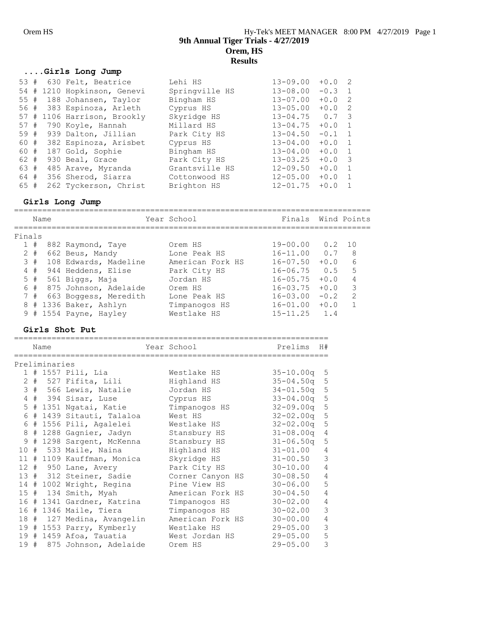# **....Girls Long Jump**

| 53#  | 630 Felt, Beatrice          | Lehi HS        | $13 - 09.00$       | $+0.0$   | $\overline{2}$           |
|------|-----------------------------|----------------|--------------------|----------|--------------------------|
|      | 54 # 1210 Hopkinson, Genevi | Springville HS | $13 - 08.00$       | $-0.3$   | - 1                      |
|      | 55 # 188 Johansen, Taylor   | Bingham HS     | $13 - 07.00$       | $+0.0$   | - 2                      |
| 56 # | 383 Espinoza, Arleth        | Cyprus HS      | $13 - 05.00$       | $+0.0$   | - 2                      |
|      | 57 # 1106 Harrison, Brookly | Skyridge HS    | $13 - 04.75$ 0.7 3 |          |                          |
| 57#  | 790 Koyle, Hannah           | Millard HS     | $13 - 04.75$       | $+0.0$   | $\overline{1}$           |
| 59 # | 939 Dalton, Jillian         | Park City HS   | $13 - 04.50$       | $-0.1$ 1 |                          |
| 60 # | 382 Espinoza, Arisbet       | Cyprus HS      | $13 - 04.00$       | $+0.0$ 1 |                          |
| 60 # | 187 Gold, Sophie            | Bingham HS     | $13 - 04.00$       | $+0.0$   | $\overline{1}$           |
| 62 # | 930 Beal, Grace             | Park City HS   | $13 - 03.25$       | $+0.0$   | $\overline{\phantom{a}}$ |
| 63 # | 485 Arave, Myranda          | Grantsville HS | $12 - 09.50$       | $+0.0$   | - 1                      |
| 64 # | 356 Sherod, Siarra          | Cottonwood HS  | $12 - 05.00$       | $+0.0$   | $\overline{1}$           |
| 65 # | 262 Tyckerson, Christ       | Brighton HS    | $12 - 01.75$       | $+0.0$   |                          |

## **Girls Long Jump**

|        |       | Name |                           | Year School      | Finals Wind Points |        |                |
|--------|-------|------|---------------------------|------------------|--------------------|--------|----------------|
| Finals |       |      |                           |                  |                    |        |                |
|        | 1#    |      | 882 Raymond, Taye         | Orem HS          | $19 - 00.00 0.2$   |        | 10             |
|        | $2 +$ |      | 662 Beus, Mandy           | Lone Peak HS     | $16 - 11.00 0.7$   |        | 8              |
|        | 3#    |      | 108 Edwards, Madeline     | American Fork HS | $16 - 07.50$       | $+0.0$ | 6              |
|        | 4#    |      | 944 Heddens, Elise        | Park City HS     | $16 - 06.75$       | 0.5    | 5              |
|        | 5#    |      | 561 Biggs, Maja           | Jordan HS        | $16 - 05.75$       | $+0.0$ | $\overline{4}$ |
|        |       |      | 6 # 875 Johnson, Adelaide | Orem HS          | $16 - 03.75$       | $+0.0$ | 3              |
|        | 7#    |      | 663 Boggess, Meredith     | Lone Peak HS     | $16 - 03.00$       | $-0.2$ | $\mathcal{L}$  |
| 8      |       |      | # 1336 Baker, Ashlyn      | Timpanogos HS    | $16 - 01.00$       | $+0.0$ |                |
|        |       |      | $9$ # 1554 Payne, Hayley  | Westlake HS      | $15 - 11.25$       | 1.4    |                |
|        |       |      |                           |                  |                    |        |                |

#### **Girls Shot Put**

|                 |   | Name          |                            | Year School      | Prelims       | H#             |
|-----------------|---|---------------|----------------------------|------------------|---------------|----------------|
|                 |   | Preliminaries |                            |                  |               |                |
|                 |   |               |                            |                  |               |                |
|                 |   |               | $1$ # 1557 Pili, Lia       | Westlake HS      | $35 - 10.00q$ | -5             |
|                 |   |               | 2 # 527 Fifita, Lili       | Highland HS      | $35 - 04.50q$ | 5              |
| 3               | # |               | 566 Lewis, Natalie         | Jordan HS        | $34 - 01.50q$ | 5              |
| 4               |   |               | # 394 Sisar, Luse          | Cyprus HS        | $33 - 04.00q$ | 5              |
|                 |   |               | 5 # 1351 Ngatai, Katie     | Timpanogos HS    | $32 - 09.00q$ | 5              |
|                 |   |               | 6 # 1439 Sitauti, Talaloa  | West HS          | $32 - 02.00q$ | 5              |
|                 |   |               | 6 # 1556 Pili, Agalelei    | Westlake HS      | $32 - 02.00q$ | 5              |
|                 |   |               | 8 # 1288 Gagnier, Jadyn    | Stansbury HS     | $31 - 08.00q$ | 4              |
| 9               |   |               | # 1298 Sargent, McKenna    | Stansbury HS     | $31 - 06.50q$ | 5              |
| 10 <sup>°</sup> |   |               | # 533 Maile, Naina         | Highland HS      | $31 - 01.00$  | 4              |
|                 |   |               | 11 # 1109 Kauffman, Monica | Skyridge HS      | $31 - 00.50$  | 3              |
|                 |   |               | 12 # 950 Lane, Avery       | Park City HS     | $30 - 10.00$  | 4              |
|                 |   |               | 13 # 312 Steiner, Sadie    | Corner Canyon HS | $30 - 08.50$  | 4              |
|                 |   |               | 14 # 1002 Wright, Regina   | Pine View HS     | $30 - 06.00$  | 5              |
|                 |   |               | 15 # 134 Smith, Myah       | American Fork HS | $30 - 04.50$  | 4              |
|                 |   |               | 16 # 1341 Gardner, Katrina | Timpanogos HS    | $30 - 02.00$  | 4              |
|                 |   |               | 16 # 1346 Maile, Tiera     | Timpanogos HS    | $30 - 02.00$  | 3              |
|                 |   |               | 18 # 127 Medina, Avangelin | American Fork HS | $30 - 00.00$  | 4              |
|                 |   |               | 19 # 1553 Parry, Kymberly  | Westlake HS      | $29 - 05.00$  | 3              |
|                 |   |               | 19 # 1459 Afoa, Tauatia    | West Jordan HS   | $29 - 05.00$  | 5              |
| 19#             |   |               | 875 Johnson, Adelaide      | Orem HS          | $29 - 05.00$  | $\overline{3}$ |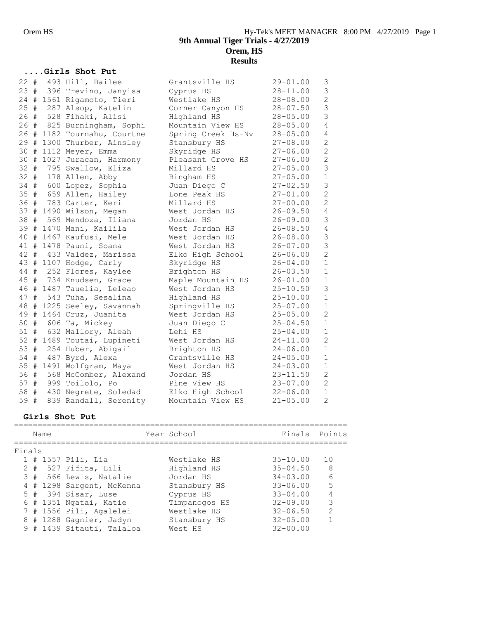#### **....Girls Shot Put**

|  | 22 # 493 Hill, Bailee       | Grantsville HS     | $29 - 01.00$ | 3              |
|--|-----------------------------|--------------------|--------------|----------------|
|  | 23 # 396 Trevino, Janyisa   | Cyprus HS          | $28 - 11.00$ | 3              |
|  | 24 # 1561 Rigamoto, Tieri   | Westlake HS        | $28 - 08.00$ | $\overline{2}$ |
|  | 25 # 287 Alsop, Katelin     | Corner Canyon HS   | $28 - 07.50$ | 3              |
|  | 26 # 528 Fihaki, Alisi      | Highland HS        | $28 - 05.00$ | $\mathfrak{S}$ |
|  | 26 # 825 Burningham, Sophi  | Mountain View HS   | $28 - 05.00$ | $\overline{4}$ |
|  | 26 # 1182 Tournahu, Courtne | Spring Creek Hs-Nv | $28 - 05.00$ | $\overline{4}$ |
|  | 29 # 1300 Thurber, Ainsley  | Stansbury HS       | $27 - 08.00$ | $\overline{c}$ |
|  | 30 # 1112 Meyer, Emma       | Skyridge HS        | $27 - 06.00$ | $\overline{c}$ |
|  | 30 # 1027 Juracan, Harmony  | Pleasant Grove HS  | $27 - 06.00$ | $\overline{c}$ |
|  | 32 # 795 Swallow, Eliza     | Millard HS         | $27 - 05.00$ | 3              |
|  | 32 # 178 Allen, Abby        | Bingham HS         | $27 - 05.00$ | $\mathbf 1$    |
|  | 34 # 600 Lopez, Sophia      | Juan Diego C       | $27 - 02.50$ | 3              |
|  | 35 # 659 Allen, Hailey      | Lone Peak HS       | $27 - 01.00$ | $\overline{c}$ |
|  | 36 # 783 Carter, Keri       | Millard HS         | $27 - 00.00$ | $\overline{c}$ |
|  | 37 # 1490 Wilson, Megan     | West Jordan HS     | $26 - 09.50$ | $\overline{4}$ |
|  | 38 # 569 Mendoza, Iliana    | Jordan HS          | $26 - 09.00$ | 3              |
|  | 39 # 1470 Mani, Kailila     | West Jordan HS     | $26 - 08.50$ | $\overline{4}$ |
|  | 40 # 1467 Kaufusi, Mele     | West Jordan HS     | $26 - 08.00$ | 3              |
|  | 41 # 1478 Pauni, Soana      | West Jordan HS     | $26 - 07.00$ | 3              |
|  | 42 # 433 Valdez, Marissa    | Elko High School   | $26 - 06.00$ | $\overline{c}$ |
|  | 43 # 1107 Hodge, Carly      | Skyridge HS        | $26 - 04.00$ | $\mathbf 1$    |
|  | 44 # 252 Flores, Kaylee     | Brighton HS        | $26 - 03.50$ | $\mathbf 1$    |
|  | 45 # 734 Knudsen, Grace     | Maple Mountain HS  | $26 - 01.00$ | $\mathbf 1$    |
|  | 46 # 1487 Tauelia, Leleao   | West Jordan HS     | $25 - 10.50$ | $\mathsf S$    |
|  | 47 # 543 Tuha, Sesalina     | Highland HS        | $25 - 10.00$ | $\mathbf 1$    |
|  | 48 # 1225 Seeley, Savannah  | Springville HS     | $25 - 07.00$ | $\mathbf 1$    |
|  | 49 # 1464 Cruz, Juanita     | West Jordan HS     | $25 - 05.00$ | $\overline{c}$ |
|  | 50 # 606 Ta, Mickey         | Juan Diego C       | $25 - 04.50$ | $\mathbf 1$    |
|  | 51 # 632 Mallory, Aleah     | Lehi HS            | $25 - 04.00$ | $\mathbf 1$    |
|  | 52 # 1489 Toutai, Lupineti  | West Jordan HS     | $24 - 11.00$ | $\overline{2}$ |
|  | 53 # 254 Huber, Abigail     | Brighton HS        | $24 - 06.00$ | $1\,$          |
|  | 54 # 487 Byrd, Alexa        | Grantsville HS     | $24 - 05.00$ | $\mathbf 1$    |
|  | 55 # 1491 Wolfgram, Maya    | West Jordan HS     | $24 - 03.00$ | $\mathbf 1$    |
|  | 56 # 568 McComber, Alexand  | Jordan HS          | $23 - 11.50$ | $\overline{c}$ |
|  | 57 # 999 Toilolo, Po        | Pine View HS       | $23 - 07.00$ | $\overline{2}$ |
|  | 58 # 430 Negrete, Soledad   | Elko High School   | $22 - 06.00$ | $1\,$          |
|  | 59 # 839 Randall, Serenity  | Mountain View HS   | $21 - 05.00$ | $\overline{2}$ |
|  |                             |                    |              |                |

#### **Girls Shot Put**

|        | Name |                           |  | Year School   |  | Finals Points |               |  |  |  |
|--------|------|---------------------------|--|---------------|--|---------------|---------------|--|--|--|
| Finals |      |                           |  |               |  |               |               |  |  |  |
|        |      | $1$ # 1557 Pili, Lia      |  | Westlake HS   |  | $35 - 10.00$  | 10            |  |  |  |
|        |      | 2 # 527 Fifita, Lili      |  | Highland HS   |  | $35 - 04.50$  | 8             |  |  |  |
|        |      | 3 # 566 Lewis, Natalie    |  | Jordan HS     |  | $34 - 03.00$  | 6             |  |  |  |
|        |      | 4 # 1298 Sargent, McKenna |  | Stansbury HS  |  | $33 - 06.00$  | 5             |  |  |  |
|        |      | 5 # 394 Sisar, Luse       |  | Cyprus HS     |  | $33 - 04.00$  | 4             |  |  |  |
|        |      | $6$ # 1351 Ngatai, Katie  |  | Timpanogos HS |  | $32 - 09.00$  | 3             |  |  |  |
|        |      | 7 # 1556 Pili, Agalelei   |  | Westlake HS   |  | $32 - 06.50$  | $\mathcal{P}$ |  |  |  |
|        |      | 8 # 1288 Gagnier, Jadyn   |  | Stansbury HS  |  | $32 - 05.00$  | 1             |  |  |  |
|        |      | 9 # 1439 Sitauti, Talaloa |  | West HS       |  | $32 - 00.00$  |               |  |  |  |
|        |      |                           |  |               |  |               |               |  |  |  |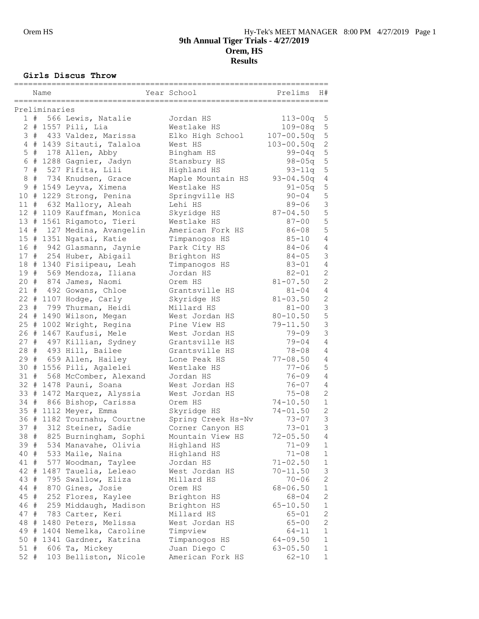## **Girls Discus Throw**

|            |      | Name          |                             | Year School        | Prelims        | H#             |
|------------|------|---------------|-----------------------------|--------------------|----------------|----------------|
|            |      |               |                             |                    |                |                |
|            |      | Preliminaries |                             |                    |                |                |
|            |      |               | 1 # 566 Lewis, Natalie      | Jordan HS          | $113 - 00q$    | 5              |
|            |      |               | 2 # 1557 Pili, Lia          | Westlake HS        | $109 - 08q$    | 5              |
|            |      |               | 3 # 433 Valdez, Marissa     | Elko High School   | $107 - 00.50q$ | 5              |
| 4          |      |               | # 1439 Sitauti, Talaloa     | West HS            | $103 - 00.50q$ | $\sqrt{2}$     |
| 5          | #    |               | 178 Allen, Abby             | Bingham HS         | $99 - 04q$     | 5              |
| $\epsilon$ |      |               | # 1288 Gagnier, Jadyn       | Stansbury HS       | $98 - 05q$     | 5              |
| 7          |      |               | # 527 Fifita, Lili          | Highland HS        | $93 - 11q$     | 5              |
| $\,8\,$    |      |               | # 734 Knudsen, Grace        | Maple Mountain HS  | $93 - 04.50q$  | $\sqrt{4}$     |
| 9          |      |               | # 1549 Leyva, Ximena        | Westlake HS        | $91 - 05q$     | $\mathbf 5$    |
| 10         |      |               | # 1229 Strong, Penina       | Springville HS     | $90 - 04$      | 5              |
| $11$ #     |      |               | 632 Mallory, Aleah          | Lehi HS            | 89-06          | $\mathfrak{Z}$ |
| 12         |      |               | # 1109 Kauffman, Monica     | Skyridge HS        | $87 - 04.50$   | 5              |
|            |      |               | 13 # 1561 Rigamoto, Tieri   | Westlake HS        | $87 - 00$      | 5              |
|            |      |               | 14 # 127 Medina, Avangelin  | American Fork HS   | 86-08          | 5              |
|            |      |               | 15 # 1351 Ngatai, Katie     | Timpanogos HS      | $85 - 10$      | $\sqrt{4}$     |
| 16 #       |      |               | 942 Glasmann, Jaynie        | Park City HS       | 84-06          | $\sqrt{4}$     |
| 17#        |      |               | 254 Huber, Abigail          | Brighton HS        | 84-05          | $\mathsf 3$    |
| 18         |      |               | # 1340 Fisiipeau, Leah      | Timpanogos HS      | $83 - 01$      | $\overline{4}$ |
|            |      |               | 19 # 569 Mendoza, Iliana    | Jordan HS          | $82 - 01$      | $\mathbf{2}$   |
|            |      |               | 20 # 874 James, Naomi       | Orem HS            | $81 - 07.50$   | $\overline{c}$ |
|            |      |               | 21 # 492 Gowans, Chloe      | Grantsville HS     | $81 - 04$      | $\sqrt{4}$     |
|            |      |               | 22 # 1107 Hodge, Carly      | Skyridge HS        | $81 - 03.50$   | $\mathbf{2}$   |
| 23#        |      |               | 799 Thurman, Heidi          | Millard HS         | $81 - 00$      | $\mathfrak{Z}$ |
| 24         |      |               | # 1490 Wilson, Megan        | West Jordan HS     | $80 - 10.50$   | 5              |
| 25         |      |               | # 1002 Wright, Regina       | Pine View HS       | $79 - 11.50$   | 3              |
|            |      |               | 26 # 1467 Kaufusi, Mele     | West Jordan HS     | $79 - 09$      | $\mathcal{S}$  |
| 27#        |      |               | 497 Killian, Sydney         | Grantsville HS     | $79 - 04$      | $\overline{4}$ |
| 28         | #    |               | 493 Hill, Bailee            | Grantsville HS     | $78 - 08$      | $\sqrt{4}$     |
| 29         |      |               | # 659 Allen, Hailey         | Lone Peak HS       | $77 - 08.50$   | $\overline{4}$ |
| 30         |      |               | # 1556 Pili, Agalelei       | Westlake HS        | $77 - 06$      | 5              |
| 31         | #    |               | 568 McComber, Alexand       | Jordan HS          | $76 - 09$      | $\sqrt{4}$     |
|            |      |               | 32 # 1478 Pauni, Soana      | West Jordan HS     | $76 - 07$      | $\sqrt{4}$     |
|            |      |               |                             | West Jordan HS     | $75 - 08$      | $\mathbf{2}$   |
|            |      |               | 33 # 1472 Marquez, Alyssia  |                    |                | $\,1\,$        |
|            |      |               | 34 # 866 Bishop, Carissa    | Orem HS            | $74 - 10.50$   | $\mathbf{2}$   |
|            |      |               | 35 # 1112 Meyer, Emma       | Skyridge HS        | $74 - 01.50$   | $\mathfrak{Z}$ |
|            |      |               | 36 # 1182 Tournahu, Courtne | Spring Creek Hs-Nv | $73 - 07$      | 3              |
| 37         | #    |               | 312 Steiner, Sadie          | Corner Canyon HS   | $73 - 01$      |                |
| 38 #       |      |               | 825 Burningham, Sophi       | Mountain View HS   | $72 - 05.50$   | 4              |
| 39 #       |      |               | 534 Manavahe, Olivia        | Highland HS        | $71 - 09$      | $\mathbf 1$    |
| 40 #       |      |               | 533 Maile, Naina            | Highland HS        | $71 - 08$      | $\mathbf 1$    |
| 41 #       |      |               | 577 Woodman, Taylee         | Jordan HS          | $71 - 02.50$   | $\mathbf 1$    |
| 42 #       |      |               | 1487 Tauelia, Leleao        | West Jordan HS     | $70 - 11.50$   | $\mathsf 3$    |
| 43         | $\#$ |               | 795 Swallow, Eliza          | Millard HS         | $70 - 06$      | $\mathbf{2}$   |
| 44         | $\#$ |               | 870 Gines, Josie            | Orem HS            | $68 - 06.50$   | $\,1\,$        |
| 45         | #    |               | 252 Flores, Kaylee          | Brighton HS        | 68-04          | $\mathbf{2}$   |
| 46         | #    |               | 259 Middaugh, Madison       | Brighton HS        | 65-10.50       | $\mathbf 1$    |
| 47         | #    |               | 783 Carter, Keri            | Millard HS         | $65 - 01$      | $\mathbf{2}$   |
| 48         |      |               | # 1480 Peters, Melissa      | West Jordan HS     | $65 - 00$      | $\mathbf{2}$   |
|            |      |               | 49 # 1404 Nemelka, Caroline | Timpview           | $64 - 11$      | $\mathbf 1$    |
| 50 #       |      |               | 1341 Gardner, Katrina       | Timpanogos HS      | $64 - 09.50$   | $1\,$          |
| 51 #       |      |               | 606 Ta, Mickey              | Juan Diego C       | $63 - 05.50$   | $\mathbf{1}$   |
| 52 #       |      |               | 103 Belliston, Nicole       | American Fork HS   | $62 - 10$      | $\mathbf{1}$   |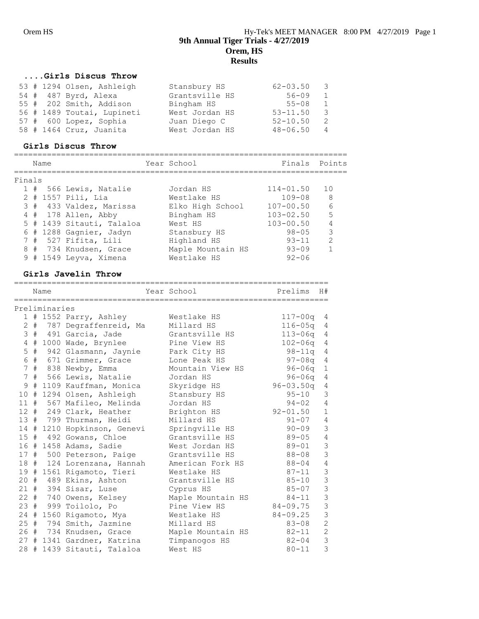#### **....Girls Discus Throw**

|  | 53 # 1294 Olsen, Ashleigh  | Stansbury HS   | $62 - 03.50$   | $\overline{\mathbf{3}}$ |
|--|----------------------------|----------------|----------------|-------------------------|
|  | 54 # 487 Byrd, Alexa       | Grantsville HS | 56-09          | 1                       |
|  | 55 # 202 Smith, Addison    | Bingham HS     | 55-08          | $\overline{1}$          |
|  | 56 # 1489 Toutai, Lupineti | West Jordan HS | $53 - 11.50$   | $\overline{\mathbf{3}}$ |
|  | 57 # 600 Lopez, Sophia     | Juan Diego C   | $52 - 10.50$   | 2                       |
|  | 58 # 1464 Cruz, Juanita    | West Jordan HS | $48 - 06.50$ 4 |                         |

#### **Girls Discus Throw**

|        | Name |                           | Year School       | Finals Points |               |
|--------|------|---------------------------|-------------------|---------------|---------------|
| Finals |      |                           |                   |               |               |
|        |      | 1 # 566 Lewis, Natalie    | Jordan HS         | $114 - 01.50$ | 10            |
|        |      | 2 # 1557 Pili, Lia        | Westlake HS       | 109-08        | 8             |
|        |      | 3 # 433 Valdez, Marissa   | Elko High School  | $107 - 00.50$ | 6             |
|        |      | $4#178$ Allen, Abby       | Bingham HS        | $103 - 02.50$ | 5             |
|        |      | 5 # 1439 Sitauti, Talaloa | West HS           | $103 - 00.50$ | 4             |
|        |      | 6 # 1288 Gagnier, Jadyn   | Stansbury HS      | $98 - 05$     | 3             |
|        |      | $7$ # 527 Fifita, Lili    | Highland HS       | $93 - 11$     | $\mathcal{L}$ |
|        |      | 8 # 734 Knudsen, Grace    | Maple Mountain HS | $93 - 09$     | 1             |
|        |      | 9 # 1549 Leyva, Ximena    | Westlake HS       | $92 - 06$     |               |

#### **Girls Javelin Throw**

|     |             | Name          |                            | Year School       | Prelims       | H#                          |
|-----|-------------|---------------|----------------------------|-------------------|---------------|-----------------------------|
|     |             | Preliminaries |                            |                   |               |                             |
|     |             |               | 1 # 1552 Parry, Ashley     | Westlake HS       | $117 - 00q$   | 4                           |
| 2   | #           |               | 787 Degraffenreid, Ma      | Millard HS        | $116 - 05q$   | 4                           |
| 3   |             |               | # 491 Garcia, Jade         | Grantsville HS    | $113 - 06q$   | $\overline{4}$              |
| 4   |             |               | # 1000 Wade, Brynlee       | Pine View HS      | $102 - 06q$   | $\overline{4}$              |
| 5   | $\#$        |               | 942 Glasmann, Jaynie       | Park City HS      | $98 - 11q$    | $\sqrt{4}$                  |
| 6   | #           |               | 671 Grimmer, Grace         | Lone Peak HS      | $97 - 08q$    | $\sqrt{4}$                  |
| 7   | #           |               | 838 Newby, Emma            | Mountain View HS  | $96 - 06q$    | $1\,$                       |
| 7   | $_{\rm \#}$ |               | 566 Lewis, Natalie         | Jordan HS         | 96-06q        | 4                           |
| 9   |             |               | # 1109 Kauffman, Monica    | Skyridge HS       | $96 - 03.50q$ | $\overline{4}$              |
|     |             |               | 10 # 1294 Olsen, Ashleigh  | Stansbury HS      | $95 - 10$     | $\mathfrak{Z}$              |
|     |             |               | 11 # 567 Mafileo, Melinda  | Jordan HS         | $94 - 02$     | $\overline{4}$              |
|     |             |               | 12 # 249 Clark, Heather    | Brighton HS       | $92 - 01.50$  | $\mathbf{1}$                |
| 13  | #           |               | 799 Thurman, Heidi         | Millard HS        | $91 - 07$     | $\overline{4}$              |
| 14  |             |               | # 1210 Hopkinson, Genevi   | Springville HS    | $90 - 09$     | $\mathfrak{Z}$              |
| 15# |             |               | 492 Gowans, Chloe          | Grantsville HS    | $89 - 05$     | $\overline{4}$              |
|     |             |               | 16 # 1458 Adams, Sadie     | West Jordan HS    | 89-01         | $\frac{3}{3}$               |
|     |             |               | 17 # 500 Peterson, Paige   | Grantsville HS    | 88-08         |                             |
|     |             |               | 18 # 124 Lorenzana, Hannah | American Fork HS  | $88 - 04$     | $\overline{4}$              |
|     |             |               | 19 # 1561 Rigamoto, Tieri  | Westlake HS       | $87 - 11$     | $\mathfrak{Z}$              |
|     |             |               | 20 # 489 Ekins, Ashton     | Grantsville HS    | $85 - 10$     | $\mathfrak{Z}$              |
|     |             |               | 21 # 394 Sisar, Luse       | Cyprus HS         | $85 - 07$     | $\mathfrak{Z}$              |
|     |             |               | 22 # 740 Owens, Kelsey     | Maple Mountain HS | $84 - 11$     | $\mathcal{S}_{\mathcal{S}}$ |
| 23# |             |               | 999 Toilolo, Po            | Pine View HS      | $84 - 09.75$  | $\mathfrak{Z}$              |
| 24# |             |               | 1560 Rigamoto, Mya         | Westlake HS       | $84 - 09.25$  | $\overline{3}$              |
|     |             |               | 25 # 794 Smith, Jazmine    | Millard HS        | $83 - 08$     | $\overline{c}$              |
|     |             |               | 26 # 734 Knudsen, Grace    | Maple Mountain HS | $82 - 11$     | $\overline{c}$              |
|     |             |               | 27 # 1341 Gardner, Katrina | Timpanogos HS     | $82 - 04$     | $\mathfrak{Z}$              |
|     |             |               | 28 # 1439 Sitauti, Talaloa | West HS           | $80 - 11$     | $\overline{3}$              |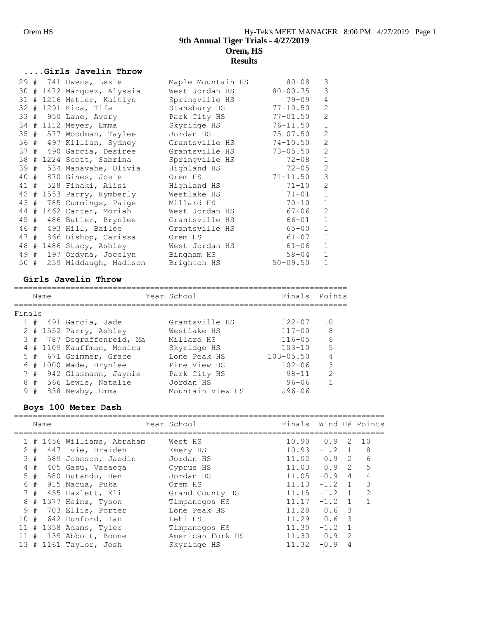| Girls Javelin Throw |  |                            |                   |              |                |  |  |  |  |  |
|---------------------|--|----------------------------|-------------------|--------------|----------------|--|--|--|--|--|
|                     |  | 29 # 741 Owens, Lexie      | Maple Mountain HS | 80-08        | 3              |  |  |  |  |  |
|                     |  | 30 # 1472 Marquez, Alyssia | West Jordan HS    | $80 - 00.75$ | 3              |  |  |  |  |  |
|                     |  | 31 # 1216 Metler, Kaitlyn  | Springville HS    | $79 - 09$    | 4              |  |  |  |  |  |
|                     |  | 32 # 1291 Kioa, Tifa       | Stansbury HS      | $77 - 10.50$ | $\overline{2}$ |  |  |  |  |  |
|                     |  | 33 # 950 Lane, Avery       | Park City HS      | $77 - 01.50$ | $\overline{2}$ |  |  |  |  |  |
|                     |  | 34 # 1112 Meyer, Emma      | Skyridge HS       | $76 - 11.50$ | $\mathbf{1}$   |  |  |  |  |  |
|                     |  | 35 # 577 Woodman, Taylee   | Jordan HS         | $75 - 07.50$ | $\overline{2}$ |  |  |  |  |  |
|                     |  | 36 # 497 Killian, Sydney   | Grantsville HS    | 74-10.50     | $\overline{2}$ |  |  |  |  |  |
|                     |  | 37 # 490 Garcia, Desiree   | Grantsville HS    | $73 - 05.50$ | $\overline{2}$ |  |  |  |  |  |
|                     |  | 38 # 1224 Scott, Sabrina   | Springville HS    | $72 - 08$    | $\mathbf{1}$   |  |  |  |  |  |
|                     |  | 39 # 534 Manavahe, Olivia  | Highland HS       | $72 - 05$    | $\mathbf{2}$   |  |  |  |  |  |
|                     |  | 40 # 870 Gines, Josie      | Orem HS           | $71 - 11.50$ | 3              |  |  |  |  |  |
|                     |  | 41 # 528 Fihaki, Alisi     | Highland HS       | $71 - 10$    | $\overline{2}$ |  |  |  |  |  |
|                     |  | 42 # 1553 Parry, Kymberly  | Westlake HS       | $71 - 01$    | $\mathbf{1}$   |  |  |  |  |  |
|                     |  | 43 # 785 Cummings, Paige   | Millard HS        | $70 - 10$    | $\mathbf{1}$   |  |  |  |  |  |
|                     |  | 44 # 1462 Carter, Moriah   | West Jordan HS    | 67-06        | $\overline{c}$ |  |  |  |  |  |
|                     |  | 45 # 486 Butler, Brynlee   | Grantsville HS    | 66-01        | $\mathbf{1}$   |  |  |  |  |  |
|                     |  | 46 # 493 Hill, Bailee      | Grantsville HS    | 65-00        | $\mathbf{1}$   |  |  |  |  |  |
|                     |  | 47 # 866 Bishop, Carissa   | Orem HS           | $61 - 07$    | $\mathbf{1}$   |  |  |  |  |  |
|                     |  | 48 # 1486 Stacy, Ashley    | West Jordan HS    | 61-06        | $\mathbf{1}$   |  |  |  |  |  |
|                     |  | 49 # 197 Ordyna, Jocelyn   | Bingham HS        | $58 - 04$    | $\mathbf{1}$   |  |  |  |  |  |
|                     |  | 50 # 259 Middaugh, Madison | Brighton HS       | $50 - 09.50$ | $\mathbf{1}$   |  |  |  |  |  |

## **Girls Javelin Throw**

|        |    | Name |                           | Year School      |               | Finals Points  |
|--------|----|------|---------------------------|------------------|---------------|----------------|
| Finals |    |      |                           |                  |               |                |
|        |    |      | $1$ # 491 Garcia, Jade    | Grantsville HS   | $122 - 07$    | 10             |
|        |    |      | $2$ # 1552 Parry, Ashley  | Westlake HS      | $117 - 00$    | - 8            |
|        |    |      | 3 # 787 Degraffenreid, Ma | Millard HS       | $116 - 05$    | - 6            |
|        |    |      | 4 # 1109 Kauffman, Monica | Skyridge HS      | $103 - 10$    | $\overline{5}$ |
|        |    |      | 5 # 671 Grimmer, Grace    | Lone Peak HS     | $103 - 05.50$ | $\overline{4}$ |
|        |    |      | $6$ # 1000 Wade, Brynlee  | Pine View HS     | $102 - 06$    | 3              |
|        |    |      | 7 # 942 Glasmann, Jaynie  | Park City HS     | $98 - 11$     | $\mathcal{L}$  |
|        |    |      | 8 # 566 Lewis, Natalie    | Jordan HS        | $96 - 06$     | $\overline{1}$ |
|        | 9# |      | 838 Newby, Emma           | Mountain View HS | J96-06        |                |

### **Boys 100 Meter Dash**

|     |       | Name |                          | Year School      | Finals         |          |                | Wind H# Points |
|-----|-------|------|--------------------------|------------------|----------------|----------|----------------|----------------|
|     |       |      | # 1456 Williams, Abraham | West HS          | 10.90          | 0.9      | 2              | 10             |
| 2   | #     |      | 447 Ivie, Braiden        | Emery HS         | 10.93          | $-1.2$ 1 |                | 8              |
| 3#  |       |      | 589 Johnson, Jaedin      | Jordan HS        | 11.02          | 0.92     |                | 6              |
|     | $4$ # |      | 405 Gasu, Vaeaega        | Cyprus HS        | $11.03 \t 0.9$ |          | 2              | 5              |
|     | $5$ # |      | 580 Butandu, Ben         | Jordan HS        | 11.05          | $-0.9$   | 4              |                |
|     | 6#    |      | 915 Nacua, Puka          | Orem HS          | 11.13          | $-1.2$   | $\overline{1}$ | 3              |
| 7#  |       |      | 455 Hazlett, Eli         | Grand County HS  | 11.15          | $-1.2$   | $\overline{1}$ | $\mathcal{L}$  |
| 8   | #     |      | 1377 Heinz, Tyson        | Timpanogos HS    | 11.17          | $-1.2$   | $\overline{1}$ |                |
| 9   | #     |      | 703 Ellis, Porter        | Lone Peak HS     | 11.28          | 0.6      | 3              |                |
| 10# |       |      | 642 Dunford, Ian         | Lehi HS          | 11.29          | 0.6      | -3             |                |
| 11  | #     |      | 1358 Adams, Tyler        | Timpanogos HS    | 11.30          | $-1.2$   | $\overline{1}$ |                |
| 11  | #     |      | 139 Abbott, Boone        | American Fork HS | 11.30          | 0.9      | 2              |                |
|     |       |      | 13 # 1161 Taylor, Josh   | Skyridge HS      | 11.32          | $-0.9$   |                |                |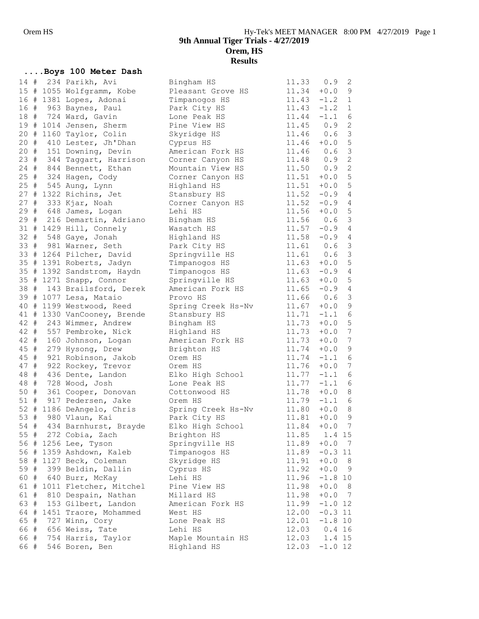**....Boys 100 Meter Dash**

|        |      | 14 # 234 Parikh, Avi                     | Bingham HS                  | 11.33         | 0.9       | 2                |
|--------|------|------------------------------------------|-----------------------------|---------------|-----------|------------------|
|        |      | 15 # 1055 Wolfgramm, Kobe                | Pleasant Grove HS           | 11.34         | $+0.0$    | 9                |
|        |      | 16 # 1381 Lopes, Adonai                  | Timpanogos HS               | 11.43         | $-1.2$    | $1\,$            |
|        |      | 16 # 963 Baynes, Paul                    | Park City HS                | 11.43         | $-1.2$    | $\mathbf{1}$     |
| 18     | #    | 724 Ward, Gavin                          | Lone Peak HS                | 11.44         | $-1.1$    | $\sqrt{6}$       |
| 19     |      | # 1014 Jensen, Sherm                     | Pine View HS                | 11.45         | 0.9       | $\sqrt{2}$       |
| 20     |      | # 1160 Taylor, Colin                     | Skyridge HS                 | 11.46         | 0.6       | $\mathfrak{Z}$   |
|        |      | 20 # 410 Lester, Jh'Dhan                 | Cyprus HS                   | $11.46 + 0.0$ |           | $\mathsf S$      |
| 20 #   |      | 151 Downing, Devin                       | American Fork HS            | 11.46         | 0.6       | $\mathsf 3$      |
| 23     | #    | 344 Taggart, Harrison                    | Corner Canyon HS            | 11.48         | 0.9       | $\mathbf{2}$     |
| 24     | #    | 844 Bennett, Ethan                       | Mountain View HS            | 11.50         | 0.9       | $\mathbf{2}$     |
| 25     | #    | 324 Hagen, Cody                          | Corner Canyon HS            | 11.51         | $+0.0$    | $\mathsf 5$      |
| $25$ # |      | 545 Aung, Lynn                           | Highland HS                 | 11.51         | $+0.0$    | $\mathsf S$      |
|        |      | 27 # 1322 Richins, Jet                   | Stansbury HS                | 11.52         | $-0.9$    | $\sqrt{4}$       |
| 27     | #    | 333 Kjar, Noah                           | Corner Canyon HS            | 11.52         | $-0.9$    | 4                |
| 29 #   |      | 648 James, Logan                         | Lehi HS                     | 11.56         | $+0.0$    | $\mathsf S$      |
| 29     |      | # 216 Demartin, Adriano                  | Bingham HS                  | 11.56         | 0.6       | $\mathfrak{Z}$   |
| 31     |      | # 1429 Hill, Connely                     | Wasatch HS                  | 11.57         | $-0.9$    | $\overline{4}$   |
| 32 #   |      |                                          |                             | 11.58         |           | $\overline{4}$   |
|        |      | 548 Gaye, Jonah<br>33 # 981 Warner, Seth | Highland HS<br>Park City HS |               | $-0.9$    |                  |
|        |      |                                          |                             | 11.61         | 0.6       | $\mathfrak{Z}$   |
|        |      | 33 # 1264 Pilcher, David                 | Springville HS              | 11.61         | 0.6       | $\mathsf 3$      |
|        |      | 35 # 1391 Roberts, Jadyn                 | Timpanogos HS               | 11.63         | $+0.0$    | $\mathsf S$      |
| 35     |      | # 1392 Sandstrom, Haydn                  | Timpanogos HS               | 11.63         | $-0.9$    | $\overline{4}$   |
| 35     |      | # 1271 Snapp, Connor                     | Springville HS              | 11.63         | $+0.0$    | 5                |
|        |      | 38 # 143 Brailsford, Derek               | American Fork HS            | 11.65         | $-0.9$    | $\overline{4}$   |
|        |      | 39 # 1077 Lesa, Mataio                   | Provo HS                    | 11.66         | 0.6       | $\mathfrak{Z}$   |
|        |      | 40 # 1199 Westwood, Reed                 | Spring Creek Hs-Nv          | 11.67         | $+0.0$    | $\mathsf 9$      |
| 41 #   |      | 1330 VanCooney, Brende                   | Stansbury HS                | 11.71         | $-1.1$    | $\sqrt{6}$       |
| 42     | #    | 243 Wimmer, Andrew                       | Bingham HS                  | 11.73         | $+0.0$    | $\mathsf S$      |
| 42     | #    | 557 Pembroke, Nick                       | Highland HS                 | 11.73         | $+0.0$    | $7\phantom{.0}$  |
| 42     | #    | 160 Johnson, Logan                       | American Fork HS            | 11.73         | $+0.0$ 7  |                  |
| 45     | #    | 279 Hysong, Drew                         | Brighton HS                 | 11.74         | $+0.0$    | $\overline{9}$   |
| 45     | #    | 921 Robinson, Jakob                      | Orem HS                     | 11.74         | $-1.1$    | $\sqrt{6}$       |
| 47     | $\#$ | 922 Rockey, Trevor                       | Orem HS                     | 11.76         | $+0.0$    | $\overline{7}$   |
| 48     | #    | 436 Dente, Landon                        | Elko High School            | 11.77         | $-1.1$    | $\sqrt{6}$       |
| 48     | #    | 728 Wood, Josh                           | Lone Peak HS                | 11.77         | $-1.1$    | $\sqrt{6}$       |
| 50     | #    | 361 Cooper, Donovan                      | Cottonwood HS               | 11.78         | $+0.0$    | 8                |
| 51 #   |      | 917 Pedersen, Jake                       | Orem HS                     | $11.79 - 1.1$ |           | 6                |
|        |      | 52 # 1186 DeAngelo, Chris                | Spring Creek Hs-Nv          | 11.80         | $+0.0$    | $\,8\,$          |
| 53 #   |      | 980 Vlaun, Kai                           | Park City HS                | 11.81         | $+0.0$    | $\mathsf 9$      |
| 54     | #    | 434 Barnhurst, Brayde                    | Elko High School            | 11.84         | $+0.0$    | $\boldsymbol{7}$ |
|        |      | 55 # 272 Cobia, Zach                     | Brighton HS                 | 11.85         | 1.4 15    |                  |
|        |      | 56 # 1256 Lee, Tyson                     | Springville HS              | 11.89         | $+0.0$    | $\overline{7}$   |
|        |      | 56 # 1359 Ashdown, Kaleb                 | Timpanogos HS               | 11.89         | $-0.3$ 11 |                  |
|        |      | 58 # 1127 Beck, Coleman                  | Skyridge HS                 | 11.91         | $+0.0$    | - 8              |
| 59 #   |      | 399 Beldin, Dallin                       | Cyprus HS                   | 11.92         | $+0.0$    | 9                |
| 60 #   |      | 640 Burr, McKay                          | Lehi HS                     | 11.96         | $-1.8$ 10 |                  |
| 61     | #    | 1011 Fletcher, Mitchel                   | Pine View HS                | 11.98         | $+0.0$    | 8                |
| 61 #   |      | 810 Despain, Nathan                      | Millard HS                  | 11.98         | $+0.0$    | $\overline{7}$   |
| 63 #   |      | 153 Gilbert, Landon                      | American Fork HS            | 11.99         | $-1.0$ 12 |                  |
| 64 #   |      | 1451 Traore, Mohammed                    | West HS                     | 12.00         | $-0.3$ 11 |                  |
| 65 #   |      | 727 Winn, Cory                           | Lone Peak HS                | 12.01         | $-1.8$ 10 |                  |
| 66 #   |      | 656 Weiss, Tate                          | Lehi HS                     | 12.03         | 0.4 16    |                  |
| 66     | #    | 754 Harris, Taylor                       | Maple Mountain HS           | 12.03         | 1.4 15    |                  |
| 66 #   |      | 546 Boren, Ben                           | Highland HS                 | 12.03         | $-1.0$ 12 |                  |
|        |      |                                          |                             |               |           |                  |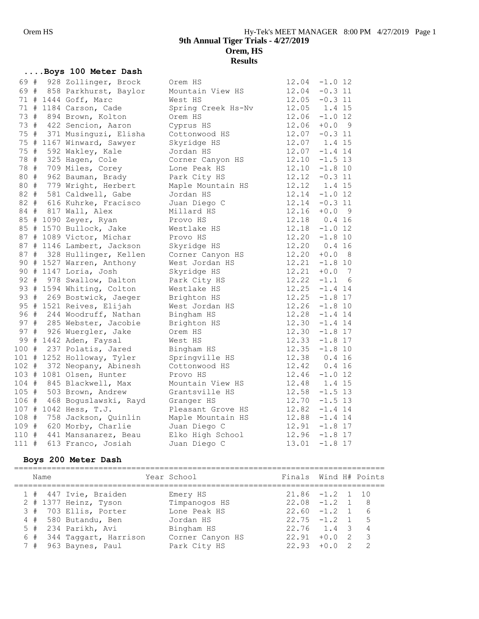|       |  | Boys 100 Meter Dash         |                    |               |                          |
|-------|--|-----------------------------|--------------------|---------------|--------------------------|
| 69 #  |  | 928 Zollinger, Brock        | Orem HS            | 12.04         | $-1.0$ 12                |
|       |  | 69 # 858 Parkhurst, Baylor  | Mountain View HS   | 12.04         | $-0.3$ 11                |
|       |  | 71 # 1444 Goff, Marc        | West HS            | 12.05         | $-0.3$ 11                |
|       |  | 71 # 1184 Carson, Cade      | Spring Creek Hs-Nv | 12.05         | 1.4 15                   |
|       |  | 73 # 894 Brown, Kolton      | Orem HS            | 12.06         | $-1.0 12$                |
|       |  | 73 # 422 Sencion, Aaron     | Cyprus HS          | 12.06         | $+0.0$<br>- 9            |
|       |  | 75 # 371 Musinguzi, Elisha  | Cottonwood HS      | 12.07         | $-0.3$ 11                |
|       |  | 75 # 1167 Winward, Sawyer   | Skyridge HS        | 12.07         | 1.4 15                   |
|       |  | 75 # 592 Wakley, Kale       | Jordan HS          | 12.07         | $-1.4$ 14                |
|       |  | 78 # 325 Hagen, Cole        | Corner Canyon HS   | 12.10         | $-1.5$ 13                |
|       |  | 78 # 709 Miles, Corey       | Lone Peak HS       | 12.10         | $-1.8$ 10                |
|       |  | 80 # 962 Bauman, Brady      | Park City HS       | 12.12         | $-0.3$ 11                |
|       |  | 80 # 779 Wright, Herbert    | Maple Mountain HS  | 12.12         | 1.4 15                   |
|       |  | 82 # 581 Caldwell, Gabe     | Jordan HS          | 12.14         | $-1.0$ 12                |
|       |  | 82 # 616 Kuhrke, Fracisco   | Juan Diego C       | 12.14         | $-0.3$ 11                |
|       |  | 84 # 817 Wall, Alex         | Millard HS         | 12.16         | $+0.0$<br>- 9            |
|       |  | 85 # 1090 Zeyer, Ryan       | Provo HS           | 12.18         | $0.4$ 16                 |
|       |  | 85 # 1570 Bullock, Jake     | Westlake HS        | 12.18         | $-1.0$ 12                |
|       |  | 87 # 1089 Victor, Michar    | Provo HS           | 12.20         | $-1.8$ 10                |
|       |  | 87 # 1146 Lambert, Jackson  | Skyridge HS        | 12.20         | 0.4 16                   |
|       |  | 87 # 328 Hullinger, Kellen  | Corner Canyon HS   | 12.20         | $+0.0$<br>8              |
|       |  | 90 # 1527 Warren, Anthony   | West Jordan HS     | 12.21         | $-1.8$ 10                |
|       |  | 90 # 1147 Loria, Josh       | Skyridge HS        | 12.21         | $+0.0$<br>$\overline{7}$ |
|       |  | 92 # 978 Swallow, Dalton    | Park City HS       | $12.22 - 1.1$ | 6                        |
|       |  | 93 # 1594 Whiting, Colton   | Westlake HS        | 12.25         | $-1.4$ 14                |
|       |  | 93 # 269 Bostwick, Jaeger   | Brighton HS        | 12.25         | $-1.8$ 17                |
|       |  | 95 # 1521 Reives, Elijah    | West Jordan HS     | 12.26         | $-1.8$ 10                |
|       |  | 96 # 244 Woodruff, Nathan   | Bingham HS         | 12.28         | $-1.4$ 14                |
|       |  | 97 # 285 Webster, Jacobie   | Brighton HS        | 12.30         | $-1.4$ 14                |
|       |  | 97 # 926 Wuergler, Jake     | Orem HS            | 12.30         | $-1.8$ 17                |
|       |  | 99 # 1442 Aden, Faysal      | West HS            | 12.33         | $-1.8$ 17                |
|       |  | 100 # 237 Polatis, Jared    | Bingham HS         | 12.35         | $-1.8$ 10                |
|       |  | 101 # 1252 Holloway, Tyler  | Springville HS     | 12.38         | 0.4 16                   |
|       |  | 102 # 372 Neopany, Abinesh  | Cottonwood HS      | 12.42         | 0.4 16                   |
|       |  | 103 # 1081 Olsen, Hunter    | Provo HS           | 12.46         | $-1.0$ 12                |
|       |  | 104 # 845 Blackwell, Max    | Mountain View HS   | 12.48         | 1.4 15                   |
|       |  | 105 # 503 Brown, Andrew     | Grantsville HS     | 12.58         | $-1.5$ 13                |
|       |  | 106 # 468 Boguslawski, Rayd | Granger HS         | 12.70         | $-1.5$ 13                |
|       |  | 107 # 1042 Hess, T.J.       | Pleasant Grove HS  | 12.82         | $-1.4$ 14                |
|       |  | 108 # 758 Jackson, Quinlin  | Maple Mountain HS  | 12.88         | $-1.4$ 14                |
|       |  | 109 # 620 Morby, Charlie    | Juan Diego C       | 12.91         | $-1.8$ 17                |
|       |  | 110 # 441 Mansanarez, Beau  | Elko High School   | 12.96         | $-1.8$ 17                |
| 111 # |  | 613 Franco, Josiah          | Juan Diego C       | 13.01         | $-1.8$ 17                |

## **Boys 200 Meter Dash**

| Name |                           | Year School      | Finals Wind H# Points |  |                |
|------|---------------------------|------------------|-----------------------|--|----------------|
|      | 1 # 447 Ivie, Braiden     | Emery HS         | $21.86 - 1.2 1 10$    |  |                |
|      | 2 # 1377 Heinz, Tyson     | Timpanogos HS    | $22.08 - 1.2 1 8$     |  |                |
|      | 3 # 703 Ellis, Porter     | Lone Peak HS     | $22.60 -1.2 1 6$      |  |                |
|      | 4 # 580 Butandu, Ben      | Jordan HS        | $22.75 - 1.2 1$       |  | $5^{\circ}$    |
|      | $5$ # 234 Parikh, Avi     | Bingham HS       | 22.76 1.4 3           |  | $\overline{4}$ |
|      | 6 # 344 Taggart, Harrison | Corner Canyon HS | $22.91 + 0.0 2$       |  | 3              |
|      | 7 # 963 Baynes, Paul      | Park City HS     | $22.93 + 0.0 2$       |  | $\mathcal{P}$  |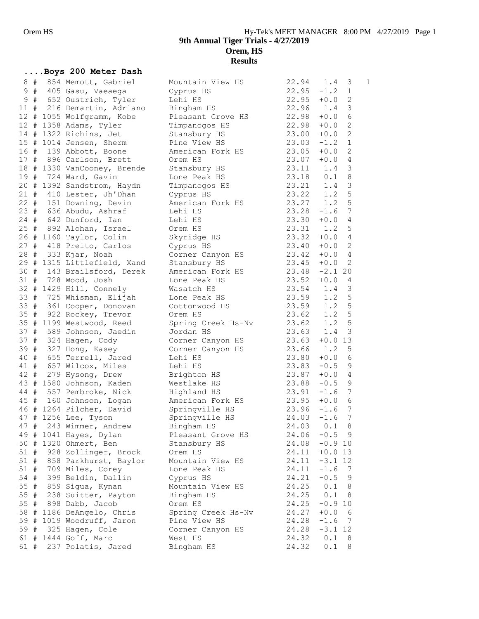**....Boys 200 Meter Dash**

| 8 # | 854 Memott, Gabriel                                                          | Mountain View HS                                            | 22.94                      | 1.4       | 3            | $\mathbf{1}$ |
|-----|------------------------------------------------------------------------------|-------------------------------------------------------------|----------------------------|-----------|--------------|--------------|
|     | 9 # 405 Gasu, Vaeaega                                                        | Cyprus HS                                                   | 22.95                      | $-1.2$ 1  |              |              |
|     | 9 # 652 Oustrich, Tyler                                                      | Lehi HS                                                     | 22.95                      | $+0.0$    | 2            |              |
|     | 11 # 216 Demartin, Adriano                                                   | Bingham HS                                                  | 22.96 1.4                  |           | 3            |              |
|     | 12 # 1055 Wolfgramm, Kobe                                                    | Pleasant Grove HS                                           | 22.98                      | $+0.0$    | 6            |              |
|     | 12 # 1358 Adams, Tyler                                                       | Timpanogos HS                                               | 22.98                      | $+0.0$    | $\sqrt{2}$   |              |
|     | 14 # 1322 Richins, Jet                                                       | Stansbury HS                                                | 23.00                      | $+0.0$    | $\sqrt{2}$   |              |
|     | 15 # 1014 Jensen, Sherm                                                      | Pine View HS                                                |                            | $-1.2$    | $\mathbf{1}$ |              |
|     | 16 # 139 Abbott, Boone                                                       | American Fork HS                                            | 23.03<br>23.05             | $+0.0$    | $\sqrt{2}$   |              |
|     | 17 # 896 Carlson, Brett                                                      | Orem HS                                                     | 23.07                      | $+0.0$    | 4            |              |
|     | 18 # 1330 VanCooney, Brende                                                  | Stansbury HS                                                | 23.11 1.4                  |           | 3            |              |
|     | 19 # 724 Ward, Gavin                                                         | Lone Peak HS                                                | 23.18 0.1 8                |           |              |              |
|     | 20 # 1392 Sandstrom, Haydn                                                   | Timpanogos HS                                               | 23.21 1.4 3                |           |              |              |
|     | 21 # 410 Lester, Jh'Dhan                                                     | Cyprus HS                                                   |                            |           |              |              |
|     | 22 # 151 Downing, Devin                                                      | American Fork HS                                            | 23.22 1.2 5<br>23.27 1.2 5 |           |              |              |
|     | 23 # 636 Abudu, Ashraf                                                       | Lehi HS                                                     | $23.28 - 1.6$              |           | 7            |              |
|     | 24 # 642 Dunford, Ian                                                        | Lehi HS                                                     | 23.30                      | $+0.0$    | 4            |              |
|     | 25 # 892 Alohan, Israel                                                      | Orem HS                                                     | 23.31 1.2                  |           | $\mathsf S$  |              |
|     | 26 # 1160 Taylor, Colin                                                      | Skyridge HS                                                 | 23.32                      | $+0.04$   |              |              |
|     | 27 # 418 Preito, Carlos                                                      | Cyprus HS                                                   |                            | $+0.0$    | $\mathbf{2}$ |              |
|     | 28 # 333 Kjar, Noah                                                          | Cyprus<br>Corner Canyon HS $23.42$<br>$\frac{23.42}{23.45}$ | 23.40<br>23.42             | $+0.04$   |              |              |
|     | 29 # 1315 Littlefield, Xand                                                  |                                                             |                            | $+0.0$ 2  |              |              |
|     | 30 # 143 Brailsford, Derek                                                   | American Fork HS                                            | 23.48                      | $-2.1$ 20 |              |              |
|     | 31 # 728 Wood, Josh                                                          | Lone Peak HS                                                | 23.52                      | $+0.04$   |              |              |
|     | 32 # 1429 Hill, Connely                                                      | Wasatch HS                                                  | 23.54 1.4 3                |           |              |              |
|     | 33 # 725 Whisman, Elijah                                                     | Lone Peak HS                                                |                            |           |              |              |
|     | 33 # 361 Cooper, Donovan                                                     | Cottonwood HS                                               | 23.59 1.2 5<br>23.59 1.2 5 |           |              |              |
|     | 35 # 922 Rockey, Trevor                                                      | Orem HS                                                     | $23.62$ 1.2                |           | 5            |              |
|     | 35 # 1199 Westwood, Reed                                                     | Spring Creek Hs-Nv                                          | 23.62                      | 1.2       | 5            |              |
|     | 37 # 589 Johnson, Jaedin                                                     | Jordan HS                                                   | 23.63                      | 1.4       | 3            |              |
|     | 37 # 324 Hagen, Cody                                                         | Corner Canyon HS                                            | 23.63                      | $+0.0$ 13 |              |              |
|     | 39 # 327 Hong, Kasey                                                         |                                                             | 23.66                      | 1.2       | 5            |              |
|     | 40 # 655 Terrell, Jared                                                      | Corner Canyon HS<br>Lehi HS                                 | 23.80                      | $+0.0$    | $6\,$        |              |
|     | 41 # 657 Wilcox, Miles                                                       | Lehi HS                                                     | 23.83                      | $-0.5$    | $\,9$        |              |
|     | 42 # 279 Hysong, Drew                                                        | Brighton HS                                                 | 23.87                      | $+0.04$   |              |              |
|     | 43 # 1580 Johnson, Kaden                                                     | Westlake HS                                                 | 23.88                      | $-0.5$ 9  |              |              |
|     | 44 # 557 Pembroke, Nick                                                      | Highland HS                                                 | 23.91                      | $-1.6$ 7  |              |              |
|     |                                                                              |                                                             | $23.95 + 0.06$             |           |              |              |
|     | 45 # 160 Johnson, Logan                                                      | American Fork HS                                            | $23.96 -1.6$ 7             |           |              |              |
|     | $46$ # 1264 Pilcher, David<br>$47$ # 1256 Iss. These<br>47 # 1256 Lee, Tyson | Springville HS<br>Springville HS<br>Springville HS          | 24.03                      | $-1.6$    | 7            |              |
|     | 47 # 243 Wimmer, Andrew                                                      |                                                             | 24.03  0.1  8              |           |              |              |
|     |                                                                              | Bingham HS                                                  | 24.06                      | $-0.5$ 9  |              |              |
|     | 49 # 1041 Hayes, Dylan<br>50 # 1320 Ohmert, Ben                              | Pleasant Grove HS                                           |                            | $-0.9 10$ |              |              |
|     |                                                                              | Stansbury HS                                                | 24.08                      |           |              |              |
|     | 51 # 928 Zollinger, Brock                                                    | Orem HS                                                     | 24.11                      | $+0.0$ 13 |              |              |
|     | 51 # 858 Parkhurst, Baylor                                                   | Mountain View HS                                            | 24.11                      | $-3.1$ 12 |              |              |
|     | 51 # 709 Miles, Corey                                                        | Lone Peak HS                                                | 24.11                      | $-1.6$ 7  |              |              |
|     | 54 # 399 Beldin, Dallin                                                      | Cyprus HS                                                   | 24.21                      | $-0.5$    | 9            |              |
|     | 55 # 859 Sigua, Kynan                                                        | Mountain View HS                                            | 24.25                      | 0.1       | 8            |              |
|     | 55 # 238 Suitter, Payton                                                     | Bingham HS                                                  | 24.25  0.1  8              |           |              |              |
|     | 55 # 898 Dabb, Jacob                                                         | Orem HS                                                     | 24.25                      | $-0.9$ 10 |              |              |
|     | 58 # 1186 DeAngelo, Chris                                                    | Spring Creek Hs-Nv                                          | 24.27                      | $+0.06$   |              |              |
|     | 59 # 1019 Woodruff, Jaron                                                    | Pine View HS                                                | 24.28                      | $-1.6$ 7  |              |              |
|     | 59 # 325 Hagen, Cole                                                         | Corner Canyon HS                                            | 24.28                      | $-3.1$ 12 |              |              |
|     | 61 # 1444 Goff, Marc                                                         | West HS                                                     | 24.32                      | 0.1       | 8            |              |
|     | 61 # 237 Polatis, Jared                                                      | Bingham HS                                                  | 24.32                      | 0.1 8     |              |              |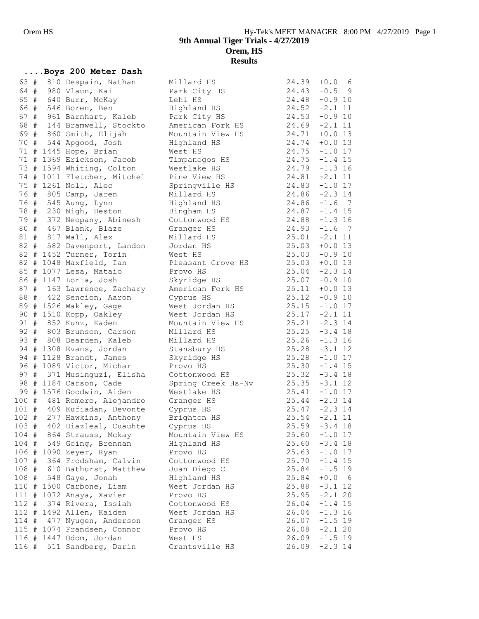**....Boys 200 Meter Dash**

| 63 # |  | 810 Despain, Nathan         | Millard HS         | 24.39         | $+0.06$                      |
|------|--|-----------------------------|--------------------|---------------|------------------------------|
|      |  | 64 # 980 Vlaun, Kai         | Park City HS       |               | $24.43 - 0.5$ 9              |
|      |  | 65 # 640 Burr, McKay        | Lehi HS            |               | $24.48 - 0.910$              |
|      |  | 66 # 546 Boren, Ben         | Highland HS        |               | $24.52 - 2.1 11$             |
|      |  | 67 # 961 Barnhart, Kaleb    | Park City HS       | 24.53         | $-0.9$ 10                    |
|      |  | 68 # 144 Bramwell, Stockto  | American Fork HS   |               | $24.69 - 2.1 11$             |
|      |  | 69 # 860 Smith, Elijah      | Mountain View HS   | 24.71         | $+0.0$ 13                    |
|      |  | 70 # 544 Apgood, Josh       | Highland HS        |               | $24.74 + 0.0 13$             |
|      |  | 71 # 1445 Hope, Brian       | West HS            |               | $24.75 - 1.0 17$             |
|      |  | 71 # 1369 Erickson, Jacob   | Timpanogos HS      |               | $24.75 - 1.4$ 15             |
|      |  | 73 # 1594 Whiting, Colton   | Westlake HS        |               | $24.79 - 1.3$ 16             |
|      |  | 74 # 1011 Fletcher, Mitchel | Pine View HS       |               | $24.81 - 2.1 11$             |
|      |  | 75 # 1261 Noll, Alec        |                    |               | $24.83 - 1.0 17$             |
|      |  |                             | Springville HS     |               | $24.86 - 2.3$ 14             |
|      |  | 76 # 805 Camp, Jaren        | Millard HS         |               | $24.86 -1.6$ 7               |
|      |  | 76 # 545 Aung, Lynn         | Highland HS        |               | $24.87 - 1.4$ 15             |
|      |  | 78 # 230 Nigh, Heston       | Bingham HS         |               |                              |
|      |  | 79 # 372 Neopany, Abinesh   | Cottonwood HS      |               | $24.88 - 1.3$ 16             |
|      |  | 80 # 467 Blank, Blaze       | Granger HS         | $24.93 - 1.6$ | $7\phantom{.0}\phantom{.0}7$ |
|      |  | 81 # 817 Wall, Alex         | Millard HS         |               | $25.01 -2.111$               |
|      |  | 82 # 582 Davenport, Landon  | Jordan HS          |               | $25.03 + 0.0 13$             |
|      |  | 82 # 1452 Turner, Torin     | West HS            |               | $25.03 - 0.910$              |
|      |  | 82 # 1048 Maxfield, Ian     | Pleasant Grove HS  |               | $25.03 + 0.0 13$             |
|      |  | 85 # 1077 Lesa, Mataio      | Provo HS           |               | $25.04 -2.3$ 14              |
|      |  | 86 # 1147 Loria, Josh       | Skyridge HS        |               | $25.07 -0.9$ 10              |
|      |  | 87 # 163 Lawrence, Zachary  | American Fork HS   |               | $25.11 + 0.0 13$             |
|      |  | 88 # 422 Sencion, Aaron     | Cyprus HS          |               | $25.12 -0.910$               |
|      |  | 89 # 1526 Wakley, Gage      | West Jordan HS     |               | $25.15 -1.0 17$              |
|      |  | 90 # 1510 Kopp, Oakley      | West Jordan HS     |               | $25.17 - 2.1$ 11             |
|      |  | 91 # 852 Kunz, Kaden        | Mountain View HS   |               | $25.21 -2.3$ 14              |
|      |  | 92 # 803 Brunson, Carson    | Millard HS         |               | $25.25 - 3.4$ 18             |
|      |  | 93 # 808 Dearden, Kaleb     | Millard HS         |               | $25.26 -1.3$ 16              |
|      |  | 94 # 1308 Evans, Jordan     | Stansbury HS       |               | $25.28 - 3.1 12$             |
|      |  | 94 # 1128 Brandt, James     | Skyridge HS        |               | $25.28 -1.0 17$              |
|      |  | 96 # 1089 Victor, Michar    | Provo HS           |               | $25.30 -1.4$ 15              |
|      |  | 97 # 371 Musinguzi, Elisha  | Cottonwood HS      |               | $25.32 -3.4$ 18              |
|      |  | 98 # 1184 Carson, Cade      | Spring Creek Hs-Nv |               | $25.35 -3.1$ 12              |
|      |  | 99 # 1576 Goodwin, Aiden    | Westlake HS        |               | $25.41 -1.0 17$              |
|      |  | 100 # 481 Romero, Alejandro | Granger HS         |               | $25.44 - 2.3$ 14             |
|      |  | 101 # 409 Kufiadan, Devonte | Cyprus HS          |               | $25.47 -2.3$ 14              |
|      |  | 102 # 277 Hawkins, Anthony  | Brighton HS        |               | $25.54 -2.1$ 11              |
|      |  | 103 # 402 Diazleal, Cuauhte | Cyprus HS          |               | $25.59 - 3.4 18$             |
|      |  | 104 # 864 Strauss, Mckay    | Mountain View HS   | 25.60         | $-1.0$ 17                    |
|      |  | 104 # 549 Going, Brennan    | Highland HS        | 25.60         | $-3.4$ 18                    |
|      |  | 106 # 1090 Zeyer, Ryan      | Provo HS           | 25.63         | $-1.0$ 17                    |
|      |  | 107 # 364 Frodsham, Calvin  | Cottonwood HS      | 25.70         | $-1.4$ 15                    |
|      |  | 108 # 610 Bathurst, Matthew | Juan Diego C       | 25.84         | $-1.5$ 19                    |
|      |  | 108 # 548 Gaye, Jonah       | Highland HS        | 25.84         | $+0.06$                      |
|      |  | 110 # 1500 Carbone, Liam    | West Jordan HS     | 25.88         | $-3.1$ 12                    |
|      |  | 111 # 1072 Anaya, Xavier    | Provo HS           | 25.95         | $-2.1$ 20                    |
|      |  | 112 # 374 Rivera, Issiah    | Cottonwood HS      | 26.04         | $-1.4$ 15                    |
|      |  | 112 # 1492 Allen, Kaiden    | West Jordan HS     | 26.04         | $-1.3$ 16                    |
|      |  | 114 # 477 Nyugen, Anderson  |                    |               |                              |
|      |  |                             | Granger HS         | 26.07         | $-1.5$ 19                    |
|      |  | 115 # 1074 Frandsen, Connor | Provo HS           | 26.08         | $-2.1$ 20                    |
|      |  | 116 # 1447 Odom, Jordan     | West HS            | 26.09         | $-1.5$ 19                    |
|      |  | 116 # 511 Sandberg, Darin   | Grantsville HS     |               | $26.09 - 2.314$              |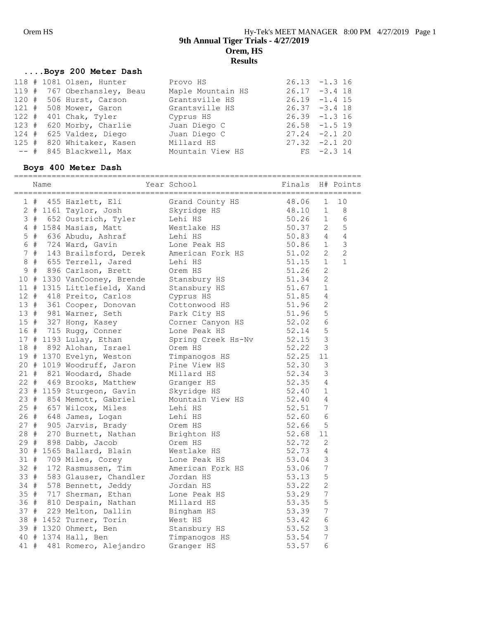### **....Boys 200 Meter Dash**

|  | 118 # 1081 Olsen, Hunter    | Provo HS          | $26.13 - 1.3$ 16 |
|--|-----------------------------|-------------------|------------------|
|  | 119 # 767 Oberhansley, Beau | Maple Mountain HS | $26.17 - 3.4$ 18 |
|  | 120 # 506 Hurst, Carson     | Grantsville HS    | $26.19 - 1.4$ 15 |
|  | 121 # 508 Mower, Garon      | Grantsville HS    | $26.37 - 3.4$ 18 |
|  | 122 # 401 Chak, Tyler       | Cyprus HS         | $26.39 - 1.316$  |
|  | 123 # 620 Morby, Charlie    | Juan Diego C      | $26.58 - 1.5$ 19 |
|  | $124$ # $625$ Valdez, Diego | Juan Diego C      | $27.24 - 2.120$  |
|  | 125 # 820 Whitaker, Kasen   | Millard HS        | $27.32 -2.120$   |
|  | -- # 845 Blackwell, Max     | Mountain View HS  | $FS -2.3 14$     |

### **Boys 400 Meter Dash**

==========================================================================

|        |       | Name |                                                      | Year School                               | Finals             |                 | H# Points      |
|--------|-------|------|------------------------------------------------------|-------------------------------------------|--------------------|-----------------|----------------|
|        |       |      | 1 # 455 Hazlett, Eli                                 | Grand County HS<br>Skyridge HS<br>Lehi HS | 48.06              | 1               | 10             |
|        |       |      | $2$ # 1161 Taylor, Josh                              |                                           | 48.10              | $\mathbf{1}$    | 8              |
|        |       |      | $3 * 652$ Oustrich, Tyler<br>$4 * 1584$ Masias, Matt |                                           | 50.26              | $\mathbf{1}$    | $\epsilon$     |
|        |       |      |                                                      | Westlake HS                               | $50.37$ 2          |                 | $\mathsf S$    |
|        | $5$ # |      | 636 Abudu, Ashraf                                    | Lehi HS                                   | 50.83              | 4               | $\overline{4}$ |
|        | 6 #   |      | 724 Ward, Gavin                                      | Lone Peak HS                              | 50.86              | 1               | $\mathcal{E}$  |
|        | 7#    |      | 143 Brailsford, Derek American Fork HS               |                                           | 51.02              | 2               | $\overline{c}$ |
| 8      | #     |      | 655 Terrell, Jared                                   | Lehi HS                                   | 51.15              | $\mathbf{1}$    | $\mathbf{1}$   |
| 9      | #     |      | 896 Carlson, Brett                                   | Orem HS                                   | 51.26              | $\overline{2}$  |                |
|        |       |      | 10 # 1330 VanCooney, Brende                          | Stansbury HS                              | $51.34$<br>$51.67$ | $\mathbf{2}$    |                |
|        |       |      | 11 # 1315 Littlefield, Xand                          | Stansbury HS                              |                    | $\mathbf{1}$    |                |
|        |       |      | 12 # 418 Preito, Carlos                              | Cyprus HS                                 | 51.85              | 4               |                |
|        |       |      | 13 # 361 Cooper, Donovan                             | Cottonwood HS                             | 51.96              | 2               |                |
|        |       |      | 13 # 981 Warner, Seth                                | Park City HS                              | 51.96              | $\mathsf S$     |                |
|        |       |      | 15 # 327 Hong, Kasey                                 | Corner Canyon HS                          | 52.02              | $6\,$           |                |
|        |       |      | 16 # 715 Rugg, Conner                                | Lone Peak HS                              | 52.14              | $\mathsf S$     |                |
|        |       |      | 17 # 1193 Lulay, Ethan                               | Spring Creek Hs-Nv                        | 52.15              | $\mathfrak{Z}$  |                |
|        |       |      | 18 # 892 Alohan, Israel                              | Orem HS                                   | 52.22              | $\mathcal{S}$   |                |
|        |       |      | 19 # 1370 Evelyn, Weston                             | Timpanogos HS                             | 52.25              | 11              |                |
|        |       |      | 20 # 1019 Woodruff, Jaron                            | Pine View HS                              | 52.30              | 3               |                |
|        |       |      | 21 # 821 Woodard, Shade                              | Millard HS                                | 52.34<br>52.35     | $\mathcal{E}$   |                |
|        |       |      | 22 # 469 Brooks, Matthew                             | Granger HS                                |                    | $\overline{4}$  |                |
|        |       |      | 23 # 1159 Sturgeon, Gavin Skyridge HS                |                                           | 52.40              | $\overline{1}$  |                |
|        |       |      | 23 # 854 Memott, Gabriel                             | Mountain View HS 52.40                    |                    | $\overline{4}$  |                |
|        |       |      | 25 # 657 Wilcox, Miles                               | Lehi HS                                   | 52.51              | $\overline{7}$  |                |
|        |       |      | 26 # 648 James, Logan                                | Lehi HS                                   | 52.60              | 6               |                |
|        |       |      | 27 # 905 Jarvis, Brady                               | Orem HS                                   | 52.66              | 5               |                |
| 28 #   |       |      | 270 Burnett, Nathan                                  | Brighton HS                               | 52.68              | 11              |                |
| 29#    |       |      | 898 Dabb, Jacob                                      | Orem HS                                   | 52.72<br>52.73     | 2               |                |
|        |       |      | 30 # 1565 Ballard, Blain                             | Viem no<br>Westlake HS                    |                    | 4               |                |
| 31#    |       |      | 709 Miles, Corey                                     | Lone Peak HS                              | 53.04              | 3               |                |
| $32 +$ |       |      | 172 Rasmussen, Tim                                   | American Fork HS                          | 53.06              | $7\phantom{.0}$ |                |
| 33#    |       |      | 583 Glauser, Chandler                                | Jordan HS                                 | 53.13              | 5               |                |
| 34 #   |       |      | 578 Bennett, Jeddy                                   | Jordan HS                                 | 53.22              | $\overline{c}$  |                |
| 35#    |       |      | 717 Sherman, Ethan                                   | Lone Peak HS                              | 53.29              | $7\phantom{.0}$ |                |
|        |       |      | 36 # 810 Despain, Nathan                             | Millard HS                                | 53.35              | $\mathsf S$     |                |
|        |       |      | 37 # 229 Melton, Dallin                              | Bingham HS                                | 53.39<br>53.42     | $7\phantom{.0}$ |                |
|        |       |      | 38 # 1452 Turner, Torin                              | West HS                                   |                    | 6               |                |
|        |       |      | 39 # 1320 Ohmert, Ben                                | Stansbury HS                              | 53.52              | $\mathfrak{Z}$  |                |
|        |       |      | 40 # 1374 Hall, Ben                                  | Timpanogos HS                             | 53.54 7            |                 |                |
| 41 #   |       |      | 481 Romero, Alejandro                                | Granger HS                                | 53.57              | $6\phantom{.}6$ |                |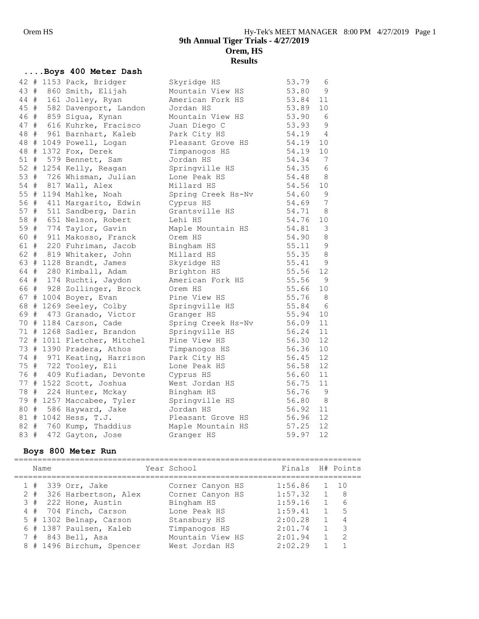**....Boys 400 Meter Dash**

## Orem HS Hy-Tek's MEET MANAGER 8:00 PM 4/27/2019 Page 1 **9th Annual Tiger Trials - 4/27/2019 Orem, HS Results**

|      |  | 42 # 1153 Pack, Bridger     | Skyridge HS        | 53.79 | 6               |
|------|--|-----------------------------|--------------------|-------|-----------------|
|      |  | 43 # 860 Smith, Elijah      | Mountain View HS   | 53.80 | 9               |
|      |  | 44 # 161 Jolley, Ryan       | American Fork HS   | 53.84 | 11              |
|      |  | 45 # 582 Davenport, Landon  | Jordan HS          | 53.89 | 10              |
|      |  | 46 # 859 Sigua, Kynan       | Mountain View HS   | 53.90 | 6               |
|      |  | 47 # 616 Kuhrke, Fracisco   | Juan Diego C       | 53.93 | $\mathsf 9$     |
|      |  | 48 # 961 Barnhart, Kaleb    | Park City HS       | 54.19 | 4               |
|      |  | 48 # 1049 Powell, Logan     | Pleasant Grove HS  | 54.19 | 10              |
|      |  | 48 # 1372 Fox, Derek        | Timpanogos HS      | 54.19 | 10              |
|      |  | 51 # 579 Bennett, Sam       | Jordan HS          | 54.34 | 7               |
|      |  | 52 # 1254 Kelly, Reagan     | Springville HS     | 54.35 | 6               |
|      |  | 53 # 726 Whisman, Julian    | Lone Peak HS       | 54.48 | 8               |
|      |  | 54 # 817 Wall, Alex         | Millard HS         | 54.56 | 10              |
|      |  | 55 # 1194 Mahlke, Noah      | Spring Creek Hs-Nv | 54.60 | 9               |
|      |  | 56 # 411 Margarito, Edwin   | Cyprus HS          | 54.69 | $\overline{7}$  |
|      |  | 57 # 511 Sandberg, Darin    | Grantsville HS     | 54.71 | 8               |
|      |  | 58 # 651 Nelson, Robert     | Lehi HS            | 54.76 | 10              |
|      |  | 59 # 774 Taylor, Gavin      | Maple Mountain HS  | 54.81 | 3               |
|      |  | 60 # 911 Makosso, Franck    | Orem HS            | 54.90 | $\,8\,$         |
|      |  | 61 # 220 Fuhriman, Jacob    | Bingham HS         | 55.11 | $\mathsf 9$     |
|      |  | 62 # 819 Whitaker, John     | Millard HS         | 55.35 | 8               |
|      |  | 63 # 1128 Brandt, James     | Skyridge HS        | 55.41 | 9               |
|      |  | 64 # 280 Kimball, Adam      | Brighton HS        | 55.56 | 12              |
|      |  | 64 # 174 Ruchti, Jaydon     | American Fork HS   | 55.56 | 9               |
|      |  | 66 # 928 Zollinger, Brock   | Orem HS            | 55.66 | 10              |
|      |  | 67 # 1004 Boyer, Evan       | Pine View HS       | 55.76 | $\,8\,$         |
|      |  | 68 # 1269 Seeley, Colby     | Springville HS     | 55.84 | 6               |
|      |  | 69 # 473 Granado, Victor    | Granger HS         | 55.94 | 10              |
|      |  | 70 # 1184 Carson, Cade      | Spring Creek Hs-Nv | 56.09 | 11              |
|      |  | 71 # 1268 Sadler, Brandon   | Springville HS     | 56.24 | 11              |
|      |  | 72 # 1011 Fletcher, Mitchel | Pine View HS       | 56.30 | 12              |
|      |  | 73 # 1390 Pradera, Athos    | Timpanogos HS      | 56.36 | 10              |
|      |  | 74 # 971 Keating, Harrison  | Park City HS       | 56.45 | 12 <sup>°</sup> |
|      |  | 75 # 722 Tooley, Eli        | Lone Peak HS       | 56.58 | 12              |
|      |  | 76 # 409 Kufiadan, Devonte  | Cyprus HS          | 56.60 | 11              |
|      |  | 77 # 1522 Scott, Joshua     | West Jordan HS     | 56.75 | 11              |
|      |  | 78 # 224 Hunter, Mckay      | Bingham HS         | 56.76 | 9               |
|      |  | 79 # 1257 Maccabee, Tyler   | Springville HS     | 56.80 | 8               |
|      |  | 80 # 586 Hayward, Jake      | Jordan HS          | 56.92 | 11              |
|      |  | 81 # 1042 Hess, T.J.        | Pleasant Grove HS  | 56.96 | 12              |
|      |  | 82 # 760 Kump, Thaddius     | Maple Mountain HS  | 57.25 | 12              |
| 83 # |  | 472 Gayton, Jose            | Granger HS         | 59.97 | 12              |

## **Boys 800 Meter Run**

|  | Name |                           | Year School      | Finals H# Points |                |                          |
|--|------|---------------------------|------------------|------------------|----------------|--------------------------|
|  |      | 1 # 339 Orr, Jake         | Corner Canyon HS | 1:56.86          |                | $\overline{10}$          |
|  |      | 2 # 326 Harbertson, Alex  | Corner Canyon HS | 1:57.32          | $\overline{1}$ | - 8                      |
|  |      | $3#$ 222 Hone, Austin     | Bingham HS       | 1:59.16          |                | 6                        |
|  |      | 4 # 704 Finch, Carson     | Lone Peak HS     | 1:59.41          | $\overline{1}$ | .5                       |
|  |      | 5 # 1302 Belnap, Carson   | Stansbury HS     | 2:00.28          | $\overline{1}$ | $\overline{4}$           |
|  |      | 6 # 1387 Paulsen, Kaleb   | Timpanogos HS    | 2:01.74          |                | $\overline{\phantom{a}}$ |
|  |      | 7 # 843 Bell, Asa         | Mountain View HS | 2:01.94          |                | $\mathcal{P}$            |
|  |      | 8 # 1496 Birchum, Spencer | West Jordan HS   | 2:02.29          |                |                          |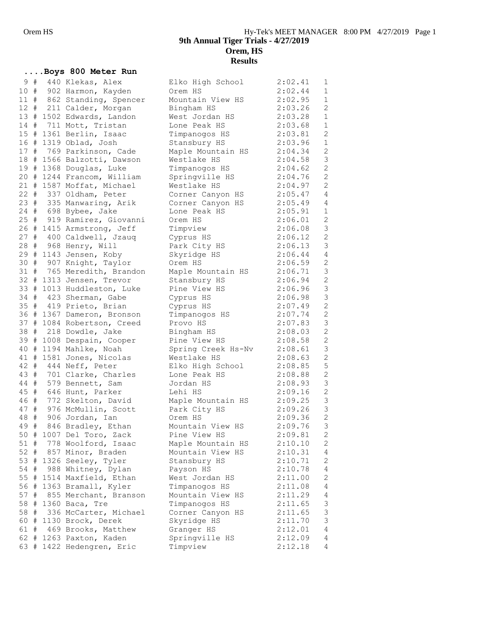**....Boys 800 Meter Run**

|      | 9# | 440 Klekas, Alex                               | Elko High School   | 2:02.41 | $\mathbf{1}$              |
|------|----|------------------------------------------------|--------------------|---------|---------------------------|
|      |    | 10 # 902 Harmon, Kayden                        | Orem HS            | 2:02.44 | $\mathbf{1}$              |
|      |    | 11 # 862 Standing, Spencer                     | Mountain View HS   | 2:02.95 | $\mathbf{1}$              |
|      |    | 12 # 211 Calder, Morgan                        | Bingham HS         | 2:03.26 | 2                         |
|      |    | 13 # 1502 Edwards, Landon                      | West Jordan HS     | 2:03.28 | $\mathbf{1}$              |
|      |    | 14 # 711 Mott, Tristan                         | Lone Peak HS       | 2:03.68 | $\mathbf{1}$              |
|      |    | 15 # 1361 Berlin, Isaac                        | Timpanogos HS      | 2:03.81 | 2                         |
|      |    | 16 # 1319 Oblad, Josh                          | Stansbury HS       | 2:03.96 | $1\,$                     |
|      |    | 17 # 769 Parkinson, Cade                       | Maple Mountain HS  | 2:04.34 | $\sqrt{2}$                |
|      |    | 18 # 1566 Balzotti, Dawson                     | Westlake HS        | 2:04.58 | $\mathfrak{Z}$            |
|      |    | 19 # 1368 Douglas, Luke                        | Timpanogos HS      | 2:04.62 | $\overline{c}$            |
|      |    | 20 # 1244 Francom, William                     | Springville HS     | 2:04.76 | $\mathbf{2}$              |
|      |    | 21 # 1587 Moffat, Michael                      | Westlake HS        | 2:04.97 | $\mathbf{2}$              |
|      |    | 22 # 337 Oldham, Peter                         | Corner Canyon HS   | 2:05.47 | $\overline{4}$            |
|      |    | 23 # 335 Manwaring, Arik                       | Corner Canyon HS   | 2:05.49 | 4                         |
|      |    | 24 # 698 Bybee, Jake                           | Lone Peak HS       |         | $\mathbf 1$               |
|      |    |                                                |                    | 2:05.91 | $\mathbf{2}$              |
|      |    | 25 # 919 Ramirez, Giovanni                     | Orem HS            | 2:06.01 | $\mathfrak{Z}$            |
|      |    | 26 # 1415 Armstrong, Jeff                      | Timpview           | 2:06.08 | $\sqrt{2}$                |
|      |    | 27 # 400 Caldwell, Jzauq                       | Cyprus HS          | 2:06.12 |                           |
|      |    | 28 # 968 Henry, Will                           | Park City HS       | 2:06.13 | $\mathsf 3$               |
|      |    | 29 # 1143 Jensen, Koby                         | Skyridge HS        | 2:06.44 | $\overline{4}$            |
|      |    | 30 # 907 Knight, Taylor                        | Orem HS            | 2:06.59 | $\mathbf{2}$              |
|      |    | 31 # 765 Meredith, Brandon                     | Maple Mountain HS  | 2:06.71 | 3                         |
|      |    | 32 # 1313 Jensen, Trevor                       | Stansbury HS       | 2:06.94 | $\mathbf{2}$              |
|      |    | 33 # 1013 Huddleston, Luke                     | Pine View HS       | 2:06.96 | $\mathsf 3$               |
|      |    | 34 # 423 Sherman, Gabe                         | Cyprus HS          | 2:06.98 | $\mathsf 3$               |
|      |    | 35 # 419 Prieto, Brian                         | Cyprus HS          | 2:07.49 | $\mathbf{2}$              |
|      |    | 36 # 1367 Dameron, Bronson                     | Timpanogos HS      | 2:07.74 | $\mathbf{2}$              |
|      |    | 37 # 1084 Robertson, Creed                     | Provo HS           | 2:07.83 | $\mathsf 3$               |
|      |    | 38 # 218 Dowdle, Jake                          | Bingham HS         | 2:08.03 | $\mathbf{2}$              |
|      |    | 39 # 1008 Despain, Cooper                      | Pine View HS       | 2:08.58 | $\mathbf{2}$              |
|      |    | 40 # 1194 Mahlke, Noah                         | Spring Creek Hs-Nv | 2:08.61 | $\mathsf 3$               |
|      |    | 41 # 1581 Jones, Nicolas                       | Westlake HS        | 2:08.63 | $\mathbf{2}$              |
|      |    | 42 # 444 Neff, Peter                           | Elko High School   | 2:08.85 | $\mathsf S$               |
|      |    | 43 # 701 Clarke, Charles                       | Lone Peak HS       | 2:08.88 | $\overline{c}$            |
| 44 # |    | 579 Bennett, Sam                               | Jordan HS          | 2:08.93 | $\mathsf 3$               |
| 45 # |    | 646 Hunt, Parker                               | Lehi HS            | 2:09.16 | $\mathbf{2}$              |
|      |    | 46 # 772 Skelton, David                        | Maple Mountain HS  | 2:09.25 | $\mathsf 3$               |
|      |    | 47 # 976 McMullin, Scott                       | Park City HS       | 2:09.26 | $\mathfrak{Z}$            |
| 48 # |    | 906 Jordan, Ian                                | Orem HS            | 2:09.36 | 2                         |
| 49 # |    | 846 Bradley, Ethan                             | Mountain View HS   | 2:09.76 | $\mathcal{S}$             |
|      |    | 50 # 1007 Del Toro, Zack                       | Pine View HS       | 2:09.81 | 2                         |
|      |    | 51 # 778 Woolford, Isaac                       | Maple Mountain HS  | 2:10.10 | 2                         |
|      |    | 52 # 857 Minor, Braden                         | Mountain View HS   | 2:10.31 | 4                         |
|      |    | 53 # 1326 Seeley, Tyler                        | Stansbury HS       | 2:10.71 | $\mathbf{2}$              |
| 54 # |    | 988 Whitney, Dylan                             | Payson HS          | 2:10.78 | 4                         |
|      |    | 55 # 1514 Maxfield, Ethan                      | West Jordan HS     | 2:11.00 | 2                         |
|      |    | 56 # 1363 Bramall, Kyler                       | Timpanogos HS      | 2:11.08 | 4                         |
|      |    | 57 # 855 Merchant, Branson                     | Mountain View HS   | 2:11.29 | 4                         |
|      |    | 58 # 1360 Baca, Tre                            | Timpanogos HS      | 2:11.65 | 3                         |
|      |    | 58 # 336 McCarter, Michael                     | Corner Canyon HS   | 2:11.65 | $\ensuremath{\mathsf{3}}$ |
|      |    | 60 # 1130 Brock, Derek                         | Skyridge HS        | 2:11.70 | 3                         |
| 61 # |    |                                                | Granger HS         |         |                           |
|      |    | 469 Brooks, Matthew<br>62 # 1263 Paxton, Kaden |                    | 2:12.01 | 4<br>4                    |
|      |    |                                                | Springville HS     | 2:12.09 |                           |
|      |    | 63 # 1422 Hedengren, Eric                      | Timpview           | 2:12.18 | 4                         |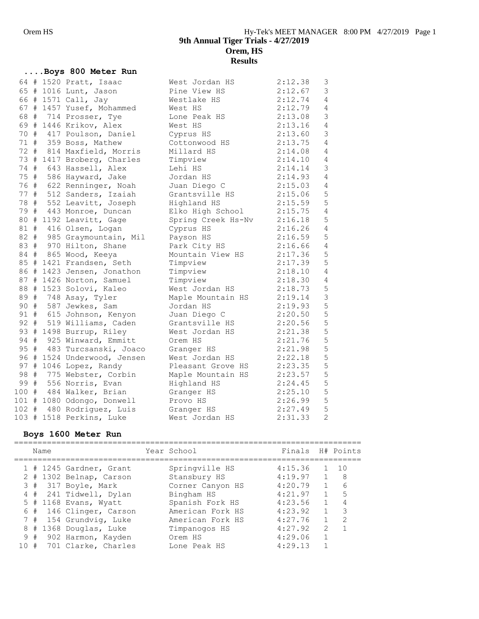|  | Boys 800 Meter Run          |                    |         |                |
|--|-----------------------------|--------------------|---------|----------------|
|  | 64 # 1520 Pratt, Isaac      | West Jordan HS     | 2:12.38 | 3              |
|  | 65 # 1016 Lunt, Jason       | Pine View HS       | 2:12.67 | 3              |
|  | 66 # 1571 Call, Jay         | Westlake HS        | 2:12.74 | $\overline{4}$ |
|  | 67 # 1457 Yusef, Mohammed   | West HS            | 2:12.79 | $\overline{4}$ |
|  | 68 # 714 Prosser, Tye       | Lone Peak HS       | 2:13.08 | 3              |
|  | 69 # 1446 Krikov, Alex      | West HS            | 2:13.16 | $\overline{4}$ |
|  | 70 # 417 Poulson, Daniel    | Cyprus HS          | 2:13.60 | 3              |
|  | 71 # 359 Boss, Mathew       | Cottonwood HS      | 2:13.75 | $\overline{4}$ |
|  | 72 # 814 Maxfield, Morris   | Millard HS         | 2:14.08 | $\sqrt{4}$     |
|  | 73 # 1417 Broberg, Charles  | Timpview           | 2:14.10 | 4              |
|  | 74 # 643 Hassell, Alex      | Lehi HS            | 2:14.14 | 3              |
|  | 75 # 586 Hayward, Jake      | Jordan HS          | 2:14.93 | $\overline{4}$ |
|  | 76 # 622 Renninger, Noah    | Juan Diego C       | 2:15.03 | $\overline{4}$ |
|  | 77 # 512 Sanders, Izaiah    | Grantsville HS     | 2:15.06 | 5              |
|  | 78 # 552 Leavitt, Joseph    | Highland HS        | 2:15.59 | 5              |
|  | 79 # 443 Monroe, Duncan     | Elko High School   | 2:15.75 | $\overline{4}$ |
|  | 80 # 1192 Leavitt, Gage     | Spring Creek Hs-Nv | 2:16.18 | 5              |
|  | 81 # 416 Olsen, Logan       | Cyprus HS          | 2:16.26 | $\overline{4}$ |
|  | 82 # 985 Graymountain, Mil  | Payson HS          | 2:16.59 | 5              |
|  | 83 # 970 Hilton, Shane      | Park City HS       | 2:16.66 | $\overline{4}$ |
|  | 84 # 865 Wood, Keeya        | Mountain View HS   | 2:17.36 | 5              |
|  | 85 # 1421 Frandsen, Seth    | Timpview           | 2:17.39 | 5              |
|  | 86 # 1423 Jensen, Jonathon  | Timpview           | 2:18.10 | $\overline{4}$ |
|  | 87 # 1426 Norton, Samuel    | Timpview           | 2:18.30 | $\overline{4}$ |
|  | 88 # 1523 Solovi, Kaleo     | West Jordan HS     | 2:18.73 | 5              |
|  | 89 # 748 Asay, Tyler        | Maple Mountain HS  | 2:19.14 | 3              |
|  | 90 # 587 Jewkes, Sam        | Jordan HS          | 2:19.93 | 5              |
|  | 91 # 615 Johnson, Kenyon    | Juan Diego C       | 2:20.50 | 5              |
|  | 92 # 519 Williams, Caden    | Grantsville HS     | 2:20.56 | 5              |
|  | 93 # 1498 Burrup, Riley     | West Jordan HS     | 2:21.38 | 5              |
|  | 94 # 925 Winward, Emmitt    | Orem HS            | 2:21.76 | 5              |
|  | 95 # 483 Turcsanski, Joaco  | Granger HS         | 2:21.98 | 5              |
|  | 96 # 1524 Underwood, Jensen | West Jordan HS     | 2:22.18 | 5              |
|  | 97 # 1046 Lopez, Randy      | Pleasant Grove HS  | 2:23.35 | 5              |
|  | 98 # 775 Webster, Corbin    | Maple Mountain HS  | 2:23.57 | 5              |
|  | 99 # 556 Norris, Evan       | Highland HS        | 2:24.45 | 5              |
|  | 100 # 484 Walker, Brian     | Granger HS         | 2:25.10 | 5              |
|  | 101 # 1080 Odongo, Donwell  | Provo HS           | 2:26.99 | 5              |
|  | 102 # 480 Rodriguez, Luis   | Granger HS         | 2:27.49 | 5              |
|  | 103 # 1518 Perkins, Luke    | West Jordan HS     | 2:31.33 | $\overline{2}$ |

# **Boys 1600 Meter Run**

|      |    | Name |                           | Year School      |         |               | Finals H# Points |
|------|----|------|---------------------------|------------------|---------|---------------|------------------|
|      |    |      | $1$ # 1245 Gardner, Grant | Springville HS   | 4:15.36 |               | 10               |
|      |    |      | 2 # 1302 Belnap, Carson   | Stansbury HS     | 4:19.97 |               | - 8              |
|      |    |      | 3 # 317 Boyle, Mark       | Corner Canyon HS | 4:20.79 | $\mathbf{1}$  | 6                |
| 4    |    |      | # 241 Tidwell, Dylan      | Bingham HS       | 4:21.97 | $\mathbf{1}$  | .5               |
|      |    |      | 5 # 1168 Evans, Wyatt     | Spanish Fork HS  | 4:23.56 | $\mathbf{1}$  |                  |
|      |    |      | 6 # 146 Clinger, Carson   | American Fork HS | 4:23.92 | $\mathbf{1}$  | - 3              |
|      |    |      | 7 # 154 Grundvig, Luke    | American Fork HS | 4:27.76 | $\mathbf{1}$  | $\mathcal{P}$    |
| 8    | #  |      | 1368 Douglas, Luke        | Timpanogos HS    | 4:27.92 | $\mathcal{L}$ | 1                |
|      | 9# |      | 902 Harmon, Kayden        | Orem HS          | 4:29.06 |               |                  |
| 10 # |    |      | 701 Clarke, Charles       | Lone Peak HS     | 4:29.13 |               |                  |
|      |    |      |                           |                  |         |               |                  |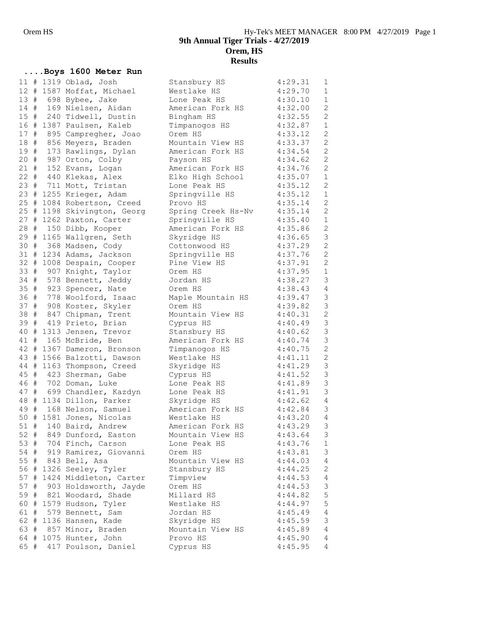**....Boys 1600 Meter Run**

| 12 # 1587 Moffat, Michael<br>Westlake HS<br>4:29.70<br>$\mathbf{1}$<br>13 # 698 Bybee, Jake<br>4:30.10<br>$\mathbf{1}$<br>Lone Peak HS<br>$\mathbf{2}$<br>14 # 169 Nielsen, Aidan<br>4:32.00<br>American Fork HS<br>15 # 240 Tidwell, Dustin<br>$\mathbf{2}$<br>4:32.55<br>Bingham HS<br>16 # 1387 Paulsen, Kaleb<br>$\mathbf{1}$<br>Timpanogos HS<br>4:32.87<br>$\mathbf{2}$<br>17#<br>895 Campregher, Joao<br>Orem HS<br>4:33.12<br>18 # 856 Meyers, Braden<br>2<br>Mountain View HS<br>4:33.37<br>19 # 173 Rawlings, Dylan<br>$\mathbf{2}$<br>4:34.54<br>American Fork HS<br>$\mathbf{2}$<br>20 #<br>987 Orton, Colby<br>4:34.62<br>Payson HS<br>21#<br>$\mathbf{2}$<br>152 Evans, Logan<br>American Fork HS<br>4:34.76<br>22 # 440 Klekas, Alex<br>$\mathbf{1}$<br>Elko High School<br>4:35.07<br>$\mathbf{2}$<br>23 # 711 Mott, Tristan<br>Lone Peak HS<br>4:35.12<br>23<br># 1255 Krieger, Adam<br>$\mathbf{1}$<br>Springville HS<br>4:35.12<br>25<br>$\mathbf{2}$<br># 1084 Robertson, Creed<br>4:35.14<br>Provo HS<br>$\overline{2}$<br>25<br># 1198 Skivington, Georg<br>Spring Creek Hs-Nv<br>4:35.14<br>27<br>$1\,$<br># 1262 Paxton, Carter<br>Springville HS<br>4:35.40<br>$\mathbf{2}$<br>28<br># 150 Dibb, Kooper<br>American Fork HS<br>4:35.86<br>$\mathfrak{Z}$<br>29<br># 1165 Wallgren, Seth<br>Skyridge HS<br>4:36.65<br>$\overline{2}$<br># 368 Madsen, Cody<br>30<br>Cottonwood HS<br>4:37.29<br>$\mathbf{2}$<br>31<br># 1234 Adams, Jackson<br>Springville HS<br>4:37.76<br>$\mathbf{2}$<br>32 # 1008 Despain, Cooper<br>Pine View HS<br>4:37.91<br>#<br>$\mathbf 1$<br>33<br>907 Knight, Taylor<br>4:37.95<br>Orem HS<br>$\mathsf 3$<br>34 # 578 Bennett, Jeddy<br>4:38.27<br>Jordan HS<br>$\overline{4}$<br>35<br># 923 Spencer, Nate<br>4:38.43<br>Orem HS<br>$\mathsf 3$<br>36 # 778 Woolford, Isaac<br>Maple Mountain HS<br>4:39.47<br>$\mathsf 3$<br>37 #<br>4:39.82<br>908 Koster, Skyler<br>Orem HS<br>$\mathbf{2}$<br>38 # 847 Chipman, Trent<br>Mountain View HS<br>4:40.31<br>$\mathsf 3$<br>39 #<br>419 Prieto, Brian<br>Cyprus HS<br>4:40.49<br>$\mathsf 3$<br>40<br># 1313 Jensen, Trevor<br>Stansbury HS<br>4:40.62<br>$\mathsf 3$<br>#<br>41<br>165 McBride, Ben<br>American Fork HS<br>4:40.74<br>$\mathbf{2}$<br># 1367 Dameron, Bronson<br>42<br>Timpanogos HS<br>4:40.75<br>$\mathbf{2}$<br>43<br># 1566 Balzotti, Dawson<br>Westlake HS<br>4:41.11<br>$\ensuremath{\mathsf{3}}$<br>44<br># 1163 Thompson, Creed<br>Skyridge HS<br>4:41.29<br>$\mathfrak{Z}$<br>#<br>45<br>423 Sherman, Gabe<br>Cyprus HS<br>4:41.52<br>$\mathsf 3$<br>46 # 702 Doman, Luke<br>Lone Peak HS<br>4:41.89<br>$\mathfrak{Z}$<br>47 #<br>699 Chandler, Kazdyn<br>4:41.91<br>Lone Peak HS<br>48 # 1134 Dillon, Parker<br>$\overline{4}$<br>Skyridge HS<br>4:42.62<br>49 # 168 Nelson, Samuel<br>$\mathfrak{Z}$<br>4:42.84<br>American Fork HS<br>4<br>50 # 1581 Jones, Nicolas<br>4:43.20<br>Westlake HS<br>51 # 140 Baird, Andrew<br>4:43.29<br>American Fork HS<br>52 #<br>849 Dunford, Easton<br>4:43.64<br>3<br>Mountain View HS<br>53 # 704 Finch, Carson<br>4:43.76<br>Lone Peak HS<br>$\mathbf{1}$<br>54 # 919 Ramirez, Giovanni<br>$\mathfrak{Z}$<br>Orem HS<br>4:43.81<br>55 # 843 Bell, Asa<br>$\overline{4}$<br>Mountain View HS<br>4:44.03<br>56 # 1326 Seeley, Tyler<br>$\mathbf{2}$<br>4:44.25<br>Stansbury HS<br>57 # 1424 Middleton, Carter<br>Timpview<br>4:44.53<br>4<br>57 # 903 Holdsworth, Jayde<br>$\mathfrak{Z}$<br>4:44.53<br>Orem HS<br>$\mathsf S$<br>59 # 821 Woodard, Shade<br>Millard HS<br>4:44.82<br>$\mathsf S$<br>60 # 1579 Hudson, Tyler<br>4:44.97<br>Westlake HS<br>61 # 579 Bennett, Sam<br>$\overline{4}$<br>Jordan HS<br>4:45.49<br>62 # 1136 Hansen, Kade<br>$\mathfrak{Z}$<br>Skyridge HS<br>4:45.59<br>63 # 857 Minor, Braden<br>Mountain View HS<br>4:45.89<br>4<br>64 # 1075 Hunter, John<br>4:45.90<br>Provo HS<br>4<br>65 #<br>417 Poulson, Daniel<br>4:45.95<br>4 |  | 11 # 1319 Oblad, Josh | Stansbury HS | 4:29.31 | $\mathbf{1}$  |
|----------------------------------------------------------------------------------------------------------------------------------------------------------------------------------------------------------------------------------------------------------------------------------------------------------------------------------------------------------------------------------------------------------------------------------------------------------------------------------------------------------------------------------------------------------------------------------------------------------------------------------------------------------------------------------------------------------------------------------------------------------------------------------------------------------------------------------------------------------------------------------------------------------------------------------------------------------------------------------------------------------------------------------------------------------------------------------------------------------------------------------------------------------------------------------------------------------------------------------------------------------------------------------------------------------------------------------------------------------------------------------------------------------------------------------------------------------------------------------------------------------------------------------------------------------------------------------------------------------------------------------------------------------------------------------------------------------------------------------------------------------------------------------------------------------------------------------------------------------------------------------------------------------------------------------------------------------------------------------------------------------------------------------------------------------------------------------------------------------------------------------------------------------------------------------------------------------------------------------------------------------------------------------------------------------------------------------------------------------------------------------------------------------------------------------------------------------------------------------------------------------------------------------------------------------------------------------------------------------------------------------------------------------------------------------------------------------------------------------------------------------------------------------------------------------------------------------------------------------------------------------------------------------------------------------------------------------------------------------------------------------------------------------------------------------------------------------------------------------------------------------------------------------------------------------------------------------------------------------------------------------------------------------------------------------------------------------------------------------------------------------------------------------------------------------------------------------------------------------------------------------------------------------------------------------------------------------------------------------------------------------------------------------------------------------------------------------------------------------------------------------------------------------------------------------------------------------------------------------------------------------------------------------------------------------------|--|-----------------------|--------------|---------|---------------|
|                                                                                                                                                                                                                                                                                                                                                                                                                                                                                                                                                                                                                                                                                                                                                                                                                                                                                                                                                                                                                                                                                                                                                                                                                                                                                                                                                                                                                                                                                                                                                                                                                                                                                                                                                                                                                                                                                                                                                                                                                                                                                                                                                                                                                                                                                                                                                                                                                                                                                                                                                                                                                                                                                                                                                                                                                                                                                                                                                                                                                                                                                                                                                                                                                                                                                                                                                                                                                                                                                                                                                                                                                                                                                                                                                                                                                                                                                                                                        |  |                       |              |         |               |
|                                                                                                                                                                                                                                                                                                                                                                                                                                                                                                                                                                                                                                                                                                                                                                                                                                                                                                                                                                                                                                                                                                                                                                                                                                                                                                                                                                                                                                                                                                                                                                                                                                                                                                                                                                                                                                                                                                                                                                                                                                                                                                                                                                                                                                                                                                                                                                                                                                                                                                                                                                                                                                                                                                                                                                                                                                                                                                                                                                                                                                                                                                                                                                                                                                                                                                                                                                                                                                                                                                                                                                                                                                                                                                                                                                                                                                                                                                                                        |  |                       |              |         |               |
|                                                                                                                                                                                                                                                                                                                                                                                                                                                                                                                                                                                                                                                                                                                                                                                                                                                                                                                                                                                                                                                                                                                                                                                                                                                                                                                                                                                                                                                                                                                                                                                                                                                                                                                                                                                                                                                                                                                                                                                                                                                                                                                                                                                                                                                                                                                                                                                                                                                                                                                                                                                                                                                                                                                                                                                                                                                                                                                                                                                                                                                                                                                                                                                                                                                                                                                                                                                                                                                                                                                                                                                                                                                                                                                                                                                                                                                                                                                                        |  |                       |              |         |               |
|                                                                                                                                                                                                                                                                                                                                                                                                                                                                                                                                                                                                                                                                                                                                                                                                                                                                                                                                                                                                                                                                                                                                                                                                                                                                                                                                                                                                                                                                                                                                                                                                                                                                                                                                                                                                                                                                                                                                                                                                                                                                                                                                                                                                                                                                                                                                                                                                                                                                                                                                                                                                                                                                                                                                                                                                                                                                                                                                                                                                                                                                                                                                                                                                                                                                                                                                                                                                                                                                                                                                                                                                                                                                                                                                                                                                                                                                                                                                        |  |                       |              |         |               |
|                                                                                                                                                                                                                                                                                                                                                                                                                                                                                                                                                                                                                                                                                                                                                                                                                                                                                                                                                                                                                                                                                                                                                                                                                                                                                                                                                                                                                                                                                                                                                                                                                                                                                                                                                                                                                                                                                                                                                                                                                                                                                                                                                                                                                                                                                                                                                                                                                                                                                                                                                                                                                                                                                                                                                                                                                                                                                                                                                                                                                                                                                                                                                                                                                                                                                                                                                                                                                                                                                                                                                                                                                                                                                                                                                                                                                                                                                                                                        |  |                       |              |         |               |
|                                                                                                                                                                                                                                                                                                                                                                                                                                                                                                                                                                                                                                                                                                                                                                                                                                                                                                                                                                                                                                                                                                                                                                                                                                                                                                                                                                                                                                                                                                                                                                                                                                                                                                                                                                                                                                                                                                                                                                                                                                                                                                                                                                                                                                                                                                                                                                                                                                                                                                                                                                                                                                                                                                                                                                                                                                                                                                                                                                                                                                                                                                                                                                                                                                                                                                                                                                                                                                                                                                                                                                                                                                                                                                                                                                                                                                                                                                                                        |  |                       |              |         |               |
|                                                                                                                                                                                                                                                                                                                                                                                                                                                                                                                                                                                                                                                                                                                                                                                                                                                                                                                                                                                                                                                                                                                                                                                                                                                                                                                                                                                                                                                                                                                                                                                                                                                                                                                                                                                                                                                                                                                                                                                                                                                                                                                                                                                                                                                                                                                                                                                                                                                                                                                                                                                                                                                                                                                                                                                                                                                                                                                                                                                                                                                                                                                                                                                                                                                                                                                                                                                                                                                                                                                                                                                                                                                                                                                                                                                                                                                                                                                                        |  |                       |              |         |               |
|                                                                                                                                                                                                                                                                                                                                                                                                                                                                                                                                                                                                                                                                                                                                                                                                                                                                                                                                                                                                                                                                                                                                                                                                                                                                                                                                                                                                                                                                                                                                                                                                                                                                                                                                                                                                                                                                                                                                                                                                                                                                                                                                                                                                                                                                                                                                                                                                                                                                                                                                                                                                                                                                                                                                                                                                                                                                                                                                                                                                                                                                                                                                                                                                                                                                                                                                                                                                                                                                                                                                                                                                                                                                                                                                                                                                                                                                                                                                        |  |                       |              |         |               |
|                                                                                                                                                                                                                                                                                                                                                                                                                                                                                                                                                                                                                                                                                                                                                                                                                                                                                                                                                                                                                                                                                                                                                                                                                                                                                                                                                                                                                                                                                                                                                                                                                                                                                                                                                                                                                                                                                                                                                                                                                                                                                                                                                                                                                                                                                                                                                                                                                                                                                                                                                                                                                                                                                                                                                                                                                                                                                                                                                                                                                                                                                                                                                                                                                                                                                                                                                                                                                                                                                                                                                                                                                                                                                                                                                                                                                                                                                                                                        |  |                       |              |         |               |
|                                                                                                                                                                                                                                                                                                                                                                                                                                                                                                                                                                                                                                                                                                                                                                                                                                                                                                                                                                                                                                                                                                                                                                                                                                                                                                                                                                                                                                                                                                                                                                                                                                                                                                                                                                                                                                                                                                                                                                                                                                                                                                                                                                                                                                                                                                                                                                                                                                                                                                                                                                                                                                                                                                                                                                                                                                                                                                                                                                                                                                                                                                                                                                                                                                                                                                                                                                                                                                                                                                                                                                                                                                                                                                                                                                                                                                                                                                                                        |  |                       |              |         |               |
|                                                                                                                                                                                                                                                                                                                                                                                                                                                                                                                                                                                                                                                                                                                                                                                                                                                                                                                                                                                                                                                                                                                                                                                                                                                                                                                                                                                                                                                                                                                                                                                                                                                                                                                                                                                                                                                                                                                                                                                                                                                                                                                                                                                                                                                                                                                                                                                                                                                                                                                                                                                                                                                                                                                                                                                                                                                                                                                                                                                                                                                                                                                                                                                                                                                                                                                                                                                                                                                                                                                                                                                                                                                                                                                                                                                                                                                                                                                                        |  |                       |              |         |               |
|                                                                                                                                                                                                                                                                                                                                                                                                                                                                                                                                                                                                                                                                                                                                                                                                                                                                                                                                                                                                                                                                                                                                                                                                                                                                                                                                                                                                                                                                                                                                                                                                                                                                                                                                                                                                                                                                                                                                                                                                                                                                                                                                                                                                                                                                                                                                                                                                                                                                                                                                                                                                                                                                                                                                                                                                                                                                                                                                                                                                                                                                                                                                                                                                                                                                                                                                                                                                                                                                                                                                                                                                                                                                                                                                                                                                                                                                                                                                        |  |                       |              |         |               |
|                                                                                                                                                                                                                                                                                                                                                                                                                                                                                                                                                                                                                                                                                                                                                                                                                                                                                                                                                                                                                                                                                                                                                                                                                                                                                                                                                                                                                                                                                                                                                                                                                                                                                                                                                                                                                                                                                                                                                                                                                                                                                                                                                                                                                                                                                                                                                                                                                                                                                                                                                                                                                                                                                                                                                                                                                                                                                                                                                                                                                                                                                                                                                                                                                                                                                                                                                                                                                                                                                                                                                                                                                                                                                                                                                                                                                                                                                                                                        |  |                       |              |         |               |
|                                                                                                                                                                                                                                                                                                                                                                                                                                                                                                                                                                                                                                                                                                                                                                                                                                                                                                                                                                                                                                                                                                                                                                                                                                                                                                                                                                                                                                                                                                                                                                                                                                                                                                                                                                                                                                                                                                                                                                                                                                                                                                                                                                                                                                                                                                                                                                                                                                                                                                                                                                                                                                                                                                                                                                                                                                                                                                                                                                                                                                                                                                                                                                                                                                                                                                                                                                                                                                                                                                                                                                                                                                                                                                                                                                                                                                                                                                                                        |  |                       |              |         |               |
|                                                                                                                                                                                                                                                                                                                                                                                                                                                                                                                                                                                                                                                                                                                                                                                                                                                                                                                                                                                                                                                                                                                                                                                                                                                                                                                                                                                                                                                                                                                                                                                                                                                                                                                                                                                                                                                                                                                                                                                                                                                                                                                                                                                                                                                                                                                                                                                                                                                                                                                                                                                                                                                                                                                                                                                                                                                                                                                                                                                                                                                                                                                                                                                                                                                                                                                                                                                                                                                                                                                                                                                                                                                                                                                                                                                                                                                                                                                                        |  |                       |              |         |               |
|                                                                                                                                                                                                                                                                                                                                                                                                                                                                                                                                                                                                                                                                                                                                                                                                                                                                                                                                                                                                                                                                                                                                                                                                                                                                                                                                                                                                                                                                                                                                                                                                                                                                                                                                                                                                                                                                                                                                                                                                                                                                                                                                                                                                                                                                                                                                                                                                                                                                                                                                                                                                                                                                                                                                                                                                                                                                                                                                                                                                                                                                                                                                                                                                                                                                                                                                                                                                                                                                                                                                                                                                                                                                                                                                                                                                                                                                                                                                        |  |                       |              |         |               |
|                                                                                                                                                                                                                                                                                                                                                                                                                                                                                                                                                                                                                                                                                                                                                                                                                                                                                                                                                                                                                                                                                                                                                                                                                                                                                                                                                                                                                                                                                                                                                                                                                                                                                                                                                                                                                                                                                                                                                                                                                                                                                                                                                                                                                                                                                                                                                                                                                                                                                                                                                                                                                                                                                                                                                                                                                                                                                                                                                                                                                                                                                                                                                                                                                                                                                                                                                                                                                                                                                                                                                                                                                                                                                                                                                                                                                                                                                                                                        |  |                       |              |         |               |
|                                                                                                                                                                                                                                                                                                                                                                                                                                                                                                                                                                                                                                                                                                                                                                                                                                                                                                                                                                                                                                                                                                                                                                                                                                                                                                                                                                                                                                                                                                                                                                                                                                                                                                                                                                                                                                                                                                                                                                                                                                                                                                                                                                                                                                                                                                                                                                                                                                                                                                                                                                                                                                                                                                                                                                                                                                                                                                                                                                                                                                                                                                                                                                                                                                                                                                                                                                                                                                                                                                                                                                                                                                                                                                                                                                                                                                                                                                                                        |  |                       |              |         |               |
|                                                                                                                                                                                                                                                                                                                                                                                                                                                                                                                                                                                                                                                                                                                                                                                                                                                                                                                                                                                                                                                                                                                                                                                                                                                                                                                                                                                                                                                                                                                                                                                                                                                                                                                                                                                                                                                                                                                                                                                                                                                                                                                                                                                                                                                                                                                                                                                                                                                                                                                                                                                                                                                                                                                                                                                                                                                                                                                                                                                                                                                                                                                                                                                                                                                                                                                                                                                                                                                                                                                                                                                                                                                                                                                                                                                                                                                                                                                                        |  |                       |              |         |               |
|                                                                                                                                                                                                                                                                                                                                                                                                                                                                                                                                                                                                                                                                                                                                                                                                                                                                                                                                                                                                                                                                                                                                                                                                                                                                                                                                                                                                                                                                                                                                                                                                                                                                                                                                                                                                                                                                                                                                                                                                                                                                                                                                                                                                                                                                                                                                                                                                                                                                                                                                                                                                                                                                                                                                                                                                                                                                                                                                                                                                                                                                                                                                                                                                                                                                                                                                                                                                                                                                                                                                                                                                                                                                                                                                                                                                                                                                                                                                        |  |                       |              |         |               |
|                                                                                                                                                                                                                                                                                                                                                                                                                                                                                                                                                                                                                                                                                                                                                                                                                                                                                                                                                                                                                                                                                                                                                                                                                                                                                                                                                                                                                                                                                                                                                                                                                                                                                                                                                                                                                                                                                                                                                                                                                                                                                                                                                                                                                                                                                                                                                                                                                                                                                                                                                                                                                                                                                                                                                                                                                                                                                                                                                                                                                                                                                                                                                                                                                                                                                                                                                                                                                                                                                                                                                                                                                                                                                                                                                                                                                                                                                                                                        |  |                       |              |         |               |
|                                                                                                                                                                                                                                                                                                                                                                                                                                                                                                                                                                                                                                                                                                                                                                                                                                                                                                                                                                                                                                                                                                                                                                                                                                                                                                                                                                                                                                                                                                                                                                                                                                                                                                                                                                                                                                                                                                                                                                                                                                                                                                                                                                                                                                                                                                                                                                                                                                                                                                                                                                                                                                                                                                                                                                                                                                                                                                                                                                                                                                                                                                                                                                                                                                                                                                                                                                                                                                                                                                                                                                                                                                                                                                                                                                                                                                                                                                                                        |  |                       |              |         |               |
|                                                                                                                                                                                                                                                                                                                                                                                                                                                                                                                                                                                                                                                                                                                                                                                                                                                                                                                                                                                                                                                                                                                                                                                                                                                                                                                                                                                                                                                                                                                                                                                                                                                                                                                                                                                                                                                                                                                                                                                                                                                                                                                                                                                                                                                                                                                                                                                                                                                                                                                                                                                                                                                                                                                                                                                                                                                                                                                                                                                                                                                                                                                                                                                                                                                                                                                                                                                                                                                                                                                                                                                                                                                                                                                                                                                                                                                                                                                                        |  |                       |              |         |               |
|                                                                                                                                                                                                                                                                                                                                                                                                                                                                                                                                                                                                                                                                                                                                                                                                                                                                                                                                                                                                                                                                                                                                                                                                                                                                                                                                                                                                                                                                                                                                                                                                                                                                                                                                                                                                                                                                                                                                                                                                                                                                                                                                                                                                                                                                                                                                                                                                                                                                                                                                                                                                                                                                                                                                                                                                                                                                                                                                                                                                                                                                                                                                                                                                                                                                                                                                                                                                                                                                                                                                                                                                                                                                                                                                                                                                                                                                                                                                        |  |                       |              |         |               |
|                                                                                                                                                                                                                                                                                                                                                                                                                                                                                                                                                                                                                                                                                                                                                                                                                                                                                                                                                                                                                                                                                                                                                                                                                                                                                                                                                                                                                                                                                                                                                                                                                                                                                                                                                                                                                                                                                                                                                                                                                                                                                                                                                                                                                                                                                                                                                                                                                                                                                                                                                                                                                                                                                                                                                                                                                                                                                                                                                                                                                                                                                                                                                                                                                                                                                                                                                                                                                                                                                                                                                                                                                                                                                                                                                                                                                                                                                                                                        |  |                       |              |         |               |
|                                                                                                                                                                                                                                                                                                                                                                                                                                                                                                                                                                                                                                                                                                                                                                                                                                                                                                                                                                                                                                                                                                                                                                                                                                                                                                                                                                                                                                                                                                                                                                                                                                                                                                                                                                                                                                                                                                                                                                                                                                                                                                                                                                                                                                                                                                                                                                                                                                                                                                                                                                                                                                                                                                                                                                                                                                                                                                                                                                                                                                                                                                                                                                                                                                                                                                                                                                                                                                                                                                                                                                                                                                                                                                                                                                                                                                                                                                                                        |  |                       |              |         |               |
|                                                                                                                                                                                                                                                                                                                                                                                                                                                                                                                                                                                                                                                                                                                                                                                                                                                                                                                                                                                                                                                                                                                                                                                                                                                                                                                                                                                                                                                                                                                                                                                                                                                                                                                                                                                                                                                                                                                                                                                                                                                                                                                                                                                                                                                                                                                                                                                                                                                                                                                                                                                                                                                                                                                                                                                                                                                                                                                                                                                                                                                                                                                                                                                                                                                                                                                                                                                                                                                                                                                                                                                                                                                                                                                                                                                                                                                                                                                                        |  |                       |              |         |               |
|                                                                                                                                                                                                                                                                                                                                                                                                                                                                                                                                                                                                                                                                                                                                                                                                                                                                                                                                                                                                                                                                                                                                                                                                                                                                                                                                                                                                                                                                                                                                                                                                                                                                                                                                                                                                                                                                                                                                                                                                                                                                                                                                                                                                                                                                                                                                                                                                                                                                                                                                                                                                                                                                                                                                                                                                                                                                                                                                                                                                                                                                                                                                                                                                                                                                                                                                                                                                                                                                                                                                                                                                                                                                                                                                                                                                                                                                                                                                        |  |                       |              |         |               |
|                                                                                                                                                                                                                                                                                                                                                                                                                                                                                                                                                                                                                                                                                                                                                                                                                                                                                                                                                                                                                                                                                                                                                                                                                                                                                                                                                                                                                                                                                                                                                                                                                                                                                                                                                                                                                                                                                                                                                                                                                                                                                                                                                                                                                                                                                                                                                                                                                                                                                                                                                                                                                                                                                                                                                                                                                                                                                                                                                                                                                                                                                                                                                                                                                                                                                                                                                                                                                                                                                                                                                                                                                                                                                                                                                                                                                                                                                                                                        |  |                       |              |         |               |
|                                                                                                                                                                                                                                                                                                                                                                                                                                                                                                                                                                                                                                                                                                                                                                                                                                                                                                                                                                                                                                                                                                                                                                                                                                                                                                                                                                                                                                                                                                                                                                                                                                                                                                                                                                                                                                                                                                                                                                                                                                                                                                                                                                                                                                                                                                                                                                                                                                                                                                                                                                                                                                                                                                                                                                                                                                                                                                                                                                                                                                                                                                                                                                                                                                                                                                                                                                                                                                                                                                                                                                                                                                                                                                                                                                                                                                                                                                                                        |  |                       |              |         |               |
|                                                                                                                                                                                                                                                                                                                                                                                                                                                                                                                                                                                                                                                                                                                                                                                                                                                                                                                                                                                                                                                                                                                                                                                                                                                                                                                                                                                                                                                                                                                                                                                                                                                                                                                                                                                                                                                                                                                                                                                                                                                                                                                                                                                                                                                                                                                                                                                                                                                                                                                                                                                                                                                                                                                                                                                                                                                                                                                                                                                                                                                                                                                                                                                                                                                                                                                                                                                                                                                                                                                                                                                                                                                                                                                                                                                                                                                                                                                                        |  |                       |              |         |               |
|                                                                                                                                                                                                                                                                                                                                                                                                                                                                                                                                                                                                                                                                                                                                                                                                                                                                                                                                                                                                                                                                                                                                                                                                                                                                                                                                                                                                                                                                                                                                                                                                                                                                                                                                                                                                                                                                                                                                                                                                                                                                                                                                                                                                                                                                                                                                                                                                                                                                                                                                                                                                                                                                                                                                                                                                                                                                                                                                                                                                                                                                                                                                                                                                                                                                                                                                                                                                                                                                                                                                                                                                                                                                                                                                                                                                                                                                                                                                        |  |                       |              |         |               |
|                                                                                                                                                                                                                                                                                                                                                                                                                                                                                                                                                                                                                                                                                                                                                                                                                                                                                                                                                                                                                                                                                                                                                                                                                                                                                                                                                                                                                                                                                                                                                                                                                                                                                                                                                                                                                                                                                                                                                                                                                                                                                                                                                                                                                                                                                                                                                                                                                                                                                                                                                                                                                                                                                                                                                                                                                                                                                                                                                                                                                                                                                                                                                                                                                                                                                                                                                                                                                                                                                                                                                                                                                                                                                                                                                                                                                                                                                                                                        |  |                       |              |         |               |
|                                                                                                                                                                                                                                                                                                                                                                                                                                                                                                                                                                                                                                                                                                                                                                                                                                                                                                                                                                                                                                                                                                                                                                                                                                                                                                                                                                                                                                                                                                                                                                                                                                                                                                                                                                                                                                                                                                                                                                                                                                                                                                                                                                                                                                                                                                                                                                                                                                                                                                                                                                                                                                                                                                                                                                                                                                                                                                                                                                                                                                                                                                                                                                                                                                                                                                                                                                                                                                                                                                                                                                                                                                                                                                                                                                                                                                                                                                                                        |  |                       |              |         |               |
|                                                                                                                                                                                                                                                                                                                                                                                                                                                                                                                                                                                                                                                                                                                                                                                                                                                                                                                                                                                                                                                                                                                                                                                                                                                                                                                                                                                                                                                                                                                                                                                                                                                                                                                                                                                                                                                                                                                                                                                                                                                                                                                                                                                                                                                                                                                                                                                                                                                                                                                                                                                                                                                                                                                                                                                                                                                                                                                                                                                                                                                                                                                                                                                                                                                                                                                                                                                                                                                                                                                                                                                                                                                                                                                                                                                                                                                                                                                                        |  |                       |              |         |               |
|                                                                                                                                                                                                                                                                                                                                                                                                                                                                                                                                                                                                                                                                                                                                                                                                                                                                                                                                                                                                                                                                                                                                                                                                                                                                                                                                                                                                                                                                                                                                                                                                                                                                                                                                                                                                                                                                                                                                                                                                                                                                                                                                                                                                                                                                                                                                                                                                                                                                                                                                                                                                                                                                                                                                                                                                                                                                                                                                                                                                                                                                                                                                                                                                                                                                                                                                                                                                                                                                                                                                                                                                                                                                                                                                                                                                                                                                                                                                        |  |                       |              |         |               |
|                                                                                                                                                                                                                                                                                                                                                                                                                                                                                                                                                                                                                                                                                                                                                                                                                                                                                                                                                                                                                                                                                                                                                                                                                                                                                                                                                                                                                                                                                                                                                                                                                                                                                                                                                                                                                                                                                                                                                                                                                                                                                                                                                                                                                                                                                                                                                                                                                                                                                                                                                                                                                                                                                                                                                                                                                                                                                                                                                                                                                                                                                                                                                                                                                                                                                                                                                                                                                                                                                                                                                                                                                                                                                                                                                                                                                                                                                                                                        |  |                       |              |         |               |
|                                                                                                                                                                                                                                                                                                                                                                                                                                                                                                                                                                                                                                                                                                                                                                                                                                                                                                                                                                                                                                                                                                                                                                                                                                                                                                                                                                                                                                                                                                                                                                                                                                                                                                                                                                                                                                                                                                                                                                                                                                                                                                                                                                                                                                                                                                                                                                                                                                                                                                                                                                                                                                                                                                                                                                                                                                                                                                                                                                                                                                                                                                                                                                                                                                                                                                                                                                                                                                                                                                                                                                                                                                                                                                                                                                                                                                                                                                                                        |  |                       |              |         |               |
|                                                                                                                                                                                                                                                                                                                                                                                                                                                                                                                                                                                                                                                                                                                                                                                                                                                                                                                                                                                                                                                                                                                                                                                                                                                                                                                                                                                                                                                                                                                                                                                                                                                                                                                                                                                                                                                                                                                                                                                                                                                                                                                                                                                                                                                                                                                                                                                                                                                                                                                                                                                                                                                                                                                                                                                                                                                                                                                                                                                                                                                                                                                                                                                                                                                                                                                                                                                                                                                                                                                                                                                                                                                                                                                                                                                                                                                                                                                                        |  |                       |              |         |               |
|                                                                                                                                                                                                                                                                                                                                                                                                                                                                                                                                                                                                                                                                                                                                                                                                                                                                                                                                                                                                                                                                                                                                                                                                                                                                                                                                                                                                                                                                                                                                                                                                                                                                                                                                                                                                                                                                                                                                                                                                                                                                                                                                                                                                                                                                                                                                                                                                                                                                                                                                                                                                                                                                                                                                                                                                                                                                                                                                                                                                                                                                                                                                                                                                                                                                                                                                                                                                                                                                                                                                                                                                                                                                                                                                                                                                                                                                                                                                        |  |                       |              |         |               |
|                                                                                                                                                                                                                                                                                                                                                                                                                                                                                                                                                                                                                                                                                                                                                                                                                                                                                                                                                                                                                                                                                                                                                                                                                                                                                                                                                                                                                                                                                                                                                                                                                                                                                                                                                                                                                                                                                                                                                                                                                                                                                                                                                                                                                                                                                                                                                                                                                                                                                                                                                                                                                                                                                                                                                                                                                                                                                                                                                                                                                                                                                                                                                                                                                                                                                                                                                                                                                                                                                                                                                                                                                                                                                                                                                                                                                                                                                                                                        |  |                       |              |         | $\mathcal{S}$ |
|                                                                                                                                                                                                                                                                                                                                                                                                                                                                                                                                                                                                                                                                                                                                                                                                                                                                                                                                                                                                                                                                                                                                                                                                                                                                                                                                                                                                                                                                                                                                                                                                                                                                                                                                                                                                                                                                                                                                                                                                                                                                                                                                                                                                                                                                                                                                                                                                                                                                                                                                                                                                                                                                                                                                                                                                                                                                                                                                                                                                                                                                                                                                                                                                                                                                                                                                                                                                                                                                                                                                                                                                                                                                                                                                                                                                                                                                                                                                        |  |                       |              |         |               |
|                                                                                                                                                                                                                                                                                                                                                                                                                                                                                                                                                                                                                                                                                                                                                                                                                                                                                                                                                                                                                                                                                                                                                                                                                                                                                                                                                                                                                                                                                                                                                                                                                                                                                                                                                                                                                                                                                                                                                                                                                                                                                                                                                                                                                                                                                                                                                                                                                                                                                                                                                                                                                                                                                                                                                                                                                                                                                                                                                                                                                                                                                                                                                                                                                                                                                                                                                                                                                                                                                                                                                                                                                                                                                                                                                                                                                                                                                                                                        |  |                       |              |         |               |
|                                                                                                                                                                                                                                                                                                                                                                                                                                                                                                                                                                                                                                                                                                                                                                                                                                                                                                                                                                                                                                                                                                                                                                                                                                                                                                                                                                                                                                                                                                                                                                                                                                                                                                                                                                                                                                                                                                                                                                                                                                                                                                                                                                                                                                                                                                                                                                                                                                                                                                                                                                                                                                                                                                                                                                                                                                                                                                                                                                                                                                                                                                                                                                                                                                                                                                                                                                                                                                                                                                                                                                                                                                                                                                                                                                                                                                                                                                                                        |  |                       |              |         |               |
|                                                                                                                                                                                                                                                                                                                                                                                                                                                                                                                                                                                                                                                                                                                                                                                                                                                                                                                                                                                                                                                                                                                                                                                                                                                                                                                                                                                                                                                                                                                                                                                                                                                                                                                                                                                                                                                                                                                                                                                                                                                                                                                                                                                                                                                                                                                                                                                                                                                                                                                                                                                                                                                                                                                                                                                                                                                                                                                                                                                                                                                                                                                                                                                                                                                                                                                                                                                                                                                                                                                                                                                                                                                                                                                                                                                                                                                                                                                                        |  |                       |              |         |               |
|                                                                                                                                                                                                                                                                                                                                                                                                                                                                                                                                                                                                                                                                                                                                                                                                                                                                                                                                                                                                                                                                                                                                                                                                                                                                                                                                                                                                                                                                                                                                                                                                                                                                                                                                                                                                                                                                                                                                                                                                                                                                                                                                                                                                                                                                                                                                                                                                                                                                                                                                                                                                                                                                                                                                                                                                                                                                                                                                                                                                                                                                                                                                                                                                                                                                                                                                                                                                                                                                                                                                                                                                                                                                                                                                                                                                                                                                                                                                        |  |                       |              |         |               |
|                                                                                                                                                                                                                                                                                                                                                                                                                                                                                                                                                                                                                                                                                                                                                                                                                                                                                                                                                                                                                                                                                                                                                                                                                                                                                                                                                                                                                                                                                                                                                                                                                                                                                                                                                                                                                                                                                                                                                                                                                                                                                                                                                                                                                                                                                                                                                                                                                                                                                                                                                                                                                                                                                                                                                                                                                                                                                                                                                                                                                                                                                                                                                                                                                                                                                                                                                                                                                                                                                                                                                                                                                                                                                                                                                                                                                                                                                                                                        |  |                       |              |         |               |
|                                                                                                                                                                                                                                                                                                                                                                                                                                                                                                                                                                                                                                                                                                                                                                                                                                                                                                                                                                                                                                                                                                                                                                                                                                                                                                                                                                                                                                                                                                                                                                                                                                                                                                                                                                                                                                                                                                                                                                                                                                                                                                                                                                                                                                                                                                                                                                                                                                                                                                                                                                                                                                                                                                                                                                                                                                                                                                                                                                                                                                                                                                                                                                                                                                                                                                                                                                                                                                                                                                                                                                                                                                                                                                                                                                                                                                                                                                                                        |  |                       |              |         |               |
|                                                                                                                                                                                                                                                                                                                                                                                                                                                                                                                                                                                                                                                                                                                                                                                                                                                                                                                                                                                                                                                                                                                                                                                                                                                                                                                                                                                                                                                                                                                                                                                                                                                                                                                                                                                                                                                                                                                                                                                                                                                                                                                                                                                                                                                                                                                                                                                                                                                                                                                                                                                                                                                                                                                                                                                                                                                                                                                                                                                                                                                                                                                                                                                                                                                                                                                                                                                                                                                                                                                                                                                                                                                                                                                                                                                                                                                                                                                                        |  |                       |              |         |               |
|                                                                                                                                                                                                                                                                                                                                                                                                                                                                                                                                                                                                                                                                                                                                                                                                                                                                                                                                                                                                                                                                                                                                                                                                                                                                                                                                                                                                                                                                                                                                                                                                                                                                                                                                                                                                                                                                                                                                                                                                                                                                                                                                                                                                                                                                                                                                                                                                                                                                                                                                                                                                                                                                                                                                                                                                                                                                                                                                                                                                                                                                                                                                                                                                                                                                                                                                                                                                                                                                                                                                                                                                                                                                                                                                                                                                                                                                                                                                        |  |                       |              |         |               |
|                                                                                                                                                                                                                                                                                                                                                                                                                                                                                                                                                                                                                                                                                                                                                                                                                                                                                                                                                                                                                                                                                                                                                                                                                                                                                                                                                                                                                                                                                                                                                                                                                                                                                                                                                                                                                                                                                                                                                                                                                                                                                                                                                                                                                                                                                                                                                                                                                                                                                                                                                                                                                                                                                                                                                                                                                                                                                                                                                                                                                                                                                                                                                                                                                                                                                                                                                                                                                                                                                                                                                                                                                                                                                                                                                                                                                                                                                                                                        |  |                       |              |         |               |
|                                                                                                                                                                                                                                                                                                                                                                                                                                                                                                                                                                                                                                                                                                                                                                                                                                                                                                                                                                                                                                                                                                                                                                                                                                                                                                                                                                                                                                                                                                                                                                                                                                                                                                                                                                                                                                                                                                                                                                                                                                                                                                                                                                                                                                                                                                                                                                                                                                                                                                                                                                                                                                                                                                                                                                                                                                                                                                                                                                                                                                                                                                                                                                                                                                                                                                                                                                                                                                                                                                                                                                                                                                                                                                                                                                                                                                                                                                                                        |  |                       |              |         |               |
|                                                                                                                                                                                                                                                                                                                                                                                                                                                                                                                                                                                                                                                                                                                                                                                                                                                                                                                                                                                                                                                                                                                                                                                                                                                                                                                                                                                                                                                                                                                                                                                                                                                                                                                                                                                                                                                                                                                                                                                                                                                                                                                                                                                                                                                                                                                                                                                                                                                                                                                                                                                                                                                                                                                                                                                                                                                                                                                                                                                                                                                                                                                                                                                                                                                                                                                                                                                                                                                                                                                                                                                                                                                                                                                                                                                                                                                                                                                                        |  |                       |              |         |               |
|                                                                                                                                                                                                                                                                                                                                                                                                                                                                                                                                                                                                                                                                                                                                                                                                                                                                                                                                                                                                                                                                                                                                                                                                                                                                                                                                                                                                                                                                                                                                                                                                                                                                                                                                                                                                                                                                                                                                                                                                                                                                                                                                                                                                                                                                                                                                                                                                                                                                                                                                                                                                                                                                                                                                                                                                                                                                                                                                                                                                                                                                                                                                                                                                                                                                                                                                                                                                                                                                                                                                                                                                                                                                                                                                                                                                                                                                                                                                        |  |                       |              |         |               |
|                                                                                                                                                                                                                                                                                                                                                                                                                                                                                                                                                                                                                                                                                                                                                                                                                                                                                                                                                                                                                                                                                                                                                                                                                                                                                                                                                                                                                                                                                                                                                                                                                                                                                                                                                                                                                                                                                                                                                                                                                                                                                                                                                                                                                                                                                                                                                                                                                                                                                                                                                                                                                                                                                                                                                                                                                                                                                                                                                                                                                                                                                                                                                                                                                                                                                                                                                                                                                                                                                                                                                                                                                                                                                                                                                                                                                                                                                                                                        |  |                       | Cyprus HS    |         |               |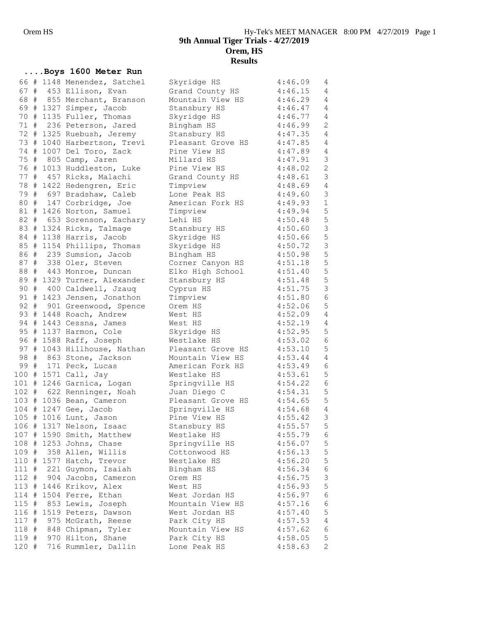**....Boys 1600 Meter Run**

|       |  | 66 # 1148 Menendez, Satchel | Skyridge HS       | 4:46.09 | 4                         |
|-------|--|-----------------------------|-------------------|---------|---------------------------|
|       |  | 67 # 453 Ellison, Evan      | Grand County HS   | 4:46.15 | $\overline{4}$            |
|       |  | 68 # 855 Merchant, Branson  | Mountain View HS  | 4:46.29 | 4                         |
|       |  | 69 # 1327 Simper, Jacob     | Stansbury HS      | 4:46.47 | $\overline{4}$            |
|       |  | 70 # 1135 Fuller, Thomas    | Skyridge HS       | 4:46.77 | $\overline{4}$            |
|       |  | 71 # 236 Peterson, Jared    | Bingham HS        | 4:46.99 | $\mathbf{2}$              |
|       |  | 72 # 1325 Ruebush, Jeremy   | Stansbury HS      | 4:47.35 | $\sqrt{4}$                |
|       |  | 73 # 1040 Harbertson, Trevi | Pleasant Grove HS | 4:47.85 | $\overline{4}$            |
|       |  | 74 # 1007 Del Toro, Zack    | Pine View HS      | 4:47.89 | $\overline{4}$            |
|       |  | 75 # 805 Camp, Jaren        | Millard HS        | 4:47.91 | $\mathsf 3$               |
|       |  | 76 # 1013 Huddleston, Luke  | Pine View HS      | 4:48.02 | $\mathbf{2}$              |
|       |  |                             |                   |         | $\mathfrak{Z}$            |
|       |  | 77 # 457 Ricks, Malachi     | Grand County HS   | 4:48.61 | $\sqrt{4}$                |
|       |  | 78 # 1422 Hedengren, Eric   | Timpview          | 4:48.69 |                           |
|       |  | 79 # 697 Bradshaw, Caleb    | Lone Peak HS      | 4:49.60 | $\mathsf 3$               |
|       |  | 80 # 147 Corbridge, Joe     | American Fork HS  | 4:49.93 | $\mathbf 1$               |
|       |  | 81 # 1426 Norton, Samuel    | Timpview          | 4:49.94 | $\mathsf S$               |
|       |  | 82 # 653 Sorenson, Zachary  | Lehi HS           | 4:50.48 | $\overline{5}$            |
|       |  | 83 # 1324 Ricks, Talmage    | Stansbury HS      | 4:50.60 | $\mathfrak{Z}$            |
|       |  | 84 # 1138 Harris, Jacob     | Skyridge HS       | 4:50.66 | $\overline{5}$            |
|       |  | 85 # 1154 Phillips, Thomas  | Skyridge HS       | 4:50.72 | $\mathfrak{Z}$            |
|       |  | 86 # 239 Sumsion, Jacob     | Bingham HS        | 4:50.98 | 5                         |
|       |  | 87 # 338 Oler, Steven       | Corner Canyon HS  | 4:51.18 | $\mathsf S$               |
|       |  | 88 # 443 Monroe, Duncan     | Elko High School  | 4:51.40 | 5                         |
|       |  | 89 # 1329 Turner, Alexander | Stansbury HS      | 4:51.48 | $\mathsf S$               |
|       |  | 90 # 400 Caldwell, Jzauq    | Cyprus HS         | 4:51.75 | $\mathsf 3$               |
|       |  | 91 # 1423 Jensen, Jonathon  | Timpview          | 4:51.80 | $\epsilon$                |
|       |  | 92 # 901 Greenwood, Spence  | Orem HS           | 4:52.06 | $\mathsf S$               |
|       |  | 93 # 1448 Roach, Andrew     | West HS           | 4:52.09 | $\overline{4}$            |
|       |  | 94 # 1443 Cessna, James     | West HS           | 4:52.19 | $\sqrt{4}$                |
|       |  | 95 # 1137 Harmon, Cole      | Skyridge HS       | 4:52.95 | $\mathsf S$               |
|       |  | 96 # 1588 Raff, Joseph      | Westlake HS       | 4:53.02 | $\sqrt{6}$                |
|       |  | 97 # 1043 Hillhouse, Nathan | Pleasant Grove HS | 4:53.10 | $\mathsf S$               |
|       |  | 98 # 863 Stone, Jackson     | Mountain View HS  | 4:53.44 | $\sqrt{4}$                |
|       |  | 99 # 171 Peck, Lucas        | American Fork HS  | 4:53.49 | $\sqrt{6}$                |
|       |  | 100 # 1571 Call, Jay        | Westlake HS       | 4:53.61 | 5                         |
|       |  | 101 # 1246 Garnica, Logan   | Springville HS    | 4:54.22 | $\epsilon$                |
|       |  | 102 # 622 Renninger, Noah   | Juan Diego C      | 4:54.31 | $\mathsf S$               |
|       |  | 103 # 1036 Bean, Cameron    | Pleasant Grove HS | 4:54.65 | $\mathsf S$               |
|       |  | 104 # 1247 Gee, Jacob       | Springville HS    | 4:54.68 | $\sqrt{4}$                |
|       |  | 105 # 1016 Lunt, Jason      | Pine View HS      | 4:55.42 | $\mathfrak{Z}$            |
|       |  | 106 # 1317 Nelson, Isaac    | Stansbury HS      | 4:55.57 | 5                         |
|       |  | 107 # 1590 Smith, Matthew   | Westlake HS       | 4:55.79 | 6                         |
|       |  | 108 # 1253 Johns, Chase     | Springville HS    | 4:56.07 | 5                         |
|       |  | 109 # 358 Allen, Willis     | Cottonwood HS     | 4:56.13 | $\mathsf S$               |
|       |  | 110 # 1577 Hatch, Trevor    | Westlake HS       | 4:56.20 | $\mathsf S$               |
| 111 # |  | 221 Guymon, Isaiah          | Bingham HS        | 4:56.34 | $\epsilon$                |
|       |  | 112 # 904 Jacobs, Cameron   | Orem HS           | 4:56.75 | $\ensuremath{\mathsf{3}}$ |
|       |  | 113 # 1446 Krikov, Alex     | West HS           | 4:56.93 | $\mathsf S$               |
|       |  | 114 # 1504 Ferre, Ethan     | West Jordan HS    | 4:56.97 | $\epsilon$                |
|       |  | 115 # 853 Lewis, Joseph     | Mountain View HS  | 4:57.16 | $\sqrt{6}$                |
|       |  | 116 # 1519 Peters, Dawson   | West Jordan HS    | 4:57.40 | 5                         |
| 117 # |  | 975 McGrath, Reese          | Park City HS      | 4:57.53 | 4                         |
|       |  | 118 # 848 Chipman, Tyler    | Mountain View HS  | 4:57.62 | $\sqrt{6}$                |
| 119 # |  | 970 Hilton, Shane           | Park City HS      | 4:58.05 | $\mathsf S$               |
| 120 # |  | 716 Rummler, Dallin         | Lone Peak HS      | 4:58.63 | $\overline{c}$            |
|       |  |                             |                   |         |                           |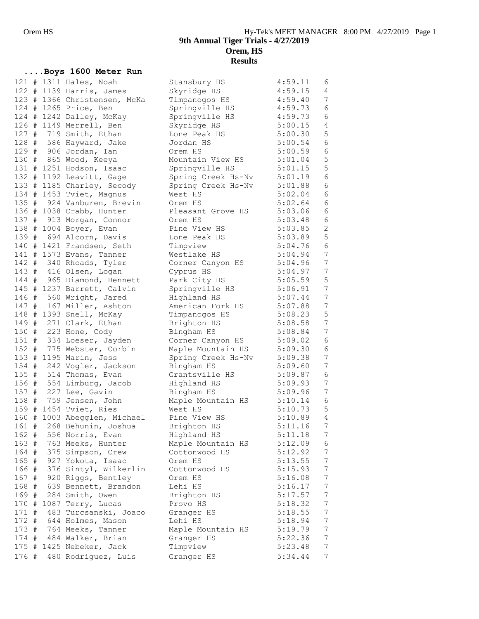**....Boys 1600 Meter Run**

|       |  | 121 # 1311 Hales, Noah       | Stansbury HS       | 4:59.11 | 6                |
|-------|--|------------------------------|--------------------|---------|------------------|
|       |  | 122 # 1139 Harris, James     | Skyridge HS        | 4:59.15 | $\overline{4}$   |
|       |  |                              |                    |         |                  |
|       |  | 123 # 1366 Christensen, McKa | Timpanogos HS      | 4:59.40 | 7                |
|       |  | 124 # 1265 Price, Ben        | Springville HS     | 4:59.73 | 6                |
|       |  | 124 # 1242 Dalley, McKay     | Springville HS     | 4:59.73 | 6                |
|       |  | 126 # 1149 Merrell, Ben      | Skyridge HS        | 5:00.15 | $\overline{4}$   |
|       |  | 127 # 719 Smith, Ethan       | Lone Peak HS       | 5:00.30 | 5                |
|       |  | 128 # 586 Hayward, Jake      | Jordan HS          | 5:00.54 | $\epsilon$       |
|       |  | 129 # 906 Jordan, Ian        | Orem HS            | 5:00.59 | $\epsilon$       |
|       |  | 130 # 865 Wood, Keeya        | Mountain View HS   | 5:01.04 | $\mathsf S$      |
|       |  | 131 # 1251 Hodson, Isaac     | Springville HS     | 5:01.15 | $\mathsf S$      |
|       |  | 132 # 1192 Leavitt, Gage     | Spring Creek Hs-Nv | 5:01.19 | $\epsilon$       |
|       |  | 133 # 1185 Charley, Secody   | Spring Creek Hs-Nv | 5:01.88 | $\epsilon$       |
|       |  | 134 # 1453 Tviet, Magnus     | West HS            | 5:02.04 | $\epsilon$       |
|       |  | 135 # 924 Vanburen, Brevin   |                    | 5:02.64 | $\epsilon$       |
|       |  |                              | Orem HS            |         |                  |
|       |  | 136 # 1038 Crabb, Hunter     | Pleasant Grove HS  | 5:03.06 | $\epsilon$       |
|       |  | 137 # 913 Morgan, Connor     | Orem HS            | 5:03.48 | $\sqrt{6}$       |
|       |  | 138 # 1004 Boyer, Evan       | Pine View HS       | 5:03.85 | $\sqrt{2}$       |
|       |  | 139 # 694 Alcorn, Davis      | Lone Peak HS       | 5:03.89 | $\mathsf S$      |
|       |  | 140 # 1421 Frandsen, Seth    | Timpview           | 5:04.76 | $\epsilon$       |
|       |  | 141 # 1573 Evans, Tanner     | Westlake HS        | 5:04.94 | $\boldsymbol{7}$ |
|       |  | 142 # 340 Rhoads, Tyler      | Corner Canyon HS   | 5:04.96 | $\boldsymbol{7}$ |
|       |  | 143 # 416 Olsen, Logan       | Cyprus HS          | 5:04.97 | $7\phantom{.0}$  |
|       |  | 144 # 965 Diamond, Bennett   | Park City HS       | 5:05.59 | $\mathsf S$      |
|       |  | 145 # 1237 Barrett, Calvin   | Springville HS     | 5:06.91 | $7\phantom{.0}$  |
|       |  | 146 # 560 Wright, Jared      | Highland HS        | 5:07.44 | $7\phantom{.0}$  |
|       |  | 147 # 167 Miller, Ashton     | American Fork HS   | 5:07.88 | $\boldsymbol{7}$ |
|       |  | 148 # 1393 Snell, McKay      | Timpanogos HS      | 5:08.23 | $\mathsf S$      |
|       |  | 149 # 271 Clark, Ethan       | Brighton HS        | 5:08.58 | $\boldsymbol{7}$ |
|       |  | 150 # 223 Hone, Cody         | Bingham HS         | 5:08.84 | 7                |
|       |  | 151 # 334 Loeser, Jayden     | Corner Canyon HS   | 5:09.02 | $\sqrt{6}$       |
|       |  | 152 # 775 Webster, Corbin    | Maple Mountain HS  | 5:09.30 | $\sqrt{6}$       |
|       |  | 153 # 1195 Marin, Jess       | Spring Creek Hs-Nv | 5:09.38 | $\boldsymbol{7}$ |
|       |  | 154 # 242 Vogler, Jackson    | Bingham HS         | 5:09.60 | $\boldsymbol{7}$ |
|       |  | 155 # 514 Thomas, Evan       | Grantsville HS     | 5:09.87 | $\sqrt{6}$       |
|       |  | 156 # 554 Limburg, Jacob     |                    | 5:09.93 | $\overline{7}$   |
|       |  |                              | Highland HS        |         | $\overline{7}$   |
|       |  | 157 # 227 Lee, Gavin         | Bingham HS         | 5:09.96 |                  |
|       |  | 158 # 759 Jensen, John       | Maple Mountain HS  | 5:10.14 | $6\,$            |
|       |  | 159 # 1454 Tviet, Ries       | West HS            | 5:10.73 | $\mathsf S$      |
|       |  | 160 # 1003 Abegglen, Michael | Pine View HS       | 5:10.89 | $\overline{4}$   |
|       |  | 161 # 268 Behunin, Joshua    | Brighton HS        | 5:11.16 | $7\overline{ }$  |
|       |  | 162 # 556 Norris, Evan       | Highland HS        | 5:11.18 | 7                |
|       |  | 163 # 763 Meeks, Hunter      | Maple Mountain HS  | 5:12.09 | 6                |
|       |  | 164 # 375 Simpson, Crew      | Cottonwood HS      | 5:12.92 | 7                |
| 165 # |  | 927 Yokota, Isaac            | Orem HS            | 5:13.55 | 7                |
| 166 # |  | 376 Sintyl, Wilkerlin        | Cottonwood HS      | 5:15.93 | $7\phantom{.0}$  |
|       |  | 167 # 920 Riggs, Bentley     | Orem HS            | 5:16.08 | 7                |
|       |  | 168 # 639 Bennett, Brandon   | Lehi HS            | 5:16.17 | 7                |
| 169 # |  | 284 Smith, Owen              | Brighton HS        | 5:17.57 | 7                |
|       |  | 170 # 1087 Terry, Lucas      | Provo HS           | 5:18.32 | 7                |
|       |  | 171 # 483 Turcsanski, Joaco  | Granger HS         | 5:18.55 | 7                |
|       |  | 172 # 644 Holmes, Mason      | Lehi HS            | 5:18.94 | $7\phantom{.0}$  |
|       |  | 173 # 764 Meeks, Tanner      | Maple Mountain HS  | 5:19.79 | 7                |
|       |  | 174 # 484 Walker, Brian      | Granger HS         | 5:22.36 | 7                |
|       |  | 175 # 1425 Nebeker, Jack     | Timpview           | 5:23.48 | 7                |
|       |  | 176 # 480 Rodriguez, Luis    | Granger HS         | 5:34.44 | $7^{\circ}$      |
|       |  |                              |                    |         |                  |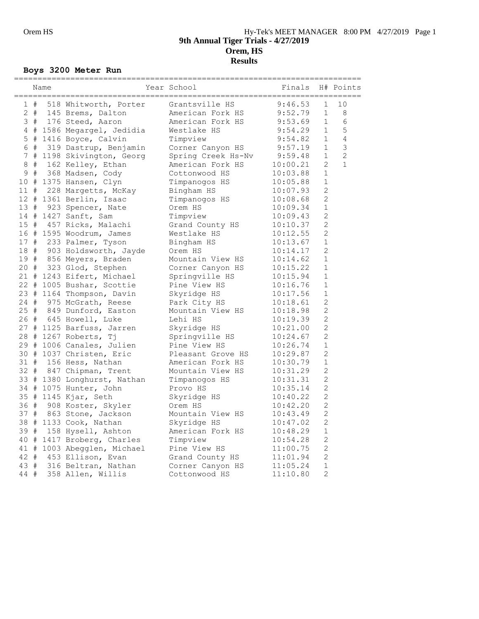# **Boys 3200 Meter Run**

|        |       | Name |                             | Year School<br>----------------- | Finals<br>$= ==:$ |                | H# Points      |
|--------|-------|------|-----------------------------|----------------------------------|-------------------|----------------|----------------|
|        | 1#    |      | 518 Whitworth, Porter       | Grantsville HS                   | 9:46.53           | 1              | 10             |
|        | $2$ # |      | 145 Brems, Dalton           | American Fork HS                 | 9:52.79           | $\mathbf{1}$   | 8              |
|        |       |      | 3 # 176 Steed, Aaron        | American Fork HS                 | 9:53.69           | $\mathbf{1}$   | 6              |
|        |       |      | 4 # 1586 Megargel, Jedidia  | Westlake HS                      | 9:54.29           | $\mathbf{1}$   | 5              |
|        | 5#    |      | 1416 Boyce, Calvin          | Timpview                         | 9:54.82           | $\mathbf{1}$   | 4              |
| 6      | #     |      | 319 Dastrup, Benjamin       | Corner Canyon HS                 | 9:57.19           | $\mathbf{1}$   | 3              |
|        | 7#    |      | 1198 Skivington, Georg      | Spring Creek Hs-Nv               | 9:59.48           | $\mathbf{1}$   | $\overline{2}$ |
| 8      | #     |      | 162 Kelley, Ethan           | American Fork HS                 | 10:00.21          | 2              | $\mathbf{1}$   |
| 9      | #     |      | 368 Madsen, Cody            | Cottonwood HS                    | 10:03.88          | $\mathbf{1}$   |                |
| 10#    |       |      | 1375 Hansen, Clyn           | Timpanogos HS                    | 10:05.88          | $\mathbf{1}$   |                |
| $11$ # |       |      | 228 Margetts, McKay         | Bingham HS                       | 10:07.93          | 2              |                |
| $12 +$ |       |      | 1361 Berlin, Isaac          | Timpanogos HS                    | 10:08.68          | 2              |                |
| 13#    |       |      | 923 Spencer, Nate           | Orem HS                          | 10:09.34          | $\mathbf{1}$   |                |
|        |       |      | 14 # 1427 Sanft, Sam        | Timpview                         | 10:09.43          | $\overline{2}$ |                |
| 15#    |       |      | 457 Ricks, Malachi          | Grand County HS                  | 10:10.37          | $\overline{2}$ |                |
|        |       |      | 16 # 1595 Woodrum, James    | Westlake HS                      | 10:12.55          | 2              |                |
|        |       |      | 17 # 233 Palmer, Tyson      | Bingham HS                       | 10:13.67          | $\mathbf{1}$   |                |
| 18 #   |       |      | 903 Holdsworth, Jayde       | Orem HS                          | 10:14.17          | $\overline{2}$ |                |
| 19#    |       |      | 856 Meyers, Braden          | Mountain View HS                 | 10:14.62          | $\mathbf{1}$   |                |
| 20 #   |       |      | 323 Glod, Stephen           | Corner Canyon HS                 | 10:15.22          | $\mathbf{1}$   |                |
|        |       |      | 21 # 1243 Eifert, Michael   | Springville HS                   | 10:15.94          | $\mathbf{1}$   |                |
|        |       |      | 22 # 1005 Bushar, Scottie   | Pine View HS                     | 10:16.76          | $\mathbf{1}$   |                |
|        |       |      | 23 # 1164 Thompson, Davin   | Skyridge HS                      | 10:17.56          | $\mathbf 1$    |                |
| 24 #   |       |      | 975 McGrath, Reese          | Park City HS                     | 10:18.61          | $\overline{2}$ |                |
| 25 #   |       |      | 849 Dunford, Easton         | Mountain View HS                 | 10:18.98          | $\mathbf 2$    |                |
| 26#    |       |      | 645 Howell, Luke            | Lehi HS                          | 10:19.39          | $\overline{2}$ |                |
|        |       |      | 27 # 1125 Barfuss, Jarren   | Skyridge HS                      | 10:21.00          | $\overline{c}$ |                |
|        |       |      | 28 # 1267 Roberts, Tj       | Springville HS                   | 10:24.67          | $\overline{2}$ |                |
|        |       |      | 29 # 1006 Canales, Julien   | Pine View HS                     | 10:26.74          | $\mathbf 1$    |                |
|        |       |      | 30 # 1037 Christen, Eric    | Pleasant Grove HS                | 10:29.87          | $\overline{2}$ |                |
| 31 #   |       |      | 156 Hess, Nathan            | American Fork HS                 | 10:30.79          | $\mathbf 1$    |                |
| 32 #   |       |      | 847 Chipman, Trent          | Mountain View HS                 | 10:31.29          | $\overline{2}$ |                |
|        |       |      | 33 # 1380 Longhurst, Nathan | Timpanogos HS                    | 10:31.31          | $\overline{2}$ |                |
|        |       |      | 34 # 1075 Hunter, John      | Provo HS                         | 10:35.14          | $\overline{2}$ |                |
|        |       |      | 35 # 1145 Kjar, Seth        | Skyridge HS                      | 10:40.22          | $\overline{2}$ |                |
| 36 #   |       |      | 908 Koster, Skyler          | Orem HS                          | 10:42.20          | $\overline{c}$ |                |
| 37 #   |       |      | 863 Stone, Jackson          | Mountain View HS                 | 10:43.49          | $\mathbf{2}$   |                |
|        |       |      | 38 # 1133 Cook, Nathan      | Skyridge HS                      | 10:47.02          | $\overline{2}$ |                |
| 39 #   |       |      | 158 Hysell, Ashton          | American Fork HS                 | 10:48.29          | $\mathbf{1}$   |                |
|        |       |      | 40 # 1417 Broberg, Charles  | Timpview                         | 10:54.28          | 2              |                |
|        |       |      | 41 # 1003 Abegglen, Michael | Pine View HS                     | 11:00.75          | $\mathbf{2}$   |                |
| $42 +$ |       |      | 453 Ellison, Evan           | Grand County HS                  | 11:01.94          | $\mathbf{2}$   |                |
| 43 #   |       |      | 316 Beltran, Nathan         | Corner Canyon HS                 | 11:05.24          | $\mathbf 1$    |                |
| 44 #   |       |      | 358 Allen, Willis           | Cottonwood HS                    | 11:10.80          | $\overline{2}$ |                |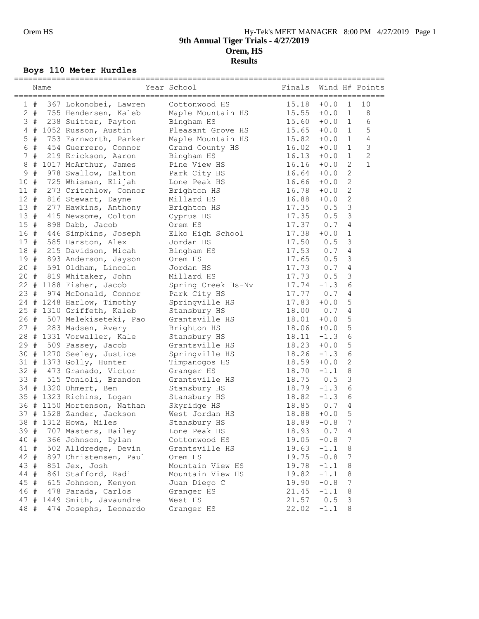# **Boys 110 Meter Hurdles**

|        |       | Name |                             | Year School        | Finals |        |                | Wind H# Points |
|--------|-------|------|-----------------------------|--------------------|--------|--------|----------------|----------------|
|        | 1#    |      | 367 Lokonobei, Lawren       | Cottonwood HS      | 15.18  | $+0.0$ | $\mathbf 1$    | 10             |
|        |       |      | 2 # 755 Hendersen, Kaleb    | Maple Mountain HS  | 15.55  | $+0.0$ | $\mathbf{1}$   | $\,8\,$        |
|        |       |      | 3 # 238 Suitter, Payton     | Bingham HS         | 15.60  | $+0.0$ | $\mathbf{1}$   | $\epsilon$     |
|        |       |      | 4 # 1052 Russon, Austin     | Pleasant Grove HS  | 15.65  | $+0.0$ | $\mathbf{1}$   | 5              |
|        | $5$ # |      | 753 Farnworth, Parker       | Maple Mountain HS  | 15.82  | $+0.0$ | $\mathbf{1}$   | $\sqrt{4}$     |
|        | 6 #   |      | 454 Guerrero, Connor        | Grand County HS    | 16.02  | $+0.0$ | $\mathbf{1}$   | 3              |
|        | 7#    |      | 219 Erickson, Aaron         | Bingham HS         | 16.13  | $+0.0$ | $\mathbf 1$    | $\overline{c}$ |
| 8      |       |      | # 1017 McArthur, James      | Pine View HS       | 16.16  | $+0.0$ | $\overline{c}$ | $\mathbf{1}$   |
| 9      | #     |      | 978 Swallow, Dalton         | Park City HS       | 16.64  | $+0.0$ | $\overline{c}$ |                |
| 10 #   |       |      | 725 Whisman, Elijah         | Lone Peak HS       | 16.66  | $+0.0$ | $\sqrt{2}$     |                |
| 11#    |       |      | 273 Critchlow, Connor       | Brighton HS        | 16.78  | $+0.0$ | $\mathbf{2}$   |                |
| $12$ # |       |      | 816 Stewart, Dayne          | Millard HS         | 16.88  | $+0.0$ | $\mathbf{2}$   |                |
| 13#    |       |      | 277 Hawkins, Anthony        | Brighton HS        | 17.35  | 0.5    | 3              |                |
|        |       |      | 13 # 415 Newsome, Colton    | Cyprus HS          | 17.35  | 0.5    | 3              |                |
| $15$ # |       |      | 898 Dabb, Jacob             | Orem HS            | 17.37  | 0.7    | $\overline{4}$ |                |
|        |       |      | 16 # 446 Simpkins, Joseph   | Elko High School   | 17.38  | $+0.0$ | $\mathbf{1}$   |                |
| 17 #   |       |      | 585 Harston, Alex           | Jordan HS          | 17.50  | 0.5    | 3              |                |
| 18 #   |       |      | 215 Davidson, Micah         | Bingham HS         | 17.53  | 0.7    | 4              |                |
|        |       |      | 19 # 893 Anderson, Jayson   | Orem HS            | 17.65  | 0.5    | 3              |                |
|        |       |      | 20 # 591 Oldham, Lincoln    | Jordan HS          | 17.73  | 0.7    | $\sqrt{4}$     |                |
|        |       |      | 20 # 819 Whitaker, John     | Millard HS         | 17.73  | 0.5    | $\mathsf 3$    |                |
|        |       |      | 22 # 1188 Fisher, Jacob     | Spring Creek Hs-Nv | 17.74  | $-1.3$ | 6              |                |
| 23#    |       |      | 974 McDonald, Connor        | Park City HS       | 17.77  | 0.7    | 4              |                |
|        |       |      | 24 # 1248 Harlow, Timothy   | Springville HS     | 17.83  | $+0.0$ | 5              |                |
|        |       |      | 25 # 1310 Griffeth, Kaleb   | Stansbury HS       | 18.00  | 0.7    | 4              |                |
|        |       |      | 26 # 507 Melekiseteki, Pao  | Grantsville HS     | 18.01  | $+0.0$ | 5              |                |
|        |       |      | 27 # 283 Madsen, Avery      | Brighton HS        | 18.06  | $+0.0$ | 5              |                |
|        |       |      | 28 # 1331 Vorwaller, Kale   | Stansbury HS       | 18.11  | $-1.3$ | 6              |                |
| 29 #   |       |      | 509 Passey, Jacob           | Grantsville HS     | 18.23  | $+0.0$ | 5              |                |
|        |       |      | 30 # 1270 Seeley, Justice   | Springville HS     | 18.26  | $-1.3$ | 6              |                |
|        |       |      | 31 # 1373 Golly, Hunter     | Timpanogos HS      | 18.59  | $+0.0$ | $\mathbf{2}$   |                |
|        |       |      | 32 # 473 Granado, Victor    | Granger HS         | 18.70  | $-1.1$ | 8              |                |
| 33 #   |       |      | 515 Tonioli, Brandon        | Grantsville HS     | 18.75  | 0.5    | $\mathsf 3$    |                |
|        |       |      | 34 # 1320 Ohmert, Ben       | Stansbury HS       | 18.79  | $-1.3$ | 6              |                |
|        |       |      | 35 # 1323 Richins, Logan    | Stansbury HS       | 18.82  | $-1.3$ | 6              |                |
|        |       |      | 36 # 1150 Mortenson, Nathan | Skyridge HS        | 18.85  | 0.7    | 4              |                |
|        |       |      | 37 # 1528 Zander, Jackson   | West Jordan HS     | 18.88  | $+0.0$ | 5              |                |
| 38     |       |      | # 1312 Howa, Miles          | Stansbury HS       | 18.89  | $-0.8$ | 7              |                |
| 39 #   |       |      | 707 Masters, Bailey         | Lone Peak HS       | 18.93  | 0.7    | 4              |                |
| 40 #   |       |      | 366 Johnson, Dylan          | Cottonwood HS      | 19.05  | $-0.8$ | 7              |                |
| 41 #   |       |      | 502 Alldredge, Devin        | Grantsville HS     | 19.63  | $-1.1$ | 8              |                |
| 42 #   |       |      | 897 Christensen, Paul       | Orem HS            | 19.75  | $-0.8$ | 7              |                |
| 43 #   |       |      | 851 Jex, Josh               | Mountain View HS   | 19.78  | $-1.1$ | 8              |                |
| 44 #   |       |      | 861 Stafford, Radi          | Mountain View HS   | 19.82  | $-1.1$ | 8              |                |
| 45 #   |       |      | 615 Johnson, Kenyon         | Juan Diego C       | 19.90  | $-0.8$ | 7              |                |
| 46 #   |       |      | 478 Parada, Carlos          | Granger HS         | 21.45  | $-1.1$ | 8              |                |
| 47 #   |       |      | 1449 Smith, Javaundre       | West HS            | 21.57  | 0.5    | 3              |                |
| 48 #   |       |      | 474 Josephs, Leonardo       | Granger HS         | 22.02  | $-1.1$ | 8              |                |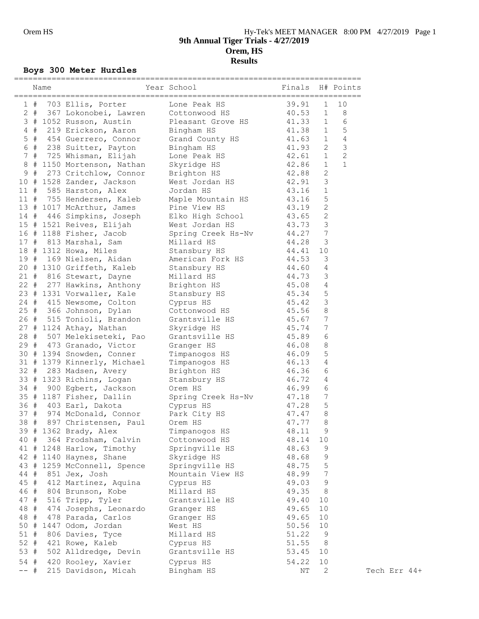# **Boys 300 Meter Hurdles**

|                |        | Name |                             | Year School        | Finals |                  | H# Points      |
|----------------|--------|------|-----------------------------|--------------------|--------|------------------|----------------|
| 1              | $+$    |      | 703 Ellis, Porter           | Lone Peak HS       | 39.91  | 1                | 10             |
|                |        |      | 2 # 367 Lokonobei, Lawren   | Cottonwood HS      | 40.53  | $\mathbf{1}$     | $\,8\,$        |
|                |        |      | 3 # 1052 Russon, Austin     | Pleasant Grove HS  | 41.33  | $\mathbf{1}$     | $\epsilon$     |
|                |        |      | 4 # 219 Erickson, Aaron     | Bingham HS         | 41.38  | 1                | $\mathsf S$    |
|                |        |      | 5 # 454 Guerrero, Connor    | Grand County HS    | 41.63  | 1                | $\sqrt{4}$     |
| $\epsilon$     |        |      | # 238 Suitter, Payton       | Bingham HS         | 41.93  | $\mathbf{2}$     | $\mathfrak{Z}$ |
| 7 <sup>7</sup> | #      |      | 725 Whisman, Elijah         | Lone Peak HS       | 42.61  | 1                | $\overline{c}$ |
| 8              |        |      | # 1150 Mortenson, Nathan    | Skyridge HS        | 42.86  | $\mathbf{1}$     | $\mathbf{1}$   |
| 9              | #      |      | 273 Critchlow, Connor       | Brighton HS        | 42.88  | $\overline{c}$   |                |
|                |        |      | 10 # 1528 Zander, Jackson   | West Jordan HS     | 42.91  | 3                |                |
|                |        |      | 11 # 585 Harston, Alex      | Jordan HS          | 43.16  | $\mathbf{1}$     |                |
|                |        |      | 11 # 755 Hendersen, Kaleb   | Maple Mountain HS  | 43.16  | $\mathsf S$      |                |
|                |        |      | 13 # 1017 McArthur, James   | Pine View HS       | 43.19  | $\mathbf{2}$     |                |
|                |        |      | 14 # 446 Simpkins, Joseph   | Elko High School   | 43.65  | $\overline{c}$   |                |
|                |        |      | 15 # 1521 Reives, Elijah    | West Jordan HS     | 43.73  | $\mathsf 3$      |                |
|                |        |      | 16 # 1188 Fisher, Jacob     | Spring Creek Hs-Nv | 44.27  | $7\phantom{.0}$  |                |
|                |        |      | 17 # 813 Marshal, Sam       | Millard HS         | 44.28  | 3                |                |
|                |        |      | 18 # 1312 Howa, Miles       | Stansbury HS       | 44.41  | 10               |                |
|                |        |      | 19 # 169 Nielsen, Aidan     | American Fork HS   | 44.53  | 3                |                |
|                |        |      | 20 # 1310 Griffeth, Kaleb   | Stansbury HS       | 44.60  | $\sqrt{4}$       |                |
|                |        |      | 21 # 816 Stewart, Dayne     | Millard HS         | 44.73  | $\mathfrak{Z}$   |                |
|                |        |      | 22 # 277 Hawkins, Anthony   | Brighton HS        | 45.08  | $\sqrt{4}$       |                |
|                |        |      | 23 # 1331 Vorwaller, Kale   | Stansbury HS       | 45.34  | 5                |                |
|                |        |      | 24 # 415 Newsome, Colton    | Cyprus HS          | 45.42  | $\mathfrak{Z}$   |                |
|                |        |      | 25 # 366 Johnson, Dylan     | Cottonwood HS      | 45.56  | $\,8\,$          |                |
|                |        |      | 26 # 515 Tonioli, Brandon   | Grantsville HS     | 45.67  | $7\phantom{.0}$  |                |
|                |        |      | 27 # 1124 Athay, Nathan     | Skyridge HS        | 45.74  | $\boldsymbol{7}$ |                |
|                |        |      | 28 # 507 Melekiseteki, Pao  | Grantsville HS     | 45.89  | $\epsilon$       |                |
|                |        |      | 29 # 473 Granado, Victor    | Granger HS         | 46.08  | 8                |                |
|                |        |      | 30 # 1394 Snowden, Conner   | Timpanogos HS      | 46.09  | 5                |                |
|                |        |      | 31 # 1379 Kinnerly, Michael | Timpanogos HS      | 46.13  | 4                |                |
|                |        |      | 32 # 283 Madsen, Avery      | Brighton HS        | 46.36  | $\sqrt{6}$       |                |
|                |        |      | 33 # 1323 Richins, Logan    | Stansbury HS       | 46.72  | $\sqrt{4}$       |                |
|                |        |      | 34 # 900 Egbert, Jackson    | Orem HS            | 46.99  | 6                |                |
|                |        |      | 35 # 1187 Fisher, Dallin    | Spring Creek Hs-Nv | 47.18  | 7                |                |
|                |        |      | 36 # 403 Earl, Dakota       | Cyprus HS          | 47.28  | 5                |                |
|                |        |      | 37 # 974 McDonald, Connor   | Park City HS       | 47.47  | $\,8\,$          |                |
| 38 #           |        |      | 897 Christensen, Paul       | Orem HS            | 47.77  | 8                |                |
|                |        |      | 39 # 1362 Brady, Alex       | Timpanogos HS      | 48.11  | 9                |                |
|                | 40 #   |      | 364 Frodsham, Calvin        | Cottonwood HS      | 48.14  | 10               |                |
|                |        |      | 41 # 1248 Harlow, Timothy   | Springville HS     | 48.63  | 9                |                |
|                |        |      | 42 # 1140 Haynes, Shane     | Skyridge HS        | 48.68  | 9                |                |
|                |        |      | 43 # 1259 McConnell, Spence | Springville HS     | 48.75  | 5                |                |
|                | 44 #   |      | 851 Jex, Josh               | Mountain View HS   | 48.99  | $\boldsymbol{7}$ |                |
|                | 45 #   |      | 412 Martinez, Aquina        | Cyprus HS          | 49.03  | $\mathsf 9$      |                |
| 46 #           |        |      | 804 Brunson, Kobe           | Millard HS         | 49.35  | 8                |                |
|                | 47 #   |      | 516 Tripp, Tyler            | Grantsville HS     | 49.40  | 10               |                |
| 48 #           |        |      | 474 Josephs, Leonardo       | Granger HS         | 49.65  | 10               |                |
| 48 #           |        |      | 478 Parada, Carlos          | Granger HS         | 49.65  | 10               |                |
|                |        |      | 50 # 1447 Odom, Jordan      | West HS            | 50.56  | 10               |                |
|                | $51$ # |      | 806 Davies, Tyce            | Millard HS         | 51.22  | $\mathsf 9$      |                |
|                | 52 #   |      | 421 Rowe, Kaleb             | Cyprus HS          | 51.55  | 8                |                |
| 53 #           |        |      | 502 Alldredge, Devin        | Grantsville HS     | 53.45  | 10               |                |
| 54 #           |        |      | 420 Rooley, Xavier          | Cyprus HS          | 54.22  | 10               |                |
| $--$ #         |        |      | 215 Davidson, Micah         | Bingham HS         | NΤ     | 2                |                |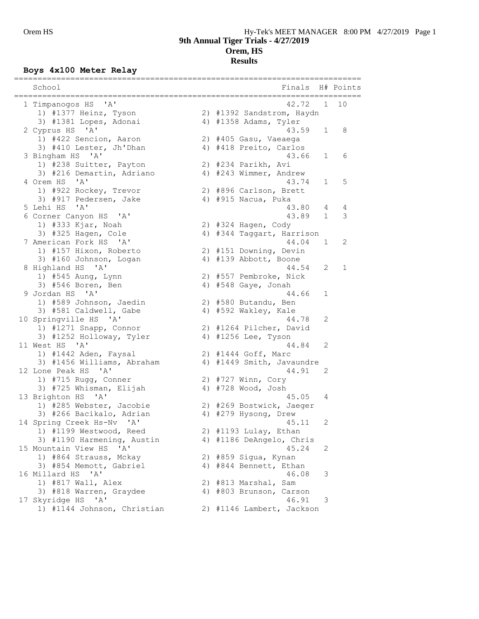# **Boys 4x100 Meter Relay**

| School                      | Finals H# Points          |                |   |
|-----------------------------|---------------------------|----------------|---|
| 1 Timpanogos HS 'A'         | 42.72 1 10                |                |   |
| 1) #1377 Heinz, Tyson       | 2) #1392 Sandstrom, Haydn |                |   |
| 3) #1381 Lopes, Adonai      | 4) #1358 Adams, Tyler     |                |   |
| 2 Cyprus HS 'A'             | 43.59                     | 1              | 8 |
| 1) #422 Sencion, Aaron      | 2) #405 Gasu, Vaeaega     |                |   |
| 3) #410 Lester, Jh'Dhan     | 4) #418 Preito, Carlos    |                |   |
| 3 Bingham HS 'A'            | 43.66                     | 1              | 6 |
| 1) #238 Suitter, Payton     | 2) #234 Parikh, Avi       |                |   |
| 3) #216 Demartin, Adriano   | 4) #243 Wimmer, Andrew    |                |   |
| 4 Orem HS 'A'               | 43.74                     | 1              | 5 |
| 1) #922 Rockey, Trevor      | 2) #896 Carlson, Brett    |                |   |
| 3) #917 Pedersen, Jake      | 4) #915 Nacua, Puka       |                |   |
| 5 Lehi HS 'A'               | 43.80                     | 4              | 4 |
| 6 Corner Canyon HS 'A'      | 43.89                     | $\overline{1}$ | 3 |
| 1) #333 Kjar, Noah          | 2) #324 Hagen, Cody       |                |   |
| 3) #325 Hagen, Cole         | 4) #344 Taggart, Harrison |                |   |
| 7 American Fork HS 'A'      | 44.04                     | 1              | 2 |
| 1) #157 Hixon, Roberto      | 2) #151 Downing, Devin    |                |   |
| 3) #160 Johnson, Logan      | 4) #139 Abbott, Boone     |                |   |
| 8 Highland HS 'A'           | 44.54                     | 2              | 1 |
| 1) #545 Aung, Lynn          | 2) #557 Pembroke, Nick    |                |   |
| 3) #546 Boren, Ben          | 4) #548 Gaye, Jonah       |                |   |
| 9 Jordan HS 'A'             | 44.66                     | 1              |   |
| 1) #589 Johnson, Jaedin     | 2) #580 Butandu, Ben      |                |   |
| 3) #581 Caldwell, Gabe      | 4) #592 Wakley, Kale      |                |   |
| 10 Springville HS 'A'       | 44.78                     | 2              |   |
| 1) #1271 Snapp, Connor      | 2) #1264 Pilcher, David   |                |   |
| 3) #1252 Holloway, Tyler    | 4) #1256 Lee, Tyson       |                |   |
| 11 West HS 'A'              | 44.84                     | 2              |   |
| 1) #1442 Aden, Faysal       | 2) #1444 Goff, Marc       |                |   |
| 3) #1456 Williams, Abraham  | 4) #1449 Smith, Javaundre |                |   |
| 12 Lone Peak HS 'A'         | 44.91                     | 2              |   |
| 1) #715 Rugg, Conner        | 2) #727 Winn, Cory        |                |   |
| 3) #725 Whisman, Elijah     | 4) #728 Wood, Josh        |                |   |
| 13 Brighton HS 'A'          | 45.05                     | 4              |   |
| 1) #285 Webster, Jacobie    | 2) #269 Bostwick, Jaeger  |                |   |
| 3) #266 Bacikalo, Adrian    | 4) #279 Hysong, Drew      |                |   |
| 14 Spring Creek Hs-Nv 'A'   | 45.11                     | 2              |   |
| 1) #1199 Westwood, Reed     | 2) #1193 Lulay, Ethan     |                |   |
| 3) #1190 Harmening, Austin  | 4) #1186 DeAngelo, Chris  |                |   |
| 15 Mountain View HS 'A'     | 45.24                     | 2              |   |
| 1) #864 Strauss, Mckay      | 2) #859 Sigua, Kynan      |                |   |
| 3) #854 Memott, Gabriel     | 4) #844 Bennett, Ethan    |                |   |
| 16 Millard HS<br>' A'       | 46.08                     | 3              |   |
| 1) #817 Wall, Alex          | 2) #813 Marshal, Sam      |                |   |
| 3) #818 Warren, Graydee     | 4) #803 Brunson, Carson   |                |   |
| 17 Skyridge HS 'A'          | 46.91                     | 3              |   |
| 1) #1144 Johnson, Christian | 2) #1146 Lambert, Jackson |                |   |
|                             |                           |                |   |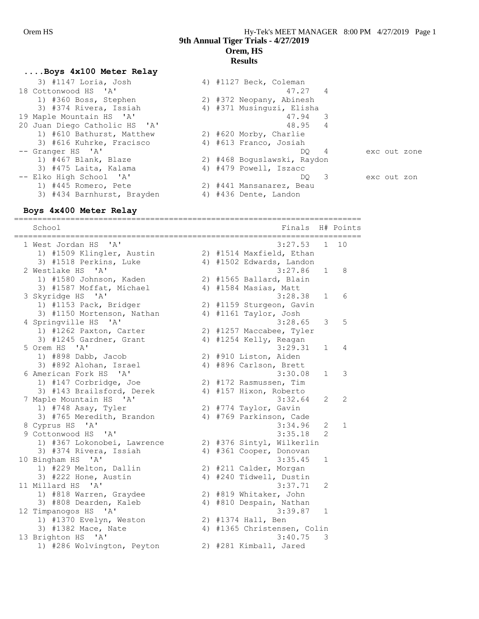### **....Boys 4x100 Meter Relay**

 3) #1147 Loria, Josh 4) #1127 Beck, Coleman 18 Cottonwood HS 'A' 47.27 4 1) #360 Boss, Stephen 2) #372 Neopany, Abinesh 3) #374 Rivera, Issiah 4) #371 Musinguzi, Elisha 19 Maple Mountain HS 'A' 47.94 3 20 Juan Diego Catholic HS 'A' 48.95 4 1) #610 Bathurst, Matthew 2) #620 Morby, Charlie 3) #616 Kuhrke, Fracisco 4) #613 Franco, Josiah 1) #467 Blank, Blaze 2) #468 Boguslawski, Raydon 3) #475 Laita, Kalama 4) #479 Powell, Iszacc 1) #445 Romero, Pete 2) #441 Mansanarez, Beau 3) #434 Barnhurst, Brayden 4) #436 Dente, Landon

-- Granger HS 'A' DQ 4 exc out zone -- Elko High School 'A' DQ 3 exc out zon

#### **Boys 4x400 Meter Relay**

========================================================================== School **Finals** H# Points ========================================================================== 1 West Jordan HS 'A' 3:27.53 1 10 1) #1509 Klingler, Austin 2) #1514 Maxfield, Ethan 3) #1518 Perkins, Luke 4) #1502 Edwards, Landon 2 Westlake HS 'A' 3:27.86 1 8 1) #1580 Johnson, Kaden 2) #1565 Ballard, Blain 3) #1587 Moffat, Michael 4) #1584 Masias, Matt 3 Skyridge HS 'A' 3:28.38 1 6 1) #1153 Pack, Bridger 2) #1159 Sturgeon, Gavin 3) #1150 Mortenson, Nathan 4) #1161 Taylor, Josh 4 Springville HS 'A' 3:28.65 3 5 1) #1262 Paxton, Carter 2) #1257 Maccabee, Tyler 3) #1245 Gardner, Grant (4) #1254 Kelly, Reagan 5 Orem HS 'A' 3:29.31 1 4 1) #898 Dabb, Jacob 2) #910 Liston, Aiden 3) #892 Alohan, Israel 4) #896 Carlson, Brett 6 American Fork HS 'A' 3:30.08 1 3 1) #147 Corbridge, Joe 2) #172 Rasmussen, Tim 3) #143 Brailsford, Derek 4) #157 Hixon, Roberto 7 Maple Mountain HS 'A' 3:32.64 2 2 1) #748 Asay, Tyler 2) #774 Taylor, Gavin 3) #765 Meredith, Brandon 4) #769 Parkinson, Cade 8 Cyprus HS 'A' 3:34.96 2 1 9 Cottonwood HS 'A' 3:35.18 2 1) #367 Lokonobei, Lawrence 2) #376 Sintyl, Wilkerlin 3) #374 Rivera, Issiah 4) #361 Cooper, Donovan 10 Bingham HS 'A' 3:35.45 1 1) #229 Melton, Dallin 2) #211 Calder, Morgan 3) #222 Hone, Austin 4) #240 Tidwell, Dustin 11 Millard HS 'A' 3:37.71 2 1) #818 Warren, Graydee 2) #819 Whitaker, John 3) #808 Dearden, Kaleb 4) #810 Despain, Nathan 12 Timpanogos HS 'A' 3:39.87 1 1) #1370 Evelyn, Weston 2) #1374 Hall, Ben 3) #1382 Mace, Nate 4) #1365 Christensen, Colin 13 Brighton HS 'A' 3:40.75 3 1) #286 Wolvington, Peyton 2) #281 Kimball, Jared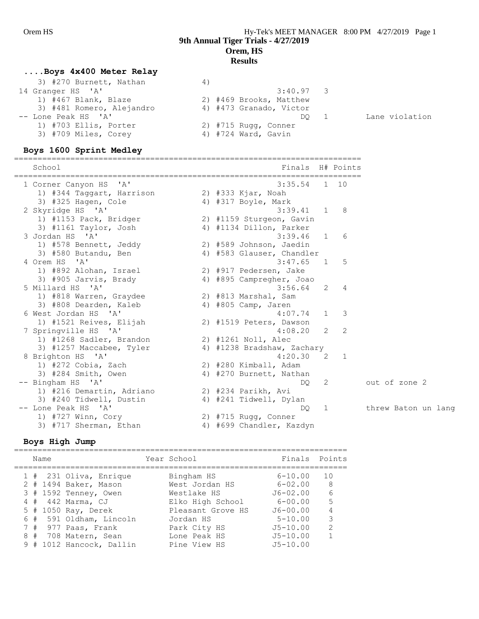#### **....Boys 4x400 Meter Relay**

| 3) #270 Burnett, Nathan   |                         |                |
|---------------------------|-------------------------|----------------|
| 14 Granger HS 'A'         | $3:40.97$ 3             |                |
| 1) #467 Blank, Blaze      | 2) #469 Brooks, Matthew |                |
| 3) #481 Romero, Alejandro | 4) #473 Granado, Victor |                |
| -- Lone Peak HS 'A'       | DO.                     | Lane violation |
| 1) #703 Ellis, Porter     | 2) #715 Rugg, Conner    |                |
| 3) #709 Miles, Corey      | 4) #724 Ward, Gavin     |                |

==========================================================================

#### **Boys 1600 Sprint Medley**

School **Finals H# Points** ========================================================================== 1 Corner Canyon HS 'A' 1) #344 Taggart, Harrison 2) #333 Kjar, Noah 3) #325 Hagen, Cole 4) #317 Boyle, Mark 2 Skyridge HS 'A' 3:39.41 1 8 1) #1153 Pack, Bridger 2) #1159 Sturgeon, Gavin 3) #1161 Taylor, Josh 4) #1134 Dillon, Parker 3 Jordan HS 'A' 3:39.46 1 6 1) #578 Bennett, Jeddy 2) #589 Johnson, Jaedin 3) #580 Butandu, Ben 4) #583 Glauser, Chandler 4 Orem HS 'A' 3:47.65 1 5 1) #892 Alohan, Israel 2) #917 Pedersen, Jake 3) #905 Jarvis, Brady 4) #895 Campregher, Joao 5 Millard HS 'A' 3:56.64 2 4 1) #818 Warren, Graydee 2) #813 Marshal, Sam 3) #808 Dearden, Kaleb 4) #805 Camp, Jaren 6 West Jordan HS 'A' 4:07.74 1 3 1) #1521 Reives, Elijah 2) #1519 Peters, Dawson 7 Springville HS 'A' 4:08.20 2 2 1) #1268 Sadler, Brandon 2) #1261 Noll, Alec 3) #1257 Maccabee, Tyler 4) #1238 Bradshaw, Zachary 8 Brighton HS 'A' 4:20.30 2 1 1) #272 Cobia, Zach 2) #280 Kimball, Adam 3) #284 Smith, Owen 4) #270 Burnett, Nathan -- Bingham HS 'A' DQ 2 out of zone 2 1) #216 Demartin, Adriano 2) #234 Parikh, Avi 3) #240 Tidwell, Dustin 4) #241 Tidwell, Dylan -- Lone Peak HS 'A' DQ 1 threw Baton un lang 1) #727 Winn, Cory 2) #715 Rugg, Conner 3) #717 Sherman, Ethan 4) #699 Chandler, Kazdyn

#### **Boys High Jump**

======================================================================= Name Year School Finals Points ======================================================================= 1 # 231 Oliva, Enrique Bingham HS 6-10.00 10 2 # 1494 Baker, Mason West Jordan HS 6-02.00 8 3 # 1592 Tenney, Owen Westlake HS J6-02.00 6 4 # 442 Marma, CJ Elko High School 6-00.00 5 5 # 1050 Ray, Derek Pleasant Grove HS J6-00.00 4 6 # 591 Oldham, Lincoln Jordan HS 5-10.00 3 7 # 977 Paas, Frank Park City HS J5-10.00 2 8 # 708 Matern, Sean Lone Peak HS J5-10.00 1 9 # 1012 Hancock, Dallin Pine View HS J5-10.00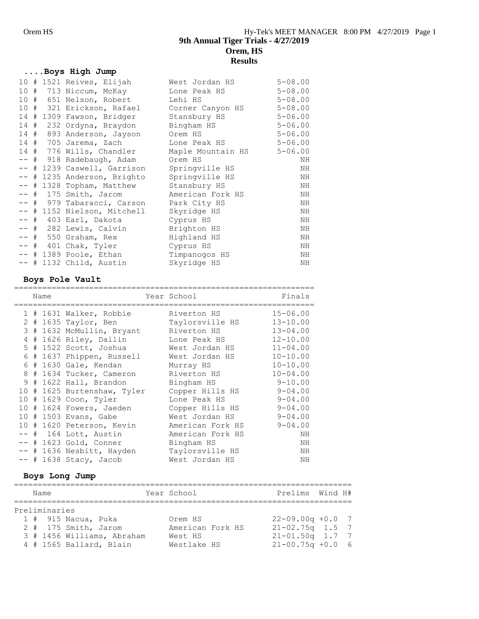| Boys High Jump |  |                                        |                                            |             |  |  |  |  |  |
|----------------|--|----------------------------------------|--------------------------------------------|-------------|--|--|--|--|--|
|                |  | 10 # 1521 Reives, Elijah               | West Jordan HS                             | $5 - 08.00$ |  |  |  |  |  |
|                |  | 10 # 713 Niccum, McKay                 | Lone Peak HS                               | $5 - 08.00$ |  |  |  |  |  |
|                |  | 10 # 651 Nelson, Robert                | Lehi HS                                    | $5 - 08.00$ |  |  |  |  |  |
|                |  |                                        | 10 # 321 Erickson, Rafael Corner Canyon HS | $5 - 08.00$ |  |  |  |  |  |
|                |  | 14 # 1309 Fawson, Bridger Stansbury HS |                                            | $5 - 06.00$ |  |  |  |  |  |
|                |  | 14 # 232 Ordyna, Braydon               | Bingham HS                                 | $5 - 06.00$ |  |  |  |  |  |
|                |  | 14 # 893 Anderson, Jayson              | Orem HS                                    | $5 - 06.00$ |  |  |  |  |  |
|                |  | 14 # 705 Jarema, Zach bone Peak HS     |                                            | $5 - 06.00$ |  |  |  |  |  |
|                |  | 14 # 776 Wills, Chandler               | Maple Mountain HS                          | $5 - 06.00$ |  |  |  |  |  |
|                |  | -- # 918 Radebaugh, Adam               | Orem HS                                    | NH          |  |  |  |  |  |
|                |  | -- # 1239 Caswell, Garrison            | Springville HS                             | NH          |  |  |  |  |  |
|                |  | -- # 1235 Anderson, Brighto            | Springville HS                             | ΝH          |  |  |  |  |  |
|                |  | -- # 1328 Topham, Matthew              | Stansbury HS                               | ΝH          |  |  |  |  |  |
|                |  | -- # 175 Smith, Jarom                  | American Fork HS                           | ΝH          |  |  |  |  |  |
|                |  | -- #  979 Tabaracci, Carson            | Park City HS                               | ΝH          |  |  |  |  |  |
|                |  | -- # 1152 Nielson, Mitchell            | Skyridge HS                                | ΝH          |  |  |  |  |  |
|                |  | -- # 403 Earl, Dakota                  | Cyprus HS                                  | ΝH          |  |  |  |  |  |
|                |  | -- # 282 Lewis, Calvin                 | Brighton HS                                | NH          |  |  |  |  |  |
|                |  | -- # 550 Graham, Rex                   | Highland HS                                | ΝH          |  |  |  |  |  |
|                |  | -- # 401 Chak, Tyler                   | Cyprus HS                                  | NH          |  |  |  |  |  |
|                |  | -- # 1389 Poole, Ethan                 | Timpanogos HS                              | ΝH          |  |  |  |  |  |
|                |  | -- # 1132 Child, Austin                | Skyridge HS                                | ΝH          |  |  |  |  |  |

### **Boys Pole Vault**

|   |    | Name |                             | Year School      | Finals       |
|---|----|------|-----------------------------|------------------|--------------|
|   |    |      | 1 # 1631 Walker, Robbie     | Riverton HS      | $15 - 06.00$ |
|   |    |      | 2 # 1635 Taylor, Ben        | Taylorsville HS  | $13 - 10.00$ |
|   | 3# |      | 1632 McMullin, Bryant       | Riverton HS      | $13 - 04.00$ |
|   |    |      | $4$ # 1626 Riley, Dallin    | Lone Peak HS     | $12 - 10.00$ |
|   |    |      | 5 # 1522 Scott, Joshua      | West Jordan HS   | $11 - 04.00$ |
| 6 |    |      | # 1637 Phippen, Russell     | West Jordan HS   | $10 - 10.00$ |
| 6 |    |      | # 1630 Gale, Kendan         | Murray HS        | $10 - 10.00$ |
| 8 |    |      | # 1634 Tucker, Cameron      | Riverton HS      | $10 - 04.00$ |
|   |    |      | 9 # 1622 Hall, Brandon      | Bingham HS       | $9 - 10.00$  |
|   |    |      | 10 # 1625 Burtenshaw, Tyler | Copper Hills HS  | $9 - 04.00$  |
|   |    |      | 10 # 1629 Coon, Tyler       | Lone Peak HS     | $9 - 04.00$  |
|   |    |      | 10 # 1624 Fowers, Jaeden    | Copper Hills HS  | $9 - 04.00$  |
|   |    |      | 10 # 1503 Evans, Gabe       | West Jordan HS   | $9 - 04.00$  |
|   |    |      | 10 # 1620 Peterson, Kevin   | American Fork HS | $9 - 04.00$  |
|   |    |      | $--$ # 164 Lott, Austin     | American Fork HS | NH           |
|   |    |      | -- # 1623 Gold, Conner      | Bingham HS       | ΝH           |
|   |    |      | -- # 1636 Nesbitt, Hayden   | Taylorsville HS  | NH           |
|   |    |      | $--$ # 1638 Stacy, Jacob    | West Jordan HS   | NH           |

### **Boys Long Jump**

|  | Name          |                          |                            | Year School      |  | Prelims Wind H#       |  |
|--|---------------|--------------------------|----------------------------|------------------|--|-----------------------|--|
|  | Preliminaries |                          |                            |                  |  |                       |  |
|  |               | $1$ $\#$ 915 Nacua, Puka |                            | Orem HS          |  | $22 - 09.00q + 0.0$ 7 |  |
|  |               | 2 # 175 Smith, Jarom     |                            | American Fork HS |  | $21 - 02.75q$ 1.5 7   |  |
|  |               |                          | 3 # 1456 Williams, Abraham | West HS          |  | $21 - 01.50q$ 1.7 7   |  |
|  |               |                          | 4 # 1565 Ballard, Blain    | Westlake HS      |  | $21 - 00.75q + 0.0$ 6 |  |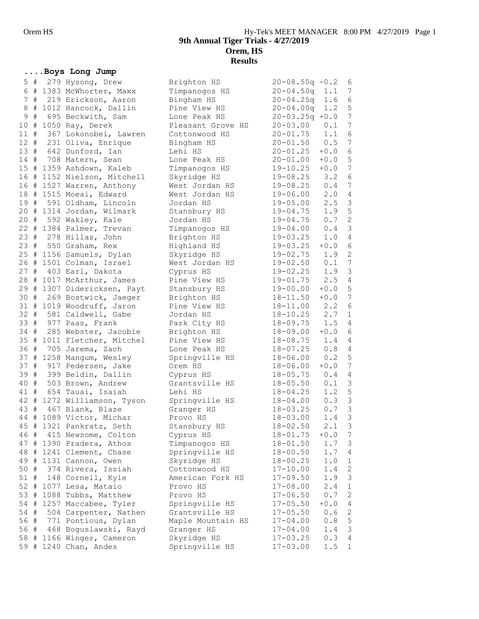**....Boys Long Jump**

## Orem HS Hy-Tek's MEET MANAGER 8:00 PM 4/27/2019 Page 1 **9th Annual Tiger Trials - 4/27/2019 Orem, HS Results**

#### 5 # 279 Hysong, Drew Brighton HS 20-08.50q -0.2 6 6 # 1383 McWhorter, Maxx Timpanogos HS 20-04.50q 1.1 7 7 # 219 Erickson, Aaron Bingham HS 20-04.25q 1.6 6 8 # 1012 Hancock, Dallin Pine View HS 20-04.00q 1.2 5 9 # 695 Beckwith, Sam Lone Peak HS 20-03.25q +0.0 7 10 # 1050 Ray, Derek Pleasant Grove HS 20-03.00 0.1 7 11 # 367 Lokonobei, Lawren Cottonwood HS 20-01.75 1.1 6 12 # 231 Oliva, Enrique Bingham HS 20-01.50 0.5 7 13 # 642 Dunford, Ian Lehi HS 20-01.25 +0.0 6 14 # 708 Matern, Sean Lone Peak HS 20-01.00 +0.0 5 15 # 1359 Ashdown, Kaleb Timpanogos HS 19-10.25 +0.0 7 16 # 1152 Nielson, Mitchell Skyridge HS 19-08.25 3.2 6 16 # 1527 Warren, Anthony West Jordan HS 19-08.25 0.4 7 18 # 1515 Moeai, Edward West Jordan HS 19-06.00 2.0 4 19 # 591 Oldham, Lincoln Jordan HS 19-05.00 2.5 3 20 # 1314 Jordan, Wilmark Stansbury HS 19-04.75 1.9 5 20 # 592 Wakley, Kale Jordan HS 19-04.75 0.7 2 22 # 1384 Palmer, Trevan Timpanogos HS 19-04.00 0.4 3 23 # 278 Hillas, John Brighton HS 19-03.25 1.0 4 23 # 550 Graham, Rex Highland HS 19-03.25 +0.0 6 25 # 1156 Samuels, Dylan Skyridge HS 19-02.75 1.9 2 26 # 1501 Colman, Israel West Jordan HS 19-02.50 0.1 7 27 # 403 Earl, Dakota Cyprus HS 19-02.25 1.9 3 28 # 1017 McArthur, James Pine View HS 19-01.75 2.5 4 29 # 1307 Didericksen, Payt Stansbury HS 19-00.00 +0.0 5 30 # 269 Bostwick, Jaeger Brighton HS 18-11.50 +0.0 7 31 # 1019 Woodruff, Jaron Pine View HS 18-11.00 2.2 6 32 # 581 Caldwell, Gabe Jordan HS 18-10.25 2.7 1 33 # 977 Paas, Frank Park City HS 18-09.75 1.5 4 34 # 285 Webster, Jacobie Brighton HS 18-09.00 +0.0 6 35 # 1011 Fletcher, Mitchel Pine View HS 18-08.75 1.4 4 36 # 705 Jarema, Zach Lone Peak HS 18-07.25 0.8 4 37 # 1258 Mangum, Wesley Springville HS 18-06.00 0.2 5 37 # 917 Pedersen, Jake Orem HS 18-06.00 +0.0 7 39 # 399 Beldin, Dallin Cyprus HS 18-05.75 0.4 4 40 # 503 Brown, Andrew Grantsville HS 18-05.50 0.1 3 41 # 654 Tauai, Isaiah Lehi HS 18-04.25 1.2 5 42 # 1272 Williamson, Tyson Springville HS 18-04.00 0.3 3 43 # 467 Blank, Blaze Granger HS 18-03.25 0.7 3 44 # 1089 Victor, Michar Provo HS 18-03.00 1.4 3 45 # 1321 Pankratz, Seth Stansbury HS 18-02.50 2.1 3 46 # 415 Newsome, Colton Cyprus HS 18-01.75 +0.0 7 47 # 1390 Pradera, Athos Timpanogos HS 18-01.50 1.7 3 48 # 1241 Clement, Chase Springville HS 18-00.50 1.7 4 49 # 1131 Cannon, Owen Skyridge HS 18-00.25 1.0 1 50 # 374 Rivera, Issiah Cottonwood HS 17-10.00 1.4 2 51 # 148 Cornell, Kyle American Fork HS 17-09.50 1.9 3 52 # 1077 Lesa, Mataio Provo HS 17-08.00 2.4 1 53 # 1088 Tubbs, Matthew Provo HS 17-06.50 0.7 2 54 # 1257 Maccabee, Tyler Springville HS 17-05.50 +0.0 4 54 # 504 Carpenter, Nathen Grantsville HS 17-05.50 0.6 2 56 # 771 Pontious, Dylan Maple Mountain HS 17-04.00 0.8 5 56 # 468 Boguslawski, Rayd Granger HS 17-04.00 1.4 3 58 # 1166 Winger, Cameron Skyridge HS 17-03.25 0.3 4 59 # 1240 Chan, Andes Springville HS 17-03.00 1.5 1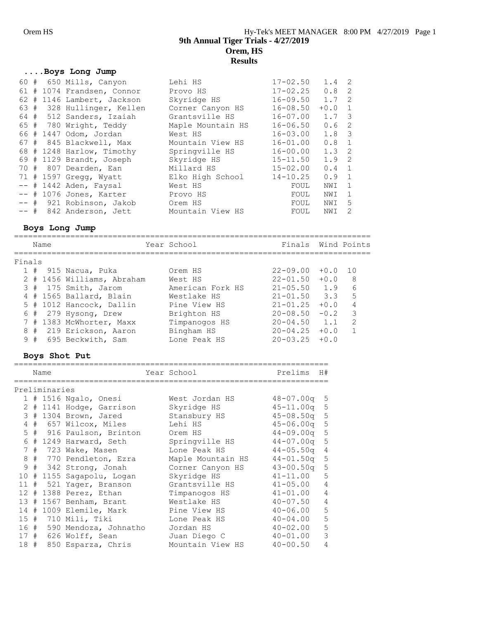#### **....Boys Long Jump**

| 60 # |  | 650 Mills, Canyon         | Lehi HS           | $17 - 02.50$ 1.4 2   |               |                |
|------|--|---------------------------|-------------------|----------------------|---------------|----------------|
| 61   |  | # 1074 Frandsen, Connor   | Provo HS          | $17 - 02.25$         | 0.8           | -2             |
| 62   |  | # 1146 Lambert, Jackson   | Skyridge HS       | $16 - 09.50$ 1.7 2   |               |                |
| 63 # |  | 328 Hullinger, Kellen     | Corner Canyon HS  | $16 - 08.50$         | $+0.0$        | $\overline{1}$ |
|      |  | 64 # 512 Sanders, Izaiah  | Grantsville HS    | $16 - 07.00$         | $1.7 \quad 3$ |                |
|      |  | 65 # 780 Wright, Teddy    | Maple Mountain HS | $16 - 06.50$         | $0.6 \quad 2$ |                |
| 66   |  | # 1447 Odom, Jordan       | West HS           | $16 - 03.00$ 1.8 3   |               |                |
|      |  | 67 # 845 Blackwell, Max   | Mountain View HS  | $16 - 01.00$         | $0.8 \quad 1$ |                |
|      |  | 68 # 1248 Harlow, Timothy | Springville HS    | $16 - 00.00$ $1.3$ 2 |               |                |
|      |  | 69 # 1129 Brandt, Joseph  | Skyridge HS       | $15 - 11.50$         | $1.9 \quad 2$ |                |
|      |  | 70 # 807 Dearden, Ean     | Millard HS        | $15 - 02.00$         | $0.4 \quad 1$ |                |
|      |  | 71 # 1597 Gregg, Wyatt    | Elko High School  | $14 - 10.25$         | 0.9           | $\overline{1}$ |
|      |  | -- # 1442 Aden, Faysal    | West HS           | FOUL                 | NWI           | $\overline{1}$ |
|      |  | -- # 1076 Jones, Karter   | Provo HS          | FOUL                 | NWI           | -1             |
|      |  | -- # 921 Robinson, Jakob  | Orem HS           | FOUL                 | NWI           | -5             |
|      |  | -- # 842 Anderson, Jett   | Mountain View HS  | FOUL                 | NWI           | 2              |

#### **Boys Long Jump**

============================================================================ Name The Year School The Finals Wind Points ============================================================================ Finals 1 # 915 Nacua, Puka Orem HS 22-09.00 +0.0 10 2 # 1456 Williams, Abraham West HS 22-01.50 +0.0 8 3 # 175 Smith, Jarom American Fork HS 21-05.50 1.9 6 4 # 1565 Ballard, Blain Westlake HS 21-01.50 3.3 5 5 # 1012 Hancock, Dallin Pine View HS 21-01.25 +0.0 4 6 # 279 Hysong, Drew Brighton HS 20-08.50 -0.2 3 7 # 1383 McWhorter, Maxx Timpanogos HS 20-04.50 1.1 2 8 # 219 Erickson, Aaron Bingham HS 20-04.25 +0.0 1 9 # 695 Beckwith, Sam Lone Peak HS 20-03.25 +0.0

#### **Boys Shot Put**

|                 |   | Name          | --------------------     | Year School<br>-------------------- | Prelims         | H#             |
|-----------------|---|---------------|--------------------------|-------------------------------------|-----------------|----------------|
|                 |   | Preliminaries |                          |                                     |                 |                |
|                 |   |               | $1$ # 1516 Ngalo, Onesi  | West Jordan HS                      | $48 - 07.00q$ 5 |                |
|                 |   |               | 2 # 1141 Hodge, Garrison | Skyridge HS                         | $45 - 11.00q$ 5 |                |
|                 |   |               | 3 # 1304 Brown, Jared    | Stansbury HS                        | $45 - 08.50q$ 5 |                |
| $4\overline{ }$ | # |               | 657 Wilcox, Miles        | Lehi HS                             | $45 - 06.00q$ 5 |                |
|                 |   |               | 5 # 916 Paulson, Brinton | Orem HS                             | $44 - 09.00q$ 5 |                |
| 6               |   |               | # 1249 Harward, Seth     | Springville HS                      | $44 - 07.00q$ 5 |                |
| $7^{\circ}$     |   |               | # 723 Wake, Masen        | Lone Peak HS                        | $44 - 05.50$ q  | $\overline{4}$ |
| 8               |   |               | # 770 Pendleton, Ezra    | Maple Mountain HS                   | $44 - 01.50q$ 5 |                |
| 9               |   |               | # 342 Strong, Jonah      | Corner Canyon HS                    | $43 - 00.50q$ 5 |                |
| 10              |   |               | # 1155 Sagapolu, Logan   | Skyridge HS                         | $41 - 11.00$    | 5              |
| 11#             |   |               | 521 Yaqer, Branson       | Grantsville HS                      | $41 - 05.00$    | $\overline{4}$ |
| 12 <sup>°</sup> |   |               | # 1388 Perez, Ethan      | Timpanogos HS                       | $41 - 01.00$    | $\overline{4}$ |
| 13#             |   |               | 1567 Benham, Brant       | Westlake HS                         | $40 - 07.50$    | $\overline{4}$ |
| 14#             |   |               | 1009 Elemile, Mark       | Pine View HS                        | $40 - 06.00$    | 5              |
|                 |   |               | 15 # 710 Mili, Tiki      | Lone Peak HS                        | $40 - 04.00$    | 5              |
| 16#             |   |               | 590 Mendoza, Johnatho    | Jordan HS                           | $40 - 02.00$    | 5              |
| 17#             |   |               | 626 Wolff, Sean          | Juan Diego C                        | $40 - 01.00$    | 3              |
| 18 #            |   |               | 850 Esparza, Chris       | Mountain View HS                    | $40 - 00.50$    | 4              |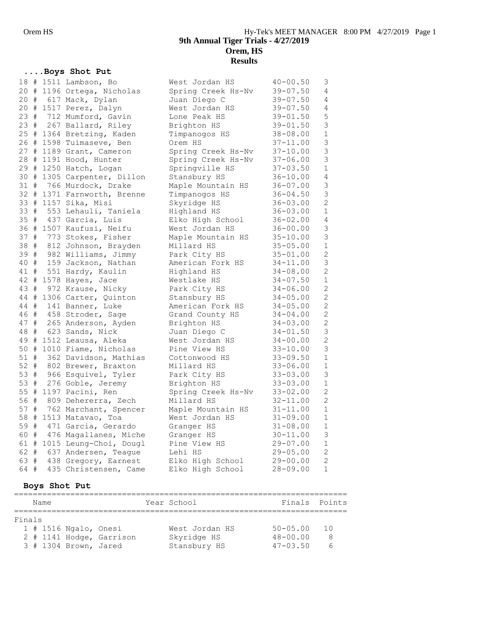#### **....Boys Shot Put**

|      |  | 18 # 1511 Lambson, Bo       | West Jordan HS     | $40 - 00.50$ | 3              |
|------|--|-----------------------------|--------------------|--------------|----------------|
|      |  | 20 # 1196 Ortega, Nicholas  | Spring Creek Hs-Nv | $39 - 07.50$ | 4              |
|      |  | 20 # 617 Mack, Dylan        | Juan Diego C       | $39 - 07.50$ | 4              |
|      |  | 20 # 1517 Perez, Dalyn      | West Jordan HS     | $39 - 07.50$ | 4              |
|      |  | 23 # 712 Mumford, Gavin     | Lone Peak HS       | 39-01.50     | 5              |
|      |  | 23 # 267 Ballard, Riley     | Brighton HS        | $39 - 01.50$ | $\mathsf 3$    |
|      |  | 25 # 1364 Bretzing, Kaden   | Timpanogos HS      | $38 - 08.00$ | $\mathbf 1$    |
|      |  | 26 # 1598 Tuimaseve, Ben    | Orem HS            | $37 - 11.00$ | $\mathsf 3$    |
|      |  |                             |                    |              | $\mathsf 3$    |
|      |  | 27 # 1189 Grant, Cameron    | Spring Creek Hs-Nv | $37 - 10.00$ | $\mathsf 3$    |
|      |  | 28 # 1191 Hood, Hunter      | Spring Creek Hs-Nv | 37-06.00     |                |
|      |  | 29 # 1250 Hatch, Logan      | Springville HS     | $37 - 03.50$ | $\mathbf 1$    |
|      |  | 30 # 1305 Carpenter, Dillon | Stansbury HS       | 36-10.00     | $\sqrt{4}$     |
|      |  | 31 # 766 Murdock, Drake     | Maple Mountain HS  | $36 - 07.00$ | $\mathfrak{Z}$ |
|      |  | 32 # 1371 Farnworth, Brenne | Timpanogos HS      | $36 - 04.50$ | $\mathsf 3$    |
|      |  | 33 # 1157 Sika, Misi        | Skyridge HS        | $36 - 03.00$ | $\overline{c}$ |
|      |  | 33 # 553 Lehauli, Taniela   | Highland HS        | $36 - 03.00$ | $\mathbf 1$    |
|      |  | 35 # 437 Garcia, Luis       | Elko High School   | $36 - 02.00$ | 4              |
|      |  | 36 # 1507 Kaufusi, Neifu    | West Jordan HS     | $36 - 00.00$ | 3              |
|      |  | 37 # 773 Stokes, Fisher     | Maple Mountain HS  | $35 - 10.00$ | $\mathsf 3$    |
|      |  | 38 # 812 Johnson, Brayden   | Millard HS         | $35 - 05.00$ | $\mathbf 1$    |
|      |  | 39 # 982 Williams, Jimmy    | Park City HS       | $35 - 01.00$ | $\mathbf 2$    |
|      |  | 40 # 159 Jackson, Nathan    | American Fork HS   | $34 - 11.00$ | 3              |
|      |  | 41 # 551 Hardy, Kaulin      | Highland HS        | $34 - 08.00$ | $\mathbf{2}$   |
|      |  | 42 # 1578 Hayes, Jace       | Westlake HS        | $34 - 07.50$ | $\mathbf 1$    |
|      |  | 43 # 972 Krause, Nicky      | Park City HS       | $34 - 06.00$ | $\mathbf{2}$   |
|      |  | 44 # 1306 Carter, Quinton   |                    |              | $\mathbf{2}$   |
|      |  |                             | Stansbury HS       | $34 - 05.00$ | $\overline{c}$ |
|      |  | 44 # 141 Banner, Luke       | American Fork HS   | $34 - 05.00$ | $\overline{c}$ |
|      |  | 46 # 458 Stroder, Sage      | Grand County HS    | $34 - 04.00$ |                |
|      |  | 47 # 265 Anderson, Ayden    | Brighton HS        | $34 - 03.00$ | $\sqrt{2}$     |
|      |  | 48 # 623 Sands, Nick        | Juan Diego C       | $34 - 01.50$ | $\mathsf 3$    |
|      |  | 49 # 1512 Leausa, Aleka     | West Jordan HS     | $34 - 00.00$ | $\mathbf{2}$   |
|      |  | 50 # 1010 Fiame, Nicholas   | Pine View HS       | $33 - 10.00$ | $\mathsf 3$    |
|      |  | 51 # 362 Davidson, Mathias  | Cottonwood HS      | $33 - 09.50$ | $\mathbf 1$    |
|      |  | 52 # 802 Brewer, Braxton    | Millard HS         | $33 - 06.00$ | $\mathbf 1$    |
|      |  | 53 # 966 Esquivel, Tyler    | Park City HS       | $33 - 03.00$ | $\mathsf 3$    |
|      |  | 53 # 276 Goble, Jeremy      | Brighton HS        | $33 - 03.00$ | $\mathbf 1$    |
|      |  | 55 # 1197 Pacini, Ren       | Spring Creek Hs-Nv | $33 - 02.00$ | $\mathbf 2$    |
|      |  | 56 # 809 Dehererra, Zech    | Millard HS         | $32 - 11.00$ | $\overline{c}$ |
|      |  | 57 # 762 Marchant, Spencer  | Maple Mountain HS  | $31 - 11.00$ | $\mathbf 1$    |
|      |  | 58 # 1513 Matavao, Toa      | West Jordan HS     | $31 - 09.00$ | $\mathbf 1$    |
|      |  | 59 # 471 Garcia, Gerardo    | Granger HS         | $31 - 08.00$ | $\mathbf 1$    |
|      |  | 60 # 476 Magallanes, Miche  | Granger HS         | $30 - 11.00$ | $\mathsf 3$    |
|      |  | 61 # 1015 Leung-Choi, Dougl | Pine View HS       | $29 - 07.00$ | $\mathbf 1$    |
|      |  | 62 # 637 Andersen, Teague   | Lehi HS            | 29-05.00     | $\overline{c}$ |
|      |  | 63 # 438 Gregory, Earnest   |                    | 29-00.00     | $\overline{c}$ |
| 64 # |  |                             | Elko High School   |              | $\mathbf{1}$   |
|      |  | 435 Christensen, Came       | Elko High School   | 28-09.00     |                |

## **Boys Shot Put**

|        | Name |                         |                            | Year School    | Finals Points |     |
|--------|------|-------------------------|----------------------------|----------------|---------------|-----|
| Finals |      |                         |                            |                |               |     |
|        |      | $1$ # 1516 Ngalo, Onesi |                            | West Jordan HS | $50 - 05.00$  | 1 N |
|        |      |                         | $2$ # 1141 Hodge, Garrison | Skyridge HS    | $48 - 00.00$  | 8   |
|        |      | $3$ # 1304 Brown, Jared |                            | Stansbury HS   | $47 - 03.50$  |     |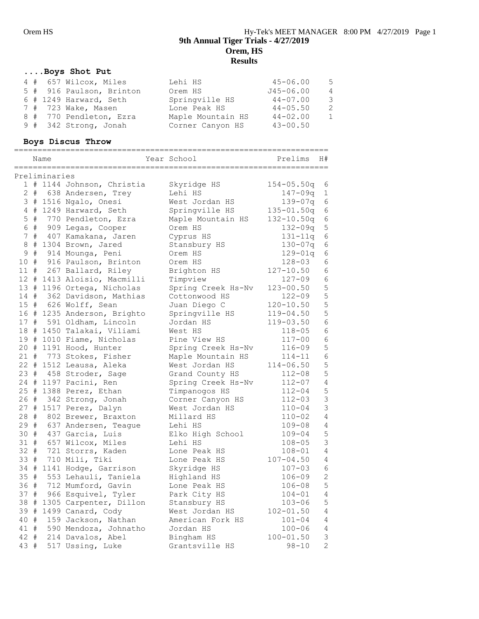### **....Boys Shot Put**

|  | 4 # 657 Wilcox, Miles    | Lehi HS           | $45 - 06.00$  | - 5            |
|--|--------------------------|-------------------|---------------|----------------|
|  | 5 # 916 Paulson, Brinton | Orem HS           | $J45 - 06.00$ | $\overline{4}$ |
|  | $6$ # 1249 Harward, Seth | Springville HS    | $44 - 07.00$  | - 3            |
|  | 7 # 723 Wake, Masen      | Lone Peak HS      | $44 - 05.50$  | -2             |
|  | 8 # 770 Pendleton, Ezra  | Maple Mountain HS | $44 - 02.00$  | -1             |
|  | 9 # 342 Strong, Jonah    | Corner Canyon HS  | $43 - 00.50$  |                |
|  |                          |                   |               |                |

## **Boys Discus Throw**

|                |             | Name                        |                             | Year School        | Prelims       | H#             |
|----------------|-------------|-----------------------------|-----------------------------|--------------------|---------------|----------------|
|                |             | ==========<br>Preliminaries |                             | ------------------ | -----------   |                |
|                |             |                             | 1 # 1144 Johnson, Christia  | Skyridge HS        | 154-05.50q    | 6              |
|                | $2 +$       |                             | 638 Andersen, Trey          | Lehi HS            | $147 - 09q$   | $\mathbf 1$    |
|                |             |                             | 3 # 1516 Ngalo, Onesi       | West Jordan HS     | $139 - 07q$   | 6              |
|                |             |                             | 4 # 1249 Harward, Seth      | Springville HS     | 135-01.50q    | 6              |
| 5              | #           |                             | 770 Pendleton, Ezra         | Maple Mountain HS  | 132-10.50q    | 6              |
|                | 6 #         |                             | 909 Legas, Cooper           | Orem HS            | 132-09q       | 5              |
| $7\phantom{.}$ | #           |                             | 407 Kamakana, Jaren         | Cyprus HS          | $131 - 11q$   | 6              |
| 8              |             |                             | # 1304 Brown, Jared         | Stansbury HS       | $130 - 07q$   | 6              |
| 9              | $_{\rm \#}$ |                             | 914 Mounga, Peni            | Orem HS            | $129 - 01q$   | 6              |
| 10             | #           |                             | 916 Paulson, Brinton        | Orem HS            | $128 - 03$    | 6              |
|                | 11#         |                             | 267 Ballard, Riley          | Brighton HS        | $127 - 10.50$ | $6\,$          |
|                |             |                             | 12 # 1413 Aloisio, Macmilli | Timpview           | $127 - 09$    | 6              |
| 13 #           |             |                             | 1196 Ortega, Nicholas       | Spring Creek Hs-Nv | 123-00.50     | 5              |
| 14#            |             |                             | 362 Davidson, Mathias       | Cottonwood HS      | $122 - 09$    | 5              |
|                |             |                             | 15 # 626 Wolff, Sean        | Juan Diego C       | 120-10.50     | 5              |
|                |             |                             | 16 # 1235 Anderson, Brighto | Springville HS     | 119-04.50     | 5              |
|                | 17 #        |                             | 591 Oldham, Lincoln         | Jordan HS          | 119-03.50     | 6              |
| 18             |             |                             | # 1450 Talakai, Viliami     | West HS            | $118 - 05$    | 6              |
|                |             |                             | 19 # 1010 Fiame, Nicholas   | Pine View HS       | $117 - 00$    | $6\,$          |
|                |             |                             | 20 # 1191 Hood, Hunter      | Spring Creek Hs-Nv | $116 - 09$    | 5              |
|                |             |                             | 21 # 773 Stokes, Fisher     | Maple Mountain HS  | $114 - 11$    | $6\,$          |
|                |             |                             | 22 # 1512 Leausa, Aleka     | West Jordan HS     | 114-06.50     | 5              |
|                |             |                             | 23 # 458 Stroder, Sage      | Grand County HS    | $112 - 08$    | 5              |
|                |             |                             | 24 # 1197 Pacini, Ren       | Spring Creek Hs-Nv | $112 - 07$    | 4              |
|                |             |                             | 25 # 1388 Perez, Ethan      | Timpanogos HS      | $112 - 04$    | 5              |
| 26 #           |             |                             | 342 Strong, Jonah           | Corner Canyon HS   | $112 - 03$    | 3              |
|                |             |                             | 27 # 1517 Perez, Dalyn      | West Jordan HS     | $110 - 04$    | 3              |
| 28 #           |             |                             | 802 Brewer, Braxton         | Millard HS         | $110 - 02$    | 4              |
| 29 #           |             |                             | 637 Andersen, Teague        | Lehi HS            | $109 - 08$    | 4              |
| 30 #           |             |                             | 437 Garcia, Luis            | Elko High School   | $109 - 04$    | 5              |
| 31 #           |             |                             | 657 Wilcox, Miles           | Lehi HS            | $108 - 05$    | 3              |
| 32 #           |             |                             | 721 Storrs, Kaden           | Lone Peak HS       | $108 - 01$    | 4              |
| 33 #           |             |                             | 710 Mili, Tiki              | Lone Peak HS       | $107 - 04.50$ | 4              |
|                |             |                             | 34 # 1141 Hodge, Garrison   | Skyridge HS        | $107 - 03$    | 6              |
| 35 #           |             |                             | 553 Lehauli, Taniela        | Highland HS        | $106 - 09$    | 2              |
| 36 #           |             |                             | 712 Mumford, Gavin          | Lone Peak HS       | $106 - 08$    | 5              |
| 37 #           |             |                             | 966 Esquivel, Tyler         | Park City HS       | $104 - 01$    | 4              |
|                |             |                             | 38 # 1305 Carpenter, Dillon | Stansbury HS       | $103 - 06$    | 5              |
|                |             |                             | 39 # 1499 Canard, Cody      | West Jordan HS     | 102-01.50     | 4              |
| 40 #           |             |                             | 159 Jackson, Nathan         | American Fork HS   | $101 - 04$    | 4              |
| 41 #           |             |                             | 590 Mendoza, Johnatho       | Jordan HS          | $100 - 06$    | 4              |
| 42 #           |             |                             | 214 Davalos, Abel           | Bingham HS         | $100 - 01.50$ | 3              |
| 43             | #           |                             | 517 Ussing, Luke            | Grantsville HS     | $98 - 10$     | $\overline{2}$ |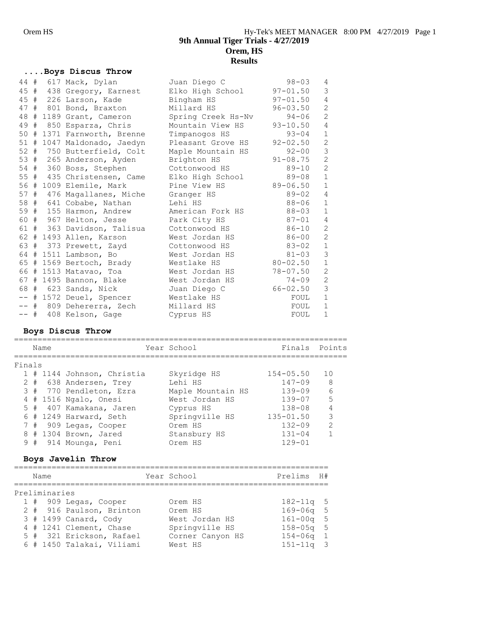|        |  | Boys Discus Throw           |                    |              |                |
|--------|--|-----------------------------|--------------------|--------------|----------------|
|        |  | 44 # 617 Mack, Dylan        | Juan Diego C       | $98 - 03$    | 4              |
|        |  | 45 # 438 Gregory, Earnest   | Elko High School   | $97 - 01.50$ | $\mathfrak{Z}$ |
| 45     |  | # 226 Larson, Kade          | Bingham HS         | $97 - 01.50$ | $\overline{4}$ |
|        |  | 47 # 801 Bond, Braxton      | Millard HS         | $96 - 03.50$ | $\overline{c}$ |
| 48     |  | # 1189 Grant, Cameron       | Spring Creek Hs-Nv | $94 - 06$    | $\overline{c}$ |
|        |  | 49 # 850 Esparza, Chris     | Mountain View HS   | $93 - 10.50$ | $\overline{4}$ |
| 50     |  | # 1371 Farnworth, Brenne    | Timpanogos HS      | $93 - 04$    | $\,1\,$        |
|        |  | 51 # 1047 Maldonado, Jaedyn | Pleasant Grove HS  | $92 - 02.50$ | $\overline{2}$ |
|        |  | 52 # 750 Butterfield, Colt  | Maple Mountain HS  | $92 - 00$    | $\mathfrak{Z}$ |
|        |  | 53 # 265 Anderson, Ayden    | Brighton HS        | $91 - 08.75$ | $\overline{2}$ |
|        |  | 54 # 360 Boss, Stephen      | Cottonwood HS      | $89 - 10$    | $\overline{c}$ |
| 55     |  | # 435 Christensen, Came     | Elko High School   | $89 - 08$    | $\mathbf{1}$   |
|        |  | 56 # 1009 Elemile, Mark     | Pine View HS       | 89-06.50     | $1\,$          |
|        |  | 57 # 476 Magallanes, Miche  | Granger HS         | $89 - 02$    | $\overline{4}$ |
|        |  | 58 # 641 Cobabe, Nathan     | Lehi HS            | 88-06        | $\mathbf 1$    |
| 59     |  | # 155 Harmon, Andrew        | American Fork HS   | 88-03        | $\mathbf{1}$   |
|        |  | 60 # 967 Helton, Jesse      | Park City HS       | 87-01        | $\overline{4}$ |
| 61     |  | # 363 Davidson, Talisua     | Cottonwood HS      | 86-10        | $\overline{c}$ |
|        |  | 62 # 1493 Allen, Karson     | West Jordan HS     | 86-00        | $\overline{c}$ |
| 63     |  | # 373 Prewett, Zayd         | Cottonwood HS      | $83 - 02$    | $1\,$          |
|        |  | 64 # 1511 Lambson, Bo       | West Jordan HS     | $81 - 03$    | $\mathcal{S}$  |
| 65     |  | # 1569 Bertoch, Brady       | Westlake HS        | $80 - 02.50$ | $1\,$          |
|        |  | 66 # 1513 Matavao, Toa      | West Jordan HS     | $78 - 07.50$ | $\overline{2}$ |
|        |  | $67$ # 1495 Bannon, Blake   | West Jordan HS     | $74 - 09$    | $\overline{2}$ |
|        |  | 68 # 623 Sands, Nick        | Juan Diego C       | $66 - 02.50$ | $\mathcal{S}$  |
|        |  | -- # 1572 Deuel, Spencer    | Westlake HS        | FOUL         | $1\,$          |
| $--$ # |  | 809 Dehererra, Zech         | Millard HS         | FOUL         | $\mathbf{1}$   |
|        |  | -- # 408 Kelson, Gage       | Cyprus HS          | FOUL         | $\mathbf{1}$   |

## **Boys Discus Throw**

|        |    | Name |                            | Year School       |               | Finals Points |
|--------|----|------|----------------------------|-------------------|---------------|---------------|
| Finals |    |      |                            |                   |               |               |
|        |    |      | 1 # 1144 Johnson, Christia | Skyridge HS       | $154 - 05.50$ | 10            |
|        |    |      | 2 # 638 Andersen, Trey     | Lehi HS           | $147 - 09$    | 8             |
|        |    |      | 3 # 770 Pendleton, Ezra    | Maple Mountain HS | $139 - 09$    | 6             |
|        |    |      | $4$ # 1516 Ngalo, Onesi    | West Jordan HS    | $139 - 07$    | 5             |
|        |    |      | 5 # 407 Kamakana, Jaren    | Cyprus HS         | $138 - 08$    | 4             |
|        |    |      | $6$ # 1249 Harward, Seth   | Springville HS    | $135 - 01.50$ | 3             |
|        |    |      | 7 # 909 Legas, Cooper      | Orem HS           | $132 - 09$    | $\mathcal{P}$ |
|        |    |      | 8 # 1304 Brown, Jared      | Stansbury HS      | $131 - 04$    | 1             |
|        | 9# |      | 914 Mounga, Peni           | Orem HS           | $129 - 01$    |               |

## **Boys Javelin Throw**

|               |  | Name |                           |  | Year School      |  | Prelims       | H # |  |  |
|---------------|--|------|---------------------------|--|------------------|--|---------------|-----|--|--|
| Preliminaries |  |      |                           |  |                  |  |               |     |  |  |
|               |  |      | $1$ # 909 Legas, Cooper   |  | Orem HS          |  | $182 - 11q$ 5 |     |  |  |
|               |  |      | 2 # 916 Paulson, Brinton  |  | Orem HS          |  | $169 - 06q$ 5 |     |  |  |
|               |  |      | 3 # 1499 Canard, Cody     |  | West Jordan HS   |  | $161 - 00q$ 5 |     |  |  |
|               |  |      | 4 # 1241 Clement, Chase   |  | Springville HS   |  | $158 - 05q$ 5 |     |  |  |
|               |  |      | 5 # 321 Erickson, Rafael  |  | Corner Canyon HS |  | $154 - 06q$ 1 |     |  |  |
|               |  |      | 6 # 1450 Talakai, Viliami |  | West HS          |  | $151 - 11q$ 3 |     |  |  |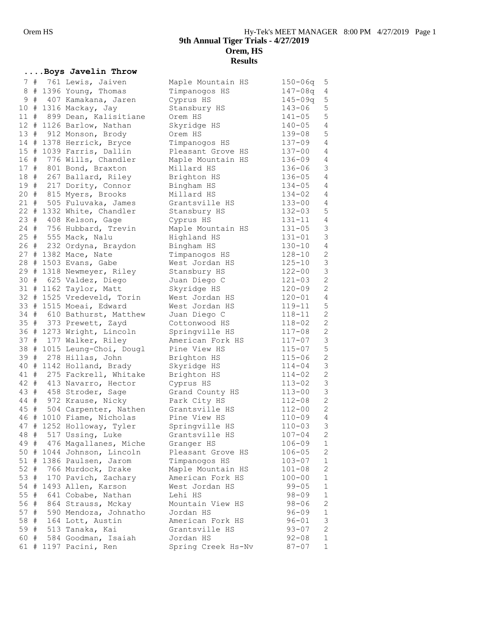**....Boys Javelin Throw**

| 8 # 1396 Young, Thomas<br>$147 - 08q$<br>$\overline{4}$<br>Timpanogos HS<br>9 # 407 Kamakana, Jaren<br>$\mathsf S$<br>$145 - 09q$<br>Cyprus HS<br>$\mathsf S$<br>10 # 1316 Mackay, Jay<br>$143 - 06$<br>Stansbury HS<br>5<br>11 # 899 Dean, Kalisitiane<br>$141 - 05$<br>Orem HS<br>$\sqrt{4}$<br>12 # 1126 Barlow, Nathan<br>$140 - 05$<br>Skyridge HS<br>$\mathsf S$<br>$139 - 08$<br>13 # 912 Monson, Brody<br>Orem HS<br>$\overline{4}$<br>$137 - 09$<br>14 # 1378 Herrick, Bryce<br>Timpanogos HS<br>15 # 1039 Farris, Dallin<br>$137 - 00$<br>$\overline{4}$<br>Pleasant Grove HS<br>16 # 776 Wills, Chandler<br>$\overline{4}$<br>$136 - 09$<br>Maple Mountain HS<br>3<br>17 # 801 Bond, Braxton<br>Millard HS<br>$136 - 06$<br>18 # 267 Ballard, Riley<br>4<br>$136 - 05$<br>Brighton HS<br>19 # 217 Dority, Connor<br>$\overline{4}$<br>Bingham HS<br>$134 - 05$<br>20 # 815 Myers, Brooks<br>$134 - 02$<br>$\overline{4}$<br>Millard HS<br>21 # 505 Fuluvaka, James<br>$\overline{4}$<br>Grantsville HS<br>$133 - 00$<br>$\mathsf S$<br>22 # 1332 White, Chandler<br>$132 - 03$<br>Stansbury HS<br>23 # 408 Kelson, Gage<br>$\overline{4}$<br>$131 - 11$<br>Cyprus HS<br>$\ensuremath{\mathsf{3}}$<br>24 # 756 Hubbard, Trevin<br>Maple Mountain HS<br>$131 - 05$<br>$\mathfrak{Z}$<br>25 # 555 Mack, Nalu<br>Highland HS<br>$131 - 01$<br>$\sqrt{4}$<br>26 # 232 Ordyna, Braydon<br>$130 - 10$<br>Bingham HS<br>$\sqrt{2}$<br>27 # 1382 Mace, Nate<br>Timpanogos HS<br>128-10<br>$\mathsf 3$<br>28 # 1503 Evans, Gabe<br>West Jordan HS<br>$125 - 10$<br>$\mathsf 3$<br>29 # 1318 Newmeyer, Riley<br>$122 - 00$<br>Stansbury HS<br>$\mathbf{2}$<br>30 # 625 Valdez, Diego<br>Juan Diego C<br>$121 - 03$<br>$\sqrt{2}$<br>31 # 1162 Taylor, Matt<br>Skyridge HS<br>$120 - 09$<br>$\overline{4}$<br>32 # 1525 Vredeveld, Torin<br>West Jordan HS<br>$120 - 01$<br>$\mathsf S$<br>33 # 1515 Moeai, Edward<br>West Jordan HS<br>$119 - 11$<br>$\sqrt{2}$<br>34 # 610 Bathurst, Matthew<br>Juan Diego C<br>$118 - 11$<br>$\mathbf{2}$<br>35 # 373 Prewett, Zayd<br>Cottonwood HS<br>$118 - 02$<br>$\sqrt{2}$<br>36 # 1273 Wright, Lincoln<br>Springville HS<br>$117 - 08$<br>$\mathfrak{Z}$<br>37 # 177 Walker, Riley<br>American Fork HS<br>$117 - 07$<br>$\mathsf S$<br>38 # 1015 Leung-Choi, Dougl<br>Pine View HS<br>$115 - 07$<br>$\sqrt{2}$<br>39 # 278 Hillas, John<br>Brighton HS<br>$115 - 06$<br>$\mathsf 3$<br>40 # 1142 Holland, Brady<br>$114 - 04$<br>Skyridge HS<br>$\mathbf{2}$<br>41 #<br>275 Fackrell, Whitake<br>Brighton HS<br>$114 - 02$<br>$\mathsf S$<br>42 # 413 Navarro, Hector<br>$113 - 02$<br>Cyprus HS<br>$\mathsf 3$<br>43 # 458 Stroder, Sage<br>$113 - 00$<br>Grand County HS<br>$\mathbf{2}$<br>44 # 972 Krause, Nicky<br>$112 - 08$<br>Park City HS<br>$\mathbf{2}$<br>45 # 504 Carpenter, Nathen<br>Grantsville HS<br>$112 - 00$<br>$\overline{4}$<br>46 # 1010 Fiame, Nicholas<br>Pine View HS<br>$110 - 09$<br>3<br>47 # 1252 Holloway, Tyler<br>$110 - 03$<br>Springville HS<br>48 # 517 Ussing, Luke<br>$107 - 04$<br>$\mathbf{2}^{\prime}$<br>Grantsville HS<br>49 # 476 Magallanes, Miche<br>Granger HS<br>$106 - 09$<br>$\mathbf{1}$<br>Pleasant Grove HS<br>$\mathbf{2}$<br>50 # 1044 Johnson, Lincoln<br>$106 - 05$<br>51 # 1386 Paulsen, Jarom<br>$\mathbf 1$<br>Timpanogos HS<br>$103 - 07$<br>52 # 766 Murdock, Drake<br>$\mathbf{2}$<br>Maple Mountain HS<br>$101 - 08$<br>53 #<br>$\mathbf 1$<br>170 Pavich, Zachary<br>American Fork HS<br>$100 - 00$<br>54 # 1493 Allen, Karson<br>West Jordan HS<br>$99 - 05$<br>1<br>55 #<br>$\mathbf 1$<br>641 Cobabe, Nathan<br>Lehi HS<br>$98 - 09$<br>$\mathbf{2}$<br>56 #<br>864 Strauss, Mckay<br>Mountain View HS<br>$98 - 06$<br>57 #<br>590 Mendoza, Johnatho<br>$\mathbf 1$<br>Jordan HS<br>$96 - 09$<br>3<br>58<br>#<br>164 Lott, Austin<br>American Fork HS<br>$96 - 01$<br>59 #<br>$\overline{c}$<br>513 Tanaka, Kai<br>Grantsville HS<br>$93 - 07$<br>60 #<br>Jordan HS<br>584 Goodman, Isaiah<br>$92 - 08$<br>$\mathbf 1$<br>Spring Creek Hs-Nv<br>61 # 1197 Pacini, Ren<br>$87 - 07$<br>$\mathbf{1}$ |  | 7 # 761 Lewis, Jaiven | Maple Mountain HS | $150 - 06q$ | 5 |
|-----------------------------------------------------------------------------------------------------------------------------------------------------------------------------------------------------------------------------------------------------------------------------------------------------------------------------------------------------------------------------------------------------------------------------------------------------------------------------------------------------------------------------------------------------------------------------------------------------------------------------------------------------------------------------------------------------------------------------------------------------------------------------------------------------------------------------------------------------------------------------------------------------------------------------------------------------------------------------------------------------------------------------------------------------------------------------------------------------------------------------------------------------------------------------------------------------------------------------------------------------------------------------------------------------------------------------------------------------------------------------------------------------------------------------------------------------------------------------------------------------------------------------------------------------------------------------------------------------------------------------------------------------------------------------------------------------------------------------------------------------------------------------------------------------------------------------------------------------------------------------------------------------------------------------------------------------------------------------------------------------------------------------------------------------------------------------------------------------------------------------------------------------------------------------------------------------------------------------------------------------------------------------------------------------------------------------------------------------------------------------------------------------------------------------------------------------------------------------------------------------------------------------------------------------------------------------------------------------------------------------------------------------------------------------------------------------------------------------------------------------------------------------------------------------------------------------------------------------------------------------------------------------------------------------------------------------------------------------------------------------------------------------------------------------------------------------------------------------------------------------------------------------------------------------------------------------------------------------------------------------------------------------------------------------------------------------------------------------------------------------------------------------------------------------------------------------------------------------------------------------------------------------------------------------------------------------------------------------------------------------------------------------------------------------------------------------------------------------------------------------------------------------------------------------------------------------------------------------------------------------------------------------------------------------------------------------------------------------------------------------------------------------------------------------------------------------------------------------------------|--|-----------------------|-------------------|-------------|---|
|                                                                                                                                                                                                                                                                                                                                                                                                                                                                                                                                                                                                                                                                                                                                                                                                                                                                                                                                                                                                                                                                                                                                                                                                                                                                                                                                                                                                                                                                                                                                                                                                                                                                                                                                                                                                                                                                                                                                                                                                                                                                                                                                                                                                                                                                                                                                                                                                                                                                                                                                                                                                                                                                                                                                                                                                                                                                                                                                                                                                                                                                                                                                                                                                                                                                                                                                                                                                                                                                                                                                                                                                                                                                                                                                                                                                                                                                                                                                                                                                                                                                                                                 |  |                       |                   |             |   |
|                                                                                                                                                                                                                                                                                                                                                                                                                                                                                                                                                                                                                                                                                                                                                                                                                                                                                                                                                                                                                                                                                                                                                                                                                                                                                                                                                                                                                                                                                                                                                                                                                                                                                                                                                                                                                                                                                                                                                                                                                                                                                                                                                                                                                                                                                                                                                                                                                                                                                                                                                                                                                                                                                                                                                                                                                                                                                                                                                                                                                                                                                                                                                                                                                                                                                                                                                                                                                                                                                                                                                                                                                                                                                                                                                                                                                                                                                                                                                                                                                                                                                                                 |  |                       |                   |             |   |
|                                                                                                                                                                                                                                                                                                                                                                                                                                                                                                                                                                                                                                                                                                                                                                                                                                                                                                                                                                                                                                                                                                                                                                                                                                                                                                                                                                                                                                                                                                                                                                                                                                                                                                                                                                                                                                                                                                                                                                                                                                                                                                                                                                                                                                                                                                                                                                                                                                                                                                                                                                                                                                                                                                                                                                                                                                                                                                                                                                                                                                                                                                                                                                                                                                                                                                                                                                                                                                                                                                                                                                                                                                                                                                                                                                                                                                                                                                                                                                                                                                                                                                                 |  |                       |                   |             |   |
|                                                                                                                                                                                                                                                                                                                                                                                                                                                                                                                                                                                                                                                                                                                                                                                                                                                                                                                                                                                                                                                                                                                                                                                                                                                                                                                                                                                                                                                                                                                                                                                                                                                                                                                                                                                                                                                                                                                                                                                                                                                                                                                                                                                                                                                                                                                                                                                                                                                                                                                                                                                                                                                                                                                                                                                                                                                                                                                                                                                                                                                                                                                                                                                                                                                                                                                                                                                                                                                                                                                                                                                                                                                                                                                                                                                                                                                                                                                                                                                                                                                                                                                 |  |                       |                   |             |   |
|                                                                                                                                                                                                                                                                                                                                                                                                                                                                                                                                                                                                                                                                                                                                                                                                                                                                                                                                                                                                                                                                                                                                                                                                                                                                                                                                                                                                                                                                                                                                                                                                                                                                                                                                                                                                                                                                                                                                                                                                                                                                                                                                                                                                                                                                                                                                                                                                                                                                                                                                                                                                                                                                                                                                                                                                                                                                                                                                                                                                                                                                                                                                                                                                                                                                                                                                                                                                                                                                                                                                                                                                                                                                                                                                                                                                                                                                                                                                                                                                                                                                                                                 |  |                       |                   |             |   |
|                                                                                                                                                                                                                                                                                                                                                                                                                                                                                                                                                                                                                                                                                                                                                                                                                                                                                                                                                                                                                                                                                                                                                                                                                                                                                                                                                                                                                                                                                                                                                                                                                                                                                                                                                                                                                                                                                                                                                                                                                                                                                                                                                                                                                                                                                                                                                                                                                                                                                                                                                                                                                                                                                                                                                                                                                                                                                                                                                                                                                                                                                                                                                                                                                                                                                                                                                                                                                                                                                                                                                                                                                                                                                                                                                                                                                                                                                                                                                                                                                                                                                                                 |  |                       |                   |             |   |
|                                                                                                                                                                                                                                                                                                                                                                                                                                                                                                                                                                                                                                                                                                                                                                                                                                                                                                                                                                                                                                                                                                                                                                                                                                                                                                                                                                                                                                                                                                                                                                                                                                                                                                                                                                                                                                                                                                                                                                                                                                                                                                                                                                                                                                                                                                                                                                                                                                                                                                                                                                                                                                                                                                                                                                                                                                                                                                                                                                                                                                                                                                                                                                                                                                                                                                                                                                                                                                                                                                                                                                                                                                                                                                                                                                                                                                                                                                                                                                                                                                                                                                                 |  |                       |                   |             |   |
|                                                                                                                                                                                                                                                                                                                                                                                                                                                                                                                                                                                                                                                                                                                                                                                                                                                                                                                                                                                                                                                                                                                                                                                                                                                                                                                                                                                                                                                                                                                                                                                                                                                                                                                                                                                                                                                                                                                                                                                                                                                                                                                                                                                                                                                                                                                                                                                                                                                                                                                                                                                                                                                                                                                                                                                                                                                                                                                                                                                                                                                                                                                                                                                                                                                                                                                                                                                                                                                                                                                                                                                                                                                                                                                                                                                                                                                                                                                                                                                                                                                                                                                 |  |                       |                   |             |   |
|                                                                                                                                                                                                                                                                                                                                                                                                                                                                                                                                                                                                                                                                                                                                                                                                                                                                                                                                                                                                                                                                                                                                                                                                                                                                                                                                                                                                                                                                                                                                                                                                                                                                                                                                                                                                                                                                                                                                                                                                                                                                                                                                                                                                                                                                                                                                                                                                                                                                                                                                                                                                                                                                                                                                                                                                                                                                                                                                                                                                                                                                                                                                                                                                                                                                                                                                                                                                                                                                                                                                                                                                                                                                                                                                                                                                                                                                                                                                                                                                                                                                                                                 |  |                       |                   |             |   |
|                                                                                                                                                                                                                                                                                                                                                                                                                                                                                                                                                                                                                                                                                                                                                                                                                                                                                                                                                                                                                                                                                                                                                                                                                                                                                                                                                                                                                                                                                                                                                                                                                                                                                                                                                                                                                                                                                                                                                                                                                                                                                                                                                                                                                                                                                                                                                                                                                                                                                                                                                                                                                                                                                                                                                                                                                                                                                                                                                                                                                                                                                                                                                                                                                                                                                                                                                                                                                                                                                                                                                                                                                                                                                                                                                                                                                                                                                                                                                                                                                                                                                                                 |  |                       |                   |             |   |
|                                                                                                                                                                                                                                                                                                                                                                                                                                                                                                                                                                                                                                                                                                                                                                                                                                                                                                                                                                                                                                                                                                                                                                                                                                                                                                                                                                                                                                                                                                                                                                                                                                                                                                                                                                                                                                                                                                                                                                                                                                                                                                                                                                                                                                                                                                                                                                                                                                                                                                                                                                                                                                                                                                                                                                                                                                                                                                                                                                                                                                                                                                                                                                                                                                                                                                                                                                                                                                                                                                                                                                                                                                                                                                                                                                                                                                                                                                                                                                                                                                                                                                                 |  |                       |                   |             |   |
|                                                                                                                                                                                                                                                                                                                                                                                                                                                                                                                                                                                                                                                                                                                                                                                                                                                                                                                                                                                                                                                                                                                                                                                                                                                                                                                                                                                                                                                                                                                                                                                                                                                                                                                                                                                                                                                                                                                                                                                                                                                                                                                                                                                                                                                                                                                                                                                                                                                                                                                                                                                                                                                                                                                                                                                                                                                                                                                                                                                                                                                                                                                                                                                                                                                                                                                                                                                                                                                                                                                                                                                                                                                                                                                                                                                                                                                                                                                                                                                                                                                                                                                 |  |                       |                   |             |   |
|                                                                                                                                                                                                                                                                                                                                                                                                                                                                                                                                                                                                                                                                                                                                                                                                                                                                                                                                                                                                                                                                                                                                                                                                                                                                                                                                                                                                                                                                                                                                                                                                                                                                                                                                                                                                                                                                                                                                                                                                                                                                                                                                                                                                                                                                                                                                                                                                                                                                                                                                                                                                                                                                                                                                                                                                                                                                                                                                                                                                                                                                                                                                                                                                                                                                                                                                                                                                                                                                                                                                                                                                                                                                                                                                                                                                                                                                                                                                                                                                                                                                                                                 |  |                       |                   |             |   |
|                                                                                                                                                                                                                                                                                                                                                                                                                                                                                                                                                                                                                                                                                                                                                                                                                                                                                                                                                                                                                                                                                                                                                                                                                                                                                                                                                                                                                                                                                                                                                                                                                                                                                                                                                                                                                                                                                                                                                                                                                                                                                                                                                                                                                                                                                                                                                                                                                                                                                                                                                                                                                                                                                                                                                                                                                                                                                                                                                                                                                                                                                                                                                                                                                                                                                                                                                                                                                                                                                                                                                                                                                                                                                                                                                                                                                                                                                                                                                                                                                                                                                                                 |  |                       |                   |             |   |
|                                                                                                                                                                                                                                                                                                                                                                                                                                                                                                                                                                                                                                                                                                                                                                                                                                                                                                                                                                                                                                                                                                                                                                                                                                                                                                                                                                                                                                                                                                                                                                                                                                                                                                                                                                                                                                                                                                                                                                                                                                                                                                                                                                                                                                                                                                                                                                                                                                                                                                                                                                                                                                                                                                                                                                                                                                                                                                                                                                                                                                                                                                                                                                                                                                                                                                                                                                                                                                                                                                                                                                                                                                                                                                                                                                                                                                                                                                                                                                                                                                                                                                                 |  |                       |                   |             |   |
|                                                                                                                                                                                                                                                                                                                                                                                                                                                                                                                                                                                                                                                                                                                                                                                                                                                                                                                                                                                                                                                                                                                                                                                                                                                                                                                                                                                                                                                                                                                                                                                                                                                                                                                                                                                                                                                                                                                                                                                                                                                                                                                                                                                                                                                                                                                                                                                                                                                                                                                                                                                                                                                                                                                                                                                                                                                                                                                                                                                                                                                                                                                                                                                                                                                                                                                                                                                                                                                                                                                                                                                                                                                                                                                                                                                                                                                                                                                                                                                                                                                                                                                 |  |                       |                   |             |   |
|                                                                                                                                                                                                                                                                                                                                                                                                                                                                                                                                                                                                                                                                                                                                                                                                                                                                                                                                                                                                                                                                                                                                                                                                                                                                                                                                                                                                                                                                                                                                                                                                                                                                                                                                                                                                                                                                                                                                                                                                                                                                                                                                                                                                                                                                                                                                                                                                                                                                                                                                                                                                                                                                                                                                                                                                                                                                                                                                                                                                                                                                                                                                                                                                                                                                                                                                                                                                                                                                                                                                                                                                                                                                                                                                                                                                                                                                                                                                                                                                                                                                                                                 |  |                       |                   |             |   |
|                                                                                                                                                                                                                                                                                                                                                                                                                                                                                                                                                                                                                                                                                                                                                                                                                                                                                                                                                                                                                                                                                                                                                                                                                                                                                                                                                                                                                                                                                                                                                                                                                                                                                                                                                                                                                                                                                                                                                                                                                                                                                                                                                                                                                                                                                                                                                                                                                                                                                                                                                                                                                                                                                                                                                                                                                                                                                                                                                                                                                                                                                                                                                                                                                                                                                                                                                                                                                                                                                                                                                                                                                                                                                                                                                                                                                                                                                                                                                                                                                                                                                                                 |  |                       |                   |             |   |
|                                                                                                                                                                                                                                                                                                                                                                                                                                                                                                                                                                                                                                                                                                                                                                                                                                                                                                                                                                                                                                                                                                                                                                                                                                                                                                                                                                                                                                                                                                                                                                                                                                                                                                                                                                                                                                                                                                                                                                                                                                                                                                                                                                                                                                                                                                                                                                                                                                                                                                                                                                                                                                                                                                                                                                                                                                                                                                                                                                                                                                                                                                                                                                                                                                                                                                                                                                                                                                                                                                                                                                                                                                                                                                                                                                                                                                                                                                                                                                                                                                                                                                                 |  |                       |                   |             |   |
|                                                                                                                                                                                                                                                                                                                                                                                                                                                                                                                                                                                                                                                                                                                                                                                                                                                                                                                                                                                                                                                                                                                                                                                                                                                                                                                                                                                                                                                                                                                                                                                                                                                                                                                                                                                                                                                                                                                                                                                                                                                                                                                                                                                                                                                                                                                                                                                                                                                                                                                                                                                                                                                                                                                                                                                                                                                                                                                                                                                                                                                                                                                                                                                                                                                                                                                                                                                                                                                                                                                                                                                                                                                                                                                                                                                                                                                                                                                                                                                                                                                                                                                 |  |                       |                   |             |   |
|                                                                                                                                                                                                                                                                                                                                                                                                                                                                                                                                                                                                                                                                                                                                                                                                                                                                                                                                                                                                                                                                                                                                                                                                                                                                                                                                                                                                                                                                                                                                                                                                                                                                                                                                                                                                                                                                                                                                                                                                                                                                                                                                                                                                                                                                                                                                                                                                                                                                                                                                                                                                                                                                                                                                                                                                                                                                                                                                                                                                                                                                                                                                                                                                                                                                                                                                                                                                                                                                                                                                                                                                                                                                                                                                                                                                                                                                                                                                                                                                                                                                                                                 |  |                       |                   |             |   |
|                                                                                                                                                                                                                                                                                                                                                                                                                                                                                                                                                                                                                                                                                                                                                                                                                                                                                                                                                                                                                                                                                                                                                                                                                                                                                                                                                                                                                                                                                                                                                                                                                                                                                                                                                                                                                                                                                                                                                                                                                                                                                                                                                                                                                                                                                                                                                                                                                                                                                                                                                                                                                                                                                                                                                                                                                                                                                                                                                                                                                                                                                                                                                                                                                                                                                                                                                                                                                                                                                                                                                                                                                                                                                                                                                                                                                                                                                                                                                                                                                                                                                                                 |  |                       |                   |             |   |
|                                                                                                                                                                                                                                                                                                                                                                                                                                                                                                                                                                                                                                                                                                                                                                                                                                                                                                                                                                                                                                                                                                                                                                                                                                                                                                                                                                                                                                                                                                                                                                                                                                                                                                                                                                                                                                                                                                                                                                                                                                                                                                                                                                                                                                                                                                                                                                                                                                                                                                                                                                                                                                                                                                                                                                                                                                                                                                                                                                                                                                                                                                                                                                                                                                                                                                                                                                                                                                                                                                                                                                                                                                                                                                                                                                                                                                                                                                                                                                                                                                                                                                                 |  |                       |                   |             |   |
|                                                                                                                                                                                                                                                                                                                                                                                                                                                                                                                                                                                                                                                                                                                                                                                                                                                                                                                                                                                                                                                                                                                                                                                                                                                                                                                                                                                                                                                                                                                                                                                                                                                                                                                                                                                                                                                                                                                                                                                                                                                                                                                                                                                                                                                                                                                                                                                                                                                                                                                                                                                                                                                                                                                                                                                                                                                                                                                                                                                                                                                                                                                                                                                                                                                                                                                                                                                                                                                                                                                                                                                                                                                                                                                                                                                                                                                                                                                                                                                                                                                                                                                 |  |                       |                   |             |   |
|                                                                                                                                                                                                                                                                                                                                                                                                                                                                                                                                                                                                                                                                                                                                                                                                                                                                                                                                                                                                                                                                                                                                                                                                                                                                                                                                                                                                                                                                                                                                                                                                                                                                                                                                                                                                                                                                                                                                                                                                                                                                                                                                                                                                                                                                                                                                                                                                                                                                                                                                                                                                                                                                                                                                                                                                                                                                                                                                                                                                                                                                                                                                                                                                                                                                                                                                                                                                                                                                                                                                                                                                                                                                                                                                                                                                                                                                                                                                                                                                                                                                                                                 |  |                       |                   |             |   |
|                                                                                                                                                                                                                                                                                                                                                                                                                                                                                                                                                                                                                                                                                                                                                                                                                                                                                                                                                                                                                                                                                                                                                                                                                                                                                                                                                                                                                                                                                                                                                                                                                                                                                                                                                                                                                                                                                                                                                                                                                                                                                                                                                                                                                                                                                                                                                                                                                                                                                                                                                                                                                                                                                                                                                                                                                                                                                                                                                                                                                                                                                                                                                                                                                                                                                                                                                                                                                                                                                                                                                                                                                                                                                                                                                                                                                                                                                                                                                                                                                                                                                                                 |  |                       |                   |             |   |
|                                                                                                                                                                                                                                                                                                                                                                                                                                                                                                                                                                                                                                                                                                                                                                                                                                                                                                                                                                                                                                                                                                                                                                                                                                                                                                                                                                                                                                                                                                                                                                                                                                                                                                                                                                                                                                                                                                                                                                                                                                                                                                                                                                                                                                                                                                                                                                                                                                                                                                                                                                                                                                                                                                                                                                                                                                                                                                                                                                                                                                                                                                                                                                                                                                                                                                                                                                                                                                                                                                                                                                                                                                                                                                                                                                                                                                                                                                                                                                                                                                                                                                                 |  |                       |                   |             |   |
|                                                                                                                                                                                                                                                                                                                                                                                                                                                                                                                                                                                                                                                                                                                                                                                                                                                                                                                                                                                                                                                                                                                                                                                                                                                                                                                                                                                                                                                                                                                                                                                                                                                                                                                                                                                                                                                                                                                                                                                                                                                                                                                                                                                                                                                                                                                                                                                                                                                                                                                                                                                                                                                                                                                                                                                                                                                                                                                                                                                                                                                                                                                                                                                                                                                                                                                                                                                                                                                                                                                                                                                                                                                                                                                                                                                                                                                                                                                                                                                                                                                                                                                 |  |                       |                   |             |   |
|                                                                                                                                                                                                                                                                                                                                                                                                                                                                                                                                                                                                                                                                                                                                                                                                                                                                                                                                                                                                                                                                                                                                                                                                                                                                                                                                                                                                                                                                                                                                                                                                                                                                                                                                                                                                                                                                                                                                                                                                                                                                                                                                                                                                                                                                                                                                                                                                                                                                                                                                                                                                                                                                                                                                                                                                                                                                                                                                                                                                                                                                                                                                                                                                                                                                                                                                                                                                                                                                                                                                                                                                                                                                                                                                                                                                                                                                                                                                                                                                                                                                                                                 |  |                       |                   |             |   |
|                                                                                                                                                                                                                                                                                                                                                                                                                                                                                                                                                                                                                                                                                                                                                                                                                                                                                                                                                                                                                                                                                                                                                                                                                                                                                                                                                                                                                                                                                                                                                                                                                                                                                                                                                                                                                                                                                                                                                                                                                                                                                                                                                                                                                                                                                                                                                                                                                                                                                                                                                                                                                                                                                                                                                                                                                                                                                                                                                                                                                                                                                                                                                                                                                                                                                                                                                                                                                                                                                                                                                                                                                                                                                                                                                                                                                                                                                                                                                                                                                                                                                                                 |  |                       |                   |             |   |
|                                                                                                                                                                                                                                                                                                                                                                                                                                                                                                                                                                                                                                                                                                                                                                                                                                                                                                                                                                                                                                                                                                                                                                                                                                                                                                                                                                                                                                                                                                                                                                                                                                                                                                                                                                                                                                                                                                                                                                                                                                                                                                                                                                                                                                                                                                                                                                                                                                                                                                                                                                                                                                                                                                                                                                                                                                                                                                                                                                                                                                                                                                                                                                                                                                                                                                                                                                                                                                                                                                                                                                                                                                                                                                                                                                                                                                                                                                                                                                                                                                                                                                                 |  |                       |                   |             |   |
|                                                                                                                                                                                                                                                                                                                                                                                                                                                                                                                                                                                                                                                                                                                                                                                                                                                                                                                                                                                                                                                                                                                                                                                                                                                                                                                                                                                                                                                                                                                                                                                                                                                                                                                                                                                                                                                                                                                                                                                                                                                                                                                                                                                                                                                                                                                                                                                                                                                                                                                                                                                                                                                                                                                                                                                                                                                                                                                                                                                                                                                                                                                                                                                                                                                                                                                                                                                                                                                                                                                                                                                                                                                                                                                                                                                                                                                                                                                                                                                                                                                                                                                 |  |                       |                   |             |   |
|                                                                                                                                                                                                                                                                                                                                                                                                                                                                                                                                                                                                                                                                                                                                                                                                                                                                                                                                                                                                                                                                                                                                                                                                                                                                                                                                                                                                                                                                                                                                                                                                                                                                                                                                                                                                                                                                                                                                                                                                                                                                                                                                                                                                                                                                                                                                                                                                                                                                                                                                                                                                                                                                                                                                                                                                                                                                                                                                                                                                                                                                                                                                                                                                                                                                                                                                                                                                                                                                                                                                                                                                                                                                                                                                                                                                                                                                                                                                                                                                                                                                                                                 |  |                       |                   |             |   |
|                                                                                                                                                                                                                                                                                                                                                                                                                                                                                                                                                                                                                                                                                                                                                                                                                                                                                                                                                                                                                                                                                                                                                                                                                                                                                                                                                                                                                                                                                                                                                                                                                                                                                                                                                                                                                                                                                                                                                                                                                                                                                                                                                                                                                                                                                                                                                                                                                                                                                                                                                                                                                                                                                                                                                                                                                                                                                                                                                                                                                                                                                                                                                                                                                                                                                                                                                                                                                                                                                                                                                                                                                                                                                                                                                                                                                                                                                                                                                                                                                                                                                                                 |  |                       |                   |             |   |
|                                                                                                                                                                                                                                                                                                                                                                                                                                                                                                                                                                                                                                                                                                                                                                                                                                                                                                                                                                                                                                                                                                                                                                                                                                                                                                                                                                                                                                                                                                                                                                                                                                                                                                                                                                                                                                                                                                                                                                                                                                                                                                                                                                                                                                                                                                                                                                                                                                                                                                                                                                                                                                                                                                                                                                                                                                                                                                                                                                                                                                                                                                                                                                                                                                                                                                                                                                                                                                                                                                                                                                                                                                                                                                                                                                                                                                                                                                                                                                                                                                                                                                                 |  |                       |                   |             |   |
|                                                                                                                                                                                                                                                                                                                                                                                                                                                                                                                                                                                                                                                                                                                                                                                                                                                                                                                                                                                                                                                                                                                                                                                                                                                                                                                                                                                                                                                                                                                                                                                                                                                                                                                                                                                                                                                                                                                                                                                                                                                                                                                                                                                                                                                                                                                                                                                                                                                                                                                                                                                                                                                                                                                                                                                                                                                                                                                                                                                                                                                                                                                                                                                                                                                                                                                                                                                                                                                                                                                                                                                                                                                                                                                                                                                                                                                                                                                                                                                                                                                                                                                 |  |                       |                   |             |   |
|                                                                                                                                                                                                                                                                                                                                                                                                                                                                                                                                                                                                                                                                                                                                                                                                                                                                                                                                                                                                                                                                                                                                                                                                                                                                                                                                                                                                                                                                                                                                                                                                                                                                                                                                                                                                                                                                                                                                                                                                                                                                                                                                                                                                                                                                                                                                                                                                                                                                                                                                                                                                                                                                                                                                                                                                                                                                                                                                                                                                                                                                                                                                                                                                                                                                                                                                                                                                                                                                                                                                                                                                                                                                                                                                                                                                                                                                                                                                                                                                                                                                                                                 |  |                       |                   |             |   |
|                                                                                                                                                                                                                                                                                                                                                                                                                                                                                                                                                                                                                                                                                                                                                                                                                                                                                                                                                                                                                                                                                                                                                                                                                                                                                                                                                                                                                                                                                                                                                                                                                                                                                                                                                                                                                                                                                                                                                                                                                                                                                                                                                                                                                                                                                                                                                                                                                                                                                                                                                                                                                                                                                                                                                                                                                                                                                                                                                                                                                                                                                                                                                                                                                                                                                                                                                                                                                                                                                                                                                                                                                                                                                                                                                                                                                                                                                                                                                                                                                                                                                                                 |  |                       |                   |             |   |
|                                                                                                                                                                                                                                                                                                                                                                                                                                                                                                                                                                                                                                                                                                                                                                                                                                                                                                                                                                                                                                                                                                                                                                                                                                                                                                                                                                                                                                                                                                                                                                                                                                                                                                                                                                                                                                                                                                                                                                                                                                                                                                                                                                                                                                                                                                                                                                                                                                                                                                                                                                                                                                                                                                                                                                                                                                                                                                                                                                                                                                                                                                                                                                                                                                                                                                                                                                                                                                                                                                                                                                                                                                                                                                                                                                                                                                                                                                                                                                                                                                                                                                                 |  |                       |                   |             |   |
|                                                                                                                                                                                                                                                                                                                                                                                                                                                                                                                                                                                                                                                                                                                                                                                                                                                                                                                                                                                                                                                                                                                                                                                                                                                                                                                                                                                                                                                                                                                                                                                                                                                                                                                                                                                                                                                                                                                                                                                                                                                                                                                                                                                                                                                                                                                                                                                                                                                                                                                                                                                                                                                                                                                                                                                                                                                                                                                                                                                                                                                                                                                                                                                                                                                                                                                                                                                                                                                                                                                                                                                                                                                                                                                                                                                                                                                                                                                                                                                                                                                                                                                 |  |                       |                   |             |   |
|                                                                                                                                                                                                                                                                                                                                                                                                                                                                                                                                                                                                                                                                                                                                                                                                                                                                                                                                                                                                                                                                                                                                                                                                                                                                                                                                                                                                                                                                                                                                                                                                                                                                                                                                                                                                                                                                                                                                                                                                                                                                                                                                                                                                                                                                                                                                                                                                                                                                                                                                                                                                                                                                                                                                                                                                                                                                                                                                                                                                                                                                                                                                                                                                                                                                                                                                                                                                                                                                                                                                                                                                                                                                                                                                                                                                                                                                                                                                                                                                                                                                                                                 |  |                       |                   |             |   |
|                                                                                                                                                                                                                                                                                                                                                                                                                                                                                                                                                                                                                                                                                                                                                                                                                                                                                                                                                                                                                                                                                                                                                                                                                                                                                                                                                                                                                                                                                                                                                                                                                                                                                                                                                                                                                                                                                                                                                                                                                                                                                                                                                                                                                                                                                                                                                                                                                                                                                                                                                                                                                                                                                                                                                                                                                                                                                                                                                                                                                                                                                                                                                                                                                                                                                                                                                                                                                                                                                                                                                                                                                                                                                                                                                                                                                                                                                                                                                                                                                                                                                                                 |  |                       |                   |             |   |
|                                                                                                                                                                                                                                                                                                                                                                                                                                                                                                                                                                                                                                                                                                                                                                                                                                                                                                                                                                                                                                                                                                                                                                                                                                                                                                                                                                                                                                                                                                                                                                                                                                                                                                                                                                                                                                                                                                                                                                                                                                                                                                                                                                                                                                                                                                                                                                                                                                                                                                                                                                                                                                                                                                                                                                                                                                                                                                                                                                                                                                                                                                                                                                                                                                                                                                                                                                                                                                                                                                                                                                                                                                                                                                                                                                                                                                                                                                                                                                                                                                                                                                                 |  |                       |                   |             |   |
|                                                                                                                                                                                                                                                                                                                                                                                                                                                                                                                                                                                                                                                                                                                                                                                                                                                                                                                                                                                                                                                                                                                                                                                                                                                                                                                                                                                                                                                                                                                                                                                                                                                                                                                                                                                                                                                                                                                                                                                                                                                                                                                                                                                                                                                                                                                                                                                                                                                                                                                                                                                                                                                                                                                                                                                                                                                                                                                                                                                                                                                                                                                                                                                                                                                                                                                                                                                                                                                                                                                                                                                                                                                                                                                                                                                                                                                                                                                                                                                                                                                                                                                 |  |                       |                   |             |   |
|                                                                                                                                                                                                                                                                                                                                                                                                                                                                                                                                                                                                                                                                                                                                                                                                                                                                                                                                                                                                                                                                                                                                                                                                                                                                                                                                                                                                                                                                                                                                                                                                                                                                                                                                                                                                                                                                                                                                                                                                                                                                                                                                                                                                                                                                                                                                                                                                                                                                                                                                                                                                                                                                                                                                                                                                                                                                                                                                                                                                                                                                                                                                                                                                                                                                                                                                                                                                                                                                                                                                                                                                                                                                                                                                                                                                                                                                                                                                                                                                                                                                                                                 |  |                       |                   |             |   |
|                                                                                                                                                                                                                                                                                                                                                                                                                                                                                                                                                                                                                                                                                                                                                                                                                                                                                                                                                                                                                                                                                                                                                                                                                                                                                                                                                                                                                                                                                                                                                                                                                                                                                                                                                                                                                                                                                                                                                                                                                                                                                                                                                                                                                                                                                                                                                                                                                                                                                                                                                                                                                                                                                                                                                                                                                                                                                                                                                                                                                                                                                                                                                                                                                                                                                                                                                                                                                                                                                                                                                                                                                                                                                                                                                                                                                                                                                                                                                                                                                                                                                                                 |  |                       |                   |             |   |
|                                                                                                                                                                                                                                                                                                                                                                                                                                                                                                                                                                                                                                                                                                                                                                                                                                                                                                                                                                                                                                                                                                                                                                                                                                                                                                                                                                                                                                                                                                                                                                                                                                                                                                                                                                                                                                                                                                                                                                                                                                                                                                                                                                                                                                                                                                                                                                                                                                                                                                                                                                                                                                                                                                                                                                                                                                                                                                                                                                                                                                                                                                                                                                                                                                                                                                                                                                                                                                                                                                                                                                                                                                                                                                                                                                                                                                                                                                                                                                                                                                                                                                                 |  |                       |                   |             |   |
|                                                                                                                                                                                                                                                                                                                                                                                                                                                                                                                                                                                                                                                                                                                                                                                                                                                                                                                                                                                                                                                                                                                                                                                                                                                                                                                                                                                                                                                                                                                                                                                                                                                                                                                                                                                                                                                                                                                                                                                                                                                                                                                                                                                                                                                                                                                                                                                                                                                                                                                                                                                                                                                                                                                                                                                                                                                                                                                                                                                                                                                                                                                                                                                                                                                                                                                                                                                                                                                                                                                                                                                                                                                                                                                                                                                                                                                                                                                                                                                                                                                                                                                 |  |                       |                   |             |   |
|                                                                                                                                                                                                                                                                                                                                                                                                                                                                                                                                                                                                                                                                                                                                                                                                                                                                                                                                                                                                                                                                                                                                                                                                                                                                                                                                                                                                                                                                                                                                                                                                                                                                                                                                                                                                                                                                                                                                                                                                                                                                                                                                                                                                                                                                                                                                                                                                                                                                                                                                                                                                                                                                                                                                                                                                                                                                                                                                                                                                                                                                                                                                                                                                                                                                                                                                                                                                                                                                                                                                                                                                                                                                                                                                                                                                                                                                                                                                                                                                                                                                                                                 |  |                       |                   |             |   |
|                                                                                                                                                                                                                                                                                                                                                                                                                                                                                                                                                                                                                                                                                                                                                                                                                                                                                                                                                                                                                                                                                                                                                                                                                                                                                                                                                                                                                                                                                                                                                                                                                                                                                                                                                                                                                                                                                                                                                                                                                                                                                                                                                                                                                                                                                                                                                                                                                                                                                                                                                                                                                                                                                                                                                                                                                                                                                                                                                                                                                                                                                                                                                                                                                                                                                                                                                                                                                                                                                                                                                                                                                                                                                                                                                                                                                                                                                                                                                                                                                                                                                                                 |  |                       |                   |             |   |
|                                                                                                                                                                                                                                                                                                                                                                                                                                                                                                                                                                                                                                                                                                                                                                                                                                                                                                                                                                                                                                                                                                                                                                                                                                                                                                                                                                                                                                                                                                                                                                                                                                                                                                                                                                                                                                                                                                                                                                                                                                                                                                                                                                                                                                                                                                                                                                                                                                                                                                                                                                                                                                                                                                                                                                                                                                                                                                                                                                                                                                                                                                                                                                                                                                                                                                                                                                                                                                                                                                                                                                                                                                                                                                                                                                                                                                                                                                                                                                                                                                                                                                                 |  |                       |                   |             |   |
|                                                                                                                                                                                                                                                                                                                                                                                                                                                                                                                                                                                                                                                                                                                                                                                                                                                                                                                                                                                                                                                                                                                                                                                                                                                                                                                                                                                                                                                                                                                                                                                                                                                                                                                                                                                                                                                                                                                                                                                                                                                                                                                                                                                                                                                                                                                                                                                                                                                                                                                                                                                                                                                                                                                                                                                                                                                                                                                                                                                                                                                                                                                                                                                                                                                                                                                                                                                                                                                                                                                                                                                                                                                                                                                                                                                                                                                                                                                                                                                                                                                                                                                 |  |                       |                   |             |   |
|                                                                                                                                                                                                                                                                                                                                                                                                                                                                                                                                                                                                                                                                                                                                                                                                                                                                                                                                                                                                                                                                                                                                                                                                                                                                                                                                                                                                                                                                                                                                                                                                                                                                                                                                                                                                                                                                                                                                                                                                                                                                                                                                                                                                                                                                                                                                                                                                                                                                                                                                                                                                                                                                                                                                                                                                                                                                                                                                                                                                                                                                                                                                                                                                                                                                                                                                                                                                                                                                                                                                                                                                                                                                                                                                                                                                                                                                                                                                                                                                                                                                                                                 |  |                       |                   |             |   |
|                                                                                                                                                                                                                                                                                                                                                                                                                                                                                                                                                                                                                                                                                                                                                                                                                                                                                                                                                                                                                                                                                                                                                                                                                                                                                                                                                                                                                                                                                                                                                                                                                                                                                                                                                                                                                                                                                                                                                                                                                                                                                                                                                                                                                                                                                                                                                                                                                                                                                                                                                                                                                                                                                                                                                                                                                                                                                                                                                                                                                                                                                                                                                                                                                                                                                                                                                                                                                                                                                                                                                                                                                                                                                                                                                                                                                                                                                                                                                                                                                                                                                                                 |  |                       |                   |             |   |
|                                                                                                                                                                                                                                                                                                                                                                                                                                                                                                                                                                                                                                                                                                                                                                                                                                                                                                                                                                                                                                                                                                                                                                                                                                                                                                                                                                                                                                                                                                                                                                                                                                                                                                                                                                                                                                                                                                                                                                                                                                                                                                                                                                                                                                                                                                                                                                                                                                                                                                                                                                                                                                                                                                                                                                                                                                                                                                                                                                                                                                                                                                                                                                                                                                                                                                                                                                                                                                                                                                                                                                                                                                                                                                                                                                                                                                                                                                                                                                                                                                                                                                                 |  |                       |                   |             |   |